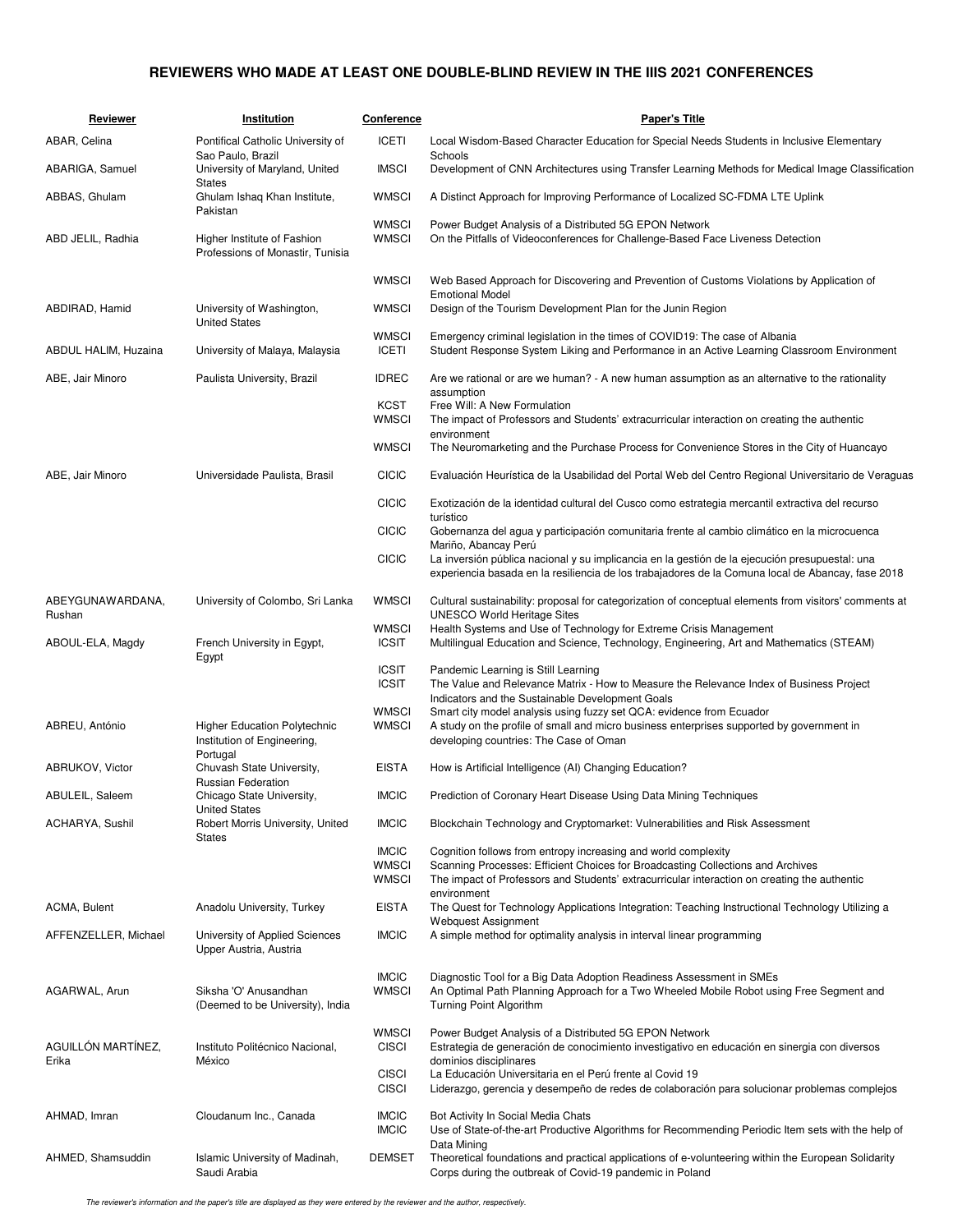## **REVIEWERS WHO MADE AT LEAST ONE DOUBLE-BLIND REVIEW IN THE IIIS 2021 CONFERENCES**

| Reviewer                    | Institution                                                                    | <b>Conference</b>            | <b>Paper's Title</b>                                                                                                                                                                                |
|-----------------------------|--------------------------------------------------------------------------------|------------------------------|-----------------------------------------------------------------------------------------------------------------------------------------------------------------------------------------------------|
| ABAR, Celina                | Pontifical Catholic University of                                              | <b>ICETI</b>                 | Local Wisdom-Based Character Education for Special Needs Students in Inclusive Elementary                                                                                                           |
| ABARIGA, Samuel             | Sao Paulo, Brazil<br>University of Maryland, United                            | <b>IMSCI</b>                 | Schools<br>Development of CNN Architectures using Transfer Learning Methods for Medical Image Classification                                                                                        |
| ABBAS, Ghulam               | <b>States</b><br>Ghulam Ishaq Khan Institute,<br>Pakistan                      | <b>WMSCI</b>                 | A Distinct Approach for Improving Performance of Localized SC-FDMA LTE Uplink                                                                                                                       |
| ABD JELIL, Radhia           | Higher Institute of Fashion<br>Professions of Monastir, Tunisia                | <b>WMSCI</b><br><b>WMSCI</b> | Power Budget Analysis of a Distributed 5G EPON Network<br>On the Pitfalls of Videoconferences for Challenge-Based Face Liveness Detection                                                           |
|                             |                                                                                | <b>WMSCI</b>                 | Web Based Approach for Discovering and Prevention of Customs Violations by Application of<br><b>Emotional Model</b>                                                                                 |
| ABDIRAD, Hamid              | University of Washington,<br><b>United States</b>                              | <b>WMSCI</b>                 | Design of the Tourism Development Plan for the Junin Region                                                                                                                                         |
| ABDUL HALIM, Huzaina        | University of Malaya, Malaysia                                                 | <b>WMSCI</b><br><b>ICETI</b> | Emergency criminal legislation in the times of COVID19: The case of Albania<br>Student Response System Liking and Performance in an Active Learning Classroom Environment                           |
| ABE, Jair Minoro            | Paulista University, Brazil                                                    | <b>IDREC</b>                 | Are we rational or are we human? - A new human assumption as an alternative to the rationality<br>assumption                                                                                        |
|                             |                                                                                | <b>KCST</b><br><b>WMSCI</b>  | Free Will: A New Formulation<br>The impact of Professors and Students' extracurricular interaction on creating the authentic<br>environment                                                         |
|                             |                                                                                | <b>WMSCI</b>                 | The Neuromarketing and the Purchase Process for Convenience Stores in the City of Huancayo                                                                                                          |
| ABE, Jair Minoro            | Universidade Paulista, Brasil                                                  | <b>CICIC</b>                 | Evaluación Heurística de la Usabilidad del Portal Web del Centro Regional Universitario de Veraguas                                                                                                 |
|                             |                                                                                | <b>CICIC</b>                 | Exotización de la identidad cultural del Cusco como estrategia mercantil extractiva del recurso<br>turístico                                                                                        |
|                             |                                                                                | <b>CICIC</b>                 | Gobernanza del agua y participación comunitaria frente al cambio climático en la microcuenca<br>Mariño, Abancay Perú                                                                                |
|                             |                                                                                | <b>CICIC</b>                 | La inversión pública nacional y su implicancia en la gestión de la ejecución presupuestal: una<br>experiencia basada en la resiliencia de los trabajadores de la Comuna local de Abancay, fase 2018 |
| ABEYGUNAWARDANA,<br>Rushan  | University of Colombo, Sri Lanka                                               | <b>WMSCI</b>                 | Cultural sustainability: proposal for categorization of conceptual elements from visitors' comments at<br><b>UNESCO World Heritage Sites</b>                                                        |
| ABOUL-ELA, Magdy            | French University in Egypt,<br>Egypt                                           | <b>WMSCI</b><br><b>ICSIT</b> | Health Systems and Use of Technology for Extreme Crisis Management<br>Multilingual Education and Science, Technology, Engineering, Art and Mathematics (STEAM)                                      |
|                             |                                                                                | <b>ICSIT</b><br><b>ICSIT</b> | Pandemic Learning is Still Learning<br>The Value and Relevance Matrix - How to Measure the Relevance Index of Business Project<br>Indicators and the Sustainable Development Goals                  |
|                             |                                                                                | <b>WMSCI</b>                 | Smart city model analysis using fuzzy set QCA: evidence from Ecuador                                                                                                                                |
| ABREU, António              | <b>Higher Education Polytechnic</b><br>Institution of Engineering,<br>Portugal | <b>WMSCI</b>                 | A study on the profile of small and micro business enterprises supported by government in<br>developing countries: The Case of Oman                                                                 |
| ABRUKOV, Victor             | Chuvash State University,                                                      | <b>EISTA</b>                 | How is Artificial Intelligence (AI) Changing Education?                                                                                                                                             |
| ABULEIL, Saleem             | <b>Russian Federation</b><br>Chicago State University,<br><b>United States</b> | <b>IMCIC</b>                 | Prediction of Coronary Heart Disease Using Data Mining Techniques                                                                                                                                   |
| ACHARYA, Sushil             | Robert Morris University, United<br><b>States</b>                              | <b>IMCIC</b>                 | Blockchain Technology and Cryptomarket: Vulnerabilities and Risk Assessment                                                                                                                         |
|                             |                                                                                | <b>IMCIC</b>                 | Cognition follows from entropy increasing and world complexity                                                                                                                                      |
|                             |                                                                                | <b>WMSCI</b><br><b>WMSCI</b> | Scanning Processes: Efficient Choices for Broadcasting Collections and Archives<br>The impact of Professors and Students' extracurricular interaction on creating the authentic                     |
| ACMA, Bulent                | Anadolu University, Turkey                                                     | <b>EISTA</b>                 | environment<br>The Quest for Technology Applications Integration: Teaching Instructional Technology Utilizing a                                                                                     |
| AFFENZELLER, Michael        | University of Applied Sciences<br>Upper Austria, Austria                       | <b>IMCIC</b>                 | Webquest Assignment<br>A simple method for optimality analysis in interval linear programming                                                                                                       |
| AGARWAL, Arun               | Siksha 'O' Anusandhan<br>(Deemed to be University), India                      | <b>IMCIC</b><br><b>WMSCI</b> | Diagnostic Tool for a Big Data Adoption Readiness Assessment in SMEs<br>An Optimal Path Planning Approach for a Two Wheeled Mobile Robot using Free Segment and<br>Turning Point Algorithm          |
| AGUILLÓN MARTÍNEZ,<br>Erika | Instituto Politécnico Nacional,<br>México                                      | <b>WMSCI</b><br><b>CISCI</b> | Power Budget Analysis of a Distributed 5G EPON Network<br>Estrategia de generación de conocimiento investigativo en educación en sinergia con diversos<br>dominios disciplinares                    |
|                             |                                                                                | <b>CISCI</b><br><b>CISCI</b> | La Educación Universitaria en el Perú frente al Covid 19<br>Liderazgo, gerencia y desempeño de redes de colaboración para solucionar problemas complejos                                            |
| AHMAD, Imran                | Cloudanum Inc., Canada                                                         | <b>IMCIC</b><br><b>IMCIC</b> | Bot Activity In Social Media Chats<br>Use of State-of-the-art Productive Algorithms for Recommending Periodic Item sets with the help of                                                            |
|                             |                                                                                |                              | Data Mining                                                                                                                                                                                         |
| AHMED, Shamsuddin           | Islamic University of Madinah,<br>Saudi Arabia                                 | <b>DEMSET</b>                | Theoretical foundations and practical applications of e-volunteering within the European Solidarity<br>Corps during the outbreak of Covid-19 pandemic in Poland                                     |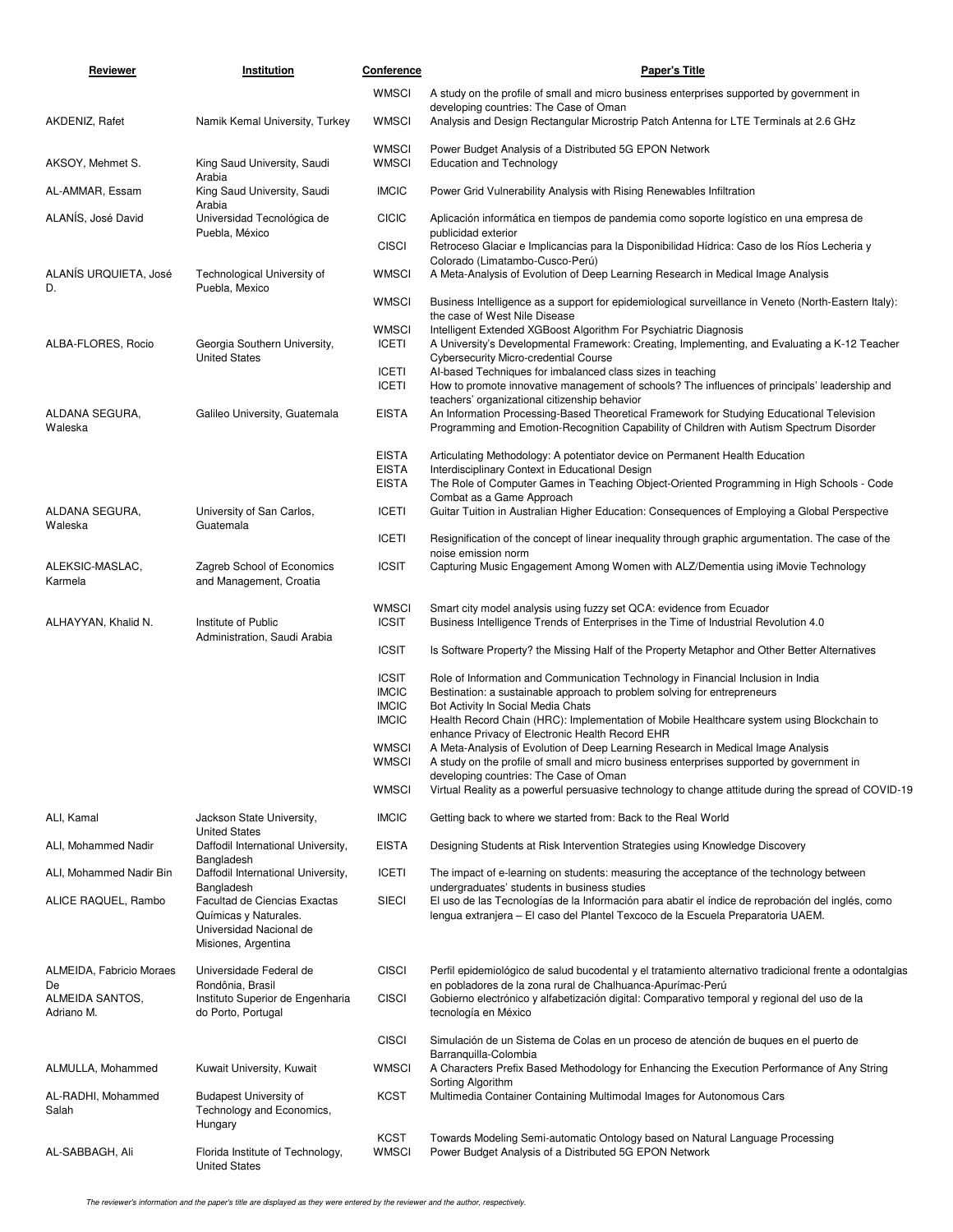| Reviewer                            | Institution                                                                | <b>Conference</b>            | <b>Paper's Title</b>                                                                                                                                                                                                                   |
|-------------------------------------|----------------------------------------------------------------------------|------------------------------|----------------------------------------------------------------------------------------------------------------------------------------------------------------------------------------------------------------------------------------|
|                                     |                                                                            | <b>WMSCI</b>                 | A study on the profile of small and micro business enterprises supported by government in                                                                                                                                              |
| AKDENIZ, Rafet                      | Namik Kemal University, Turkey                                             | <b>WMSCI</b>                 | developing countries: The Case of Oman<br>Analysis and Design Rectangular Microstrip Patch Antenna for LTE Terminals at 2.6 GHz                                                                                                        |
| AKSOY, Mehmet S.                    | King Saud University, Saudi<br>Arabia                                      | <b>WMSCI</b><br><b>WMSCI</b> | Power Budget Analysis of a Distributed 5G EPON Network<br><b>Education and Technology</b>                                                                                                                                              |
| AL-AMMAR, Essam                     | King Saud University, Saudi                                                | <b>IMCIC</b>                 | Power Grid Vulnerability Analysis with Rising Renewables Infiltration                                                                                                                                                                  |
| ALANÍS, José David                  | Arabia<br>Universidad Tecnológica de<br>Puebla, México                     | <b>CICIC</b>                 | Aplicación informática en tiempos de pandemia como soporte logístico en una empresa de<br>publicidad exterior                                                                                                                          |
|                                     |                                                                            | <b>CISCI</b>                 | Retroceso Glaciar e Implicancias para la Disponibilidad Hídrica: Caso de los Ríos Lecheria y<br>Colorado (Limatambo-Cusco-Perú)                                                                                                        |
| ALANÍS URQUIETA, José<br>D.         | Technological University of<br>Puebla, Mexico                              | <b>WMSCI</b>                 | A Meta-Analysis of Evolution of Deep Learning Research in Medical Image Analysis                                                                                                                                                       |
|                                     |                                                                            | <b>WMSCI</b>                 | Business Intelligence as a support for epidemiological surveillance in Veneto (North-Eastern Italy):<br>the case of West Nile Disease                                                                                                  |
|                                     |                                                                            | <b>WMSCI</b>                 | Intelligent Extended XGBoost Algorithm For Psychiatric Diagnosis                                                                                                                                                                       |
| ALBA-FLORES, Rocio                  | Georgia Southern University,<br><b>United States</b>                       | <b>ICETI</b>                 | A University's Developmental Framework: Creating, Implementing, and Evaluating a K-12 Teacher<br><b>Cybersecurity Micro-credential Course</b>                                                                                          |
|                                     |                                                                            | <b>ICETI</b>                 | Al-based Techniques for imbalanced class sizes in teaching                                                                                                                                                                             |
|                                     |                                                                            | <b>ICETI</b>                 | How to promote innovative management of schools? The influences of principals' leadership and                                                                                                                                          |
| ALDANA SEGURA,<br>Waleska           | Galileo University, Guatemala                                              | <b>EISTA</b>                 | teachers' organizational citizenship behavior<br>An Information Processing-Based Theoretical Framework for Studying Educational Television<br>Programming and Emotion-Recognition Capability of Children with Autism Spectrum Disorder |
|                                     |                                                                            | <b>EISTA</b>                 | Articulating Methodology: A potentiator device on Permanent Health Education                                                                                                                                                           |
|                                     |                                                                            | <b>EISTA</b><br><b>EISTA</b> | Interdisciplinary Context in Educational Design<br>The Role of Computer Games in Teaching Object-Oriented Programming in High Schools - Code                                                                                           |
| ALDANA SEGURA,                      | University of San Carlos,                                                  | <b>ICETI</b>                 | Combat as a Game Approach<br>Guitar Tuition in Australian Higher Education: Consequences of Employing a Global Perspective                                                                                                             |
| Waleska                             | Guatemala                                                                  | <b>ICETI</b>                 | Resignification of the concept of linear inequality through graphic argumentation. The case of the                                                                                                                                     |
|                                     |                                                                            |                              | noise emission norm                                                                                                                                                                                                                    |
| ALEKSIC-MASLAC,<br>Karmela          | Zagreb School of Economics<br>and Management, Croatia                      | <b>ICSIT</b>                 | Capturing Music Engagement Among Women with ALZ/Dementia using iMovie Technology                                                                                                                                                       |
| ALHAYYAN, Khalid N.                 | Institute of Public<br>Administration, Saudi Arabia                        | <b>WMSCI</b><br><b>ICSIT</b> | Smart city model analysis using fuzzy set QCA: evidence from Ecuador<br>Business Intelligence Trends of Enterprises in the Time of Industrial Revolution 4.0                                                                           |
|                                     |                                                                            | <b>ICSIT</b>                 | Is Software Property? the Missing Half of the Property Metaphor and Other Better Alternatives                                                                                                                                          |
|                                     |                                                                            | <b>ICSIT</b>                 | Role of Information and Communication Technology in Financial Inclusion in India                                                                                                                                                       |
|                                     |                                                                            | <b>IMCIC</b><br><b>IMCIC</b> | Bestination: a sustainable approach to problem solving for entrepreneurs<br>Bot Activity In Social Media Chats                                                                                                                         |
|                                     |                                                                            | <b>IMCIC</b>                 | Health Record Chain (HRC): Implementation of Mobile Healthcare system using Blockchain to                                                                                                                                              |
|                                     |                                                                            | <b>WMSCI</b>                 | enhance Privacy of Electronic Health Record EHR<br>A Meta-Analysis of Evolution of Deep Learning Research in Medical Image Analysis                                                                                                    |
|                                     |                                                                            | WMSCI                        | A study on the profile of small and micro business enterprises supported by government in<br>developing countries: The Case of Oman                                                                                                    |
|                                     |                                                                            | <b>WMSCI</b>                 | Virtual Reality as a powerful persuasive technology to change attitude during the spread of COVID-19                                                                                                                                   |
| ALI, Kamal                          | Jackson State University,<br><b>United States</b>                          | <b>IMCIC</b>                 | Getting back to where we started from: Back to the Real World                                                                                                                                                                          |
| ALI, Mohammed Nadir                 | Daffodil International University,<br>Bangladesh                           | <b>EISTA</b>                 | Designing Students at Risk Intervention Strategies using Knowledge Discovery                                                                                                                                                           |
| ALI, Mohammed Nadir Bin             | Daffodil International University,<br>Bangladesh                           | <b>ICETI</b>                 | The impact of e-learning on students: measuring the acceptance of the technology between<br>undergraduates' students in business studies                                                                                               |
| ALICE RAQUEL, Rambo                 | Facultad de Ciencias Exactas<br>Químicas y Naturales.                      | SIECI                        | El uso de las Tecnologías de la Información para abatir el índice de reprobación del inglés, como<br>lengua extranjera – El caso del Plantel Texcoco de la Escuela Preparatoria UAEM.                                                  |
|                                     | Universidad Nacional de<br>Misiones, Argentina                             |                              |                                                                                                                                                                                                                                        |
| ALMEIDA, Fabricio Moraes            | Universidade Federal de                                                    | <b>CISCI</b>                 | Perfil epidemiológico de salud bucodental y el tratamiento alternativo tradicional frente a odontalgias                                                                                                                                |
| De<br>ALMEIDA SANTOS,<br>Adriano M. | Rondônia, Brasil<br>Instituto Superior de Engenharia<br>do Porto, Portugal | <b>CISCI</b>                 | en pobladores de la zona rural de Chalhuanca-Apurímac-Perú<br>Gobierno electrónico y alfabetización digital: Comparativo temporal y regional del uso de la<br>tecnología en México                                                     |
|                                     |                                                                            | <b>CISCI</b>                 | Simulación de un Sistema de Colas en un proceso de atención de buques en el puerto de                                                                                                                                                  |
| ALMULLA, Mohammed                   | Kuwait University, Kuwait                                                  | WMSCI                        | Barranguilla-Colombia<br>A Characters Prefix Based Methodology for Enhancing the Execution Performance of Any String                                                                                                                   |
| AL-RADHI, Mohammed                  | <b>Budapest University of</b>                                              | <b>KCST</b>                  | Sorting Algorithm<br>Multimedia Container Containing Multimodal Images for Autonomous Cars                                                                                                                                             |
| Salah                               | Technology and Economics,<br>Hungary                                       |                              |                                                                                                                                                                                                                                        |
|                                     |                                                                            | <b>KCST</b>                  | Towards Modeling Semi-automatic Ontology based on Natural Language Processing                                                                                                                                                          |
| AL-SABBAGH, Ali                     | Florida Institute of Technology,<br><b>United States</b>                   | <b>WMSCI</b>                 | Power Budget Analysis of a Distributed 5G EPON Network                                                                                                                                                                                 |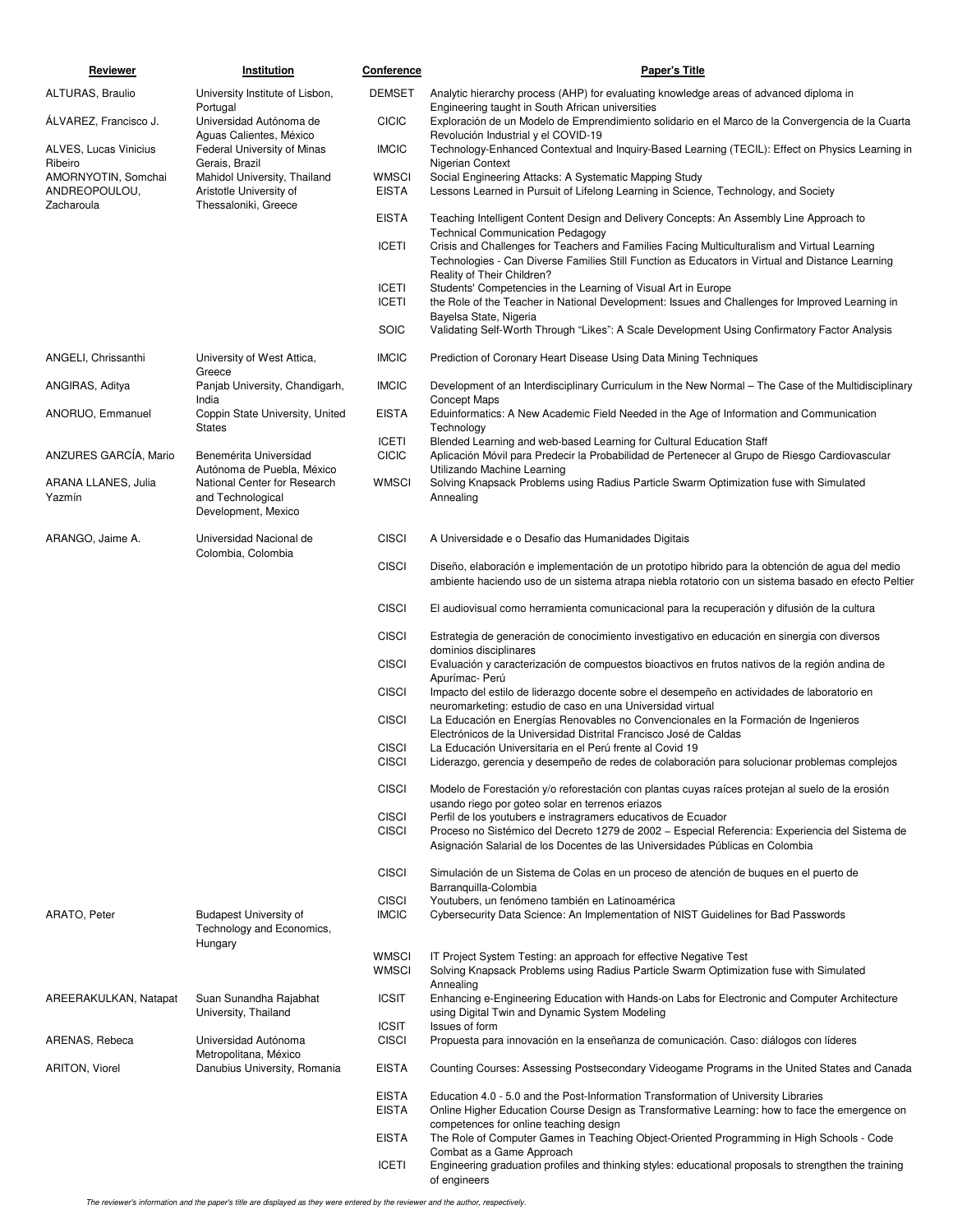| Reviewer                             | Institution                                                                     | Conference                   | Paper's Title                                                                                                                                                                                                                                                             |
|--------------------------------------|---------------------------------------------------------------------------------|------------------------------|---------------------------------------------------------------------------------------------------------------------------------------------------------------------------------------------------------------------------------------------------------------------------|
| ALTURAS, Braulio                     | University Institute of Lisbon,                                                 | <b>DEMSET</b>                | Analytic hierarchy process (AHP) for evaluating knowledge areas of advanced diploma in                                                                                                                                                                                    |
| ALVAREZ, Francisco J.                | Portugal<br>Universidad Autónoma de                                             | <b>CICIC</b>                 | Engineering taught in South African universities<br>Exploración de un Modelo de Emprendimiento solidario en el Marco de la Convergencia de la Cuarta                                                                                                                      |
| ALVES, Lucas Vinicius<br>Ribeiro     | Aguas Calientes, México<br>Federal University of Minas<br>Gerais, Brazil        | <b>IMCIC</b>                 | Revolución Industrial y el COVID-19<br>Technology-Enhanced Contextual and Inquiry-Based Learning (TECIL): Effect on Physics Learning in<br>Nigerian Context                                                                                                               |
| AMORNYOTIN, Somchai<br>ANDREOPOULOU, | Mahidol University, Thailand<br>Aristotle University of                         | <b>WMSCI</b><br><b>EISTA</b> | Social Engineering Attacks: A Systematic Mapping Study<br>Lessons Learned in Pursuit of Lifelong Learning in Science, Technology, and Society                                                                                                                             |
| Zacharoula                           | Thessaloniki, Greece                                                            | <b>EISTA</b>                 | Teaching Intelligent Content Design and Delivery Concepts: An Assembly Line Approach to                                                                                                                                                                                   |
|                                      |                                                                                 | <b>ICETI</b>                 | <b>Technical Communication Pedagogy</b><br>Crisis and Challenges for Teachers and Families Facing Multiculturalism and Virtual Learning<br>Technologies - Can Diverse Families Still Function as Educators in Virtual and Distance Learning<br>Reality of Their Children? |
|                                      |                                                                                 | <b>ICETI</b><br><b>ICETI</b> | Students' Competencies in the Learning of Visual Art in Europe<br>the Role of the Teacher in National Development: Issues and Challenges for Improved Learning in                                                                                                         |
|                                      |                                                                                 | SOIC                         | Bayelsa State, Nigeria<br>Validating Self-Worth Through "Likes": A Scale Development Using Confirmatory Factor Analysis                                                                                                                                                   |
| ANGELI, Chrissanthi                  | University of West Attica,<br>Greece                                            | <b>IMCIC</b>                 | Prediction of Coronary Heart Disease Using Data Mining Techniques                                                                                                                                                                                                         |
| ANGIRAS, Aditya                      | Panjab University, Chandigarh,<br>India                                         | <b>IMCIC</b>                 | Development of an Interdisciplinary Curriculum in the New Normal – The Case of the Multidisciplinary<br>Concept Maps                                                                                                                                                      |
| ANORUO, Emmanuel                     | Coppin State University, United<br><b>States</b>                                | <b>EISTA</b>                 | Eduinformatics: A New Academic Field Needed in the Age of Information and Communication<br>Technology                                                                                                                                                                     |
| ANZURES GARCÍA, Mario                | Benemérita Universidad                                                          | <b>ICETI</b><br><b>CICIC</b> | Blended Learning and web-based Learning for Cultural Education Staff<br>Aplicación Móvil para Predecir la Probabilidad de Pertenecer al Grupo de Riesgo Cardiovascular                                                                                                    |
| ARANA LLANES, Julia<br>Yazmín        | Autónoma de Puebla, México<br>National Center for Research<br>and Technological | <b>WMSCI</b>                 | Utilizando Machine Learning<br>Solving Knapsack Problems using Radius Particle Swarm Optimization fuse with Simulated<br>Annealing                                                                                                                                        |
|                                      | Development, Mexico                                                             |                              |                                                                                                                                                                                                                                                                           |
| ARANGO, Jaime A.                     | Universidad Nacional de<br>Colombia, Colombia                                   | <b>CISCI</b><br><b>CISCI</b> | A Universidade e o Desafio das Humanidades Digitais                                                                                                                                                                                                                       |
|                                      |                                                                                 |                              | Diseño, elaboración e implementación de un prototipo hibrido para la obtención de agua del medio<br>ambiente haciendo uso de un sistema atrapa niebla rotatorio con un sistema basado en efecto Peltier                                                                   |
|                                      |                                                                                 | <b>CISCI</b>                 | El audiovisual como herramienta comunicacional para la recuperación y difusión de la cultura                                                                                                                                                                              |
|                                      |                                                                                 | <b>CISCI</b>                 | Estrategia de generación de conocimiento investigativo en educación en sinergia con diversos<br>dominios disciplinares                                                                                                                                                    |
|                                      |                                                                                 | <b>CISCI</b>                 | Evaluación y caracterización de compuestos bioactivos en frutos nativos de la región andina de<br>Apurímac- Perú                                                                                                                                                          |
|                                      |                                                                                 | <b>CISCI</b>                 | Impacto del estilo de liderazgo docente sobre el desempeño en actividades de laboratorio en<br>neuromarketing: estudio de caso en una Universidad virtual                                                                                                                 |
|                                      |                                                                                 | <b>CISCI</b>                 | La Educación en Energías Renovables no Convencionales en la Formación de Ingenieros<br>Electrónicos de la Universidad Distrital Francisco José de Caldas                                                                                                                  |
|                                      |                                                                                 | <b>CISCI</b><br><b>CISCI</b> | La Educación Universitaria en el Perú frente al Covid 19<br>Liderazgo, gerencia y desempeño de redes de colaboración para solucionar problemas complejos                                                                                                                  |
|                                      |                                                                                 | <b>CISCI</b>                 | Modelo de Forestación y/o reforestación con plantas cuyas raíces protejan al suelo de la erosión<br>usando riego por goteo solar en terrenos eriazos                                                                                                                      |
|                                      |                                                                                 | <b>CISCI</b><br><b>CISCI</b> | Perfil de los youtubers e instragramers educativos de Ecuador<br>Proceso no Sistémico del Decreto 1279 de 2002 – Especial Referencia: Experiencia del Sistema de                                                                                                          |
|                                      |                                                                                 |                              | Asignación Salarial de los Docentes de las Universidades Públicas en Colombia                                                                                                                                                                                             |
|                                      |                                                                                 | <b>CISCI</b>                 | Simulación de un Sistema de Colas en un proceso de atención de bugues en el puerto de<br>Barranguilla-Colombia                                                                                                                                                            |
|                                      |                                                                                 | <b>CISCI</b>                 | Youtubers, un fenómeno también en Latinoamérica                                                                                                                                                                                                                           |
| ARATO, Peter                         | <b>Budapest University of</b><br>Technology and Economics,<br>Hungary           | <b>IMCIC</b>                 | Cybersecurity Data Science: An Implementation of NIST Guidelines for Bad Passwords                                                                                                                                                                                        |
|                                      |                                                                                 | <b>WMSCI</b><br><b>WMSCI</b> | IT Project System Testing: an approach for effective Negative Test<br>Solving Knapsack Problems using Radius Particle Swarm Optimization fuse with Simulated<br>Annealing                                                                                                 |
| AREERAKULKAN, Natapat                | Suan Sunandha Rajabhat<br>University, Thailand                                  | <b>ICSIT</b>                 | Enhancing e-Engineering Education with Hands-on Labs for Electronic and Computer Architecture<br>using Digital Twin and Dynamic System Modeling                                                                                                                           |
| ARENAS, Rebeca                       | Universidad Autónoma                                                            | <b>ICSIT</b><br><b>CISCI</b> | Issues of form<br>Propuesta para innovación en la enseñanza de comunicación. Caso: diálogos con líderes                                                                                                                                                                   |
| ARITON, Viorel                       | Metropolitana, México<br>Danubius University, Romania                           | <b>EISTA</b>                 | Counting Courses: Assessing Postsecondary Videogame Programs in the United States and Canada                                                                                                                                                                              |
|                                      |                                                                                 | <b>EISTA</b>                 | Education 4.0 - 5.0 and the Post-Information Transformation of University Libraries                                                                                                                                                                                       |
|                                      |                                                                                 | <b>EISTA</b>                 | Online Higher Education Course Design as Transformative Learning: how to face the emergence on                                                                                                                                                                            |
|                                      |                                                                                 | <b>EISTA</b>                 | competences for online teaching design<br>The Role of Computer Games in Teaching Object-Oriented Programming in High Schools - Code<br>Combat as a Game Approach                                                                                                          |
|                                      |                                                                                 | <b>ICETI</b>                 | Engineering graduation profiles and thinking styles: educational proposals to strengthen the training<br>of engineers                                                                                                                                                     |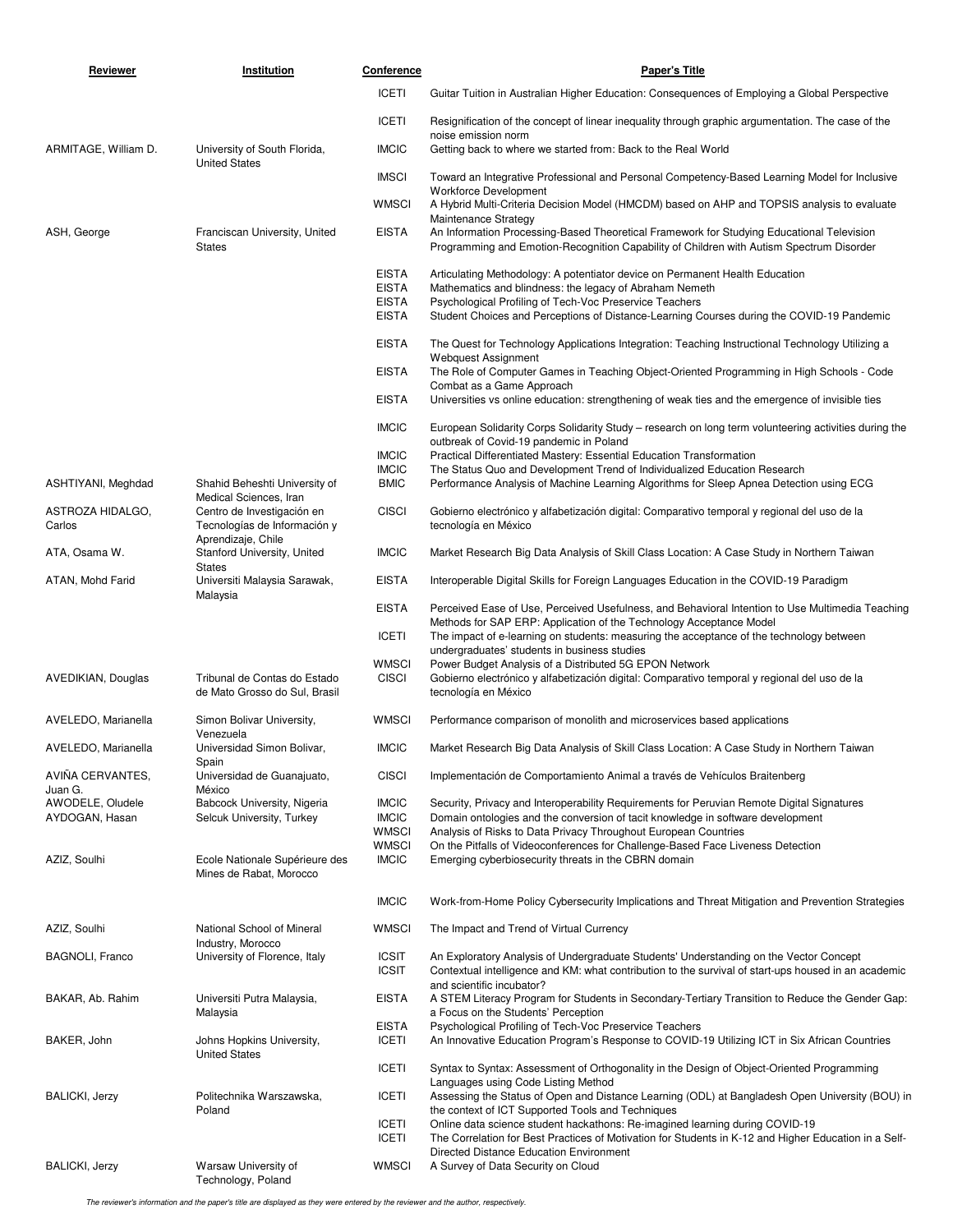| Reviewer                    | Institution                                                                      | Conference                   | <b>Paper's Title</b>                                                                                                                                                                                          |
|-----------------------------|----------------------------------------------------------------------------------|------------------------------|---------------------------------------------------------------------------------------------------------------------------------------------------------------------------------------------------------------|
|                             |                                                                                  | <b>ICETI</b>                 | Guitar Tuition in Australian Higher Education: Consequences of Employing a Global Perspective                                                                                                                 |
|                             |                                                                                  | <b>ICETI</b>                 | Resignification of the concept of linear inequality through graphic argumentation. The case of the                                                                                                            |
| ARMITAGE, William D.        | University of South Florida,<br><b>United States</b>                             | <b>IMCIC</b>                 | noise emission norm<br>Getting back to where we started from: Back to the Real World                                                                                                                          |
|                             |                                                                                  | <b>IMSCI</b>                 | Toward an Integrative Professional and Personal Competency-Based Learning Model for Inclusive<br><b>Workforce Development</b>                                                                                 |
|                             |                                                                                  | <b>WMSCI</b>                 | A Hybrid Multi-Criteria Decision Model (HMCDM) based on AHP and TOPSIS analysis to evaluate                                                                                                                   |
| ASH, George                 | Franciscan University, United<br><b>States</b>                                   | <b>EISTA</b>                 | Maintenance Strategy<br>An Information Processing-Based Theoretical Framework for Studying Educational Television<br>Programming and Emotion-Recognition Capability of Children with Autism Spectrum Disorder |
|                             |                                                                                  | <b>EISTA</b>                 | Articulating Methodology: A potentiator device on Permanent Health Education                                                                                                                                  |
|                             |                                                                                  | <b>EISTA</b><br><b>EISTA</b> | Mathematics and blindness: the legacy of Abraham Nemeth<br>Psychological Profiling of Tech-Voc Preservice Teachers                                                                                            |
|                             |                                                                                  | <b>EISTA</b>                 | Student Choices and Perceptions of Distance-Learning Courses during the COVID-19 Pandemic                                                                                                                     |
|                             |                                                                                  | <b>EISTA</b>                 | The Quest for Technology Applications Integration: Teaching Instructional Technology Utilizing a<br><b>Webquest Assignment</b>                                                                                |
|                             |                                                                                  | <b>EISTA</b>                 | The Role of Computer Games in Teaching Object-Oriented Programming in High Schools - Code                                                                                                                     |
|                             |                                                                                  | <b>EISTA</b>                 | Combat as a Game Approach<br>Universities vs online education: strengthening of weak ties and the emergence of invisible ties                                                                                 |
|                             |                                                                                  | <b>IMCIC</b>                 | European Solidarity Corps Solidarity Study – research on long term volunteering activities during the                                                                                                         |
|                             |                                                                                  | <b>IMCIC</b>                 | outbreak of Covid-19 pandemic in Poland<br>Practical Differentiated Mastery: Essential Education Transformation                                                                                               |
|                             |                                                                                  | <b>IMCIC</b>                 | The Status Quo and Development Trend of Individualized Education Research                                                                                                                                     |
| ASHTIYANI, Meghdad          | Shahid Beheshti University of<br>Medical Sciences, Iran                          | <b>BMIC</b>                  | Performance Analysis of Machine Learning Algorithms for Sleep Apnea Detection using ECG                                                                                                                       |
| ASTROZA HIDALGO,<br>Carlos  | Centro de Investigación en<br>Tecnologías de Información y<br>Aprendizaje, Chile | <b>CISCI</b>                 | Gobierno electrónico y alfabetización digital: Comparativo temporal y regional del uso de la<br>tecnología en México                                                                                          |
| ATA, Osama W.               | Stanford University, United<br><b>States</b>                                     | <b>IMCIC</b>                 | Market Research Big Data Analysis of Skill Class Location: A Case Study in Northern Taiwan                                                                                                                    |
| ATAN, Mohd Farid            | Universiti Malaysia Sarawak,<br>Malaysia                                         | <b>EISTA</b>                 | Interoperable Digital Skills for Foreign Languages Education in the COVID-19 Paradigm                                                                                                                         |
|                             |                                                                                  | <b>EISTA</b>                 | Perceived Ease of Use, Perceived Usefulness, and Behavioral Intention to Use Multimedia Teaching<br>Methods for SAP ERP: Application of the Technology Acceptance Model                                       |
|                             |                                                                                  | <b>ICETI</b><br><b>WMSCI</b> | The impact of e-learning on students: measuring the acceptance of the technology between<br>undergraduates' students in business studies<br>Power Budget Analysis of a Distributed 5G EPON Network            |
| AVEDIKIAN, Douglas          | Tribunal de Contas do Estado<br>de Mato Grosso do Sul, Brasil                    | <b>CISCI</b>                 | Gobierno electrónico y alfabetización digital: Comparativo temporal y regional del uso de la<br>tecnología en México                                                                                          |
| AVELEDO, Marianella         | Simon Bolivar University,<br>Venezuela                                           | <b>WMSCI</b>                 | Performance comparison of monolith and microservices based applications                                                                                                                                       |
| AVELEDO, Marianella         | Universidad Simon Bolivar,<br>Spain                                              | <b>IMCIC</b>                 | Market Research Big Data Analysis of Skill Class Location: A Case Study in Northern Taiwan                                                                                                                    |
| AVINA CERVANTES,<br>Juan G. | Universidad de Guanajuato,<br>México                                             | <b>CISCI</b>                 | Implementación de Comportamiento Animal a través de Vehículos Braitenberg                                                                                                                                     |
| AWODELE, Oludele            | Babcock University, Nigeria                                                      | <b>IMCIC</b>                 | Security, Privacy and Interoperability Requirements for Peruvian Remote Digital Signatures                                                                                                                    |
| AYDOGAN, Hasan              | Selcuk University, Turkey                                                        | <b>IMCIC</b><br><b>WMSCI</b> | Domain ontologies and the conversion of tacit knowledge in software development<br>Analysis of Risks to Data Privacy Throughout European Countries                                                            |
|                             |                                                                                  | <b>WMSCI</b>                 | On the Pitfalls of Videoconferences for Challenge-Based Face Liveness Detection                                                                                                                               |
| AZIZ, Soulhi                | Ecole Nationale Supérieure des<br>Mines de Rabat, Morocco                        | <b>IMCIC</b>                 | Emerging cyberbiosecurity threats in the CBRN domain                                                                                                                                                          |
|                             |                                                                                  | <b>IMCIC</b>                 | Work-from-Home Policy Cybersecurity Implications and Threat Mitigation and Prevention Strategies                                                                                                              |
| AZIZ, Soulhi                | National School of Mineral<br>Industry, Morocco                                  | <b>WMSCI</b>                 | The Impact and Trend of Virtual Currency                                                                                                                                                                      |
| <b>BAGNOLI, Franco</b>      | University of Florence, Italy                                                    | <b>ICSIT</b><br><b>ICSIT</b> | An Exploratory Analysis of Undergraduate Students' Understanding on the Vector Concept<br>Contextual intelligence and KM: what contribution to the survival of start-ups housed in an academic                |
| BAKAR, Ab. Rahim            | Universiti Putra Malaysia,<br>Malaysia                                           | <b>EISTA</b>                 | and scientific incubator?<br>A STEM Literacy Program for Students in Secondary-Tertiary Transition to Reduce the Gender Gap:<br>a Focus on the Students' Perception                                           |
| BAKER, John                 | Johns Hopkins University,                                                        | <b>EISTA</b><br><b>ICETI</b> | Psychological Profiling of Tech-Voc Preservice Teachers<br>An Innovative Education Program's Response to COVID-19 Utilizing ICT in Six African Countries                                                      |
|                             | <b>United States</b>                                                             | <b>ICETI</b>                 | Syntax to Syntax: Assessment of Orthogonality in the Design of Object-Oriented Programming                                                                                                                    |
| BALICKI, Jerzy              | Politechnika Warszawska,                                                         | <b>ICETI</b>                 | Languages using Code Listing Method<br>Assessing the Status of Open and Distance Learning (ODL) at Bangladesh Open University (BOU) in                                                                        |
|                             | Poland                                                                           | <b>ICETI</b>                 | the context of ICT Supported Tools and Techniques<br>Online data science student hackathons: Re-imagined learning during COVID-19                                                                             |
|                             |                                                                                  | <b>ICETI</b>                 | The Correlation for Best Practices of Motivation for Students in K-12 and Higher Education in a Self-<br>Directed Distance Education Environment                                                              |
| <b>BALICKI</b> , Jerzy      | Warsaw University of<br>Technology, Poland                                       | <b>WMSCI</b>                 | A Survey of Data Security on Cloud                                                                                                                                                                            |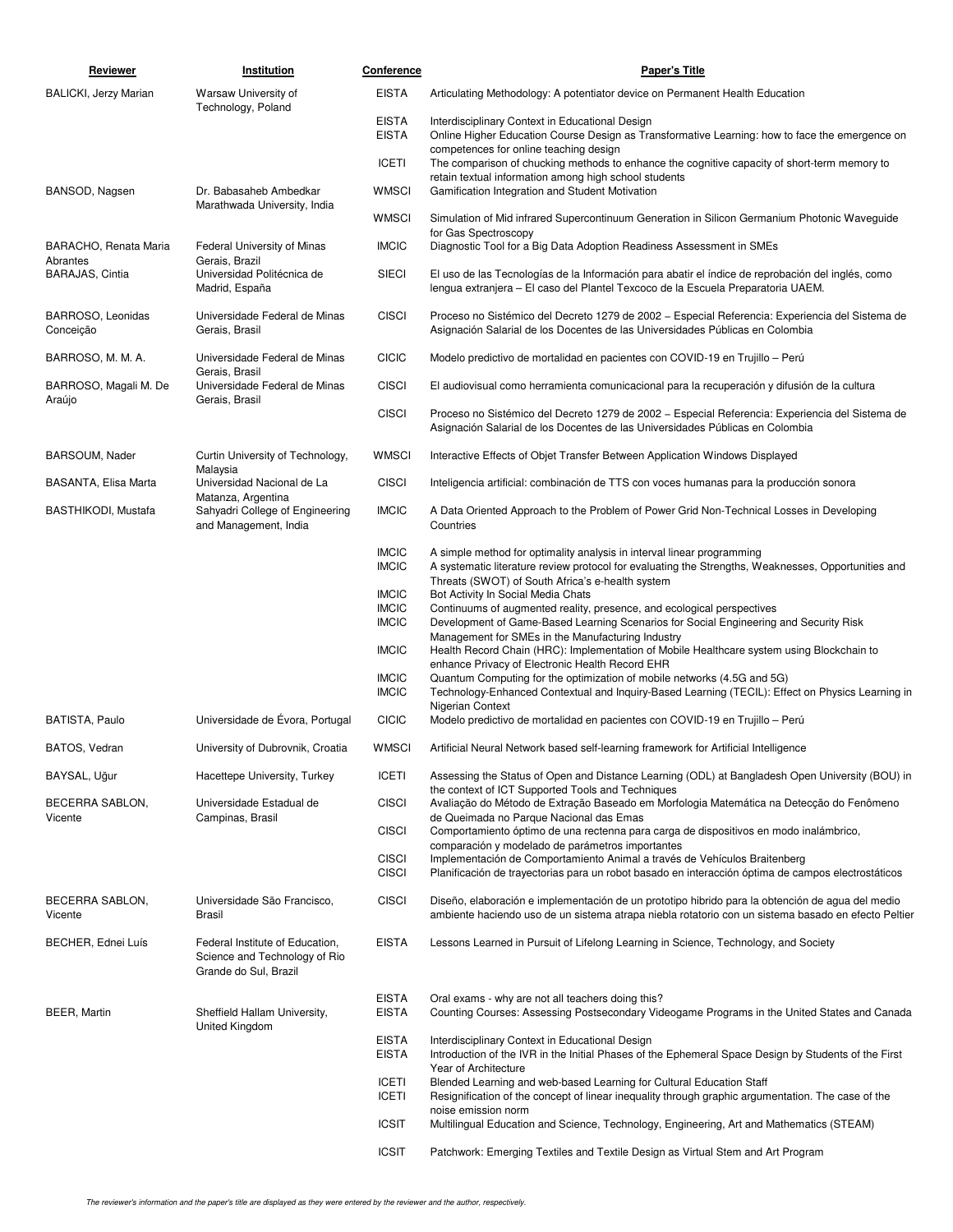| <b>Reviewer</b>                   | Institution                                                                               | Conference                   | <b>Paper's Title</b>                                                                                                                                                                                    |
|-----------------------------------|-------------------------------------------------------------------------------------------|------------------------------|---------------------------------------------------------------------------------------------------------------------------------------------------------------------------------------------------------|
| BALICKI, Jerzy Marian             | Warsaw University of<br>Technology, Poland                                                | <b>EISTA</b>                 | Articulating Methodology: A potentiator device on Permanent Health Education                                                                                                                            |
|                                   |                                                                                           | <b>EISTA</b><br><b>EISTA</b> | Interdisciplinary Context in Educational Design<br>Online Higher Education Course Design as Transformative Learning: how to face the emergence on                                                       |
|                                   |                                                                                           | <b>ICETI</b>                 | competences for online teaching design<br>The comparison of chucking methods to enhance the cognitive capacity of short-term memory to                                                                  |
| BANSOD, Nagsen                    | Dr. Babasaheb Ambedkar<br>Marathwada University, India                                    | <b>WMSCI</b>                 | retain textual information among high school students<br>Gamification Integration and Student Motivation                                                                                                |
|                                   |                                                                                           | <b>WMSCI</b>                 | Simulation of Mid infrared Supercontinuum Generation in Silicon Germanium Photonic Waveguide<br>for Gas Spectroscopy                                                                                    |
| BARACHO, Renata Maria<br>Abrantes | Federal University of Minas<br>Gerais, Brazil                                             | <b>IMCIC</b>                 | Diagnostic Tool for a Big Data Adoption Readiness Assessment in SMEs                                                                                                                                    |
| BARAJAS, Cintia                   | Universidad Politécnica de<br>Madrid, España                                              | <b>SIECI</b>                 | El uso de las Tecnologías de la Información para abatir el índice de reprobación del inglés, como<br>lengua extranjera – El caso del Plantel Texcoco de la Escuela Preparatoria UAEM.                   |
| BARROSO, Leonidas<br>Conceição    | Universidade Federal de Minas<br>Gerais, Brasil                                           | <b>CISCI</b>                 | Proceso no Sistémico del Decreto 1279 de 2002 – Especial Referencia: Experiencia del Sistema de<br>Asignación Salarial de los Docentes de las Universidades Públicas en Colombia                        |
| BARROSO, M. M. A.                 | Universidade Federal de Minas                                                             | <b>CICIC</b>                 | Modelo predictivo de mortalidad en pacientes con COVID-19 en Trujillo - Perú                                                                                                                            |
| BARROSO, Magali M. De             | Gerais, Brasil<br>Universidade Federal de Minas                                           | <b>CISCI</b>                 | El audiovisual como herramienta comunicacional para la recuperación y difusión de la cultura                                                                                                            |
| Araújo                            | Gerais, Brasil                                                                            | <b>CISCI</b>                 | Proceso no Sistémico del Decreto 1279 de 2002 – Especial Referencia: Experiencia del Sistema de<br>Asignación Salarial de los Docentes de las Universidades Públicas en Colombia                        |
| BARSOUM, Nader                    | Curtin University of Technology,                                                          | <b>WMSCI</b>                 | Interactive Effects of Objet Transfer Between Application Windows Displayed                                                                                                                             |
| BASANTA, Elisa Marta              | Malaysia<br>Universidad Nacional de La                                                    | <b>CISCI</b>                 | Inteligencia artificial: combinación de TTS con voces humanas para la producción sonora                                                                                                                 |
| <b>BASTHIKODI, Mustafa</b>        | Matanza, Argentina<br>Sahyadri College of Engineering<br>and Management, India            | <b>IMCIC</b>                 | A Data Oriented Approach to the Problem of Power Grid Non-Technical Losses in Developing<br>Countries                                                                                                   |
|                                   |                                                                                           | <b>IMCIC</b><br><b>IMCIC</b> | A simple method for optimality analysis in interval linear programming<br>A systematic literature review protocol for evaluating the Strengths, Weaknesses, Opportunities and                           |
|                                   |                                                                                           | <b>IMCIC</b>                 | Threats (SWOT) of South Africa's e-health system<br>Bot Activity In Social Media Chats                                                                                                                  |
|                                   |                                                                                           | <b>IMCIC</b><br><b>IMCIC</b> | Continuums of augmented reality, presence, and ecological perspectives<br>Development of Game-Based Learning Scenarios for Social Engineering and Security Risk                                         |
|                                   |                                                                                           | <b>IMCIC</b>                 | Management for SMEs in the Manufacturing Industry<br>Health Record Chain (HRC): Implementation of Mobile Healthcare system using Blockchain to                                                          |
|                                   |                                                                                           | <b>IMCIC</b>                 | enhance Privacy of Electronic Health Record EHR<br>Quantum Computing for the optimization of mobile networks (4.5G and 5G)                                                                              |
|                                   |                                                                                           | <b>IMCIC</b>                 | Technology-Enhanced Contextual and Inquiry-Based Learning (TECIL): Effect on Physics Learning in<br>Nigerian Context                                                                                    |
| BATISTA, Paulo                    | Universidade de Évora, Portugal                                                           | <b>CICIC</b>                 | Modelo predictivo de mortalidad en pacientes con COVID-19 en Trujillo - Perú                                                                                                                            |
| BATOS, Vedran                     | University of Dubrovnik, Croatia                                                          | <b>WMSCI</b>                 | Artificial Neural Network based self-learning framework for Artificial Intelligence                                                                                                                     |
| BAYSAL, Uğur                      | Hacettepe University, Turkey                                                              | <b>ICETI</b>                 | Assessing the Status of Open and Distance Learning (ODL) at Bangladesh Open University (BOU) in<br>the context of ICT Supported Tools and Techniques                                                    |
| BECERRA SABLON,<br>Vicente        | Universidade Estadual de<br>Campinas, Brasil                                              | <b>CISCI</b>                 | Avaliação do Método de Extração Baseado em Morfologia Matemática na Detecção do Fenômeno<br>de Queimada no Parque Nacional das Emas                                                                     |
|                                   |                                                                                           | <b>CISCI</b>                 | Comportamiento óptimo de una rectenna para carga de dispositivos en modo inalámbrico,<br>comparación y modelado de parámetros importantes                                                               |
|                                   |                                                                                           | <b>CISCI</b><br><b>CISCI</b> | Implementación de Comportamiento Animal a través de Vehículos Braitenberg<br>Planificación de trayectorias para un robot basado en interacción óptima de campos electrostáticos                         |
| BECERRA SABLON,<br>Vicente        | Universidade São Francisco,<br>Brasil                                                     | <b>CISCI</b>                 | Diseño, elaboración e implementación de un prototipo hibrido para la obtención de agua del medio<br>ambiente haciendo uso de un sistema atrapa niebla rotatorio con un sistema basado en efecto Peltier |
| BECHER, Ednei Luís                | Federal Institute of Education,<br>Science and Technology of Rio<br>Grande do Sul, Brazil | <b>EISTA</b>                 | Lessons Learned in Pursuit of Lifelong Learning in Science, Technology, and Society                                                                                                                     |
| BEER, Martin                      | Sheffield Hallam University,                                                              | <b>EISTA</b><br><b>EISTA</b> | Oral exams - why are not all teachers doing this?<br>Counting Courses: Assessing Postsecondary Videogame Programs in the United States and Canada                                                       |
|                                   | United Kingdom                                                                            | <b>EISTA</b><br><b>EISTA</b> | Interdisciplinary Context in Educational Design<br>Introduction of the IVR in the Initial Phases of the Ephemeral Space Design by Students of the First                                                 |
|                                   |                                                                                           | <b>ICETI</b><br><b>ICETI</b> | Year of Architecture<br>Blended Learning and web-based Learning for Cultural Education Staff<br>Resignification of the concept of linear inequality through graphic argumentation. The case of the      |
|                                   |                                                                                           | <b>ICSIT</b>                 | noise emission norm<br>Multilingual Education and Science, Technology, Engineering, Art and Mathematics (STEAM)                                                                                         |
|                                   |                                                                                           | <b>ICSIT</b>                 | Patchwork: Emerging Textiles and Textile Design as Virtual Stem and Art Program                                                                                                                         |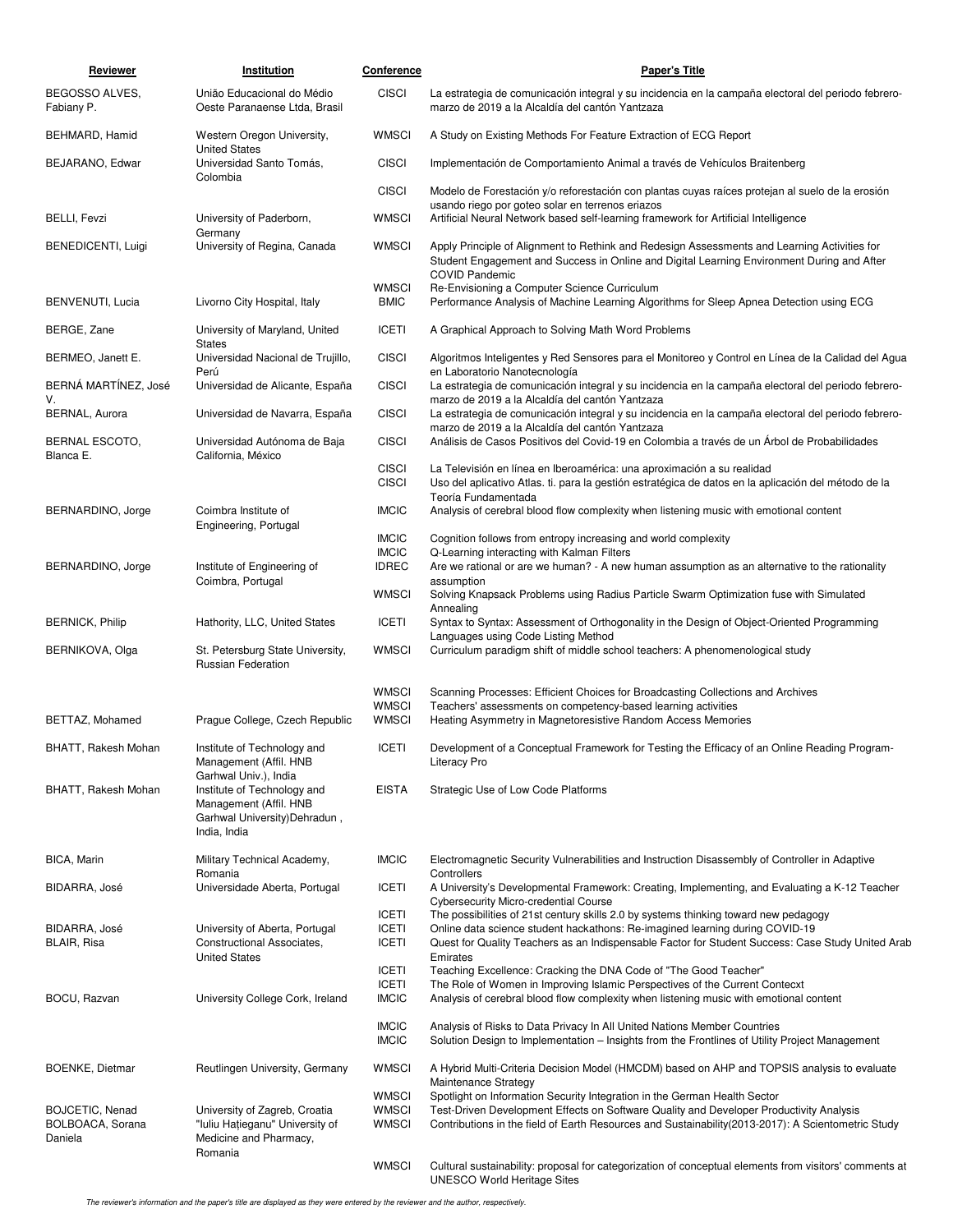| <b>Reviewer</b>              | Institution                                                                                           | <b>Conference</b>                            | <b>Paper's Title</b>                                                                                                                                                                                                                                                      |
|------------------------------|-------------------------------------------------------------------------------------------------------|----------------------------------------------|---------------------------------------------------------------------------------------------------------------------------------------------------------------------------------------------------------------------------------------------------------------------------|
| BEGOSSO ALVES,<br>Fabiany P. | União Educacional do Médio<br>Oeste Paranaense Ltda, Brasil                                           | <b>CISCI</b>                                 | La estrategia de comunicación integral y su incidencia en la campaña electoral del periodo febrero-<br>marzo de 2019 a la Alcaldía del cantón Yantzaza                                                                                                                    |
| BEHMARD, Hamid               | Western Oregon University,<br><b>United States</b>                                                    | <b>WMSCI</b>                                 | A Study on Existing Methods For Feature Extraction of ECG Report                                                                                                                                                                                                          |
| BEJARANO, Edwar              | Universidad Santo Tomás,<br>Colombia                                                                  | <b>CISCI</b>                                 | Implementación de Comportamiento Animal a través de Vehículos Braitenberg                                                                                                                                                                                                 |
|                              |                                                                                                       | <b>CISCI</b>                                 | Modelo de Forestación y/o reforestación con plantas cuyas raíces protejan al suelo de la erosión                                                                                                                                                                          |
| <b>BELLI, Fevzi</b>          | University of Paderborn,                                                                              | <b>WMSCI</b>                                 | usando riego por goteo solar en terrenos eriazos<br>Artificial Neural Network based self-learning framework for Artificial Intelligence                                                                                                                                   |
| BENEDICENTI, Luigi           | Germany<br>University of Regina, Canada                                                               | <b>WMSCI</b>                                 | Apply Principle of Alignment to Rethink and Redesign Assessments and Learning Activities for<br>Student Engagement and Success in Online and Digital Learning Environment During and After<br><b>COVID Pandemic</b>                                                       |
| BENVENUTI, Lucia             | Livorno City Hospital, Italy                                                                          | <b>WMSCI</b><br><b>BMIC</b>                  | Re-Envisioning a Computer Science Curriculum<br>Performance Analysis of Machine Learning Algorithms for Sleep Apnea Detection using ECG                                                                                                                                   |
| BERGE, Zane                  | University of Maryland, United<br><b>States</b>                                                       | <b>ICETI</b>                                 | A Graphical Approach to Solving Math Word Problems                                                                                                                                                                                                                        |
| BERMEO, Janett E.            | Universidad Nacional de Trujillo,<br>Perú                                                             | <b>CISCI</b>                                 | Algoritmos Inteligentes y Red Sensores para el Monitoreo y Control en Línea de la Calidad del Agua<br>en Laboratorio Nanotecnología                                                                                                                                       |
| BERNÁ MARTÍNEZ, José<br>V.   | Universidad de Alicante, España                                                                       | <b>CISCI</b>                                 | La estrategia de comunicación integral y su incidencia en la campaña electoral del periodo febrero-<br>marzo de 2019 a la Alcaldía del cantón Yantzaza                                                                                                                    |
| BERNAL, Aurora               | Universidad de Navarra, España                                                                        | <b>CISCI</b>                                 | La estrategia de comunicación integral y su incidencia en la campaña electoral del periodo febrero-<br>marzo de 2019 a la Alcaldía del cantón Yantzaza                                                                                                                    |
| BERNAL ESCOTO,<br>Blanca E.  | Universidad Autónoma de Baja<br>California, México                                                    | <b>CISCI</b>                                 | Análisis de Casos Positivos del Covid-19 en Colombia a través de un Árbol de Probabilidades                                                                                                                                                                               |
|                              |                                                                                                       | <b>CISCI</b><br><b>CISCI</b>                 | La Televisión en línea en Iberoamérica: una aproximación a su realidad<br>Uso del aplicativo Atlas. ti. para la gestión estratégica de datos en la aplicación del método de la<br>Teoría Fundamentada                                                                     |
| BERNARDINO, Jorge            | Coimbra Institute of<br>Engineering, Portugal                                                         | <b>IMCIC</b>                                 | Analysis of cerebral blood flow complexity when listening music with emotional content                                                                                                                                                                                    |
|                              |                                                                                                       | <b>IMCIC</b><br><b>IMCIC</b>                 | Cognition follows from entropy increasing and world complexity<br>Q-Learning interacting with Kalman Filters                                                                                                                                                              |
| BERNARDINO, Jorge            | Institute of Engineering of<br>Coimbra, Portugal                                                      | <b>IDREC</b>                                 | Are we rational or are we human? - A new human assumption as an alternative to the rationality<br>assumption                                                                                                                                                              |
|                              |                                                                                                       | <b>WMSCI</b>                                 | Solving Knapsack Problems using Radius Particle Swarm Optimization fuse with Simulated<br>Annealing                                                                                                                                                                       |
| <b>BERNICK, Philip</b>       | Hathority, LLC, United States                                                                         | <b>ICETI</b>                                 | Syntax to Syntax: Assessment of Orthogonality in the Design of Object-Oriented Programming<br>Languages using Code Listing Method                                                                                                                                         |
| BERNIKOVA, Olga              | St. Petersburg State University,<br><b>Russian Federation</b>                                         | <b>WMSCI</b>                                 | Curriculum paradigm shift of middle school teachers: A phenomenological study                                                                                                                                                                                             |
|                              |                                                                                                       | <b>WMSCI</b><br><b>WMSCI</b>                 | Scanning Processes: Efficient Choices for Broadcasting Collections and Archives<br>Teachers' assessments on competency-based learning activities                                                                                                                          |
| BETTAZ, Mohamed              | Prague College, Czech Republic                                                                        | <b>WMSCI</b>                                 | Heating Asymmetry in Magnetoresistive Random Access Memories                                                                                                                                                                                                              |
| BHATT, Rakesh Mohan          | Institute of Technology and<br>Management (Affil. HNB<br>Garhwal Univ.), India                        | <b>ICETI</b>                                 | Development of a Conceptual Framework for Testing the Efficacy of an Online Reading Program-<br>Literacy Pro                                                                                                                                                              |
| BHATT, Rakesh Mohan          | Institute of Technology and<br>Management (Affil. HNB<br>Garhwal University)Dehradun,<br>India, India | <b>EISTA</b>                                 | Strategic Use of Low Code Platforms                                                                                                                                                                                                                                       |
| BICA, Marin                  | Military Technical Academy,<br>Romania                                                                | <b>IMCIC</b>                                 | Electromagnetic Security Vulnerabilities and Instruction Disassembly of Controller in Adaptive<br>Controllers                                                                                                                                                             |
| BIDARRA, José                | Universidade Aberta, Portugal                                                                         | <b>ICETI</b>                                 | A University's Developmental Framework: Creating, Implementing, and Evaluating a K-12 Teacher<br><b>Cybersecurity Micro-credential Course</b>                                                                                                                             |
| BIDARRA, José<br>BLAIR, Risa | University of Aberta, Portugal<br>Constructional Associates,                                          | <b>ICETI</b><br><b>ICETI</b><br><b>ICETI</b> | The possibilities of 21st century skills 2.0 by systems thinking toward new pedagogy<br>Online data science student hackathons: Re-imagined learning during COVID-19<br>Quest for Quality Teachers as an Indispensable Factor for Student Success: Case Study United Arab |
| BOCU, Razvan                 | <b>United States</b><br>University College Cork, Ireland                                              | <b>ICETI</b><br><b>ICETI</b><br><b>IMCIC</b> | Emirates<br>Teaching Excellence: Cracking the DNA Code of "The Good Teacher"<br>The Role of Women in Improving Islamic Perspectives of the Current Contecxt<br>Analysis of cerebral blood flow complexity when listening music with emotional content                     |
|                              |                                                                                                       | <b>IMCIC</b><br><b>IMCIC</b>                 | Analysis of Risks to Data Privacy In All United Nations Member Countries<br>Solution Design to Implementation – Insights from the Frontlines of Utility Project Management                                                                                                |
| BOENKE, Dietmar              | Reutlingen University, Germany                                                                        | <b>WMSCI</b>                                 | A Hybrid Multi-Criteria Decision Model (HMCDM) based on AHP and TOPSIS analysis to evaluate<br>Maintenance Strategy                                                                                                                                                       |
| <b>BOJCETIC, Nenad</b>       | University of Zagreb, Croatia                                                                         | <b>WMSCI</b><br><b>WMSCI</b>                 | Spotlight on Information Security Integration in the German Health Sector<br>Test-Driven Development Effects on Software Quality and Developer Productivity Analysis                                                                                                      |
| BOLBOACA, Sorana<br>Daniela  | "Iuliu Hațieganu" University of<br>Medicine and Pharmacy,<br>Romania                                  | <b>WMSCI</b>                                 | Contributions in the field of Earth Resources and Sustainability(2013-2017): A Scientometric Study                                                                                                                                                                        |
|                              |                                                                                                       | <b>WMSCI</b>                                 | Cultural sustainability: proposal for categorization of conceptual elements from visitors' comments at<br><b>UNESCO World Heritage Sites</b>                                                                                                                              |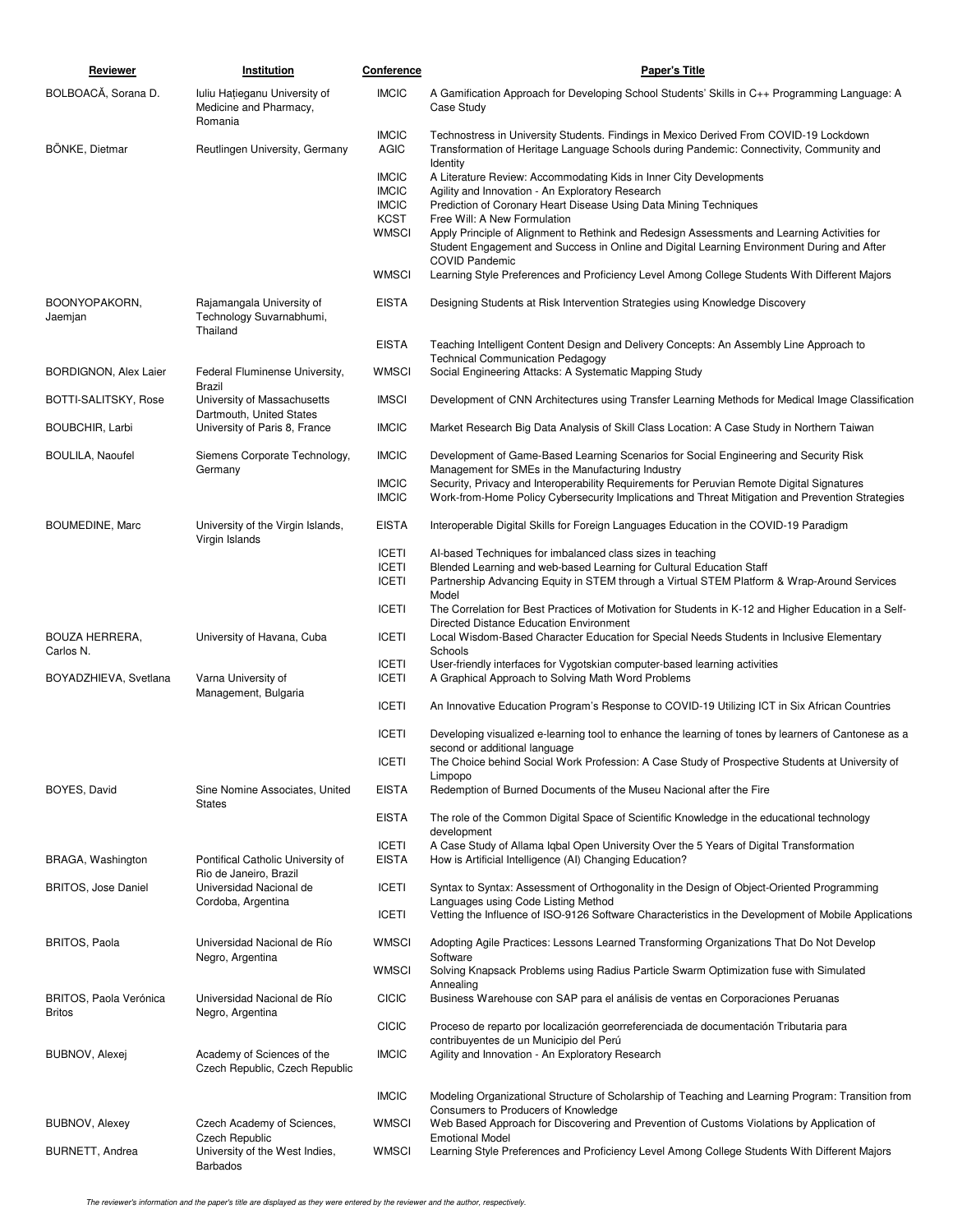| <b>Reviewer</b>               | <b>Institution</b>                                                 | Conference                   | <b>Paper's Title</b>                                                                                                                                                                                                |
|-------------------------------|--------------------------------------------------------------------|------------------------------|---------------------------------------------------------------------------------------------------------------------------------------------------------------------------------------------------------------------|
| BOLBOACĂ, Sorana D.           | Iuliu Hațieganu University of<br>Medicine and Pharmacy,<br>Romania | <b>IMCIC</b>                 | A Gamification Approach for Developing School Students' Skills in C++ Programming Language: A<br>Case Study                                                                                                         |
| BÖNKE, Dietmar                | Reutlingen University, Germany                                     | <b>IMCIC</b><br><b>AGIC</b>  | Technostress in University Students. Findings in Mexico Derived From COVID-19 Lockdown<br>Transformation of Heritage Language Schools during Pandemic: Connectivity, Community and                                  |
|                               |                                                                    | <b>IMCIC</b>                 | Identity<br>A Literature Review: Accommodating Kids in Inner City Developments                                                                                                                                      |
|                               |                                                                    | <b>IMCIC</b>                 | Agility and Innovation - An Exploratory Research                                                                                                                                                                    |
|                               |                                                                    | <b>IMCIC</b><br><b>KCST</b>  | Prediction of Coronary Heart Disease Using Data Mining Techniques<br>Free Will: A New Formulation                                                                                                                   |
|                               |                                                                    | <b>WMSCI</b>                 | Apply Principle of Alignment to Rethink and Redesign Assessments and Learning Activities for<br>Student Engagement and Success in Online and Digital Learning Environment During and After<br><b>COVID Pandemic</b> |
|                               |                                                                    | <b>WMSCI</b>                 | Learning Style Preferences and Proficiency Level Among College Students With Different Majors                                                                                                                       |
| BOONYOPAKORN,<br>Jaemjan      | Rajamangala University of<br>Technology Suvarnabhumi,<br>Thailand  | <b>EISTA</b>                 | Designing Students at Risk Intervention Strategies using Knowledge Discovery                                                                                                                                        |
|                               |                                                                    | <b>EISTA</b>                 | Teaching Intelligent Content Design and Delivery Concepts: An Assembly Line Approach to                                                                                                                             |
| <b>BORDIGNON, Alex Laier</b>  | Federal Fluminense University,                                     | <b>WMSCI</b>                 | <b>Technical Communication Pedagogy</b><br>Social Engineering Attacks: A Systematic Mapping Study                                                                                                                   |
| BOTTI-SALITSKY, Rose          | Brazil<br>University of Massachusetts                              | <b>IMSCI</b>                 | Development of CNN Architectures using Transfer Learning Methods for Medical Image Classification                                                                                                                   |
|                               | Dartmouth, United States                                           |                              |                                                                                                                                                                                                                     |
| BOUBCHIR, Larbi               | University of Paris 8, France                                      | <b>IMCIC</b>                 | Market Research Big Data Analysis of Skill Class Location: A Case Study in Northern Taiwan                                                                                                                          |
| <b>BOULILA, Naoufel</b>       | Siemens Corporate Technology,<br>Germany                           | <b>IMCIC</b>                 | Development of Game-Based Learning Scenarios for Social Engineering and Security Risk<br>Management for SMEs in the Manufacturing Industry                                                                          |
|                               |                                                                    | <b>IMCIC</b><br><b>IMCIC</b> | Security, Privacy and Interoperability Requirements for Peruvian Remote Digital Signatures<br>Work-from-Home Policy Cybersecurity Implications and Threat Mitigation and Prevention Strategies                      |
| <b>BOUMEDINE, Marc</b>        | University of the Virgin Islands,<br>Virgin Islands                | <b>EISTA</b>                 | Interoperable Digital Skills for Foreign Languages Education in the COVID-19 Paradigm                                                                                                                               |
|                               |                                                                    | <b>ICETI</b><br><b>ICETI</b> | Al-based Techniques for imbalanced class sizes in teaching<br>Blended Learning and web-based Learning for Cultural Education Staff                                                                                  |
|                               |                                                                    | <b>ICETI</b>                 | Partnership Advancing Equity in STEM through a Virtual STEM Platform & Wrap-Around Services                                                                                                                         |
|                               |                                                                    | <b>ICETI</b>                 | Model<br>The Correlation for Best Practices of Motivation for Students in K-12 and Higher Education in a Self-                                                                                                      |
| <b>BOUZA HERRERA,</b>         | University of Havana, Cuba                                         | <b>ICETI</b>                 | Directed Distance Education Environment<br>Local Wisdom-Based Character Education for Special Needs Students in Inclusive Elementary                                                                                |
| Carlos N.                     |                                                                    |                              | Schools                                                                                                                                                                                                             |
| BOYADZHIEVA, Svetlana         | Varna University of                                                | <b>ICETI</b><br><b>ICETI</b> | User-friendly interfaces for Vygotskian computer-based learning activities<br>A Graphical Approach to Solving Math Word Problems                                                                                    |
|                               | Management, Bulgaria                                               | <b>ICETI</b>                 | An Innovative Education Program's Response to COVID-19 Utilizing ICT in Six African Countries                                                                                                                       |
|                               |                                                                    |                              |                                                                                                                                                                                                                     |
|                               |                                                                    | <b>ICETI</b>                 | Developing visualized e-learning tool to enhance the learning of tones by learners of Cantonese as a<br>second or additional language                                                                               |
|                               |                                                                    | <b>ICETI</b>                 | The Choice behind Social Work Profession: A Case Study of Prospective Students at University of                                                                                                                     |
| BOYES, David                  | Sine Nomine Associates, United                                     | <b>EISTA</b>                 | Limpopo<br>Redemption of Burned Documents of the Museu Nacional after the Fire                                                                                                                                      |
|                               | <b>States</b>                                                      | <b>EISTA</b>                 | The role of the Common Digital Space of Scientific Knowledge in the educational technology                                                                                                                          |
|                               |                                                                    |                              | development                                                                                                                                                                                                         |
| BRAGA, Washington             | Pontifical Catholic University of                                  | <b>ICETI</b><br><b>EISTA</b> | A Case Study of Allama Iqbal Open University Over the 5 Years of Digital Transformation<br>How is Artificial Intelligence (AI) Changing Education?                                                                  |
| <b>BRITOS, Jose Daniel</b>    | Rio de Janeiro, Brazil<br>Universidad Nacional de                  | <b>ICETI</b>                 | Syntax to Syntax: Assessment of Orthogonality in the Design of Object-Oriented Programming                                                                                                                          |
|                               | Cordoba, Argentina                                                 | <b>ICETI</b>                 | Languages using Code Listing Method<br>Vetting the Influence of ISO-9126 Software Characteristics in the Development of Mobile Applications                                                                         |
| <b>BRITOS, Paola</b>          | Universidad Nacional de Río                                        | <b>WMSCI</b>                 | Adopting Agile Practices: Lessons Learned Transforming Organizations That Do Not Develop                                                                                                                            |
|                               | Negro, Argentina                                                   | <b>WMSCI</b>                 | Software<br>Solving Knapsack Problems using Radius Particle Swarm Optimization fuse with Simulated                                                                                                                  |
| <b>BRITOS, Paola Verónica</b> | Universidad Nacional de Río                                        | <b>CICIC</b>                 | Annealing<br>Business Warehouse con SAP para el análisis de ventas en Corporaciones Peruanas                                                                                                                        |
| <b>Britos</b>                 | Negro, Argentina                                                   | <b>CICIC</b>                 | Proceso de reparto por localización georreferenciada de documentación Tributaria para                                                                                                                               |
| <b>BUBNOV, Alexej</b>         | Academy of Sciences of the                                         | <b>IMCIC</b>                 | contribuyentes de un Municipio del Perú<br>Agility and Innovation - An Exploratory Research                                                                                                                         |
|                               | Czech Republic, Czech Republic                                     |                              |                                                                                                                                                                                                                     |
|                               |                                                                    | <b>IMCIC</b>                 | Modeling Organizational Structure of Scholarship of Teaching and Learning Program: Transition from                                                                                                                  |
| <b>BUBNOV, Alexey</b>         | Czech Academy of Sciences,<br><b>Czech Republic</b>                | <b>WMSCI</b>                 | Consumers to Producers of Knowledge<br>Web Based Approach for Discovering and Prevention of Customs Violations by Application of<br><b>Emotional Model</b>                                                          |
| BURNETT, Andrea               | University of the West Indies,<br><b>Barbados</b>                  | <b>WMSCI</b>                 | Learning Style Preferences and Proficiency Level Among College Students With Different Majors                                                                                                                       |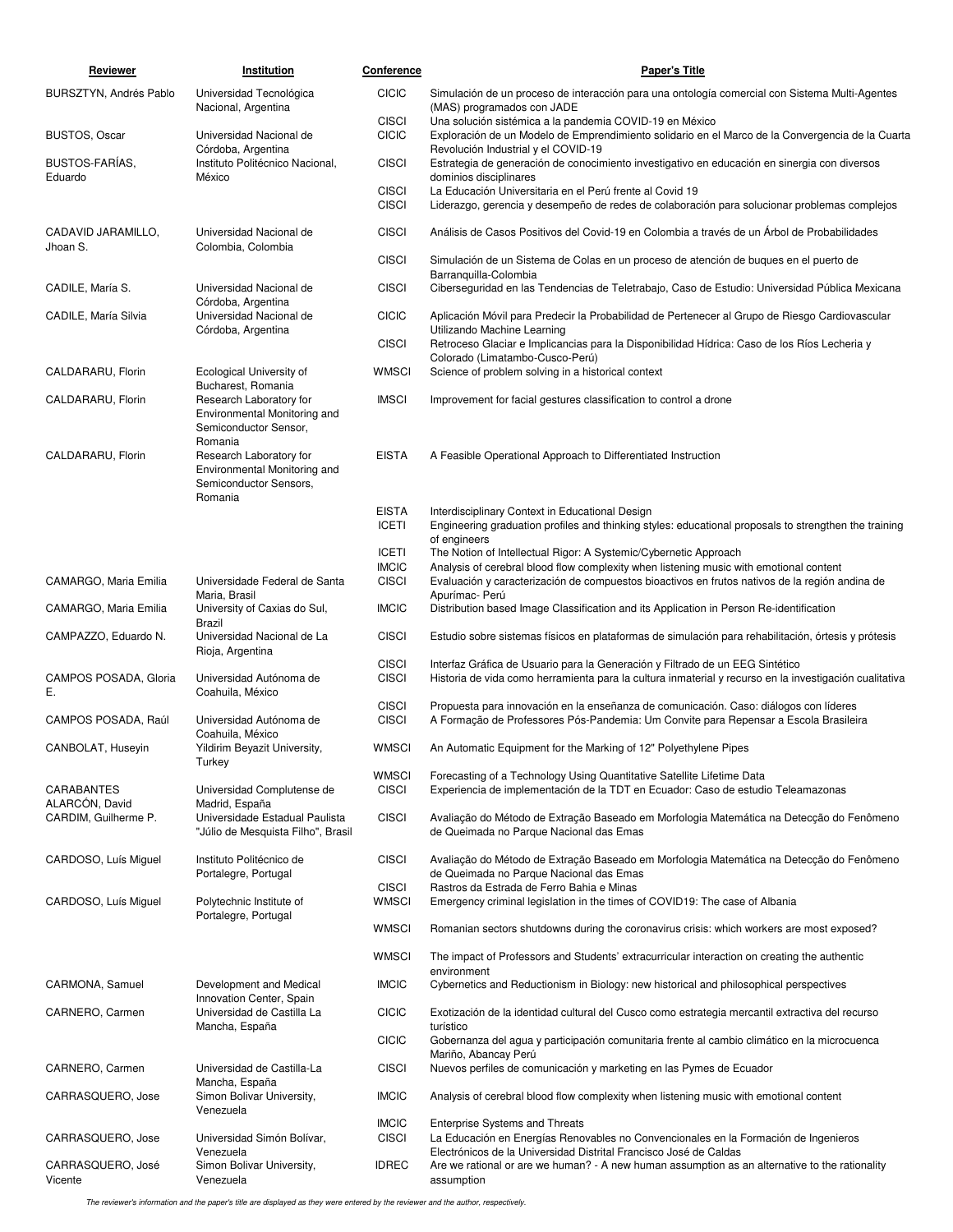| Reviewer                               | Institution                                                                                             | Conference                   | <b>Paper's Title</b>                                                                                                                                                                     |
|----------------------------------------|---------------------------------------------------------------------------------------------------------|------------------------------|------------------------------------------------------------------------------------------------------------------------------------------------------------------------------------------|
| BURSZTYN, Andrés Pablo                 | Universidad Tecnológica<br>Nacional, Argentina                                                          | <b>CICIC</b>                 | Simulación de un proceso de interacción para una ontología comercial con Sistema Multi-Agentes<br>(MAS) programados con JADE                                                             |
| <b>BUSTOS, Oscar</b>                   | Universidad Nacional de                                                                                 | <b>CISCI</b><br><b>CICIC</b> | Una solución sistémica a la pandemia COVID-19 en México<br>Exploración de un Modelo de Emprendimiento solidario en el Marco de la Convergencia de la Cuarta                              |
| BUSTOS-FARIAS.<br>Eduardo              | Córdoba, Argentina<br>Instituto Politécnico Nacional,<br>México                                         | <b>CISCI</b>                 | Revolución Industrial y el COVID-19<br>Estrategia de generación de conocimiento investigativo en educación en sinergia con diversos<br>dominios disciplinares                            |
|                                        |                                                                                                         | <b>CISCI</b><br><b>CISCI</b> | La Educación Universitaria en el Perú frente al Covid 19<br>Liderazgo, gerencia y desempeño de redes de colaboración para solucionar problemas complejos                                 |
| CADAVID JARAMILLO,<br>Jhoan S.         | Universidad Nacional de<br>Colombia, Colombia                                                           | <b>CISCI</b>                 | Análisis de Casos Positivos del Covid-19 en Colombia a través de un Árbol de Probabilidades                                                                                              |
|                                        |                                                                                                         | <b>CISCI</b>                 | Simulación de un Sistema de Colas en un proceso de atención de buques en el puerto de                                                                                                    |
| CADILE, María S.                       | Universidad Nacional de<br>Córdoba, Argentina                                                           | <b>CISCI</b>                 | Barranguilla-Colombia<br>Ciberseguridad en las Tendencias de Teletrabajo, Caso de Estudio: Universidad Pública Mexicana                                                                  |
| CADILE, María Silvia                   | Universidad Nacional de<br>Córdoba, Argentina                                                           | <b>CICIC</b>                 | Aplicación Móvil para Predecir la Probabilidad de Pertenecer al Grupo de Riesgo Cardiovascular<br>Utilizando Machine Learning                                                            |
|                                        |                                                                                                         | <b>CISCI</b>                 | Retroceso Glaciar e Implicancias para la Disponibilidad Hídrica: Caso de los Ríos Lecheria y<br>Colorado (Limatambo-Cusco-Perú)                                                          |
| CALDARARU, Florin                      | Ecological University of<br>Bucharest, Romania                                                          | <b>WMSCI</b>                 | Science of problem solving in a historical context                                                                                                                                       |
| CALDARARU, Florin                      | Research Laboratory for<br>Environmental Monitoring and<br>Semiconductor Sensor,                        | <b>IMSCI</b>                 | Improvement for facial gestures classification to control a drone                                                                                                                        |
| CALDARARU, Florin                      | Romania<br>Research Laboratory for<br>Environmental Monitoring and<br>Semiconductor Sensors,<br>Romania | <b>EISTA</b>                 | A Feasible Operational Approach to Differentiated Instruction                                                                                                                            |
|                                        |                                                                                                         | <b>EISTA</b><br><b>ICETI</b> | Interdisciplinary Context in Educational Design<br>Engineering graduation profiles and thinking styles: educational proposals to strengthen the training<br>of engineers                 |
|                                        |                                                                                                         | <b>ICETI</b>                 | The Notion of Intellectual Rigor: A Systemic/Cybernetic Approach                                                                                                                         |
| CAMARGO, Maria Emilia                  | Universidade Federal de Santa                                                                           | <b>IMCIC</b><br><b>CISCI</b> | Analysis of cerebral blood flow complexity when listening music with emotional content<br>Evaluación y caracterización de compuestos bioactivos en frutos nativos de la región andina de |
| CAMARGO, Maria Emilia                  | Maria, Brasil<br>University of Caxias do Sul,                                                           | <b>IMCIC</b>                 | Apurímac- Perú<br>Distribution based Image Classification and its Application in Person Re-identification                                                                                |
| CAMPAZZO, Eduardo N.                   | <b>Brazil</b><br>Universidad Nacional de La<br>Rioja, Argentina                                         | <b>CISCI</b>                 | Estudio sobre sistemas físicos en plataformas de simulación para rehabilitación, órtesis y prótesis                                                                                      |
| CAMPOS POSADA, Gloria                  | Universidad Autónoma de                                                                                 | <b>CISCI</b><br><b>CISCI</b> | Interfaz Gráfica de Usuario para la Generación y Filtrado de un EEG Sintético<br>Historia de vida como herramienta para la cultura inmaterial y recurso en la investigación cualitativa  |
| Е.                                     | Coahuila, México                                                                                        | <b>CISCI</b>                 | Propuesta para innovación en la enseñanza de comunicación. Caso: diálogos con líderes                                                                                                    |
| CAMPOS POSADA, Raúl                    | Universidad Autónoma de<br>Coahuila, México                                                             | <b>CISCI</b>                 | A Formação de Professores Pós-Pandemia: Um Convite para Repensar a Escola Brasileira                                                                                                     |
| CANBOLAT, Huseyin                      | Yildirim Beyazit University,<br>Turkey                                                                  | <b>WMSCI</b>                 | An Automatic Equipment for the Marking of 12" Polyethylene Pipes                                                                                                                         |
| CARABANTES                             | Universidad Complutense de                                                                              | <b>WMSCI</b><br><b>CISCI</b> | Forecasting of a Technology Using Quantitative Satellite Lifetime Data<br>Experiencia de implementación de la TDT en Ecuador: Caso de estudio Teleamazonas                               |
| ALARCÓN, David<br>CARDIM, Guilherme P. | Madrid, España<br>Universidade Estadual Paulista<br>"Júlio de Mesquista Filho", Brasil                  | <b>CISCI</b>                 | Avaliação do Método de Extração Baseado em Morfologia Matemática na Detecção do Fenômeno<br>de Queimada no Parque Nacional das Emas                                                      |
| CARDOSO, Luís Miguel                   | Instituto Politécnico de<br>Portalegre, Portugal                                                        | <b>CISCI</b>                 | Avaliação do Método de Extração Baseado em Morfologia Matemática na Detecção do Fenômeno<br>de Queimada no Parque Nacional das Emas                                                      |
| CARDOSO, Luís Miguel                   | Polytechnic Institute of                                                                                | <b>CISCI</b><br><b>WMSCI</b> | Rastros da Estrada de Ferro Bahia e Minas<br>Emergency criminal legislation in the times of COVID19: The case of Albania                                                                 |
|                                        | Portalegre, Portugal                                                                                    | <b>WMSCI</b>                 | Romanian sectors shutdowns during the coronavirus crisis: which workers are most exposed?                                                                                                |
|                                        |                                                                                                         | <b>WMSCI</b>                 | The impact of Professors and Students' extracurricular interaction on creating the authentic<br>environment                                                                              |
| CARMONA, Samuel                        | Development and Medical                                                                                 | <b>IMCIC</b>                 | Cybernetics and Reductionism in Biology: new historical and philosophical perspectives                                                                                                   |
| CARNERO, Carmen                        | Innovation Center, Spain<br>Universidad de Castilla La                                                  | <b>CICIC</b>                 | Exotización de la identidad cultural del Cusco como estrategia mercantil extractiva del recurso                                                                                          |
|                                        | Mancha, España                                                                                          | <b>CICIC</b>                 | turístico<br>Gobernanza del agua y participación comunitaria frente al cambio climático en la microcuenca                                                                                |
| CARNERO, Carmen                        | Universidad de Castilla-La                                                                              | <b>CISCI</b>                 | Mariño, Abancay Perú<br>Nuevos perfiles de comunicación y marketing en las Pymes de Ecuador                                                                                              |
| CARRASQUERO, Jose                      | Mancha, España<br>Simon Bolivar University,<br>Venezuela                                                | <b>IMCIC</b>                 | Analysis of cerebral blood flow complexity when listening music with emotional content                                                                                                   |
| CARRASQUERO, Jose                      | Universidad Simón Bolívar,                                                                              | <b>IMCIC</b><br><b>CISCI</b> | <b>Enterprise Systems and Threats</b><br>La Educación en Energías Renovables no Convencionales en la Formación de Ingenieros                                                             |
|                                        | Venezuela                                                                                               |                              | Electrónicos de la Universidad Distrital Francisco José de Caldas                                                                                                                        |
| CARRASQUERO, José<br>Vicente           | Simon Bolivar University,<br>Venezuela                                                                  | <b>IDREC</b>                 | Are we rational or are we human? - A new human assumption as an alternative to the rationality<br>assumption                                                                             |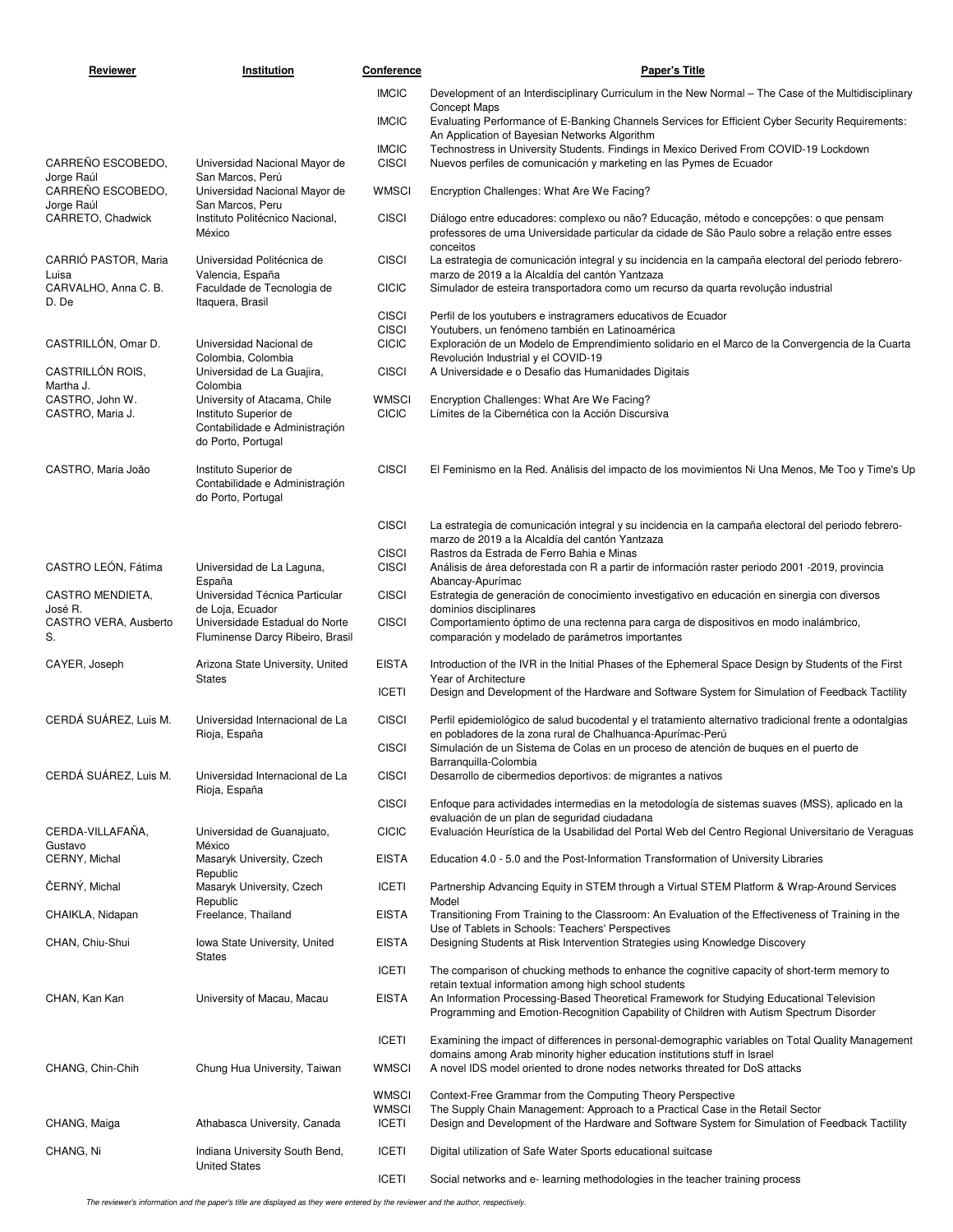| Reviewer                            | Institution                                                                                                   | Conference                   | <b>Paper's Title</b>                                                                                                                                                                                 |
|-------------------------------------|---------------------------------------------------------------------------------------------------------------|------------------------------|------------------------------------------------------------------------------------------------------------------------------------------------------------------------------------------------------|
|                                     |                                                                                                               | <b>IMCIC</b>                 | Development of an Interdisciplinary Curriculum in the New Normal – The Case of the Multidisciplinary                                                                                                 |
|                                     |                                                                                                               | <b>IMCIC</b>                 | <b>Concept Maps</b><br>Evaluating Performance of E-Banking Channels Services for Efficient Cyber Security Requirements:<br>An Application of Bayesian Networks Algorithm                             |
|                                     |                                                                                                               | <b>IMCIC</b>                 | Technostress in University Students. Findings in Mexico Derived From COVID-19 Lockdown                                                                                                               |
| CARRENO ESCOBEDO,<br>Jorge Raúl     | Universidad Nacional Mayor de<br>San Marcos, Perú                                                             | <b>CISCI</b>                 | Nuevos perfiles de comunicación y marketing en las Pymes de Ecuador                                                                                                                                  |
| CARREÑO ESCOBEDO,<br>Jorge Raúl     | Universidad Nacional Mayor de<br>San Marcos, Peru                                                             | WMSCI                        | Encryption Challenges: What Are We Facing?                                                                                                                                                           |
| CARRETO, Chadwick                   | Instituto Politécnico Nacional,<br>México                                                                     | <b>CISCI</b>                 | Diálogo entre educadores: complexo ou não? Educação, método e concepções: o que pensam<br>professores de uma Universidade particular da cidade de São Paulo sobre a relação entre esses<br>conceitos |
| CARRIÓ PASTOR, Maria<br>Luisa       | Universidad Politécnica de<br>Valencia, España                                                                | <b>CISCI</b>                 | La estrategia de comunicación integral y su incidencia en la campaña electoral del periodo febrero-<br>marzo de 2019 a la Alcaldía del cantón Yantzaza                                               |
| CARVALHO, Anna C. B.<br>D. De       | Faculdade de Tecnologia de<br>Itaquera, Brasil                                                                | <b>CICIC</b>                 | Simulador de esteira transportadora como um recurso da quarta revolução industrial                                                                                                                   |
|                                     |                                                                                                               | <b>CISCI</b>                 | Perfil de los youtubers e instragramers educativos de Ecuador                                                                                                                                        |
| CASTRILLÓN, Omar D.                 | Universidad Nacional de                                                                                       | <b>CISCI</b><br><b>CICIC</b> | Youtubers, un fenómeno también en Latinoamérica<br>Exploración de un Modelo de Emprendimiento solidario en el Marco de la Convergencia de la Cuarta                                                  |
| CASTRILLÓN ROIS,                    | Colombia, Colombia<br>Universidad de La Guajira,                                                              | <b>CISCI</b>                 | Revolución Industrial y el COVID-19<br>A Universidade e o Desafio das Humanidades Digitais                                                                                                           |
| Martha J.                           | Colombia                                                                                                      |                              |                                                                                                                                                                                                      |
| CASTRO, John W.<br>CASTRO, Maria J. | University of Atacama, Chile<br>Instituto Superior de<br>Contabilidade e Administraçión<br>do Porto, Portugal | WMSCI<br><b>CICIC</b>        | Encryption Challenges: What Are We Facing?<br>Límites de la Cibernética con la Acción Discursiva                                                                                                     |
| CASTRO, Maria João                  | Instituto Superior de<br>Contabilidade e Administraçión<br>do Porto, Portugal                                 | <b>CISCI</b>                 | El Feminismo en la Red. Análisis del impacto de los movimientos Ni Una Menos, Me Too y Time's Up                                                                                                     |
|                                     |                                                                                                               | <b>CISCI</b>                 | La estrategia de comunicación integral y su incidencia en la campaña electoral del periodo febrero-<br>marzo de 2019 a la Alcaldía del cantón Yantzaza                                               |
|                                     |                                                                                                               | <b>CISCI</b>                 | Rastros da Estrada de Ferro Bahia e Minas                                                                                                                                                            |
| CASTRO LEÓN, Fátima                 | Universidad de La Laguna,<br>España                                                                           | <b>CISCI</b>                 | Análisis de área deforestada con R a partir de información raster periodo 2001 -2019, provincia<br>Abancay-Apurímac                                                                                  |
| CASTRO MENDIETA,<br>José R.         | Universidad Técnica Particular<br>de Loja, Ecuador                                                            | <b>CISCI</b>                 | Estrategia de generación de conocimiento investigativo en educación en sinergia con diversos<br>dominios disciplinares                                                                               |
| CASTRO VERA, Ausberto<br>S.         | Universidade Estadual do Norte<br>Fluminense Darcy Ribeiro, Brasil                                            | <b>CISCI</b>                 | Comportamiento óptimo de una rectenna para carga de dispositivos en modo inalámbrico,<br>comparación y modelado de parámetros importantes                                                            |
| CAYER, Joseph                       | Arizona State University, United<br><b>States</b>                                                             | <b>EISTA</b>                 | Introduction of the IVR in the Initial Phases of the Ephemeral Space Design by Students of the First<br>Year of Architecture                                                                         |
|                                     |                                                                                                               | <b>ICETI</b>                 | Design and Development of the Hardware and Software System for Simulation of Feedback Tactility                                                                                                      |
| CERDÁ SUÁREZ, Luis M.               | Universidad Internacional de La<br>Rioja, España                                                              | <b>CISCI</b>                 | Perfil epidemiológico de salud bucodental y el tratamiento alternativo tradicional frente a odontalgias<br>en pobladores de la zona rural de Chalhuanca-Apurímac-Perú                                |
|                                     |                                                                                                               | <b>CISCI</b>                 | Simulación de un Sistema de Colas en un proceso de atención de buques en el puerto de<br>Barranquilla-Colombia                                                                                       |
| CERDÁ SUÁREZ, Luis M.               | Universidad Internacional de La<br>Rioja, España                                                              | <b>CISCI</b>                 | Desarrollo de cibermedios deportivos: de migrantes a nativos                                                                                                                                         |
|                                     |                                                                                                               | <b>CISCI</b>                 | Enfoque para actividades intermedias en la metodología de sistemas suaves (MSS), aplicado en la<br>evaluación de un plan de seguridad ciudadana                                                      |
| CERDA-VILLAFAÑA,<br>Gustavo         | Universidad de Guanajuato,<br>México                                                                          | <b>CICIC</b>                 | Evaluación Heurística de la Usabilidad del Portal Web del Centro Regional Universitario de Veraguas                                                                                                  |
| CERNY, Michal                       | Masaryk University, Czech<br>Republic                                                                         | <b>EISTA</b>                 | Education 4.0 - 5.0 and the Post-Information Transformation of University Libraries                                                                                                                  |
| ČERNÝ, Michal                       | Masaryk University, Czech<br>Republic                                                                         | <b>ICETI</b>                 | Partnership Advancing Equity in STEM through a Virtual STEM Platform & Wrap-Around Services<br>Model                                                                                                 |
| CHAIKLA, Nidapan                    | Freelance, Thailand                                                                                           | <b>EISTA</b>                 | Transitioning From Training to the Classroom: An Evaluation of the Effectiveness of Training in the<br>Use of Tablets in Schools: Teachers' Perspectives                                             |
| CHAN, Chiu-Shui                     | Iowa State University, United<br><b>States</b>                                                                | <b>EISTA</b>                 | Designing Students at Risk Intervention Strategies using Knowledge Discovery                                                                                                                         |
|                                     |                                                                                                               | <b>ICETI</b>                 | The comparison of chucking methods to enhance the cognitive capacity of short-term memory to<br>retain textual information among high school students                                                |
| CHAN, Kan Kan                       | University of Macau, Macau                                                                                    | <b>EISTA</b>                 | An Information Processing-Based Theoretical Framework for Studying Educational Television<br>Programming and Emotion-Recognition Capability of Children with Autism Spectrum Disorder                |
|                                     |                                                                                                               | <b>ICETI</b>                 | Examining the impact of differences in personal-demographic variables on Total Quality Management                                                                                                    |
| CHANG, Chin-Chih                    | Chung Hua University, Taiwan                                                                                  | WMSCI                        | domains among Arab minority higher education institutions stuff in Israel<br>A novel IDS model oriented to drone nodes networks threated for DoS attacks                                             |
|                                     |                                                                                                               | <b>WMSCI</b>                 | Context-Free Grammar from the Computing Theory Perspective                                                                                                                                           |
| CHANG, Maiga                        | Athabasca University, Canada                                                                                  | WMSCI<br><b>ICETI</b>        | The Supply Chain Management: Approach to a Practical Case in the Retail Sector<br>Design and Development of the Hardware and Software System for Simulation of Feedback Tactility                    |
| CHANG, Ni                           | Indiana University South Bend,<br><b>United States</b>                                                        | <b>ICETI</b>                 | Digital utilization of Safe Water Sports educational suitcase                                                                                                                                        |
|                                     |                                                                                                               | <b>ICETI</b>                 | Social networks and e-learning methodologies in the teacher training process                                                                                                                         |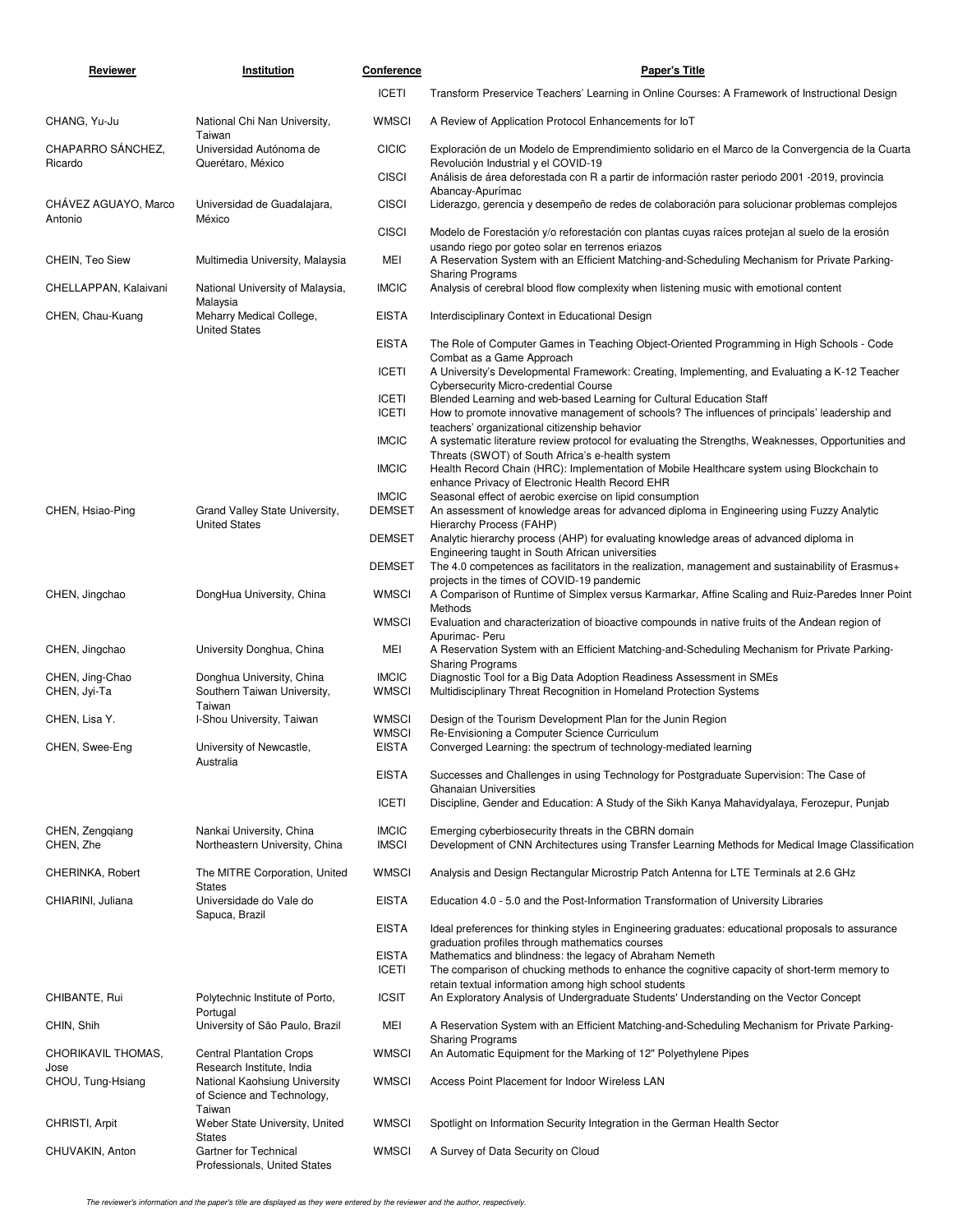| Reviewer                        | Institution                                                           | Conference                   | <b>Paper's Title</b>                                                                                                                                                                                             |
|---------------------------------|-----------------------------------------------------------------------|------------------------------|------------------------------------------------------------------------------------------------------------------------------------------------------------------------------------------------------------------|
|                                 |                                                                       | <b>ICETI</b>                 | Transform Preservice Teachers' Learning in Online Courses: A Framework of Instructional Design                                                                                                                   |
| CHANG, Yu-Ju                    | National Chi Nan University,                                          | <b>WMSCI</b>                 | A Review of Application Protocol Enhancements for IoT                                                                                                                                                            |
| CHAPARRO SÁNCHEZ,               | Taiwan<br>Universidad Autónoma de                                     | <b>CICIC</b>                 | Exploración de un Modelo de Emprendimiento solidario en el Marco de la Convergencia de la Cuarta                                                                                                                 |
| Ricardo                         | Querétaro, México                                                     | <b>CISCI</b>                 | Revolución Industrial y el COVID-19<br>Análisis de área deforestada con R a partir de información raster periodo 2001 -2019, provincia                                                                           |
| CHAVEZ AGUAYO, Marco<br>Antonio | Universidad de Guadalajara,                                           | <b>CISCI</b>                 | Abancay-Apurímac<br>Liderazgo, gerencia y desempeño de redes de colaboración para solucionar problemas complejos                                                                                                 |
|                                 | México                                                                | <b>CISCI</b>                 | Modelo de Forestación y/o reforestación con plantas cuyas raíces protejan al suelo de la erosión<br>usando riego por goteo solar en terrenos eriazos                                                             |
| CHEIN, Teo Siew                 | Multimedia University, Malaysia                                       | MEI                          | A Reservation System with an Efficient Matching-and-Scheduling Mechanism for Private Parking-<br><b>Sharing Programs</b>                                                                                         |
| CHELLAPPAN, Kalaivani           | National University of Malaysia,<br>Malaysia                          | <b>IMCIC</b>                 | Analysis of cerebral blood flow complexity when listening music with emotional content                                                                                                                           |
| CHEN, Chau-Kuang                | Meharry Medical College,<br><b>United States</b>                      | <b>EISTA</b>                 | Interdisciplinary Context in Educational Design                                                                                                                                                                  |
|                                 |                                                                       | <b>EISTA</b>                 | The Role of Computer Games in Teaching Object-Oriented Programming in High Schools - Code<br>Combat as a Game Approach                                                                                           |
|                                 |                                                                       | <b>ICETI</b>                 | A University's Developmental Framework: Creating, Implementing, and Evaluating a K-12 Teacher<br>Cybersecurity Micro-credential Course                                                                           |
|                                 |                                                                       | <b>ICETI</b><br><b>ICETI</b> | Blended Learning and web-based Learning for Cultural Education Staff<br>How to promote innovative management of schools? The influences of principals' leadership and                                            |
|                                 |                                                                       | <b>IMCIC</b>                 | teachers' organizational citizenship behavior<br>A systematic literature review protocol for evaluating the Strengths, Weaknesses, Opportunities and                                                             |
|                                 |                                                                       | <b>IMCIC</b>                 | Threats (SWOT) of South Africa's e-health system<br>Health Record Chain (HRC): Implementation of Mobile Healthcare system using Blockchain to                                                                    |
|                                 |                                                                       | <b>IMCIC</b>                 | enhance Privacy of Electronic Health Record EHR<br>Seasonal effect of aerobic exercise on lipid consumption                                                                                                      |
| CHEN, Hsiao-Ping                | Grand Valley State University,<br><b>United States</b>                | <b>DEMSET</b>                | An assessment of knowledge areas for advanced diploma in Engineering using Fuzzy Analytic<br>Hierarchy Process (FAHP)                                                                                            |
|                                 |                                                                       | <b>DEMSET</b>                | Analytic hierarchy process (AHP) for evaluating knowledge areas of advanced diploma in<br>Engineering taught in South African universities                                                                       |
|                                 |                                                                       | <b>DEMSET</b>                | The 4.0 competences as facilitators in the realization, management and sustainability of Erasmus+<br>projects in the times of COVID-19 pandemic                                                                  |
| CHEN, Jingchao                  | DongHua University, China                                             | <b>WMSCI</b><br><b>WMSCI</b> | A Comparison of Runtime of Simplex versus Karmarkar, Affine Scaling and Ruiz-Paredes Inner Point<br>Methods                                                                                                      |
|                                 |                                                                       |                              | Evaluation and characterization of bioactive compounds in native fruits of the Andean region of<br>Apurimac- Peru                                                                                                |
| CHEN, Jingchao                  | University Donghua, China                                             | MEI                          | A Reservation System with an Efficient Matching-and-Scheduling Mechanism for Private Parking-<br><b>Sharing Programs</b>                                                                                         |
| CHEN, Jing-Chao<br>CHEN, Jyi-Ta | Donghua University, China<br>Southern Taiwan University,              | <b>IMCIC</b><br><b>WMSCI</b> | Diagnostic Tool for a Big Data Adoption Readiness Assessment in SMEs<br>Multidisciplinary Threat Recognition in Homeland Protection Systems                                                                      |
| CHEN, Lisa Y.                   | Taiwan<br>I-Shou University, Taiwan                                   | <b>WMSCI</b>                 | Design of the Tourism Development Plan for the Junin Region                                                                                                                                                      |
| CHEN, Swee-Eng                  | University of Newcastle,                                              | <b>WMSCI</b><br><b>EISTA</b> | Re-Envisioning a Computer Science Curriculum<br>Converged Learning: the spectrum of technology-mediated learning                                                                                                 |
|                                 | Australia                                                             | <b>EISTA</b>                 | Successes and Challenges in using Technology for Postgraduate Supervision: The Case of                                                                                                                           |
|                                 |                                                                       | <b>ICETI</b>                 | <b>Ghanaian Universities</b><br>Discipline, Gender and Education: A Study of the Sikh Kanya Mahavidyalaya, Ferozepur, Punjab                                                                                     |
| CHEN, Zengqiang<br>CHEN, Zhe    | Nankai University, China<br>Northeastern University, China            | <b>IMCIC</b><br><b>IMSCI</b> | Emerging cyberbiosecurity threats in the CBRN domain<br>Development of CNN Architectures using Transfer Learning Methods for Medical Image Classification                                                        |
| CHERINKA, Robert                | The MITRE Corporation, United                                         | <b>WMSCI</b>                 | Analysis and Design Rectangular Microstrip Patch Antenna for LTE Terminals at 2.6 GHz                                                                                                                            |
| CHIARINI, Juliana               | States<br>Universidade do Vale do<br>Sapuca, Brazil                   | <b>EISTA</b>                 | Education 4.0 - 5.0 and the Post-Information Transformation of University Libraries                                                                                                                              |
|                                 |                                                                       | <b>EISTA</b>                 | Ideal preferences for thinking styles in Engineering graduates: educational proposals to assurance<br>graduation profiles through mathematics courses                                                            |
|                                 |                                                                       | <b>EISTA</b><br><b>ICETI</b> | Mathematics and blindness: the legacy of Abraham Nemeth<br>The comparison of chucking methods to enhance the cognitive capacity of short-term memory to<br>retain textual information among high school students |
| CHIBANTE, Rui                   | Polytechnic Institute of Porto,<br>Portugal                           | <b>ICSIT</b>                 | An Exploratory Analysis of Undergraduate Students' Understanding on the Vector Concept                                                                                                                           |
| CHIN, Shih                      | University of São Paulo, Brazil                                       | MEI                          | A Reservation System with an Efficient Matching-and-Scheduling Mechanism for Private Parking-<br><b>Sharing Programs</b>                                                                                         |
| CHORIKAVIL THOMAS,<br>Jose      | <b>Central Plantation Crops</b><br>Research Institute, India          | <b>WMSCI</b>                 | An Automatic Equipment for the Marking of 12" Polyethylene Pipes                                                                                                                                                 |
| CHOU, Tung-Hsiang               | National Kaohsiung University<br>of Science and Technology,<br>Taiwan | <b>WMSCI</b>                 | Access Point Placement for Indoor Wireless LAN                                                                                                                                                                   |
| CHRISTI, Arpit                  | Weber State University, United<br><b>States</b>                       | <b>WMSCI</b>                 | Spotlight on Information Security Integration in the German Health Sector                                                                                                                                        |
| CHUVAKIN, Anton                 | Gartner for Technical<br>Professionals, United States                 | <b>WMSCI</b>                 | A Survey of Data Security on Cloud                                                                                                                                                                               |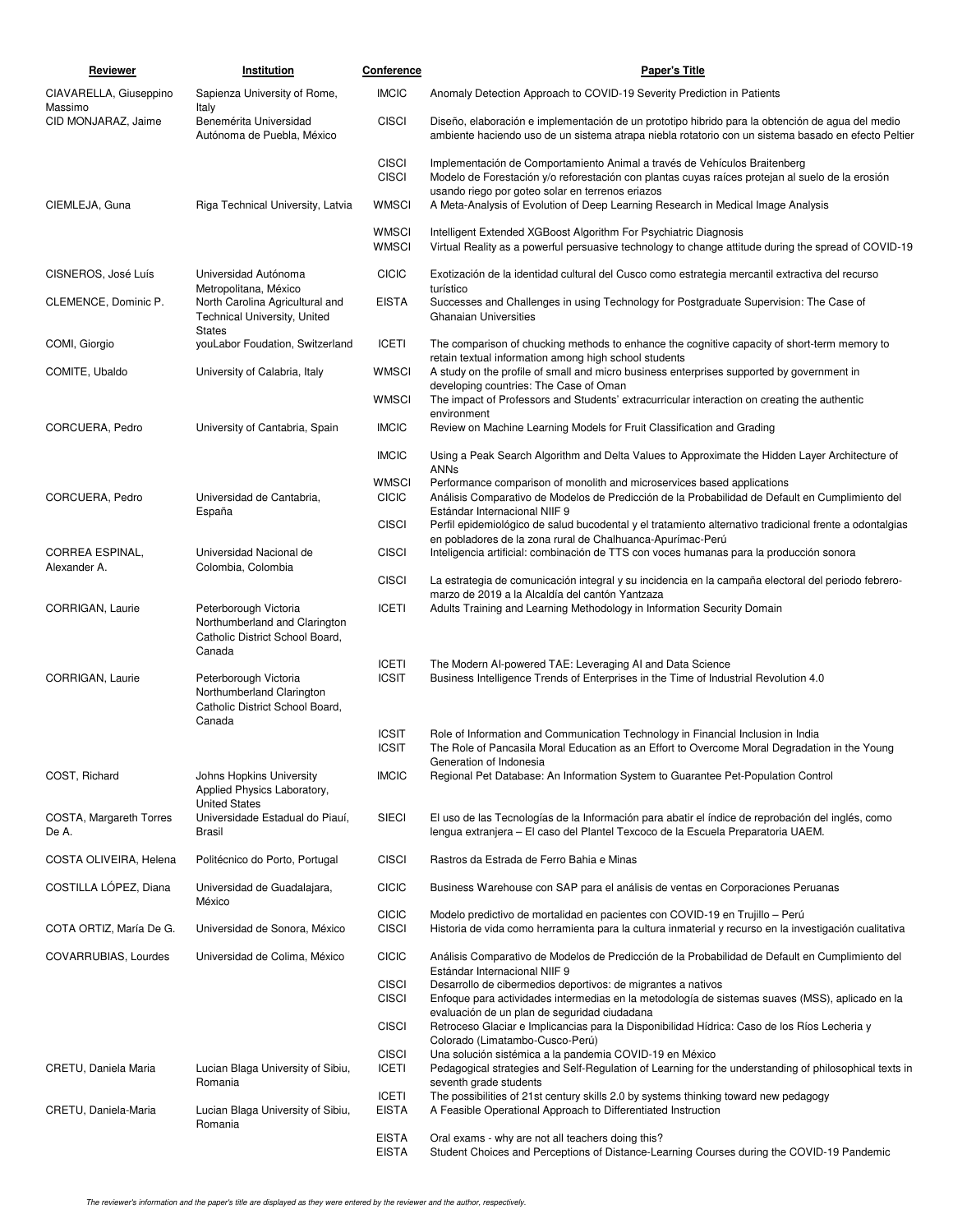| <b>Reviewer</b>                  | <b>Institution</b>                                                                                        | Conference                                   | <b>Paper's Title</b>                                                                                                                                                                                                                                                                                            |
|----------------------------------|-----------------------------------------------------------------------------------------------------------|----------------------------------------------|-----------------------------------------------------------------------------------------------------------------------------------------------------------------------------------------------------------------------------------------------------------------------------------------------------------------|
| CIAVARELLA, Giuseppino           | Sapienza University of Rome,                                                                              | <b>IMCIC</b>                                 | Anomaly Detection Approach to COVID-19 Severity Prediction in Patients                                                                                                                                                                                                                                          |
| Massimo<br>CID MONJARAZ, Jaime   | Italy<br>Benemérita Universidad<br>Autónoma de Puebla, México                                             | <b>CISCI</b>                                 | Diseño, elaboración e implementación de un prototipo hibrido para la obtención de agua del medio<br>ambiente haciendo uso de un sistema atrapa niebla rotatorio con un sistema basado en efecto Peltier                                                                                                         |
|                                  |                                                                                                           | <b>CISCI</b><br><b>CISCI</b>                 | Implementación de Comportamiento Animal a través de Vehículos Braitenberg<br>Modelo de Forestación y/o reforestación con plantas cuyas raíces protejan al suelo de la erosión<br>usando riego por goteo solar en terrenos eriazos                                                                               |
| CIEMLEJA, Guna                   | Riga Technical University, Latvia                                                                         | <b>WMSCI</b>                                 | A Meta-Analysis of Evolution of Deep Learning Research in Medical Image Analysis                                                                                                                                                                                                                                |
|                                  |                                                                                                           | <b>WMSCI</b><br><b>WMSCI</b>                 | Intelligent Extended XGBoost Algorithm For Psychiatric Diagnosis<br>Virtual Reality as a powerful persuasive technology to change attitude during the spread of COVID-19                                                                                                                                        |
| CISNEROS, José Luís              | Universidad Autónoma                                                                                      | <b>CICIC</b>                                 | Exotización de la identidad cultural del Cusco como estrategia mercantil extractiva del recurso                                                                                                                                                                                                                 |
| CLEMENCE, Dominic P.             | Metropolitana, México<br>North Carolina Agricultural and<br>Technical University, United<br><b>States</b> | <b>EISTA</b>                                 | turístico<br>Successes and Challenges in using Technology for Postgraduate Supervision: The Case of<br><b>Ghanaian Universities</b>                                                                                                                                                                             |
| COMI, Giorgio                    | youLabor Foudation, Switzerland                                                                           | ICETI                                        | The comparison of chucking methods to enhance the cognitive capacity of short-term memory to                                                                                                                                                                                                                    |
| COMITE, Ubaldo                   | University of Calabria, Italy                                                                             | <b>WMSCI</b>                                 | retain textual information among high school students<br>A study on the profile of small and micro business enterprises supported by government in<br>developing countries: The Case of Oman                                                                                                                    |
|                                  |                                                                                                           | <b>WMSCI</b>                                 | The impact of Professors and Students' extracurricular interaction on creating the authentic<br>environment                                                                                                                                                                                                     |
| CORCUERA, Pedro                  | University of Cantabria, Spain                                                                            | <b>IMCIC</b>                                 | Review on Machine Learning Models for Fruit Classification and Grading                                                                                                                                                                                                                                          |
|                                  |                                                                                                           | <b>IMCIC</b>                                 | Using a Peak Search Algorithm and Delta Values to Approximate the Hidden Layer Architecture of<br>ANNs                                                                                                                                                                                                          |
| CORCUERA, Pedro                  | Universidad de Cantabria,<br>España                                                                       | <b>WMSCI</b><br><b>CICIC</b>                 | Performance comparison of monolith and microservices based applications<br>Análisis Comparativo de Modelos de Predicción de la Probabilidad de Default en Cumplimiento del<br>Estándar Internacional NIIF 9                                                                                                     |
|                                  |                                                                                                           | <b>CISCI</b>                                 | Perfil epidemiológico de salud bucodental y el tratamiento alternativo tradicional frente a odontalgias<br>en pobladores de la zona rural de Chalhuanca-Apurímac-Perú                                                                                                                                           |
| CORREA ESPINAL,<br>Alexander A.  | Universidad Nacional de<br>Colombia, Colombia                                                             | <b>CISCI</b>                                 | Inteligencia artificial: combinación de TTS con voces humanas para la producción sonora                                                                                                                                                                                                                         |
|                                  |                                                                                                           | <b>CISCI</b>                                 | La estrategia de comunicación integral y su incidencia en la campaña electoral del periodo febrero-<br>marzo de 2019 a la Alcaldía del cantón Yantzaza                                                                                                                                                          |
| CORRIGAN, Laurie                 | Peterborough Victoria<br>Northumberland and Clarington<br>Catholic District School Board,<br>Canada       | <b>ICETI</b>                                 | Adults Training and Learning Methodology in Information Security Domain                                                                                                                                                                                                                                         |
| CORRIGAN, Laurie                 | Peterborough Victoria<br>Northumberland Clarington<br>Catholic District School Board,<br>Canada           | <b>ICETI</b><br><b>ICSIT</b>                 | The Modern Al-powered TAE: Leveraging AI and Data Science<br>Business Intelligence Trends of Enterprises in the Time of Industrial Revolution 4.0                                                                                                                                                               |
|                                  |                                                                                                           | <b>ICSIT</b><br><b>ICSIT</b>                 | Role of Information and Communication Technology in Financial Inclusion in India<br>The Role of Pancasila Moral Education as an Effort to Overcome Moral Degradation in the Young<br>Generation of Indonesia                                                                                                    |
| COST, Richard                    | Johns Hopkins University<br>Applied Physics Laboratory,<br><b>United States</b>                           | <b>IMCIC</b>                                 | Regional Pet Database: An Information System to Guarantee Pet-Population Control                                                                                                                                                                                                                                |
| COSTA, Margareth Torres<br>De A. | Universidade Estadual do Piauí,<br>Brasil                                                                 | <b>SIECI</b>                                 | El uso de las Tecnologías de la Información para abatir el índice de reprobación del inglés, como<br>lengua extranjera – El caso del Plantel Texcoco de la Escuela Preparatoria UAEM.                                                                                                                           |
| COSTA OLIVEIRA, Helena           | Politécnico do Porto, Portugal                                                                            | <b>CISCI</b>                                 | Rastros da Estrada de Ferro Bahia e Minas                                                                                                                                                                                                                                                                       |
| COSTILLA LÓPEZ, Diana            | Universidad de Guadalajara,<br>México                                                                     | <b>CICIC</b>                                 | Business Warehouse con SAP para el análisis de ventas en Corporaciones Peruanas                                                                                                                                                                                                                                 |
| COTA ORTIZ, María De G.          | Universidad de Sonora, México                                                                             | <b>CICIC</b><br><b>CISCI</b>                 | Modelo predictivo de mortalidad en pacientes con COVID-19 en Trujillo - Perú<br>Historia de vida como herramienta para la cultura inmaterial y recurso en la investigación cualitativa                                                                                                                          |
| COVARRUBIAS, Lourdes             | Universidad de Colima, México                                                                             | <b>CICIC</b>                                 | Análisis Comparativo de Modelos de Predicción de la Probabilidad de Default en Cumplimiento del<br>Estándar Internacional NIIF 9                                                                                                                                                                                |
|                                  |                                                                                                           | <b>CISCI</b><br><b>CISCI</b><br><b>CISCI</b> | Desarrollo de cibermedios deportivos: de migrantes a nativos<br>Enfoque para actividades intermedias en la metodología de sistemas suaves (MSS), aplicado en la<br>evaluación de un plan de seguridad ciudadana<br>Retroceso Glaciar e Implicancias para la Disponibilidad Hídrica: Caso de los Ríos Lecheria y |
|                                  |                                                                                                           |                                              | Colorado (Limatambo-Cusco-Perú)                                                                                                                                                                                                                                                                                 |
| CRETU, Daniela Maria             | Lucian Blaga University of Sibiu,<br>Romania                                                              | <b>CISCI</b><br><b>ICETI</b>                 | Una solución sistémica a la pandemia COVID-19 en México<br>Pedagogical strategies and Self-Regulation of Learning for the understanding of philosophical texts in<br>seventh grade students                                                                                                                     |
| CRETU, Daniela-Maria             | Lucian Blaga University of Sibiu,<br>Romania                                                              | ICETI<br><b>EISTA</b>                        | The possibilities of 21st century skills 2.0 by systems thinking toward new pedagogy<br>A Feasible Operational Approach to Differentiated Instruction                                                                                                                                                           |
|                                  |                                                                                                           | <b>EISTA</b><br><b>EISTA</b>                 | Oral exams - why are not all teachers doing this?<br>Student Choices and Perceptions of Distance-Learning Courses during the COVID-19 Pandemic                                                                                                                                                                  |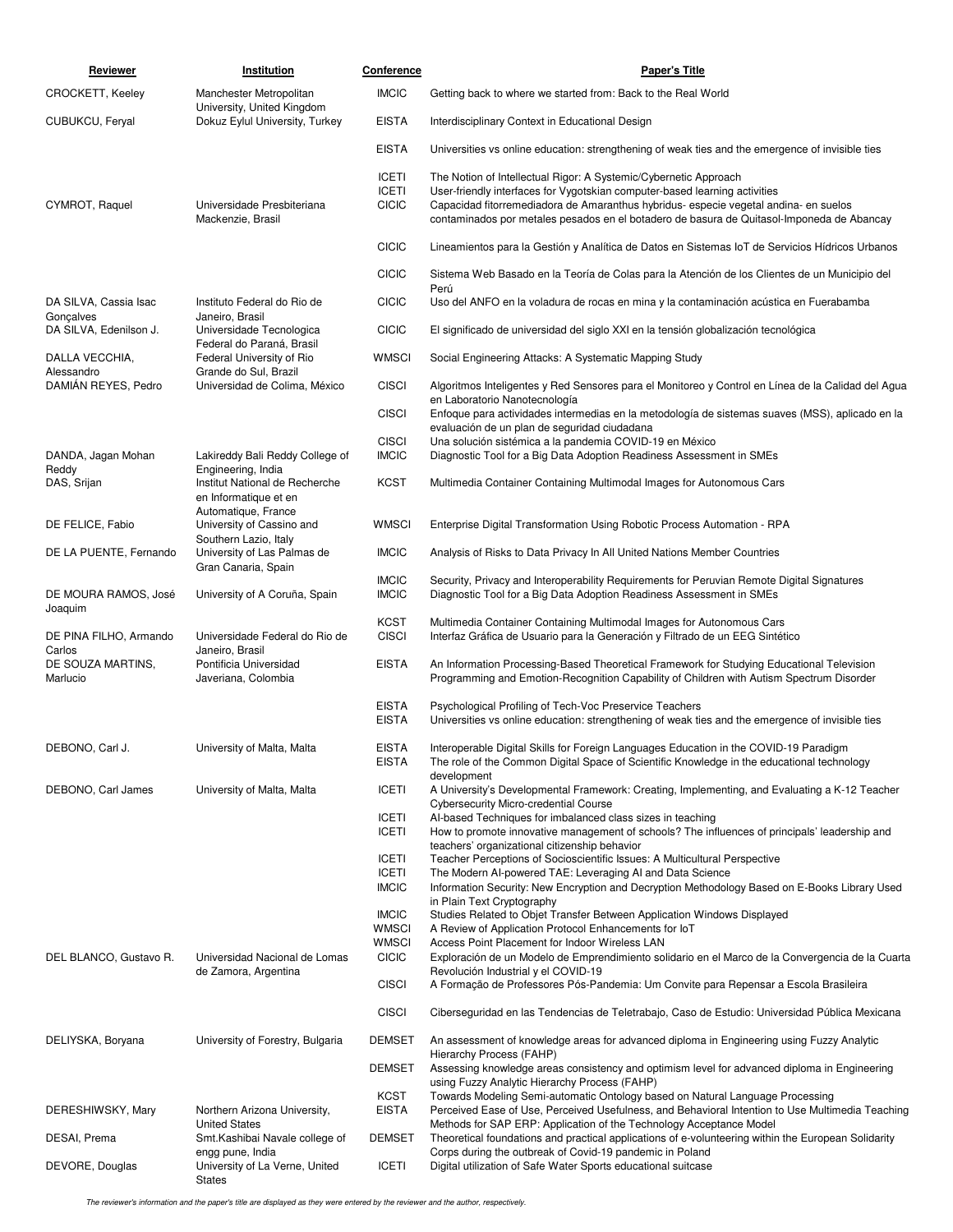| Reviewer                           | Institution                                                               | Conference                                   | <b>Paper's Title</b>                                                                                                                                                                                                                                                                                                                |
|------------------------------------|---------------------------------------------------------------------------|----------------------------------------------|-------------------------------------------------------------------------------------------------------------------------------------------------------------------------------------------------------------------------------------------------------------------------------------------------------------------------------------|
| CROCKETT, Keeley                   | Manchester Metropolitan                                                   | <b>IMCIC</b>                                 | Getting back to where we started from: Back to the Real World                                                                                                                                                                                                                                                                       |
| CUBUKCU, Feryal                    | University, United Kingdom<br>Dokuz Eylul University, Turkey              | <b>EISTA</b>                                 | Interdisciplinary Context in Educational Design                                                                                                                                                                                                                                                                                     |
|                                    |                                                                           | <b>EISTA</b>                                 | Universities vs online education: strengthening of weak ties and the emergence of invisible ties                                                                                                                                                                                                                                    |
| CYMROT, Raquel                     | Universidade Presbiteriana<br>Mackenzie, Brasil                           | <b>ICETI</b><br><b>ICETI</b><br><b>CICIC</b> | The Notion of Intellectual Rigor: A Systemic/Cybernetic Approach<br>User-friendly interfaces for Vygotskian computer-based learning activities<br>Capacidad fitorremediadora de Amaranthus hybridus- especie vegetal andina- en suelos<br>contaminados por metales pesados en el botadero de basura de Quitasol-Imponeda de Abancay |
|                                    |                                                                           | <b>CICIC</b>                                 | Lineamientos para la Gestión y Analítica de Datos en Sistemas IoT de Servicios Hídricos Urbanos                                                                                                                                                                                                                                     |
|                                    |                                                                           | <b>CICIC</b>                                 | Sistema Web Basado en la Teoría de Colas para la Atención de los Clientes de un Municipio del<br>Perú                                                                                                                                                                                                                               |
| DA SILVA, Cassia Isac<br>Gonçalves | Instituto Federal do Rio de<br>Janeiro, Brasil                            | <b>CICIC</b>                                 | Uso del ANFO en la voladura de rocas en mina y la contaminación acústica en Fuerabamba                                                                                                                                                                                                                                              |
| DA SILVA, Edenilson J.             | Universidade Tecnologica<br>Federal do Paraná, Brasil                     | <b>CICIC</b>                                 | El significado de universidad del siglo XXI en la tensión globalización tecnológica                                                                                                                                                                                                                                                 |
| DALLA VECCHIA,<br>Alessandro       | Federal University of Rio<br>Grande do Sul, Brazil                        | <b>WMSCI</b>                                 | Social Engineering Attacks: A Systematic Mapping Study                                                                                                                                                                                                                                                                              |
| DAMIAN REYES, Pedro                | Universidad de Colima, México                                             | <b>CISCI</b>                                 | Algoritmos Inteligentes y Red Sensores para el Monitoreo y Control en Línea de la Calidad del Agua<br>en Laboratorio Nanotecnología                                                                                                                                                                                                 |
|                                    |                                                                           | <b>CISCI</b><br><b>CISCI</b>                 | Enfoque para actividades intermedias en la metodología de sistemas suaves (MSS), aplicado en la<br>evaluación de un plan de seguridad ciudadana<br>Una solución sistémica a la pandemia COVID-19 en México                                                                                                                          |
| DANDA, Jagan Mohan<br>Reddy        | Lakireddy Bali Reddy College of<br>Engineering, India                     | <b>IMCIC</b>                                 | Diagnostic Tool for a Big Data Adoption Readiness Assessment in SMEs                                                                                                                                                                                                                                                                |
| DAS, Srijan                        | Institut National de Recherche<br>en Informatique et en                   | <b>KCST</b>                                  | Multimedia Container Containing Multimodal Images for Autonomous Cars                                                                                                                                                                                                                                                               |
| DE FELICE, Fabio                   | Automatique, France<br>University of Cassino and<br>Southern Lazio, Italy | <b>WMSCI</b>                                 | Enterprise Digital Transformation Using Robotic Process Automation - RPA                                                                                                                                                                                                                                                            |
| DE LA PUENTE, Fernando             | University of Las Palmas de<br>Gran Canaria, Spain                        | <b>IMCIC</b>                                 | Analysis of Risks to Data Privacy In All United Nations Member Countries                                                                                                                                                                                                                                                            |
| DE MOURA RAMOS, José<br>Joaquim    | University of A Coruña, Spain                                             | <b>IMCIC</b><br><b>IMCIC</b>                 | Security, Privacy and Interoperability Requirements for Peruvian Remote Digital Signatures<br>Diagnostic Tool for a Big Data Adoption Readiness Assessment in SMEs                                                                                                                                                                  |
| DE PINA FILHO, Armando<br>Carlos   | Universidade Federal do Rio de<br>Janeiro, Brasil                         | <b>KCST</b><br><b>CISCI</b>                  | Multimedia Container Containing Multimodal Images for Autonomous Cars<br>Interfaz Gráfica de Usuario para la Generación y Filtrado de un EEG Sintético                                                                                                                                                                              |
| DE SOUZA MARTINS,<br>Marlucio      | Pontificia Universidad<br>Javeriana, Colombia                             | <b>EISTA</b>                                 | An Information Processing-Based Theoretical Framework for Studying Educational Television<br>Programming and Emotion-Recognition Capability of Children with Autism Spectrum Disorder                                                                                                                                               |
|                                    |                                                                           | <b>EISTA</b><br><b>EISTA</b>                 | Psychological Profiling of Tech-Voc Preservice Teachers<br>Universities vs online education: strengthening of weak ties and the emergence of invisible ties                                                                                                                                                                         |
| DEBONO, Carl J.                    | University of Malta, Malta                                                | <b>EISTA</b><br>EISTA                        | Interoperable Digital Skills for Foreign Languages Education in the COVID-19 Paradigm<br>The role of the Common Digital Space of Scientific Knowledge in the educational technology<br>development                                                                                                                                  |
| DEBONO, Carl James                 | University of Malta, Malta                                                | <b>ICETI</b>                                 | A University's Developmental Framework: Creating, Implementing, and Evaluating a K-12 Teacher<br>Cybersecurity Micro-credential Course                                                                                                                                                                                              |
|                                    |                                                                           | <b>ICETI</b>                                 | Al-based Techniques for imbalanced class sizes in teaching                                                                                                                                                                                                                                                                          |
|                                    |                                                                           | <b>ICETI</b>                                 | How to promote innovative management of schools? The influences of principals' leadership and<br>teachers' organizational citizenship behavior                                                                                                                                                                                      |
|                                    |                                                                           | <b>ICETI</b>                                 | Teacher Perceptions of Socioscientific Issues: A Multicultural Perspective                                                                                                                                                                                                                                                          |
|                                    |                                                                           | <b>ICETI</b><br><b>IMCIC</b>                 | The Modern Al-powered TAE: Leveraging AI and Data Science<br>Information Security: New Encryption and Decryption Methodology Based on E-Books Library Used                                                                                                                                                                          |
|                                    |                                                                           | <b>IMCIC</b><br><b>WMSCI</b>                 | in Plain Text Cryptography<br>Studies Related to Objet Transfer Between Application Windows Displayed                                                                                                                                                                                                                               |
|                                    |                                                                           | <b>WMSCI</b>                                 | A Review of Application Protocol Enhancements for IoT<br>Access Point Placement for Indoor Wireless LAN                                                                                                                                                                                                                             |
| DEL BLANCO, Gustavo R.             | Universidad Nacional de Lomas<br>de Zamora, Argentina                     | <b>CICIC</b>                                 | Exploración de un Modelo de Emprendimiento solidario en el Marco de la Convergencia de la Cuarta<br>Revolución Industrial y el COVID-19                                                                                                                                                                                             |
|                                    |                                                                           | <b>CISCI</b>                                 | A Formação de Professores Pós-Pandemia: Um Convite para Repensar a Escola Brasileira                                                                                                                                                                                                                                                |
|                                    |                                                                           | <b>CISCI</b>                                 | Ciberseguridad en las Tendencias de Teletrabajo, Caso de Estudio: Universidad Pública Mexicana                                                                                                                                                                                                                                      |
| DELIYSKA, Boryana                  | University of Forestry, Bulgaria                                          | <b>DEMSET</b>                                | An assessment of knowledge areas for advanced diploma in Engineering using Fuzzy Analytic<br>Hierarchy Process (FAHP)                                                                                                                                                                                                               |
|                                    |                                                                           | <b>DEMSET</b><br><b>KCST</b>                 | Assessing knowledge areas consistency and optimism level for advanced diploma in Engineering<br>using Fuzzy Analytic Hierarchy Process (FAHP)<br>Towards Modeling Semi-automatic Ontology based on Natural Language Processing                                                                                                      |
| DERESHIWSKY, Mary                  | Northern Arizona University,                                              | <b>EISTA</b>                                 | Perceived Ease of Use, Perceived Usefulness, and Behavioral Intention to Use Multimedia Teaching                                                                                                                                                                                                                                    |
| DESAI, Prema                       | <b>United States</b><br>Smt. Kashibai Navale college of                   | <b>DEMSET</b>                                | Methods for SAP ERP: Application of the Technology Acceptance Model<br>Theoretical foundations and practical applications of e-volunteering within the European Solidarity                                                                                                                                                          |
| DEVORE, Douglas                    | engg pune, India<br>University of La Verne, United<br><b>States</b>       | <b>ICETI</b>                                 | Corps during the outbreak of Covid-19 pandemic in Poland<br>Digital utilization of Safe Water Sports educational suitcase                                                                                                                                                                                                           |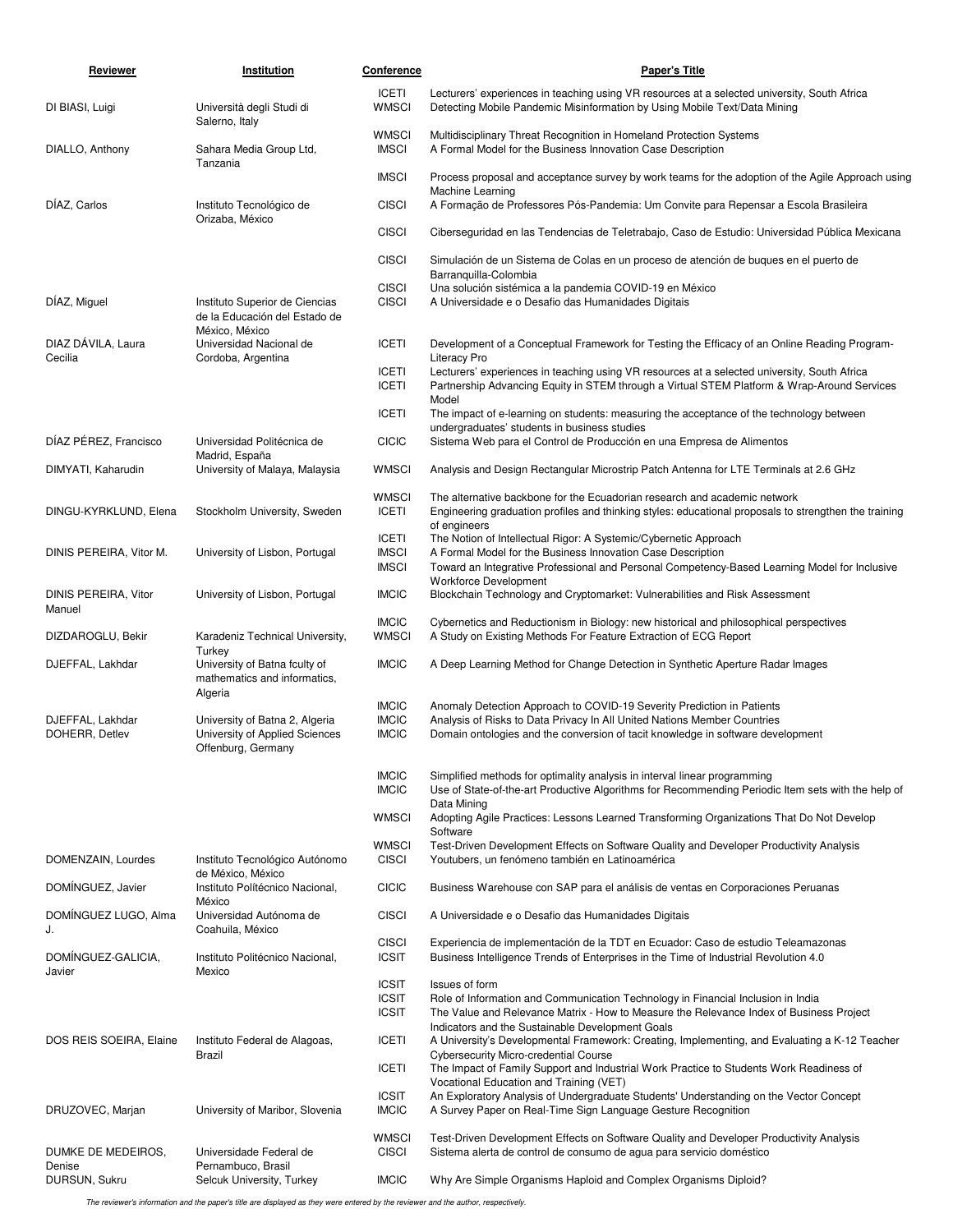| Reviewer                           | Institution                                                                            | Conference                                   | <b>Paper's Title</b>                                                                                                                                                                                                             |
|------------------------------------|----------------------------------------------------------------------------------------|----------------------------------------------|----------------------------------------------------------------------------------------------------------------------------------------------------------------------------------------------------------------------------------|
| DI BIASI, Luigi                    | Università degli Studi di<br>Salerno, Italy                                            | <b>ICETI</b><br><b>WMSCI</b>                 | Lecturers' experiences in teaching using VR resources at a selected university, South Africa<br>Detecting Mobile Pandemic Misinformation by Using Mobile Text/Data Mining                                                        |
| DIALLO, Anthony                    | Sahara Media Group Ltd,<br>Tanzania                                                    | <b>WMSCI</b><br><b>IMSCI</b>                 | Multidisciplinary Threat Recognition in Homeland Protection Systems<br>A Formal Model for the Business Innovation Case Description                                                                                               |
|                                    |                                                                                        | <b>IMSCI</b>                                 | Process proposal and acceptance survey by work teams for the adoption of the Agile Approach using<br>Machine Learning                                                                                                            |
| DÍAZ, Carlos                       | Instituto Tecnológico de                                                               | <b>CISCI</b>                                 | A Formação de Professores Pós-Pandemia: Um Convite para Repensar a Escola Brasileira                                                                                                                                             |
|                                    | Orizaba, México                                                                        | <b>CISCI</b>                                 | Ciberseguridad en las Tendencias de Teletrabajo, Caso de Estudio: Universidad Pública Mexicana                                                                                                                                   |
|                                    |                                                                                        | <b>CISCI</b>                                 | Simulación de un Sistema de Colas en un proceso de atención de buques en el puerto de<br>Barranquilla-Colombia                                                                                                                   |
| DÍAZ, Miguel                       | Instituto Superior de Ciencias<br>de la Educación del Estado de                        | <b>CISCI</b><br><b>CISCI</b>                 | Una solución sistémica a la pandemia COVID-19 en México<br>A Universidade e o Desafio das Humanidades Digitais                                                                                                                   |
| DIAZ DÁVILA, Laura<br>Cecilia      | México, México<br>Universidad Nacional de<br>Cordoba, Argentina                        | <b>ICETI</b>                                 | Development of a Conceptual Framework for Testing the Efficacy of an Online Reading Program-<br><b>Literacy Pro</b>                                                                                                              |
|                                    |                                                                                        | <b>ICETI</b><br><b>ICETI</b>                 | Lecturers' experiences in teaching using VR resources at a selected university, South Africa<br>Partnership Advancing Equity in STEM through a Virtual STEM Platform & Wrap-Around Services<br>Model                             |
|                                    |                                                                                        | <b>ICETI</b>                                 | The impact of e-learning on students: measuring the acceptance of the technology between<br>undergraduates' students in business studies                                                                                         |
| DÍAZ PÉREZ, Francisco              | Universidad Politécnica de<br>Madrid, España                                           | <b>CICIC</b>                                 | Sistema Web para el Control de Producción en una Empresa de Alimentos                                                                                                                                                            |
| DIMYATI, Kaharudin                 | University of Malaya, Malaysia                                                         | <b>WMSCI</b>                                 | Analysis and Design Rectangular Microstrip Patch Antenna for LTE Terminals at 2.6 GHz                                                                                                                                            |
| DINGU-KYRKLUND, Elena              | Stockholm University, Sweden                                                           | <b>WMSCI</b><br><b>ICETI</b>                 | The alternative backbone for the Ecuadorian research and academic network<br>Engineering graduation profiles and thinking styles: educational proposals to strengthen the training<br>of engineers                               |
| DINIS PEREIRA, Vitor M.            | University of Lisbon, Portugal                                                         | <b>ICETI</b><br><b>IMSCI</b><br><b>IMSCI</b> | The Notion of Intellectual Rigor: A Systemic/Cybernetic Approach<br>A Formal Model for the Business Innovation Case Description<br>Toward an Integrative Professional and Personal Competency-Based Learning Model for Inclusive |
| DINIS PEREIRA, Vitor<br>Manuel     | University of Lisbon, Portugal                                                         | <b>IMCIC</b>                                 | <b>Workforce Development</b><br>Blockchain Technology and Cryptomarket: Vulnerabilities and Risk Assessment                                                                                                                      |
| DIZDAROGLU, Bekir                  | Karadeniz Technical University,                                                        | <b>IMCIC</b><br><b>WMSCI</b>                 | Cybernetics and Reductionism in Biology: new historical and philosophical perspectives<br>A Study on Existing Methods For Feature Extraction of ECG Report                                                                       |
| DJEFFAL, Lakhdar                   | Turkey<br>University of Batna foulty of<br>mathematics and informatics,                | <b>IMCIC</b>                                 | A Deep Learning Method for Change Detection in Synthetic Aperture Radar Images                                                                                                                                                   |
|                                    | Algeria                                                                                | <b>IMCIC</b>                                 | Anomaly Detection Approach to COVID-19 Severity Prediction in Patients                                                                                                                                                           |
| DJEFFAL, Lakhdar<br>DOHERR, Detlev | University of Batna 2, Algeria<br>University of Applied Sciences<br>Offenburg, Germany | <b>IMCIC</b><br><b>IMCIC</b>                 | Analysis of Risks to Data Privacy In All United Nations Member Countries<br>Domain ontologies and the conversion of tacit knowledge in software development                                                                      |
|                                    |                                                                                        | <b>IMCIC</b><br><b>IMCIC</b>                 | Simplified methods for optimality analysis in interval linear programming<br>Use of State-of-the-art Productive Algorithms for Recommending Periodic Item sets with the help of<br>Data Mining                                   |
|                                    |                                                                                        | <b>WMSCI</b>                                 | Adopting Agile Practices: Lessons Learned Transforming Organizations That Do Not Develop<br>Software                                                                                                                             |
| DOMENZAIN, Lourdes                 | Instituto Tecnológico Autónomo<br>de México, México                                    | <b>WMSCI</b><br><b>CISCI</b>                 | Test-Driven Development Effects on Software Quality and Developer Productivity Analysis<br>Youtubers, un fenómeno también en Latinoamérica                                                                                       |
| DOMINGUEZ, Javier                  | Instituto Polítécnico Nacional,<br>México                                              | <b>CICIC</b>                                 | Business Warehouse con SAP para el análisis de ventas en Corporaciones Peruanas                                                                                                                                                  |
| DOMÍNGUEZ LUGO, Alma<br>J.         | Universidad Autónoma de<br>Coahuila, México                                            | <b>CISCI</b>                                 | A Universidade e o Desafio das Humanidades Digitais                                                                                                                                                                              |
| DOMINGUEZ-GALICIA,<br>Javier       | Instituto Politécnico Nacional,<br>Mexico                                              | <b>CISCI</b><br><b>ICSIT</b>                 | Experiencia de implementación de la TDT en Ecuador: Caso de estudio Teleamazonas<br>Business Intelligence Trends of Enterprises in the Time of Industrial Revolution 4.0                                                         |
|                                    |                                                                                        | <b>ICSIT</b><br><b>ICSIT</b><br><b>ICSIT</b> | Issues of form<br>Role of Information and Communication Technology in Financial Inclusion in India<br>The Value and Relevance Matrix - How to Measure the Relevance Index of Business Project                                    |
| DOS REIS SOEIRA, Elaine            | Instituto Federal de Alagoas,<br>Brazil                                                | <b>ICETI</b>                                 | Indicators and the Sustainable Development Goals<br>A University's Developmental Framework: Creating, Implementing, and Evaluating a K-12 Teacher<br><b>Cybersecurity Micro-credential Course</b>                                |
|                                    |                                                                                        | <b>ICETI</b>                                 | The Impact of Family Support and Industrial Work Practice to Students Work Readiness of<br>Vocational Education and Training (VET)                                                                                               |
| DRUZOVEC, Marjan                   | University of Maribor, Slovenia                                                        | <b>ICSIT</b><br><b>IMCIC</b>                 | An Exploratory Analysis of Undergraduate Students' Understanding on the Vector Concept<br>A Survey Paper on Real-Time Sign Language Gesture Recognition                                                                          |
| DUMKE DE MEDEIROS,                 | Universidade Federal de                                                                | <b>WMSCI</b><br><b>CISCI</b>                 | Test-Driven Development Effects on Software Quality and Developer Productivity Analysis<br>Sistema alerta de control de consumo de agua para servicio doméstico                                                                  |
| Denise<br>DURSUN, Sukru            | Pernambuco, Brasil<br>Selcuk University, Turkey                                        | <b>IMCIC</b>                                 | Why Are Simple Organisms Haploid and Complex Organisms Diploid?                                                                                                                                                                  |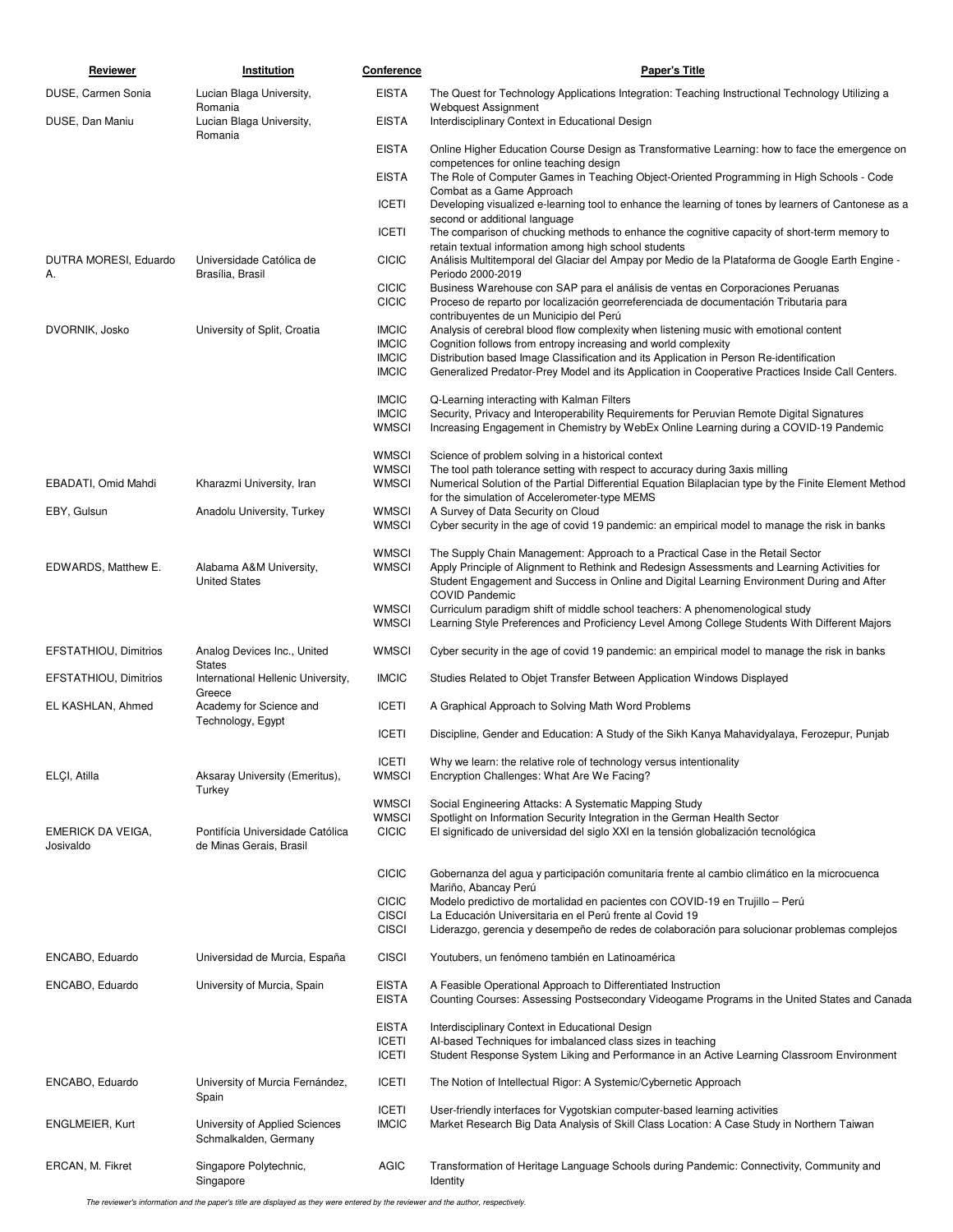| <b>Reviewer</b>                | <b>Institution</b>                                          | Conference                   | <b>Paper's Title</b>                                                                                                                                                                                                                    |
|--------------------------------|-------------------------------------------------------------|------------------------------|-----------------------------------------------------------------------------------------------------------------------------------------------------------------------------------------------------------------------------------------|
| DUSE, Carmen Sonia             | Lucian Blaga University,                                    | <b>EISTA</b>                 | The Quest for Technology Applications Integration: Teaching Instructional Technology Utilizing a                                                                                                                                        |
| DUSE, Dan Maniu                | Romania<br>Lucian Blaga University,                         | <b>EISTA</b>                 | <b>Webquest Assignment</b><br>Interdisciplinary Context in Educational Design                                                                                                                                                           |
|                                | Romania                                                     | <b>EISTA</b>                 | Online Higher Education Course Design as Transformative Learning: how to face the emergence on                                                                                                                                          |
|                                |                                                             | <b>EISTA</b>                 | competences for online teaching design<br>The Role of Computer Games in Teaching Object-Oriented Programming in High Schools - Code<br>Combat as a Game Approach                                                                        |
|                                |                                                             | <b>ICETI</b>                 | Developing visualized e-learning tool to enhance the learning of tones by learners of Cantonese as a<br>second or additional language                                                                                                   |
|                                |                                                             | <b>ICETI</b>                 | The comparison of chucking methods to enhance the cognitive capacity of short-term memory to<br>retain textual information among high school students                                                                                   |
| DUTRA MORESI, Eduardo<br>Α.    | Universidade Católica de<br>Brasília, Brasil                | <b>CICIC</b>                 | Análisis Multitemporal del Glaciar del Ampay por Medio de la Plataforma de Google Earth Engine -<br>Periodo 2000-2019                                                                                                                   |
|                                |                                                             | <b>CICIC</b><br><b>CICIC</b> | Business Warehouse con SAP para el análisis de ventas en Corporaciones Peruanas<br>Proceso de reparto por localización georreferenciada de documentación Tributaria para                                                                |
| DVORNIK, Josko                 | University of Split, Croatia                                | <b>IMCIC</b>                 | contribuyentes de un Municipio del Perú<br>Analysis of cerebral blood flow complexity when listening music with emotional content                                                                                                       |
|                                |                                                             | <b>IMCIC</b>                 | Cognition follows from entropy increasing and world complexity                                                                                                                                                                          |
|                                |                                                             | <b>IMCIC</b><br><b>IMCIC</b> | Distribution based Image Classification and its Application in Person Re-identification<br>Generalized Predator-Prey Model and its Application in Cooperative Practices Inside Call Centers.                                            |
|                                |                                                             | <b>IMCIC</b>                 | Q-Learning interacting with Kalman Filters                                                                                                                                                                                              |
|                                |                                                             | <b>IMCIC</b><br><b>WMSCI</b> | Security, Privacy and Interoperability Requirements for Peruvian Remote Digital Signatures<br>Increasing Engagement in Chemistry by WebEx Online Learning during a COVID-19 Pandemic                                                    |
|                                |                                                             | <b>WMSCI</b>                 | Science of problem solving in a historical context                                                                                                                                                                                      |
| EBADATI, Omid Mahdi            | Kharazmi University, Iran                                   | <b>WMSCI</b><br><b>WMSCI</b> | The tool path tolerance setting with respect to accuracy during 3axis milling<br>Numerical Solution of the Partial Differential Equation Bilaplacian type by the Finite Element Method<br>for the simulation of Accelerometer-type MEMS |
| EBY, Gulsun                    | Anadolu University, Turkey                                  | <b>WMSCI</b>                 | A Survey of Data Security on Cloud                                                                                                                                                                                                      |
|                                |                                                             | <b>WMSCI</b>                 | Cyber security in the age of covid 19 pandemic: an empirical model to manage the risk in banks                                                                                                                                          |
|                                |                                                             | <b>WMSCI</b>                 | The Supply Chain Management: Approach to a Practical Case in the Retail Sector                                                                                                                                                          |
| EDWARDS, Matthew E.            | Alabama A&M University,<br><b>United States</b>             | <b>WMSCI</b>                 | Apply Principle of Alignment to Rethink and Redesign Assessments and Learning Activities for<br>Student Engagement and Success in Online and Digital Learning Environment During and After<br><b>COVID Pandemic</b>                     |
|                                |                                                             | <b>WMSCI</b><br><b>WMSCI</b> | Curriculum paradigm shift of middle school teachers: A phenomenological study<br>Learning Style Preferences and Proficiency Level Among College Students With Different Majors                                                          |
| EFSTATHIOU, Dimitrios          | Analog Devices Inc., United                                 | <b>WMSCI</b>                 | Cyber security in the age of covid 19 pandemic: an empirical model to manage the risk in banks                                                                                                                                          |
| EFSTATHIOU, Dimitrios          | <b>States</b><br>International Hellenic University,         | <b>IMCIC</b>                 | Studies Related to Objet Transfer Between Application Windows Displayed                                                                                                                                                                 |
| EL KASHLAN, Ahmed              | Greece<br>Academy for Science and<br>Technology, Egypt      | <b>ICETI</b>                 | A Graphical Approach to Solving Math Word Problems                                                                                                                                                                                      |
|                                |                                                             | <b>ICETI</b>                 | Discipline, Gender and Education: A Study of the Sikh Kanya Mahavidyalaya, Ferozepur, Punjab                                                                                                                                            |
|                                |                                                             | <b>ICETI</b>                 | Why we learn: the relative role of technology versus intentionality                                                                                                                                                                     |
| ELÇI, Atilla                   | Aksaray University (Emeritus),<br>Turkey                    | <b>WMSCI</b>                 | Encryption Challenges: What Are We Facing?                                                                                                                                                                                              |
|                                |                                                             | <b>WMSCI</b><br><b>WMSCI</b> | Social Engineering Attacks: A Systematic Mapping Study<br>Spotlight on Information Security Integration in the German Health Sector                                                                                                     |
| EMERICK DA VEIGA,<br>Josivaldo | Pontifícia Universidade Católica<br>de Minas Gerais, Brasil | <b>CICIC</b>                 | El significado de universidad del siglo XXI en la tensión globalización tecnológica                                                                                                                                                     |
|                                |                                                             | <b>CICIC</b>                 | Gobernanza del agua y participación comunitaria frente al cambio climático en la microcuenca                                                                                                                                            |
|                                |                                                             | <b>CICIC</b>                 | Mariño, Abancay Perú<br>Modelo predictivo de mortalidad en pacientes con COVID-19 en Trujillo - Perú                                                                                                                                    |
|                                |                                                             | <b>CISCI</b><br><b>CISCI</b> | La Educación Universitaria en el Perú frente al Covid 19<br>Liderazgo, gerencia y desempeño de redes de colaboración para solucionar problemas complejos                                                                                |
| ENCABO, Eduardo                | Universidad de Murcia, España                               | <b>CISCI</b>                 | Youtubers, un fenómeno también en Latinoamérica                                                                                                                                                                                         |
| ENCABO, Eduardo                | University of Murcia, Spain                                 | <b>EISTA</b>                 | A Feasible Operational Approach to Differentiated Instruction                                                                                                                                                                           |
|                                |                                                             | <b>EISTA</b>                 | Counting Courses: Assessing Postsecondary Videogame Programs in the United States and Canada                                                                                                                                            |
|                                |                                                             | <b>EISTA</b><br><b>ICETI</b> | Interdisciplinary Context in Educational Design<br>Al-based Techniques for imbalanced class sizes in teaching                                                                                                                           |
|                                |                                                             | <b>ICETI</b>                 | Student Response System Liking and Performance in an Active Learning Classroom Environment                                                                                                                                              |
| ENCABO, Eduardo                | University of Murcia Fernández,<br>Spain                    | <b>ICETI</b>                 | The Notion of Intellectual Rigor: A Systemic/Cybernetic Approach                                                                                                                                                                        |
|                                |                                                             | <b>ICETI</b>                 | User-friendly interfaces for Vygotskian computer-based learning activities                                                                                                                                                              |
| ENGLMEIER, Kurt                | University of Applied Sciences<br>Schmalkalden, Germany     | <b>IMCIC</b>                 | Market Research Big Data Analysis of Skill Class Location: A Case Study in Northern Taiwan                                                                                                                                              |
| ERCAN, M. Fikret               | Singapore Polytechnic,<br>Singapore                         | <b>AGIC</b>                  | Transformation of Heritage Language Schools during Pandemic: Connectivity, Community and<br>Identity                                                                                                                                    |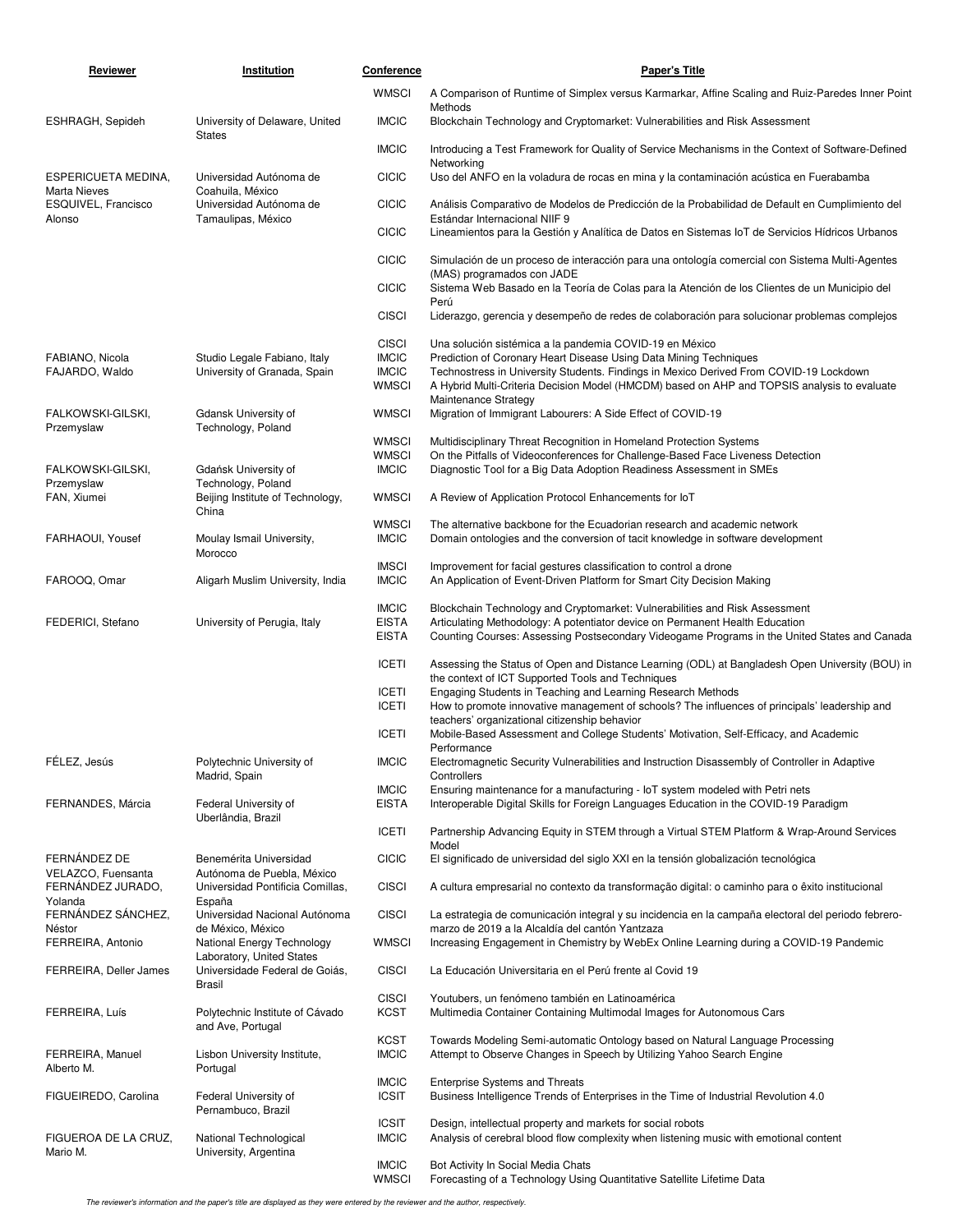| Reviewer                                   | Institution                                             | Conference                   | <b>Paper's Title</b>                                                                                                                                                                                          |
|--------------------------------------------|---------------------------------------------------------|------------------------------|---------------------------------------------------------------------------------------------------------------------------------------------------------------------------------------------------------------|
|                                            |                                                         | <b>WMSCI</b>                 | A Comparison of Runtime of Simplex versus Karmarkar, Affine Scaling and Ruiz-Paredes Inner Point                                                                                                              |
| ESHRAGH, Sepideh                           | University of Delaware, United                          | <b>IMCIC</b>                 | Methods<br>Blockchain Technology and Cryptomarket: Vulnerabilities and Risk Assessment                                                                                                                        |
|                                            | <b>States</b>                                           | <b>IMCIC</b>                 | Introducing a Test Framework for Quality of Service Mechanisms in the Context of Software-Defined                                                                                                             |
| ESPERICUETA MEDINA,                        | Universidad Autónoma de                                 | <b>CICIC</b>                 | Networking<br>Uso del ANFO en la voladura de rocas en mina y la contaminación acústica en Fuerabamba                                                                                                          |
| <b>Marta Nieves</b><br>ESQUIVEL, Francisco | Coahuila, México<br>Universidad Autónoma de             | <b>CICIC</b>                 | Análisis Comparativo de Modelos de Predicción de la Probabilidad de Default en Cumplimiento del                                                                                                               |
| Alonso                                     | Tamaulipas, México                                      | <b>CICIC</b>                 | Estándar Internacional NIIF 9<br>Lineamientos para la Gestión y Analítica de Datos en Sistemas IoT de Servicios Hídricos Urbanos                                                                              |
|                                            |                                                         | <b>CICIC</b>                 | Simulación de un proceso de interacción para una ontología comercial con Sistema Multi-Agentes                                                                                                                |
|                                            |                                                         | <b>CICIC</b>                 | (MAS) programados con JADE<br>Sistema Web Basado en la Teoría de Colas para la Atención de los Clientes de un Municipio del                                                                                   |
|                                            |                                                         | <b>CISCI</b>                 | Perú<br>Liderazgo, gerencia y desempeño de redes de colaboración para solucionar problemas complejos                                                                                                          |
|                                            |                                                         | <b>CISCI</b>                 | Una solución sistémica a la pandemia COVID-19 en México                                                                                                                                                       |
| FABIANO, Nicola                            | Studio Legale Fabiano, Italy                            | <b>IMCIC</b>                 | Prediction of Coronary Heart Disease Using Data Mining Techniques                                                                                                                                             |
| FAJARDO, Waldo                             | University of Granada, Spain                            | <b>IMCIC</b><br><b>WMSCI</b> | Technostress in University Students. Findings in Mexico Derived From COVID-19 Lockdown<br>A Hybrid Multi-Criteria Decision Model (HMCDM) based on AHP and TOPSIS analysis to evaluate<br>Maintenance Strategy |
| FALKOWSKI-GILSKI,<br>Przemyslaw            | Gdansk University of<br>Technology, Poland              | <b>WMSCI</b>                 | Migration of Immigrant Labourers: A Side Effect of COVID-19                                                                                                                                                   |
|                                            |                                                         | <b>WMSCI</b>                 | Multidisciplinary Threat Recognition in Homeland Protection Systems                                                                                                                                           |
|                                            |                                                         | <b>WMSCI</b>                 | On the Pitfalls of Videoconferences for Challenge-Based Face Liveness Detection                                                                                                                               |
| FALKOWSKI-GILSKI,                          | Gdańsk University of<br>Technology, Poland              | <b>IMCIC</b>                 | Diagnostic Tool for a Big Data Adoption Readiness Assessment in SMEs                                                                                                                                          |
| Przemyslaw<br>FAN, Xiumei                  | Beijing Institute of Technology,<br>China               | <b>WMSCI</b>                 | A Review of Application Protocol Enhancements for IoT                                                                                                                                                         |
|                                            |                                                         | <b>WMSCI</b>                 | The alternative backbone for the Ecuadorian research and academic network                                                                                                                                     |
| FARHAOUI, Yousef                           | Moulay Ismail University,<br>Morocco                    | <b>IMCIC</b><br><b>IMSCI</b> | Domain ontologies and the conversion of tacit knowledge in software development<br>Improvement for facial gestures classification to control a drone                                                          |
| FAROOQ, Omar                               | Aligarh Muslim University, India                        | <b>IMCIC</b>                 | An Application of Event-Driven Platform for Smart City Decision Making                                                                                                                                        |
|                                            |                                                         | <b>IMCIC</b>                 | Blockchain Technology and Cryptomarket: Vulnerabilities and Risk Assessment                                                                                                                                   |
| FEDERICI, Stefano                          | University of Perugia, Italy                            | <b>EISTA</b><br><b>EISTA</b> | Articulating Methodology: A potentiator device on Permanent Health Education<br>Counting Courses: Assessing Postsecondary Videogame Programs in the United States and Canada                                  |
|                                            |                                                         | <b>ICETI</b>                 | Assessing the Status of Open and Distance Learning (ODL) at Bangladesh Open University (BOU) in<br>the context of ICT Supported Tools and Techniques                                                          |
|                                            |                                                         | ICETI<br><b>ICETI</b>        | Engaging Students in Teaching and Learning Research Methods<br>How to promote innovative management of schools? The influences of principals' leadership and                                                  |
|                                            |                                                         | <b>ICETI</b>                 | teachers' organizational citizenship behavior<br>Mobile-Based Assessment and College Students' Motivation, Self-Efficacy, and Academic<br>Performance                                                         |
| FELEZ, Jesús                               | Polytechnic University of<br>Madrid, Spain              | <b>IMCIC</b>                 | Electromagnetic Security Vulnerabilities and Instruction Disassembly of Controller in Adaptive<br>Controllers                                                                                                 |
|                                            |                                                         | <b>IMCIC</b>                 | Ensuring maintenance for a manufacturing - IoT system modeled with Petri nets                                                                                                                                 |
| FERNANDES, Márcia                          | Federal University of<br>Uberlândia, Brazil             | <b>EISTA</b>                 | Interoperable Digital Skills for Foreign Languages Education in the COVID-19 Paradigm                                                                                                                         |
|                                            |                                                         | ICETI                        | Partnership Advancing Equity in STEM through a Virtual STEM Platform & Wrap-Around Services<br>Model                                                                                                          |
| FERNÁNDEZ DE<br>VELAZCO, Fuensanta         | Benemérita Universidad<br>Autónoma de Puebla, México    | <b>CICIC</b>                 | El significado de universidad del siglo XXI en la tensión globalización tecnológica                                                                                                                           |
| FERNÁNDEZ JURADO,<br>Yolanda               | Universidad Pontificia Comillas,<br>España              | <b>CISCI</b>                 | A cultura empresarial no contexto da transformação digital: o caminho para o êxito institucional                                                                                                              |
| FERNÁNDEZ SÁNCHEZ,<br>Néstor               | Universidad Nacional Autónoma<br>de México, México      | <b>CISCI</b>                 | La estrategia de comunicación integral y su incidencia en la campaña electoral del periodo febrero-<br>marzo de 2019 a la Alcaldía del cantón Yantzaza                                                        |
| FERREIRA, Antonio                          | National Energy Technology<br>Laboratory, United States | <b>WMSCI</b>                 | Increasing Engagement in Chemistry by WebEx Online Learning during a COVID-19 Pandemic                                                                                                                        |
| FERREIRA, Deller James                     | Universidade Federal de Goiás,<br>Brasil                | <b>CISCI</b>                 | La Educación Universitaria en el Perú frente al Covid 19                                                                                                                                                      |
| FERREIRA, Luís                             | Polytechnic Institute of Cávado<br>and Ave, Portugal    | <b>CISCI</b><br><b>KCST</b>  | Youtubers, un fenómeno también en Latinoamérica<br>Multimedia Container Containing Multimodal Images for Autonomous Cars                                                                                      |
| FERREIRA, Manuel                           | Lisbon University Institute,                            | <b>KCST</b><br><b>IMCIC</b>  | Towards Modeling Semi-automatic Ontology based on Natural Language Processing<br>Attempt to Observe Changes in Speech by Utilizing Yahoo Search Engine                                                        |
| Alberto M.                                 | Portugal                                                | <b>IMCIC</b>                 | <b>Enterprise Systems and Threats</b>                                                                                                                                                                         |
| FIGUEIREDO, Carolina                       | Federal University of<br>Pernambuco, Brazil             | <b>ICSIT</b>                 | Business Intelligence Trends of Enterprises in the Time of Industrial Revolution 4.0                                                                                                                          |
| FIGUEROA DE LA CRUZ,                       | National Technological                                  | <b>ICSIT</b><br><b>IMCIC</b> | Design, intellectual property and markets for social robots<br>Analysis of cerebral blood flow complexity when listening music with emotional content                                                         |
| Mario M.                                   | University, Argentina                                   | <b>IMCIC</b><br><b>WMSCI</b> | Bot Activity In Social Media Chats<br>Forecasting of a Technology Using Quantitative Satellite Lifetime Data                                                                                                  |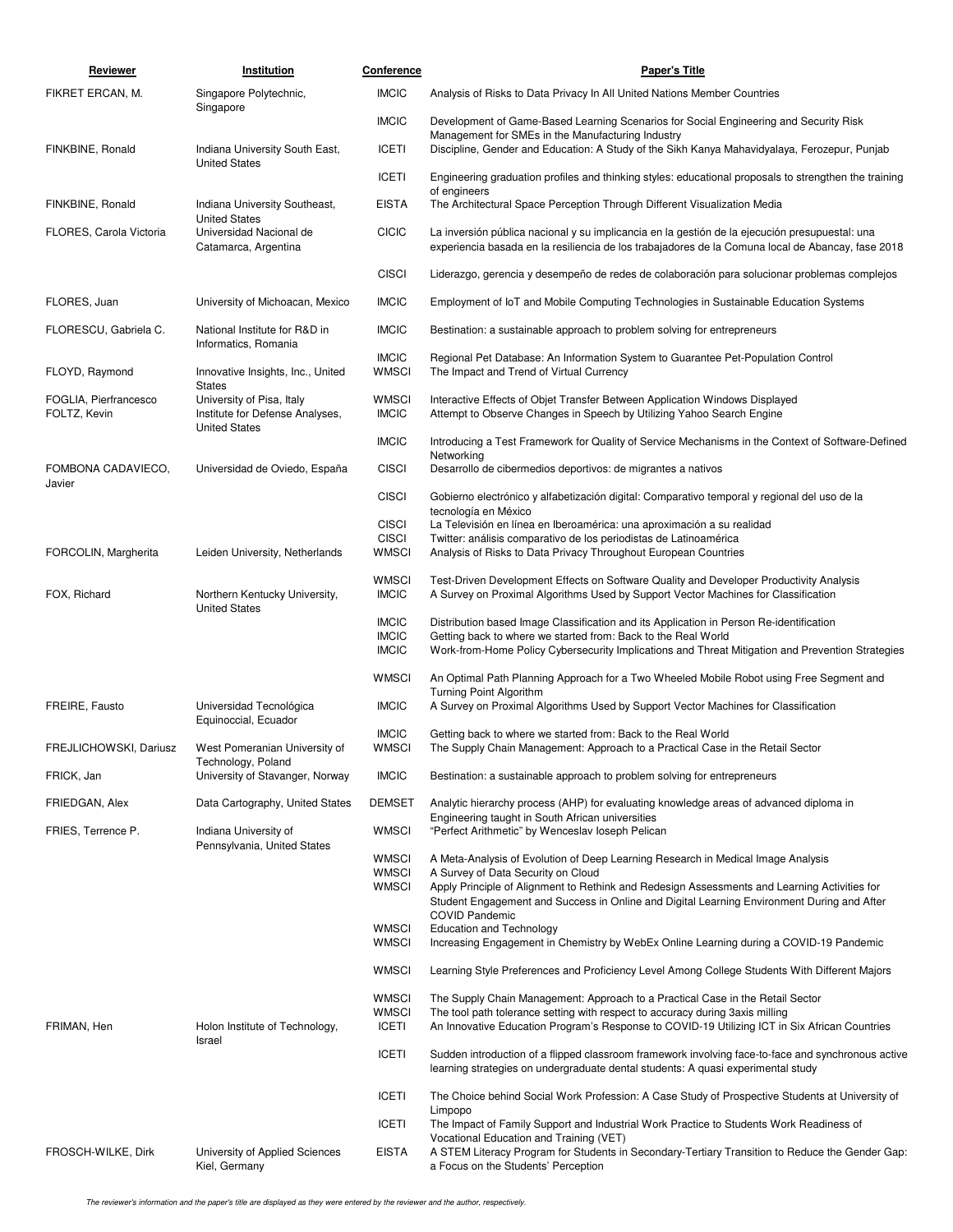| Reviewer                              | Institution                                                                          | <b>Conference</b>                            | <b>Paper's Title</b>                                                                                                                                                                                                                                             |
|---------------------------------------|--------------------------------------------------------------------------------------|----------------------------------------------|------------------------------------------------------------------------------------------------------------------------------------------------------------------------------------------------------------------------------------------------------------------|
| FIKRET ERCAN, M.                      | Singapore Polytechnic,                                                               | <b>IMCIC</b>                                 | Analysis of Risks to Data Privacy In All United Nations Member Countries                                                                                                                                                                                         |
|                                       | Singapore                                                                            | <b>IMCIC</b>                                 | Development of Game-Based Learning Scenarios for Social Engineering and Security Risk                                                                                                                                                                            |
| FINKBINE, Ronald                      | Indiana University South East,<br><b>United States</b>                               | <b>ICETI</b>                                 | Management for SMEs in the Manufacturing Industry<br>Discipline, Gender and Education: A Study of the Sikh Kanya Mahavidyalaya, Ferozepur, Punjab                                                                                                                |
|                                       |                                                                                      | <b>ICETI</b>                                 | Engineering graduation profiles and thinking styles: educational proposals to strengthen the training<br>of engineers                                                                                                                                            |
| FINKBINE, Ronald                      | Indiana University Southeast,<br><b>United States</b>                                | <b>EISTA</b>                                 | The Architectural Space Perception Through Different Visualization Media                                                                                                                                                                                         |
| FLORES, Carola Victoria               | Universidad Nacional de<br>Catamarca, Argentina                                      | <b>CICIC</b>                                 | La inversión pública nacional y su implicancia en la gestión de la ejecución presupuestal: una<br>experiencia basada en la resiliencia de los trabajadores de la Comuna local de Abancay, fase 2018                                                              |
|                                       |                                                                                      | <b>CISCI</b>                                 | Liderazgo, gerencia y desempeño de redes de colaboración para solucionar problemas complejos                                                                                                                                                                     |
| FLORES, Juan                          | University of Michoacan, Mexico                                                      | <b>IMCIC</b>                                 | Employment of IoT and Mobile Computing Technologies in Sustainable Education Systems                                                                                                                                                                             |
| FLORESCU, Gabriela C.                 | National Institute for R&D in<br>Informatics, Romania                                | <b>IMCIC</b>                                 | Bestination: a sustainable approach to problem solving for entrepreneurs                                                                                                                                                                                         |
| FLOYD, Raymond                        | Innovative Insights, Inc., United<br><b>States</b>                                   | <b>IMCIC</b><br><b>WMSCI</b>                 | Regional Pet Database: An Information System to Guarantee Pet-Population Control<br>The Impact and Trend of Virtual Currency                                                                                                                                     |
| FOGLIA, Pierfrancesco<br>FOLTZ, Kevin | University of Pisa, Italy<br>Institute for Defense Analyses,<br><b>United States</b> | <b>WMSCI</b><br><b>IMCIC</b>                 | Interactive Effects of Objet Transfer Between Application Windows Displayed<br>Attempt to Observe Changes in Speech by Utilizing Yahoo Search Engine                                                                                                             |
|                                       |                                                                                      | <b>IMCIC</b>                                 | Introducing a Test Framework for Quality of Service Mechanisms in the Context of Software-Defined<br>Networking                                                                                                                                                  |
| FOMBONA CADAVIECO,<br>Javier          | Universidad de Oviedo, España                                                        | <b>CISCI</b>                                 | Desarrollo de cibermedios deportivos: de migrantes a nativos                                                                                                                                                                                                     |
|                                       |                                                                                      | <b>CISCI</b>                                 | Gobierno electrónico y alfabetización digital: Comparativo temporal y regional del uso de la<br>tecnología en México                                                                                                                                             |
|                                       |                                                                                      | <b>CISCI</b>                                 | La Televisión en línea en Iberoamérica: una aproximación a su realidad                                                                                                                                                                                           |
| FORCOLIN, Margherita                  | Leiden University, Netherlands                                                       | <b>CISCI</b><br><b>WMSCI</b>                 | Twitter: análisis comparativo de los periodistas de Latinoamérica<br>Analysis of Risks to Data Privacy Throughout European Countries                                                                                                                             |
| FOX, Richard                          | Northern Kentucky University,                                                        | <b>WMSCI</b><br><b>IMCIC</b>                 | Test-Driven Development Effects on Software Quality and Developer Productivity Analysis<br>A Survey on Proximal Algorithms Used by Support Vector Machines for Classification                                                                                    |
|                                       | <b>United States</b>                                                                 | <b>IMCIC</b><br><b>IMCIC</b><br><b>IMCIC</b> | Distribution based Image Classification and its Application in Person Re-identification<br>Getting back to where we started from: Back to the Real World<br>Work-from-Home Policy Cybersecurity Implications and Threat Mitigation and Prevention Strategies     |
|                                       |                                                                                      | <b>WMSCI</b>                                 | An Optimal Path Planning Approach for a Two Wheeled Mobile Robot using Free Segment and                                                                                                                                                                          |
| FREIRE, Fausto                        | Universidad Tecnológica<br>Equinoccial, Ecuador                                      | <b>IMCIC</b>                                 | Turning Point Algorithm<br>A Survey on Proximal Algorithms Used by Support Vector Machines for Classification                                                                                                                                                    |
| FREJLICHOWSKI, Dariusz                | West Pomeranian University of                                                        | <b>IMCIC</b><br><b>WMSCI</b>                 | Getting back to where we started from: Back to the Real World<br>The Supply Chain Management: Approach to a Practical Case in the Retail Sector                                                                                                                  |
| FRICK, Jan                            | Technology, Poland<br>University of Stavanger, Norway                                | <b>IMCIC</b>                                 | Bestination: a sustainable approach to problem solving for entrepreneurs                                                                                                                                                                                         |
| FRIEDGAN, Alex                        | Data Cartography, United States                                                      | <b>DEMSET</b>                                | Analytic hierarchy process (AHP) for evaluating knowledge areas of advanced diploma in<br>Engineering taught in South African universities                                                                                                                       |
| FRIES, Terrence P.                    | Indiana University of<br>Pennsylvania, United States                                 | <b>WMSCI</b>                                 | "Perfect Arithmetic" by Wenceslav loseph Pelican                                                                                                                                                                                                                 |
|                                       |                                                                                      | <b>WMSCI</b><br><b>WMSCI</b>                 | A Meta-Analysis of Evolution of Deep Learning Research in Medical Image Analysis<br>A Survey of Data Security on Cloud                                                                                                                                           |
|                                       |                                                                                      | <b>WMSCI</b>                                 | Apply Principle of Alignment to Rethink and Redesign Assessments and Learning Activities for<br>Student Engagement and Success in Online and Digital Learning Environment During and After<br><b>COVID Pandemic</b>                                              |
|                                       |                                                                                      | <b>WMSCI</b><br><b>WMSCI</b>                 | <b>Education and Technology</b><br>Increasing Engagement in Chemistry by WebEx Online Learning during a COVID-19 Pandemic                                                                                                                                        |
|                                       |                                                                                      | <b>WMSCI</b>                                 | Learning Style Preferences and Proficiency Level Among College Students With Different Majors                                                                                                                                                                    |
| FRIMAN, Hen                           | Holon Institute of Technology,                                                       | <b>WMSCI</b><br><b>WMSCI</b><br><b>ICETI</b> | The Supply Chain Management: Approach to a Practical Case in the Retail Sector<br>The tool path tolerance setting with respect to accuracy during 3axis milling<br>An Innovative Education Program's Response to COVID-19 Utilizing ICT in Six African Countries |
|                                       | Israel                                                                               | <b>ICETI</b>                                 | Sudden introduction of a flipped classroom framework involving face-to-face and synchronous active<br>learning strategies on undergraduate dental students: A quasi experimental study                                                                           |
|                                       |                                                                                      | <b>ICETI</b>                                 | The Choice behind Social Work Profession: A Case Study of Prospective Students at University of                                                                                                                                                                  |
|                                       |                                                                                      | <b>ICETI</b>                                 | Limpopo<br>The Impact of Family Support and Industrial Work Practice to Students Work Readiness of                                                                                                                                                               |
| FROSCH-WILKE, Dirk                    | University of Applied Sciences<br>Kiel, Germany                                      | <b>EISTA</b>                                 | Vocational Education and Training (VET)<br>A STEM Literacy Program for Students in Secondary-Tertiary Transition to Reduce the Gender Gap:<br>a Focus on the Students' Perception                                                                                |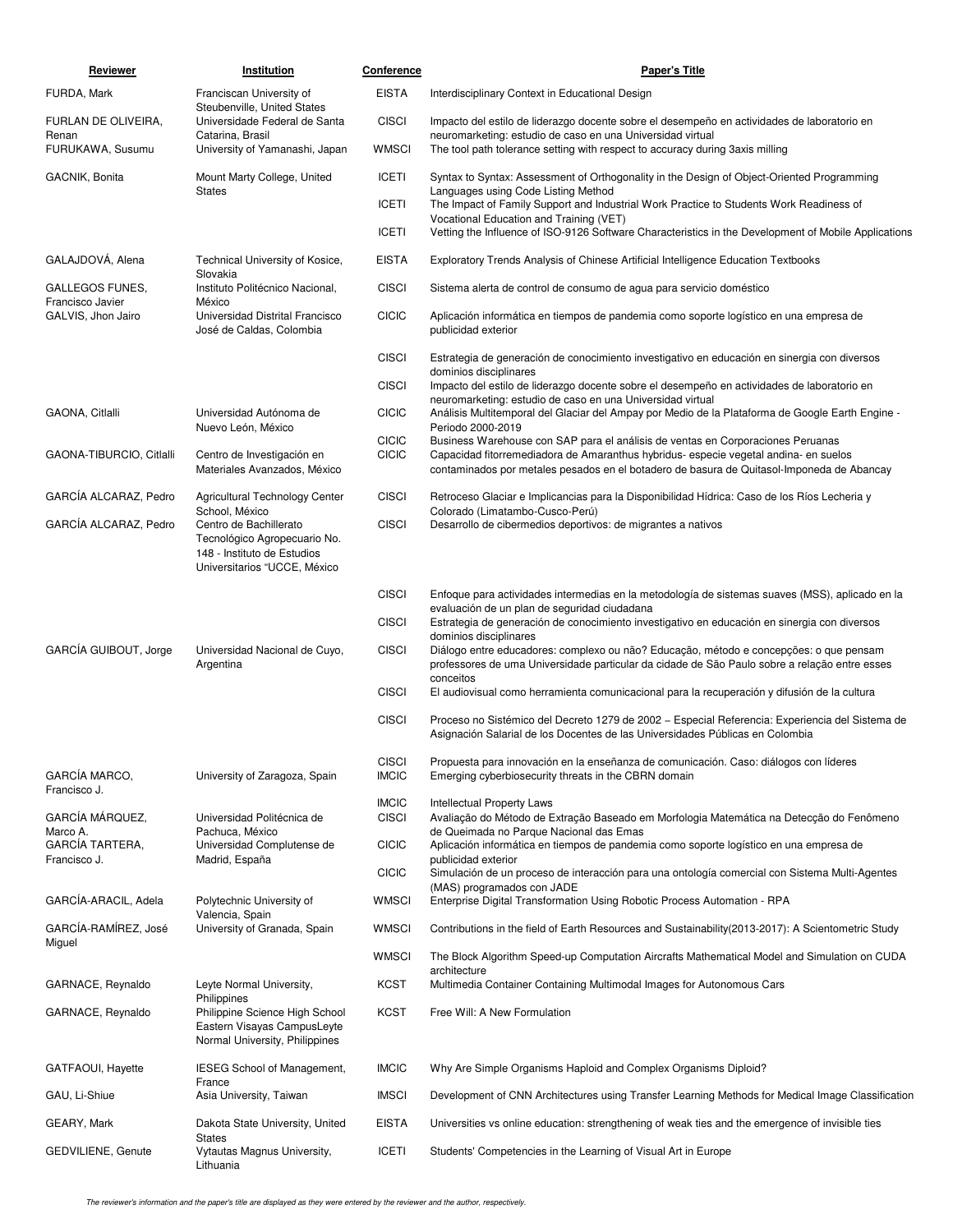| Reviewer                                   | Institution                                                                  | <b>Conference</b>            | <b>Paper's Title</b>                                                                                                                                                                    |
|--------------------------------------------|------------------------------------------------------------------------------|------------------------------|-----------------------------------------------------------------------------------------------------------------------------------------------------------------------------------------|
| FURDA, Mark                                | Franciscan University of                                                     | <b>EISTA</b>                 | Interdisciplinary Context in Educational Design                                                                                                                                         |
| FURLAN DE OLIVEIRA,                        | Steubenville, United States<br>Universidade Federal de Santa                 | <b>CISCI</b>                 | Impacto del estilo de liderazgo docente sobre el desempeño en actividades de laboratorio en                                                                                             |
| Renan<br>FURUKAWA, Susumu                  | Catarina, Brasil<br>University of Yamanashi, Japan                           | <b>WMSCI</b>                 | neuromarketing: estudio de caso en una Universidad virtual<br>The tool path tolerance setting with respect to accuracy during 3 axis milling                                            |
| GACNIK, Bonita                             | Mount Marty College, United<br>States                                        | <b>ICETI</b>                 | Syntax to Syntax: Assessment of Orthogonality in the Design of Object-Oriented Programming<br>Languages using Code Listing Method                                                       |
|                                            |                                                                              | <b>ICETI</b>                 | The Impact of Family Support and Industrial Work Practice to Students Work Readiness of<br>Vocational Education and Training (VET)                                                      |
|                                            |                                                                              | <b>ICETI</b>                 | Vetting the Influence of ISO-9126 Software Characteristics in the Development of Mobile Applications                                                                                    |
| GALAJDOVÁ, Alena                           | Technical University of Kosice,<br>Slovakia                                  | <b>EISTA</b>                 | Exploratory Trends Analysis of Chinese Artificial Intelligence Education Textbooks                                                                                                      |
| <b>GALLEGOS FUNES,</b><br>Francisco Javier | Instituto Politécnico Nacional,<br>México                                    | <b>CISCI</b>                 | Sistema alerta de control de consumo de agua para servicio doméstico                                                                                                                    |
| GALVIS, Jhon Jairo                         | Universidad Distrital Francisco<br>José de Caldas, Colombia                  | <b>CICIC</b>                 | Aplicación informática en tiempos de pandemia como soporte logístico en una empresa de<br>publicidad exterior                                                                           |
|                                            |                                                                              | <b>CISCI</b>                 | Estrategia de generación de conocimiento investigativo en educación en sinergia con diversos<br>dominios disciplinares                                                                  |
|                                            |                                                                              | <b>CISCI</b>                 | Impacto del estilo de liderazgo docente sobre el desempeño en actividades de laboratorio en<br>neuromarketing: estudio de caso en una Universidad virtual                               |
| GAONA, Citlalli                            | Universidad Autónoma de<br>Nuevo León, México                                | <b>CICIC</b>                 | - Análisis Multitemporal del Glaciar del Ampay por Medio de la Plataforma de Google Earth Engine<br>Periodo 2000-2019                                                                   |
| GAONA-TIBURCIO, Citlalli                   | Centro de Investigación en                                                   | <b>CICIC</b><br><b>CICIC</b> | Business Warehouse con SAP para el análisis de ventas en Corporaciones Peruanas<br>Capacidad fitorremediadora de Amaranthus hybridus- especie vegetal andina- en suelos                 |
|                                            | Materiales Avanzados, México                                                 |                              | contaminados por metales pesados en el botadero de basura de Quitasol-Imponeda de Abancay                                                                                               |
| GARCÍA ALCARAZ, Pedro                      | Agricultural Technology Center<br>School, México                             | <b>CISCI</b>                 | Retroceso Glaciar e Implicancias para la Disponibilidad Hídrica: Caso de los Ríos Lecheria y<br>Colorado (Limatambo-Cusco-Perú)                                                         |
| GARCÍA ALCARAZ, Pedro                      | Centro de Bachillerato<br>Tecnológico Agropecuario No.                       | <b>CISCI</b>                 | Desarrollo de cibermedios deportivos: de migrantes a nativos                                                                                                                            |
|                                            | 148 - Instituto de Estudios<br>Universitarios "UCCE, México                  |                              |                                                                                                                                                                                         |
|                                            |                                                                              | <b>CISCI</b>                 | Enfoque para actividades intermedias en la metodología de sistemas suaves (MSS), aplicado en la<br>evaluación de un plan de seguridad ciudadana                                         |
|                                            |                                                                              | <b>CISCI</b>                 | Estrategia de generación de conocimiento investigativo en educación en sinergia con diversos<br>dominios disciplinares                                                                  |
| GARCÍA GUIBOUT, Jorge                      | Universidad Nacional de Cuyo,<br>Argentina                                   | <b>CISCI</b>                 | Diálogo entre educadores: complexo ou não? Educação, método e concepções: o que pensam<br>professores de uma Universidade particular da cidade de São Paulo sobre a relação entre esses |
|                                            |                                                                              | <b>CISCI</b>                 | conceitos<br>El audiovisual como herramienta comunicacional para la recuperación y difusión de la cultura                                                                               |
|                                            |                                                                              | <b>CISCI</b>                 | Proceso no Sistémico del Decreto 1279 de 2002 – Especial Referencia: Experiencia del Sistema de<br>Asignación Salarial de los Docentes de las Universidades Públicas en Colombia        |
|                                            |                                                                              | <b>CISCI</b>                 | Propuesta para innovación en la enseñanza de comunicación. Caso: diálogos con líderes                                                                                                   |
| GARCÍA MARCO,<br>Francisco J.              | University of Zaragoza, Spain                                                | <b>IMCIC</b>                 | Emerging cyberbiosecurity threats in the CBRN domain                                                                                                                                    |
| GARCÍA MÁRQUEZ,                            | Universidad Politécnica de                                                   | <b>IMCIC</b><br><b>CISCI</b> | Intellectual Property Laws<br>Avaliação do Método de Extração Baseado em Morfologia Matemática na Detecção do Fenômeno                                                                  |
| Marco A.<br>GARCÍA TARTERA,                | Pachuca, México<br>Universidad Complutense de                                | <b>CICIC</b>                 | de Queimada no Parque Nacional das Emas<br>Aplicación informática en tiempos de pandemia como soporte logístico en una empresa de                                                       |
| Francisco J.                               | Madrid, España                                                               | <b>CICIC</b>                 | publicidad exterior<br>Simulación de un proceso de interacción para una ontología comercial con Sistema Multi-Agentes                                                                   |
| GARCÍA-ARACIL, Adela                       | Polytechnic University of                                                    | <b>WMSCI</b>                 | (MAS) programados con JADE<br>Enterprise Digital Transformation Using Robotic Process Automation - RPA                                                                                  |
| GARCÍA-RAMÍREZ, José                       | Valencia, Spain<br>University of Granada, Spain                              | <b>WMSCI</b>                 | Contributions in the field of Earth Resources and Sustainability (2013-2017): A Scientometric Study                                                                                     |
| Miguel                                     |                                                                              | <b>WMSCI</b>                 | The Block Algorithm Speed-up Computation Aircrafts Mathematical Model and Simulation on CUDA                                                                                            |
| GARNACE, Reynaldo                          | Leyte Normal University,                                                     | <b>KCST</b>                  | architecture<br>Multimedia Container Containing Multimodal Images for Autonomous Cars                                                                                                   |
| GARNACE, Reynaldo                          | Philippines<br>Philippine Science High School<br>Eastern Visayas CampusLeyte | <b>KCST</b>                  | Free Will: A New Formulation                                                                                                                                                            |
|                                            | Normal University, Philippines                                               |                              |                                                                                                                                                                                         |
| GATFAOUI, Hayette                          | <b>IESEG School of Management,</b><br>France                                 | <b>IMCIC</b>                 | Why Are Simple Organisms Haploid and Complex Organisms Diploid?                                                                                                                         |
| GAU, Li-Shiue                              | Asia University, Taiwan                                                      | <b>IMSCI</b>                 | Development of CNN Architectures using Transfer Learning Methods for Medical Image Classification                                                                                       |
| GEARY, Mark                                | Dakota State University, United<br><b>States</b>                             | <b>EISTA</b>                 | Universities vs online education: strengthening of weak ties and the emergence of invisible ties                                                                                        |
| GEDVILIENE, Genute                         | Vytautas Magnus University,<br>Lithuania                                     | <b>ICETI</b>                 | Students' Competencies in the Learning of Visual Art in Europe                                                                                                                          |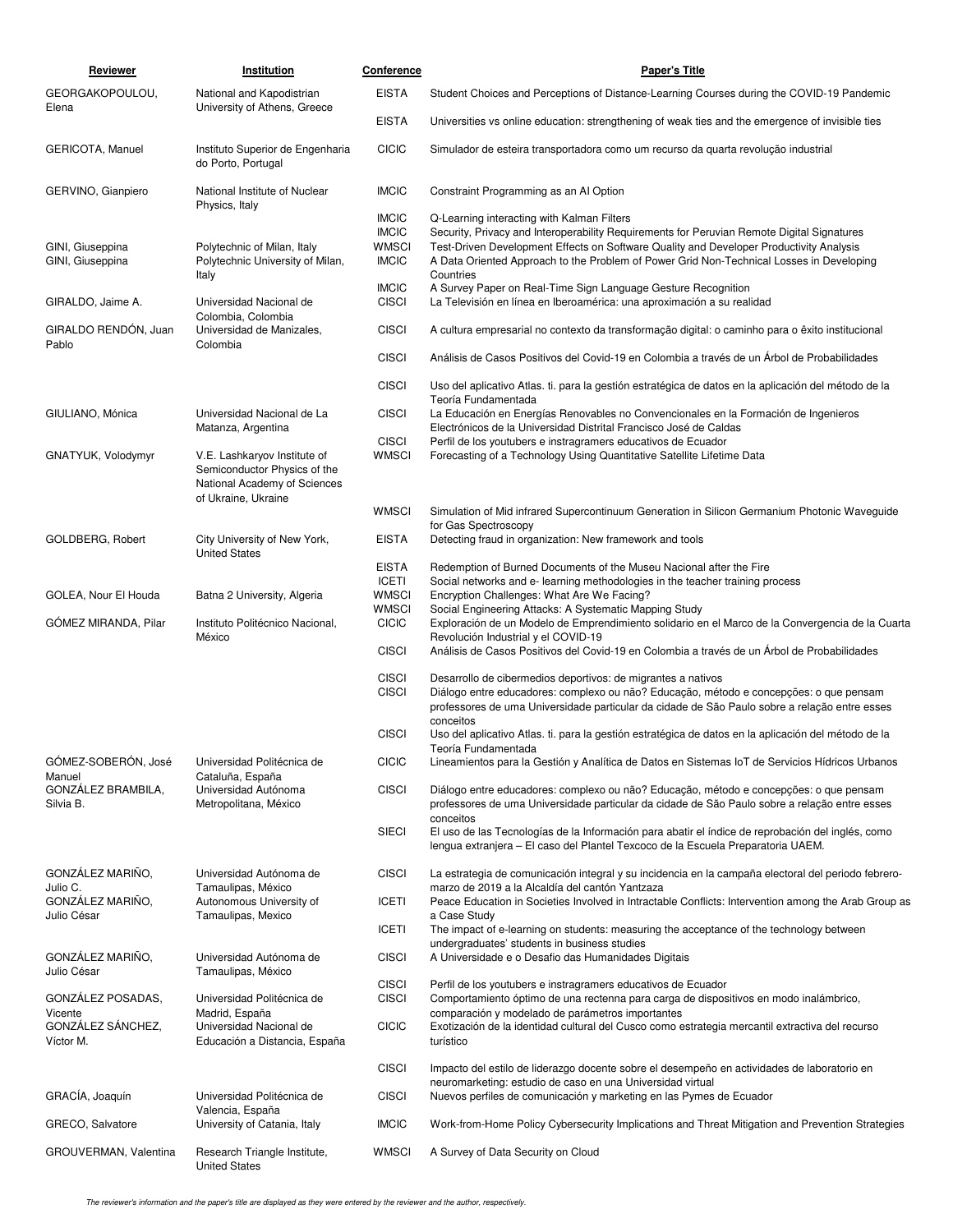| Reviewer                                  | Institution                                                                                                         | Conference                                                   | <b>Paper's Title</b>                                                                                                                                                                                                                                                                                                                                                                                                                                                                               |
|-------------------------------------------|---------------------------------------------------------------------------------------------------------------------|--------------------------------------------------------------|----------------------------------------------------------------------------------------------------------------------------------------------------------------------------------------------------------------------------------------------------------------------------------------------------------------------------------------------------------------------------------------------------------------------------------------------------------------------------------------------------|
| GEORGAKOPOULOU,                           | National and Kapodistrian                                                                                           | <b>EISTA</b>                                                 | Student Choices and Perceptions of Distance-Learning Courses during the COVID-19 Pandemic                                                                                                                                                                                                                                                                                                                                                                                                          |
| Elena                                     | University of Athens, Greece                                                                                        | <b>EISTA</b>                                                 | Universities vs online education: strengthening of weak ties and the emergence of invisible ties                                                                                                                                                                                                                                                                                                                                                                                                   |
| GERICOTA, Manuel                          | Instituto Superior de Engenharia<br>do Porto, Portugal                                                              | <b>CICIC</b>                                                 | Simulador de esteira transportadora como um recurso da quarta revolução industrial                                                                                                                                                                                                                                                                                                                                                                                                                 |
| GERVINO, Gianpiero                        | National Institute of Nuclear<br>Physics, Italy                                                                     | <b>IMCIC</b>                                                 | Constraint Programming as an AI Option                                                                                                                                                                                                                                                                                                                                                                                                                                                             |
| GINI, Giuseppina<br>GINI, Giuseppina      | Polytechnic of Milan, Italy<br>Polytechnic University of Milan,<br>Italy                                            | <b>IMCIC</b><br><b>IMCIC</b><br>WMSCI<br><b>IMCIC</b>        | Q-Learning interacting with Kalman Filters<br>Security, Privacy and Interoperability Requirements for Peruvian Remote Digital Signatures<br>Test-Driven Development Effects on Software Quality and Developer Productivity Analysis<br>A Data Oriented Approach to the Problem of Power Grid Non-Technical Losses in Developing<br>Countries                                                                                                                                                       |
| GIRALDO, Jaime A.                         | Universidad Nacional de                                                                                             | <b>IMCIC</b><br><b>CISCI</b>                                 | A Survey Paper on Real-Time Sign Language Gesture Recognition<br>La Televisión en línea en Iberoamérica: una aproximación a su realidad                                                                                                                                                                                                                                                                                                                                                            |
| GIRALDO RENDÓN, Juan<br>Pablo             | Colombia, Colombia<br>Universidad de Manizales,<br>Colombia                                                         | <b>CISCI</b>                                                 | A cultura empresarial no contexto da transformação digital: o caminho para o êxito institucional                                                                                                                                                                                                                                                                                                                                                                                                   |
|                                           |                                                                                                                     | <b>CISCI</b>                                                 | Análisis de Casos Positivos del Covid-19 en Colombia a través de un Árbol de Probabilidades                                                                                                                                                                                                                                                                                                                                                                                                        |
|                                           |                                                                                                                     | <b>CISCI</b>                                                 | Uso del aplicativo Atlas. ti. para la gestión estratégica de datos en la aplicación del método de la<br>Teoría Fundamentada                                                                                                                                                                                                                                                                                                                                                                        |
| GIULIANO, Mónica                          | Universidad Nacional de La<br>Matanza, Argentina                                                                    | <b>CISCI</b>                                                 | La Educación en Energías Renovables no Convencionales en la Formación de Ingenieros<br>Electrónicos de la Universidad Distrital Francisco José de Caldas                                                                                                                                                                                                                                                                                                                                           |
| GNATYUK, Volodymyr                        | V.E. Lashkaryov Institute of<br>Semiconductor Physics of the<br>National Academy of Sciences<br>of Ukraine, Ukraine | <b>CISCI</b><br><b>WMSCI</b>                                 | Perfil de los youtubers e instragramers educativos de Ecuador<br>Forecasting of a Technology Using Quantitative Satellite Lifetime Data                                                                                                                                                                                                                                                                                                                                                            |
|                                           |                                                                                                                     | <b>WMSCI</b>                                                 | Simulation of Mid infrared Supercontinuum Generation in Silicon Germanium Photonic Waveguide<br>for Gas Spectroscopy                                                                                                                                                                                                                                                                                                                                                                               |
| GOLDBERG, Robert                          | City University of New York,<br><b>United States</b>                                                                | <b>EISTA</b>                                                 | Detecting fraud in organization: New framework and tools                                                                                                                                                                                                                                                                                                                                                                                                                                           |
| GOLEA, Nour El Houda                      | Batna 2 University, Algeria                                                                                         | <b>EISTA</b><br><b>ICETI</b><br><b>WMSCI</b><br><b>WMSCI</b> | Redemption of Burned Documents of the Museu Nacional after the Fire<br>Social networks and e-learning methodologies in the teacher training process<br>Encryption Challenges: What Are We Facing?<br>Social Engineering Attacks: A Systematic Mapping Study                                                                                                                                                                                                                                        |
| GÓMEZ MIRANDA, Pilar                      | Instituto Politécnico Nacional,<br>México                                                                           | <b>CICIC</b>                                                 | Exploración de un Modelo de Emprendimiento solidario en el Marco de la Convergencia de la Cuarta<br>Revolución Industrial y el COVID-19                                                                                                                                                                                                                                                                                                                                                            |
|                                           |                                                                                                                     | <b>CISCI</b><br><b>CISCI</b><br><b>CISCI</b><br><b>CISCI</b> | Análisis de Casos Positivos del Covid-19 en Colombia a través de un Árbol de Probabilidades<br>Desarrollo de cibermedios deportivos: de migrantes a nativos<br>Diálogo entre educadores: complexo ou não? Educação, método e concepções: o que pensam<br>professores de uma Universidade particular da cidade de São Paulo sobre a relação entre esses<br>conceitos<br>Uso del aplicativo Atlas. ti. para la gestión estratégica de datos en la aplicación del método de la<br>Teoría Fundamentada |
| GÓMEZ-SOBERÓN, José<br>Manuel             | Universidad Politécnica de<br>Cataluña, España                                                                      | <b>CICIC</b>                                                 | Lineamientos para la Gestión y Analítica de Datos en Sistemas loT de Servicios Hídricos Urbanos                                                                                                                                                                                                                                                                                                                                                                                                    |
| GONZALEZ BRAMBILA,<br>Silvia B.           | Universidad Autónoma<br>Metropolitana, México                                                                       | <b>CISCI</b>                                                 | Diálogo entre educadores: complexo ou não? Educação, método e concepções: o que pensam<br>professores de uma Universidade particular da cidade de São Paulo sobre a relação entre esses<br>conceitos                                                                                                                                                                                                                                                                                               |
|                                           |                                                                                                                     | <b>SIECI</b>                                                 | El uso de las Tecnologías de la Información para abatir el índice de reprobación del inglés, como<br>lengua extranjera - El caso del Plantel Texcoco de la Escuela Preparatoria UAEM.                                                                                                                                                                                                                                                                                                              |
| GONZÁLEZ MARIÑO,<br>Julio C.              | Universidad Autónoma de<br>Tamaulipas, México                                                                       | <b>CISCI</b>                                                 | La estrategia de comunicación integral y su incidencia en la campaña electoral del periodo febrero-<br>marzo de 2019 a la Alcaldía del cantón Yantzaza                                                                                                                                                                                                                                                                                                                                             |
| GONZÁLEZ MARIÑO,<br>Julio César           | Autonomous University of<br>Tamaulipas, Mexico                                                                      | <b>ICETI</b>                                                 | Peace Education in Societies Involved in Intractable Conflicts: Intervention among the Arab Group as<br>a Case Study                                                                                                                                                                                                                                                                                                                                                                               |
|                                           |                                                                                                                     | <b>ICETI</b>                                                 | The impact of e-learning on students: measuring the acceptance of the technology between<br>undergraduates' students in business studies                                                                                                                                                                                                                                                                                                                                                           |
| GONZÁLEZ MARIÑO,<br>Julio César           | Universidad Autónoma de<br>Tamaulipas, México                                                                       | <b>CISCI</b>                                                 | A Universidade e o Desafio das Humanidades Digitais                                                                                                                                                                                                                                                                                                                                                                                                                                                |
| GONZÁLEZ POSADAS,                         | Universidad Politécnica de                                                                                          | <b>CISCI</b><br><b>CISCI</b>                                 | Perfil de los youtubers e instragramers educativos de Ecuador<br>Comportamiento óptimo de una rectenna para carga de dispositivos en modo inalámbrico,                                                                                                                                                                                                                                                                                                                                             |
| Vicente<br>GONZÁLEZ SÁNCHEZ,<br>Víctor M. | Madrid, España<br>Universidad Nacional de<br>Educación a Distancia, España                                          | <b>CICIC</b>                                                 | comparación y modelado de parámetros importantes<br>Exotización de la identidad cultural del Cusco como estrategia mercantil extractiva del recurso<br>turístico                                                                                                                                                                                                                                                                                                                                   |
|                                           |                                                                                                                     | <b>CISCI</b>                                                 | Impacto del estilo de liderazgo docente sobre el desempeño en actividades de laboratorio en                                                                                                                                                                                                                                                                                                                                                                                                        |
| GRACIA, Joaquín                           | Universidad Politécnica de                                                                                          | <b>CISCI</b>                                                 | neuromarketing: estudio de caso en una Universidad virtual<br>Nuevos perfiles de comunicación y marketing en las Pymes de Ecuador                                                                                                                                                                                                                                                                                                                                                                  |
| GRECO, Salvatore                          | Valencia, España<br>University of Catania, Italy                                                                    | <b>IMCIC</b>                                                 | Work-from-Home Policy Cybersecurity Implications and Threat Mitigation and Prevention Strategies                                                                                                                                                                                                                                                                                                                                                                                                   |
| GROUVERMAN, Valentina                     | Research Triangle Institute,<br><b>United States</b>                                                                | <b>WMSCI</b>                                                 | A Survey of Data Security on Cloud                                                                                                                                                                                                                                                                                                                                                                                                                                                                 |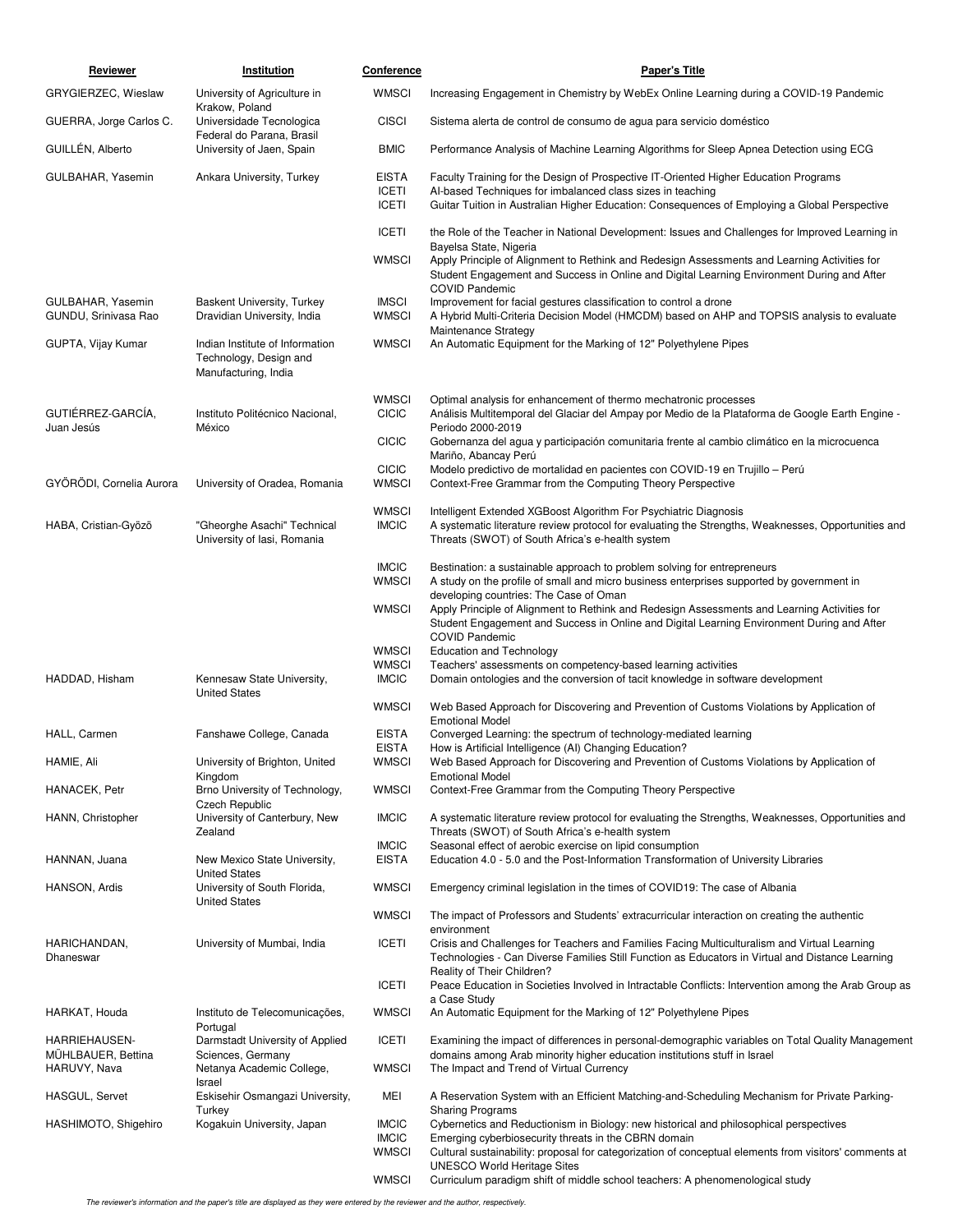| <b>Reviewer</b>                                     | <b>Institution</b>                                                                | <b>Conference</b>                            | <b>Paper's Title</b>                                                                                                                                                                                                                                                                                              |
|-----------------------------------------------------|-----------------------------------------------------------------------------------|----------------------------------------------|-------------------------------------------------------------------------------------------------------------------------------------------------------------------------------------------------------------------------------------------------------------------------------------------------------------------|
| GRYGIERZEC, Wieslaw                                 | University of Agriculture in                                                      | <b>WMSCI</b>                                 | Increasing Engagement in Chemistry by WebEx Online Learning during a COVID-19 Pandemic                                                                                                                                                                                                                            |
| GUERRA, Jorge Carlos C.                             | Krakow, Poland<br>Universidade Tecnologica                                        | <b>CISCI</b>                                 | Sistema alerta de control de consumo de agua para servicio doméstico                                                                                                                                                                                                                                              |
| GUILLÉN, Alberto                                    | Federal do Parana, Brasil<br>University of Jaen, Spain                            | <b>BMIC</b>                                  | Performance Analysis of Machine Learning Algorithms for Sleep Apnea Detection using ECG                                                                                                                                                                                                                           |
| GULBAHAR, Yasemin                                   | Ankara University, Turkey                                                         | <b>EISTA</b><br><b>ICETI</b><br><b>ICETI</b> | Faculty Training for the Design of Prospective IT-Oriented Higher Education Programs<br>Al-based Techniques for imbalanced class sizes in teaching<br>Guitar Tuition in Australian Higher Education: Consequences of Employing a Global Perspective                                                               |
|                                                     |                                                                                   | <b>ICETI</b>                                 | the Role of the Teacher in National Development: Issues and Challenges for Improved Learning in                                                                                                                                                                                                                   |
|                                                     |                                                                                   | <b>WMSCI</b>                                 | Bayelsa State, Nigeria<br>Apply Principle of Alignment to Rethink and Redesign Assessments and Learning Activities for<br>Student Engagement and Success in Online and Digital Learning Environment During and After<br><b>COVID Pandemic</b>                                                                     |
| GULBAHAR, Yasemin<br>GUNDU, Srinivasa Rao           | Baskent University, Turkey<br>Dravidian University, India                         | <b>IMSCI</b><br><b>WMSCI</b>                 | Improvement for facial gestures classification to control a drone<br>A Hybrid Multi-Criteria Decision Model (HMCDM) based on AHP and TOPSIS analysis to evaluate                                                                                                                                                  |
| GUPTA, Vijay Kumar                                  | Indian Institute of Information<br>Technology, Design and<br>Manufacturing, India | <b>WMSCI</b>                                 | Maintenance Strategy<br>An Automatic Equipment for the Marking of 12" Polyethylene Pipes                                                                                                                                                                                                                          |
| GUTIÉRREZ-GARCÍA,<br>Juan Jesús                     | Instituto Politécnico Nacional,<br>México                                         | <b>WMSCI</b><br><b>CICIC</b><br><b>CICIC</b> | Optimal analysis for enhancement of thermo mechatronic processes<br>Análisis Multitemporal del Glaciar del Ampay por Medio de la Plataforma de Google Earth Engine -<br>Periodo 2000-2019<br>Gobernanza del agua y participación comunitaria frente al cambio climático en la microcuenca<br>Mariño, Abancay Perú |
| GYÖRÖDI, Cornelia Aurora                            | University of Oradea, Romania                                                     | <b>CICIC</b><br><b>WMSCI</b>                 | Modelo predictivo de mortalidad en pacientes con COVID-19 en Trujillo - Perú<br>Context-Free Grammar from the Computing Theory Perspective                                                                                                                                                                        |
| HABA, Cristian-Gyözö                                | "Gheorghe Asachi" Technical<br>University of Iasi, Romania                        | <b>WMSCI</b><br><b>IMCIC</b>                 | Intelligent Extended XGBoost Algorithm For Psychiatric Diagnosis<br>A systematic literature review protocol for evaluating the Strengths, Weaknesses, Opportunities and<br>Threats (SWOT) of South Africa's e-health system                                                                                       |
|                                                     |                                                                                   | <b>IMCIC</b><br><b>WMSCI</b>                 | Bestination: a sustainable approach to problem solving for entrepreneurs<br>A study on the profile of small and micro business enterprises supported by government in                                                                                                                                             |
|                                                     |                                                                                   | <b>WMSCI</b>                                 | developing countries: The Case of Oman<br>Apply Principle of Alignment to Rethink and Redesign Assessments and Learning Activities for<br>Student Engagement and Success in Online and Digital Learning Environment During and After<br><b>COVID Pandemic</b>                                                     |
|                                                     |                                                                                   | <b>WMSCI</b>                                 | <b>Education and Technology</b>                                                                                                                                                                                                                                                                                   |
| HADDAD, Hisham                                      | Kennesaw State University,                                                        | <b>WMSCI</b><br><b>IMCIC</b>                 | Teachers' assessments on competency-based learning activities<br>Domain ontologies and the conversion of tacit knowledge in software development                                                                                                                                                                  |
|                                                     | <b>United States</b>                                                              | <b>WMSCI</b>                                 | Web Based Approach for Discovering and Prevention of Customs Violations by Application of                                                                                                                                                                                                                         |
| HALL, Carmen                                        | Fanshawe College, Canada                                                          | <b>EISTA</b>                                 | <b>Emotional Model</b><br>Converged Learning: the spectrum of technology-mediated learning                                                                                                                                                                                                                        |
| HAMIE, Ali                                          | University of Brighton, United                                                    | <b>EISTA</b><br>WMSCI                        | How is Artificial Intelligence (AI) Changing Education?<br>Web Based Approach for Discovering and Prevention of Customs Violations by Application of                                                                                                                                                              |
| HANACEK, Petr                                       | Kingdom<br>Brno University of Technology,                                         | <b>WMSCI</b>                                 | <b>Emotional Model</b><br>Context-Free Grammar from the Computing Theory Perspective                                                                                                                                                                                                                              |
| HANN, Christopher                                   | <b>Czech Republic</b><br>University of Canterbury, New<br>Zealand                 | <b>IMCIC</b>                                 | A systematic literature review protocol for evaluating the Strengths, Weaknesses, Opportunities and<br>Threats (SWOT) of South Africa's e-health system                                                                                                                                                           |
| HANNAN, Juana                                       | New Mexico State University,                                                      | <b>IMCIC</b><br><b>EISTA</b>                 | Seasonal effect of aerobic exercise on lipid consumption<br>Education 4.0 - 5.0 and the Post-Information Transformation of University Libraries                                                                                                                                                                   |
| HANSON, Ardis                                       | <b>United States</b><br>University of South Florida,                              | <b>WMSCI</b>                                 | Emergency criminal legislation in the times of COVID19: The case of Albania                                                                                                                                                                                                                                       |
|                                                     | <b>United States</b>                                                              | <b>WMSCI</b>                                 | The impact of Professors and Students' extracurricular interaction on creating the authentic<br>environment                                                                                                                                                                                                       |
| HARICHANDAN,<br>Dhaneswar                           | University of Mumbai, India                                                       | <b>ICETI</b>                                 | Crisis and Challenges for Teachers and Families Facing Multiculturalism and Virtual Learning<br>Technologies - Can Diverse Families Still Function as Educators in Virtual and Distance Learning<br>Reality of Their Children?                                                                                    |
|                                                     |                                                                                   | <b>ICETI</b>                                 | Peace Education in Societies Involved in Intractable Conflicts: Intervention among the Arab Group as                                                                                                                                                                                                              |
| HARKAT, Houda                                       | Instituto de Telecomunicações,<br>Portugal                                        | <b>WMSCI</b>                                 | a Case Study<br>An Automatic Equipment for the Marking of 12" Polyethylene Pipes                                                                                                                                                                                                                                  |
| HARRIEHAUSEN-<br>MUHLBAUER, Bettina<br>HARUVY, Nava | Darmstadt University of Applied<br>Sciences, Germany                              | <b>ICETI</b><br><b>WMSCI</b>                 | Examining the impact of differences in personal-demographic variables on Total Quality Management<br>domains among Arab minority higher education institutions stuff in Israel                                                                                                                                    |
| HASGUL, Servet                                      | Netanya Academic College,<br>Israel<br>Eskisehir Osmangazi University,            | MEI                                          | The Impact and Trend of Virtual Currency<br>A Reservation System with an Efficient Matching-and-Scheduling Mechanism for Private Parking-                                                                                                                                                                         |
| HASHIMOTO, Shigehiro                                | Turkey<br>Kogakuin University, Japan                                              | <b>IMCIC</b>                                 | <b>Sharing Programs</b><br>Cybernetics and Reductionism in Biology: new historical and philosophical perspectives                                                                                                                                                                                                 |
|                                                     |                                                                                   | <b>IMCIC</b><br><b>WMSCI</b>                 | Emerging cyberbiosecurity threats in the CBRN domain<br>Cultural sustainability: proposal for categorization of conceptual elements from visitors' comments at                                                                                                                                                    |
|                                                     |                                                                                   | <b>WMSCI</b>                                 | <b>UNESCO World Heritage Sites</b><br>Curriculum paradigm shift of middle school teachers: A phenomenological study                                                                                                                                                                                               |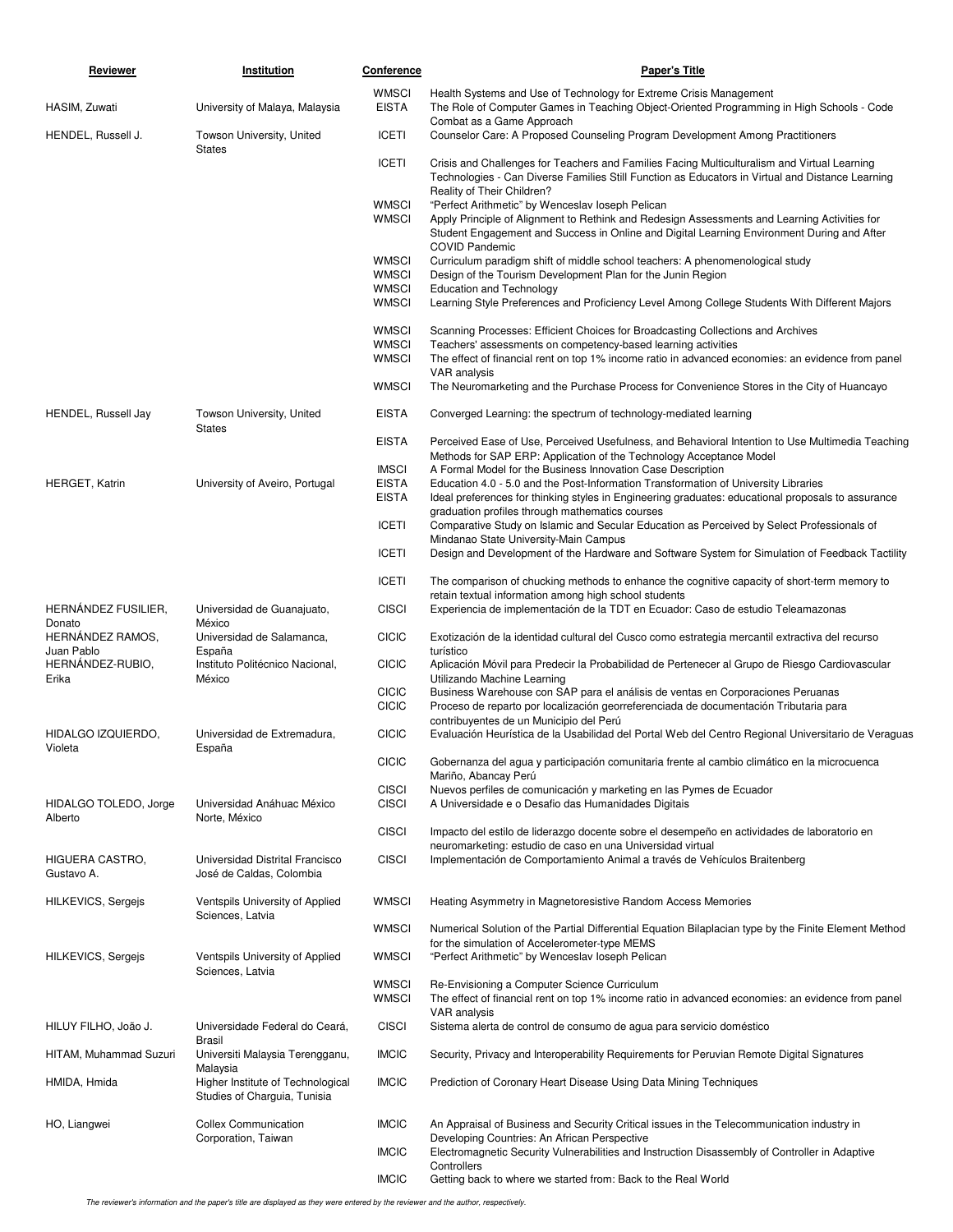| Reviewer                         | Institution                                                       | Conference                   | <b>Paper's Title</b>                                                                                                                                                                                                                           |
|----------------------------------|-------------------------------------------------------------------|------------------------------|------------------------------------------------------------------------------------------------------------------------------------------------------------------------------------------------------------------------------------------------|
| HASIM, Zuwati                    | University of Malaya, Malaysia                                    | <b>WMSCI</b><br><b>EISTA</b> | Health Systems and Use of Technology for Extreme Crisis Management<br>The Role of Computer Games in Teaching Object-Oriented Programming in High Schools - Code<br>Combat as a Game Approach                                                   |
| HENDEL, Russell J.               | Towson University, United                                         | <b>ICETI</b>                 | Counselor Care: A Proposed Counseling Program Development Among Practitioners                                                                                                                                                                  |
|                                  | <b>States</b>                                                     | <b>ICETI</b>                 | Crisis and Challenges for Teachers and Families Facing Multiculturalism and Virtual Learning<br>Technologies - Can Diverse Families Still Function as Educators in Virtual and Distance Learning<br>Reality of Their Children?                 |
|                                  |                                                                   | <b>WMSCI</b><br><b>WMSCI</b> | "Perfect Arithmetic" by Wenceslav loseph Pelican<br>Apply Principle of Alignment to Rethink and Redesign Assessments and Learning Activities for<br>Student Engagement and Success in Online and Digital Learning Environment During and After |
|                                  |                                                                   | <b>WMSCI</b><br><b>WMSCI</b> | <b>COVID Pandemic</b><br>Curriculum paradigm shift of middle school teachers: A phenomenological study<br>Design of the Tourism Development Plan for the Junin Region                                                                          |
|                                  |                                                                   | <b>WMSCI</b><br><b>WMSCI</b> | <b>Education and Technology</b><br>Learning Style Preferences and Proficiency Level Among College Students With Different Majors                                                                                                               |
|                                  |                                                                   | <b>WMSCI</b><br><b>WMSCI</b> | Scanning Processes: Efficient Choices for Broadcasting Collections and Archives<br>Teachers' assessments on competency-based learning activities                                                                                               |
|                                  |                                                                   | <b>WMSCI</b><br><b>WMSCI</b> | The effect of financial rent on top 1% income ratio in advanced economies: an evidence from panel<br><b>VAR</b> analysis<br>The Neuromarketing and the Purchase Process for Convenience Stores in the City of Huancayo                         |
| HENDEL, Russell Jay              | Towson University, United                                         | <b>EISTA</b>                 | Converged Learning: the spectrum of technology-mediated learning                                                                                                                                                                               |
|                                  | <b>States</b>                                                     | <b>EISTA</b>                 | Perceived Ease of Use, Perceived Usefulness, and Behavioral Intention to Use Multimedia Teaching                                                                                                                                               |
|                                  |                                                                   | <b>IMSCI</b>                 | Methods for SAP ERP: Application of the Technology Acceptance Model<br>A Formal Model for the Business Innovation Case Description                                                                                                             |
| <b>HERGET, Katrin</b>            | University of Aveiro, Portugal                                    | <b>EISTA</b>                 | Education 4.0 - 5.0 and the Post-Information Transformation of University Libraries                                                                                                                                                            |
|                                  |                                                                   | <b>EISTA</b>                 | Ideal preferences for thinking styles in Engineering graduates: educational proposals to assurance<br>graduation profiles through mathematics courses                                                                                          |
|                                  |                                                                   | <b>ICETI</b>                 | Comparative Study on Islamic and Secular Education as Perceived by Select Professionals of                                                                                                                                                     |
|                                  |                                                                   | <b>ICETI</b>                 | Mindanao State University-Main Campus<br>Design and Development of the Hardware and Software System for Simulation of Feedback Tactility                                                                                                       |
|                                  |                                                                   | <b>ICETI</b>                 | The comparison of chucking methods to enhance the cognitive capacity of short-term memory to<br>retain textual information among high school students                                                                                          |
| HERNÁNDEZ FUSILIER,<br>Donato    | Universidad de Guanajuato,<br>México                              | <b>CISCI</b>                 | Experiencia de implementación de la TDT en Ecuador: Caso de estudio Teleamazonas                                                                                                                                                               |
| HERNANDEZ RAMOS,<br>Juan Pablo   | Universidad de Salamanca,<br>España                               | <b>CICIC</b>                 | Exotización de la identidad cultural del Cusco como estrategia mercantil extractiva del recurso<br>turístico                                                                                                                                   |
| HERNÁNDEZ-RUBIO,<br>Erika        | Instituto Politécnico Nacional,<br>México                         | <b>CICIC</b>                 | Aplicación Móvil para Predecir la Probabilidad de Pertenecer al Grupo de Riesgo Cardiovascular<br>Utilizando Machine Learning                                                                                                                  |
|                                  |                                                                   | <b>CICIC</b><br><b>CICIC</b> | Business Warehouse con SAP para el análisis de ventas en Corporaciones Peruanas<br>Proceso de reparto por localización georreferenciada de documentación Tributaria para                                                                       |
| HIDALGO IZQUIERDO,<br>Violeta    | Universidad de Extremadura,<br>España                             | <b>CICIC</b>                 | contribuyentes de un Municipio del Perú<br>Evaluación Heurística de la Usabilidad del Portal Web del Centro Regional Universitario de Veraguas                                                                                                 |
|                                  |                                                                   | CICIC                        | Gobernanza del agua y participación comunitaria frente al cambio climático en la microcuenca<br>Mariño, Abancay Perú                                                                                                                           |
| HIDALGO TOLEDO, Jorge<br>Alberto | Universidad Anáhuac México<br>Norte, México                       | <b>CISCI</b><br><b>CISCI</b> | Nuevos perfiles de comunicación y marketing en las Pymes de Ecuador<br>A Universidade e o Desafio das Humanidades Digitais                                                                                                                     |
|                                  |                                                                   | <b>CISCI</b>                 | Impacto del estilo de liderazgo docente sobre el desempeño en actividades de laboratorio en<br>neuromarketing: estudio de caso en una Universidad virtual                                                                                      |
| HIGUERA CASTRO,<br>Gustavo A.    | Universidad Distrital Francisco<br>José de Caldas, Colombia       | <b>CISCI</b>                 | Implementación de Comportamiento Animal a través de Vehículos Braitenberg                                                                                                                                                                      |
| HILKEVICS, Sergejs               | Ventspils University of Applied<br>Sciences, Latvia               | <b>WMSCI</b>                 | Heating Asymmetry in Magnetoresistive Random Access Memories                                                                                                                                                                                   |
|                                  |                                                                   | <b>WMSCI</b>                 | Numerical Solution of the Partial Differential Equation Bilaplacian type by the Finite Element Method<br>for the simulation of Accelerometer-type MEMS                                                                                         |
| <b>HILKEVICS, Sergejs</b>        | Ventspils University of Applied<br>Sciences, Latvia               | <b>WMSCI</b>                 | "Perfect Arithmetic" by Wenceslav loseph Pelican                                                                                                                                                                                               |
|                                  |                                                                   | <b>WMSCI</b><br><b>WMSCI</b> | Re-Envisioning a Computer Science Curriculum<br>The effect of financial rent on top 1% income ratio in advanced economies: an evidence from panel<br><b>VAR</b> analysis                                                                       |
| HILUY FILHO, João J.             | Universidade Federal do Ceará,<br>Brasil                          | <b>CISCI</b>                 | Sistema alerta de control de consumo de agua para servicio doméstico                                                                                                                                                                           |
| HITAM, Muhammad Suzuri           | Universiti Malaysia Terengganu,<br>Malaysia                       | <b>IMCIC</b>                 | Security, Privacy and Interoperability Requirements for Peruvian Remote Digital Signatures                                                                                                                                                     |
| HMIDA, Hmida                     | Higher Institute of Technological<br>Studies of Charguia, Tunisia | <b>IMCIC</b>                 | Prediction of Coronary Heart Disease Using Data Mining Techniques                                                                                                                                                                              |
| HO, Liangwei                     | <b>Collex Communication</b>                                       | <b>IMCIC</b>                 | An Appraisal of Business and Security Critical issues in the Telecommunication industry in                                                                                                                                                     |
|                                  | Corporation, Taiwan                                               | <b>IMCIC</b>                 | Developing Countries: An African Perspective<br>Electromagnetic Security Vulnerabilities and Instruction Disassembly of Controller in Adaptive<br>Controllers                                                                                  |
|                                  |                                                                   | <b>IMCIC</b>                 | Getting back to where we started from: Back to the Real World                                                                                                                                                                                  |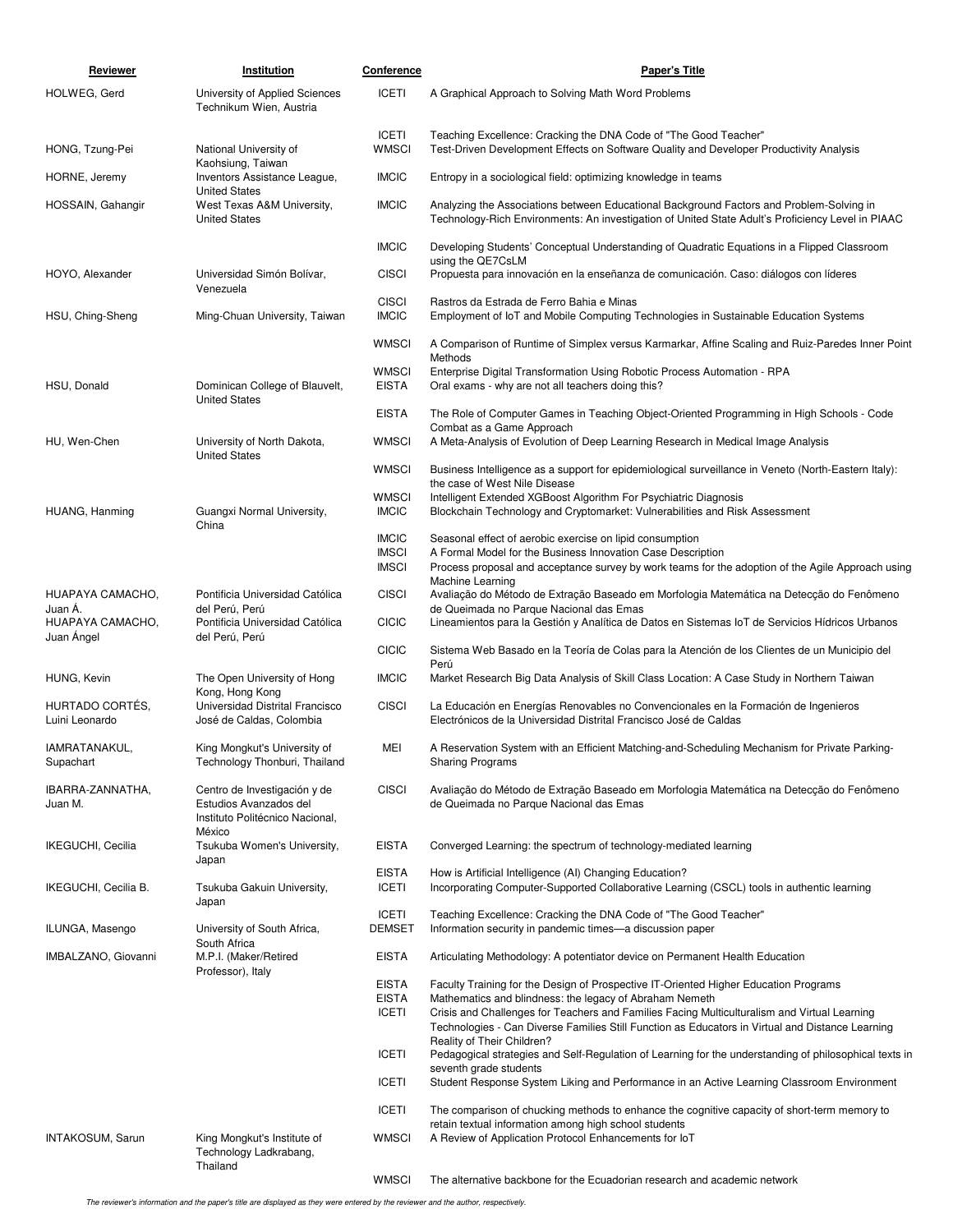| Reviewer                          | Institution                                                                                         | Conference                    | <b>Paper's Title</b>                                                                                                                                                                                                                                        |
|-----------------------------------|-----------------------------------------------------------------------------------------------------|-------------------------------|-------------------------------------------------------------------------------------------------------------------------------------------------------------------------------------------------------------------------------------------------------------|
| HOLWEG, Gerd                      | University of Applied Sciences<br>Technikum Wien, Austria                                           | ICETI                         | A Graphical Approach to Solving Math Word Problems                                                                                                                                                                                                          |
| HONG, Tzung-Pei                   | National University of                                                                              | <b>ICETI</b><br><b>WMSCI</b>  | Teaching Excellence: Cracking the DNA Code of "The Good Teacher"<br>Test-Driven Development Effects on Software Quality and Developer Productivity Analysis                                                                                                 |
| HORNE, Jeremy                     | Kaohsiung, Taiwan<br>Inventors Assistance League,                                                   | <b>IMCIC</b>                  | Entropy in a sociological field: optimizing knowledge in teams                                                                                                                                                                                              |
| HOSSAIN, Gahangir                 | <b>United States</b><br>West Texas A&M University,<br><b>United States</b>                          | <b>IMCIC</b>                  | Analyzing the Associations between Educational Background Factors and Problem-Solving in<br>Technology-Rich Environments: An investigation of United State Adult's Proficiency Level in PIAAC                                                               |
|                                   |                                                                                                     | <b>IMCIC</b>                  | Developing Students' Conceptual Understanding of Quadratic Equations in a Flipped Classroom<br>using the QE7CsLM                                                                                                                                            |
| HOYO, Alexander                   | Universidad Simón Bolívar,<br>Venezuela                                                             | <b>CISCI</b>                  | Propuesta para innovación en la enseñanza de comunicación. Caso: diálogos con líderes                                                                                                                                                                       |
| HSU, Ching-Sheng                  | Ming-Chuan University, Taiwan                                                                       | <b>CISCI</b><br><b>IMCIC</b>  | Rastros da Estrada de Ferro Bahia e Minas<br>Employment of IoT and Mobile Computing Technologies in Sustainable Education Systems                                                                                                                           |
|                                   |                                                                                                     | <b>WMSCI</b>                  | A Comparison of Runtime of Simplex versus Karmarkar, Affine Scaling and Ruiz-Paredes Inner Point<br>Methods                                                                                                                                                 |
| HSU, Donald                       | Dominican College of Blauvelt,<br><b>United States</b>                                              | <b>WMSCI</b><br><b>EISTA</b>  | Enterprise Digital Transformation Using Robotic Process Automation - RPA<br>Oral exams - why are not all teachers doing this?                                                                                                                               |
|                                   |                                                                                                     | <b>EISTA</b>                  | The Role of Computer Games in Teaching Object-Oriented Programming in High Schools - Code<br>Combat as a Game Approach                                                                                                                                      |
| HU, Wen-Chen                      | University of North Dakota,<br><b>United States</b>                                                 | WMSCI                         | A Meta-Analysis of Evolution of Deep Learning Research in Medical Image Analysis                                                                                                                                                                            |
|                                   |                                                                                                     | <b>WMSCI</b>                  | Business Intelligence as a support for epidemiological surveillance in Veneto (North-Eastern Italy):<br>the case of West Nile Disease                                                                                                                       |
| HUANG, Hanming                    | Guangxi Normal University,                                                                          | <b>WMSCI</b><br><b>IMCIC</b>  | Intelligent Extended XGBoost Algorithm For Psychiatric Diagnosis<br>Blockchain Technology and Cryptomarket: Vulnerabilities and Risk Assessment                                                                                                             |
|                                   | China                                                                                               |                               |                                                                                                                                                                                                                                                             |
|                                   |                                                                                                     | <b>IMCIC</b><br><b>IMSCI</b>  | Seasonal effect of aerobic exercise on lipid consumption<br>A Formal Model for the Business Innovation Case Description                                                                                                                                     |
|                                   |                                                                                                     | <b>IMSCI</b>                  | Process proposal and acceptance survey by work teams for the adoption of the Agile Approach using                                                                                                                                                           |
| HUAPAYA CAMACHO,                  | Pontificia Universidad Católica                                                                     | <b>CISCI</b>                  | Machine Learning<br>Avaliação do Método de Extração Baseado em Morfologia Matemática na Detecção do Fenômeno                                                                                                                                                |
| Juan Á.<br>HUAPAYA CAMACHO,       | del Perú, Perú<br>Pontificia Universidad Católica                                                   | <b>CICIC</b>                  | de Queimada no Parque Nacional das Emas<br>Lineamientos para la Gestión y Analítica de Datos en Sistemas IoT de Servicios Hídricos Urbanos                                                                                                                  |
| Juan Angel                        | del Perú, Perú                                                                                      | <b>CICIC</b>                  | Sistema Web Basado en la Teoría de Colas para la Atención de los Clientes de un Municipio del                                                                                                                                                               |
|                                   |                                                                                                     |                               | Perú                                                                                                                                                                                                                                                        |
| HUNG, Kevin                       | The Open University of Hong<br>Kong, Hong Kong                                                      | <b>IMCIC</b>                  | Market Research Big Data Analysis of Skill Class Location: A Case Study in Northern Taiwan                                                                                                                                                                  |
| HURTADO CORTÉS,<br>Luini Leonardo | Universidad Distrital Francisco<br>José de Caldas, Colombia                                         | <b>CISCI</b>                  | La Educación en Energías Renovables no Convencionales en la Formación de Ingenieros<br>Electrónicos de la Universidad Distrital Francisco José de Caldas                                                                                                    |
| IAMRATANAKUL,<br>Supachart        | King Mongkut's University of<br>Technology Thonburi, Thailand                                       | MEI                           | A Reservation System with an Efficient Matching-and-Scheduling Mechanism for Private Parking-<br><b>Sharing Programs</b>                                                                                                                                    |
| IBARRA-ZANNATHA,<br>Juan M.       | Centro de Investigación y de<br>Estudios Avanzados del<br>Instituto Politécnico Nacional,<br>México | <b>CISCI</b>                  | Avaliação do Método de Extração Baseado em Morfologia Matemática na Detecção do Fenômeno<br>de Queimada no Parque Nacional das Emas                                                                                                                         |
| IKEGUCHI, Cecilia                 | Tsukuba Women's University,<br>Japan                                                                | <b>EISTA</b>                  | Converged Learning: the spectrum of technology-mediated learning                                                                                                                                                                                            |
| IKEGUCHI, Cecilia B.              | Tsukuba Gakuin University,                                                                          | <b>EISTA</b><br><b>ICETI</b>  | How is Artificial Intelligence (AI) Changing Education?<br>Incorporating Computer-Supported Collaborative Learning (CSCL) tools in authentic learning                                                                                                       |
|                                   | Japan                                                                                               |                               |                                                                                                                                                                                                                                                             |
| ILUNGA, Masengo                   | University of South Africa,<br>South Africa                                                         | <b>ICETI</b><br><b>DEMSET</b> | Teaching Excellence: Cracking the DNA Code of "The Good Teacher"<br>Information security in pandemic times—a discussion paper                                                                                                                               |
| IMBALZANO, Giovanni               | M.P.I. (Maker/Retired<br>Professor), Italy                                                          | <b>EISTA</b>                  | Articulating Methodology: A potentiator device on Permanent Health Education                                                                                                                                                                                |
|                                   |                                                                                                     | <b>EISTA</b>                  | Faculty Training for the Design of Prospective IT-Oriented Higher Education Programs                                                                                                                                                                        |
|                                   |                                                                                                     | <b>EISTA</b><br><b>ICETI</b>  | Mathematics and blindness: the legacy of Abraham Nemeth<br>Crisis and Challenges for Teachers and Families Facing Multiculturalism and Virtual Learning<br>Technologies - Can Diverse Families Still Function as Educators in Virtual and Distance Learning |
|                                   |                                                                                                     | <b>ICETI</b>                  | Reality of Their Children?<br>Pedagogical strategies and Self-Regulation of Learning for the understanding of philosophical texts in                                                                                                                        |
|                                   |                                                                                                     | <b>ICETI</b>                  | seventh grade students<br>Student Response System Liking and Performance in an Active Learning Classroom Environment                                                                                                                                        |
|                                   |                                                                                                     | <b>ICETI</b>                  | The comparison of chucking methods to enhance the cognitive capacity of short-term memory to                                                                                                                                                                |
| INTAKOSUM, Sarun                  | King Mongkut's Institute of<br>Technology Ladkrabang,                                               | <b>WMSCI</b>                  | retain textual information among high school students<br>A Review of Application Protocol Enhancements for IoT                                                                                                                                              |
|                                   | Thailand                                                                                            | <b>WMSCI</b>                  | The alternative backbone for the Ecuadorian research and academic network                                                                                                                                                                                   |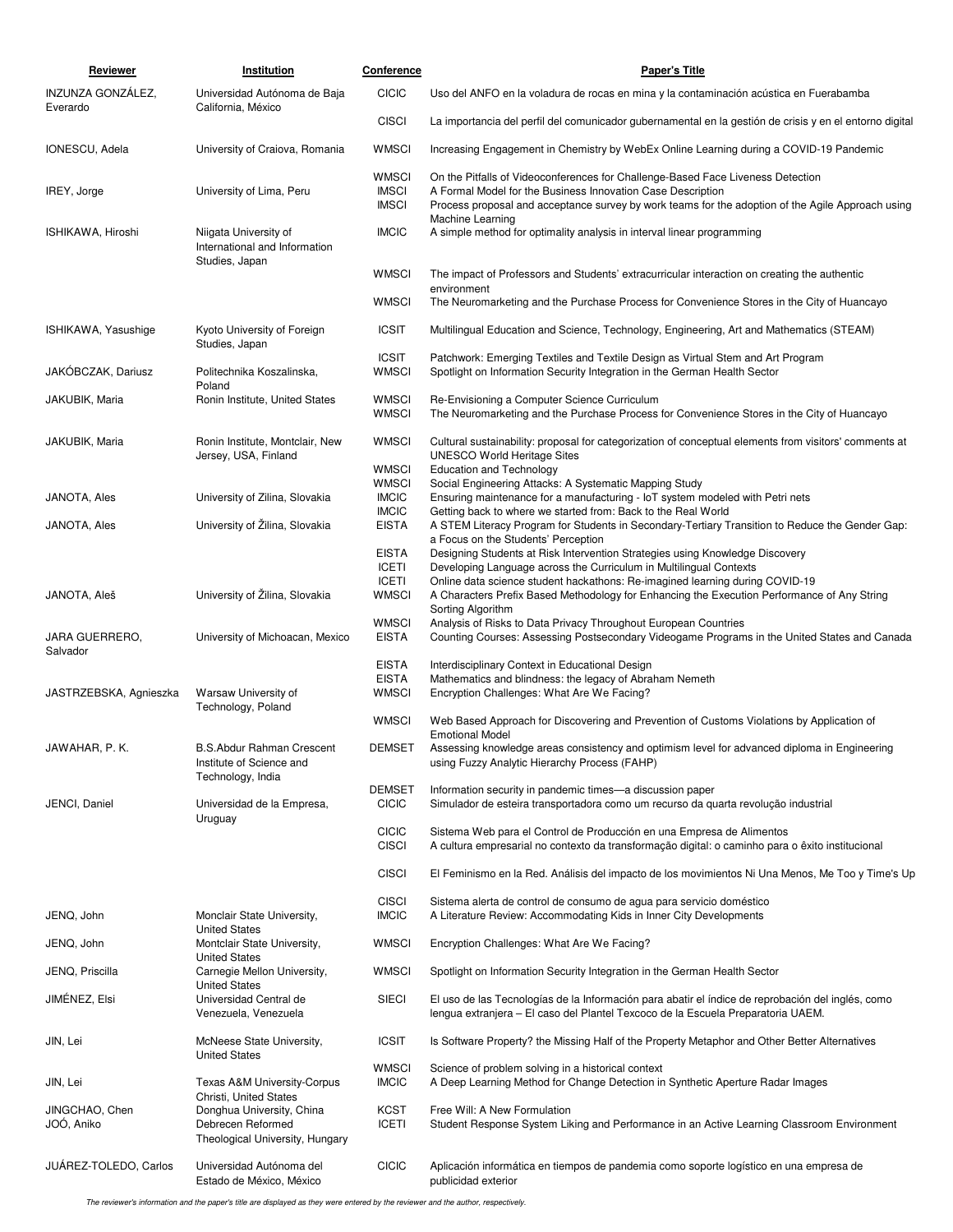| Reviewer                      | <b>Institution</b>                                                                                          | Conference                                   | <b>Paper's Title</b>                                                                                                                                                                                                                                                    |
|-------------------------------|-------------------------------------------------------------------------------------------------------------|----------------------------------------------|-------------------------------------------------------------------------------------------------------------------------------------------------------------------------------------------------------------------------------------------------------------------------|
| INZUNZA GONZÁLEZ,<br>Everardo | Universidad Autónoma de Baja<br>California, México                                                          | <b>CICIC</b>                                 | Uso del ANFO en la voladura de rocas en mina y la contaminación acústica en Fuerabamba                                                                                                                                                                                  |
|                               |                                                                                                             | <b>CISCI</b>                                 | La importancia del perfil del comunicador gubernamental en la gestión de crisis y en el entorno digital                                                                                                                                                                 |
| IONESCU, Adela                | University of Craiova, Romania                                                                              | <b>WMSCI</b>                                 | Increasing Engagement in Chemistry by WebEx Online Learning during a COVID-19 Pandemic                                                                                                                                                                                  |
| IREY, Jorge                   | University of Lima, Peru                                                                                    | <b>WMSCI</b><br><b>IMSCI</b><br><b>IMSCI</b> | On the Pitfalls of Videoconferences for Challenge-Based Face Liveness Detection<br>A Formal Model for the Business Innovation Case Description<br>Process proposal and acceptance survey by work teams for the adoption of the Agile Approach using<br>Machine Learning |
| ISHIKAWA, Hiroshi             | Niigata University of<br>International and Information                                                      | <b>IMCIC</b>                                 | A simple method for optimality analysis in interval linear programming                                                                                                                                                                                                  |
|                               | Studies, Japan                                                                                              | <b>WMSCI</b>                                 | The impact of Professors and Students' extracurricular interaction on creating the authentic<br>environment                                                                                                                                                             |
|                               |                                                                                                             | <b>WMSCI</b>                                 | The Neuromarketing and the Purchase Process for Convenience Stores in the City of Huancayo                                                                                                                                                                              |
| ISHIKAWA, Yasushige           | Kyoto University of Foreign<br>Studies, Japan                                                               | <b>ICSIT</b>                                 | Multilingual Education and Science, Technology, Engineering, Art and Mathematics (STEAM)                                                                                                                                                                                |
| JAKÓBCZAK, Dariusz            | Politechnika Koszalinska,<br>Poland                                                                         | <b>ICSIT</b><br><b>WMSCI</b>                 | Patchwork: Emerging Textiles and Textile Design as Virtual Stem and Art Program<br>Spotlight on Information Security Integration in the German Health Sector                                                                                                            |
| JAKUBIK, Maria                | Ronin Institute, United States                                                                              | <b>WMSCI</b><br><b>WMSCI</b>                 | Re-Envisioning a Computer Science Curriculum<br>The Neuromarketing and the Purchase Process for Convenience Stores in the City of Huancayo                                                                                                                              |
| JAKUBIK, Maria                | Ronin Institute, Montclair, New<br>Jersey, USA, Finland                                                     | <b>WMSCI</b>                                 | Cultural sustainability: proposal for categorization of conceptual elements from visitors' comments at<br><b>UNESCO World Heritage Sites</b>                                                                                                                            |
|                               |                                                                                                             | <b>WMSCI</b><br><b>WMSCI</b>                 | <b>Education and Technology</b><br>Social Engineering Attacks: A Systematic Mapping Study                                                                                                                                                                               |
| JANOTA, Ales                  | University of Zilina, Slovakia                                                                              | <b>IMCIC</b>                                 | Ensuring maintenance for a manufacturing - IoT system modeled with Petri nets                                                                                                                                                                                           |
| JANOTA, Ales                  | University of Zilina, Slovakia                                                                              | <b>IMCIC</b><br><b>EISTA</b>                 | Getting back to where we started from: Back to the Real World<br>A STEM Literacy Program for Students in Secondary-Tertiary Transition to Reduce the Gender Gap:                                                                                                        |
|                               |                                                                                                             |                                              | a Focus on the Students' Perception                                                                                                                                                                                                                                     |
|                               |                                                                                                             | <b>EISTA</b><br><b>ICETI</b>                 | Designing Students at Risk Intervention Strategies using Knowledge Discovery<br>Developing Language across the Curriculum in Multilingual Contexts                                                                                                                      |
| JANOTA, Aleš                  | University of Žilina, Slovakia                                                                              | <b>ICETI</b><br><b>WMSCI</b>                 | Online data science student hackathons: Re-imagined learning during COVID-19<br>A Characters Prefix Based Methodology for Enhancing the Execution Performance of Any String<br>Sorting Algorithm                                                                        |
| JARA GUERRERO,                | University of Michoacan, Mexico                                                                             | <b>WMSCI</b><br><b>EISTA</b>                 | Analysis of Risks to Data Privacy Throughout European Countries<br>Counting Courses: Assessing Postsecondary Videogame Programs in the United States and Canada                                                                                                         |
| Salvador                      |                                                                                                             | <b>EISTA</b>                                 | Interdisciplinary Context in Educational Design                                                                                                                                                                                                                         |
| JASTRZEBSKA, Agnieszka        | Warsaw University of                                                                                        | <b>EISTA</b><br><b>WMSCI</b>                 | Mathematics and blindness: the legacy of Abraham Nemeth<br>Encryption Challenges: What Are We Facing?                                                                                                                                                                   |
|                               | Technology, Poland                                                                                          | <b>WMSCI</b>                                 | Web Based Approach for Discovering and Prevention of Customs Violations by Application of<br><b>Emotional Model</b>                                                                                                                                                     |
| JAWAHAR, P. K.                | <b>B.S.Abdur Rahman Crescent</b><br>Institute of Science and<br>Technology, India                           | <b>DEMSET</b>                                | Assessing knowledge areas consistency and optimism level for advanced diploma in Engineering<br>using Fuzzy Analytic Hierarchy Process (FAHP)                                                                                                                           |
| JENCI, Daniel                 | Universidad de la Empresa,<br>Uruguay                                                                       | <b>DEMSET</b><br><b>CICIC</b>                | Information security in pandemic times—a discussion paper<br>Simulador de esteira transportadora como um recurso da quarta revolução industrial                                                                                                                         |
|                               |                                                                                                             | <b>CICIC</b><br><b>CISCI</b>                 | Sistema Web para el Control de Producción en una Empresa de Alimentos<br>A cultura empresarial no contexto da transformação digital: o caminho para o êxito institucional                                                                                               |
|                               |                                                                                                             | <b>CISCI</b>                                 | El Feminismo en la Red. Análisis del impacto de los movimientos Ni Una Menos, Me Too y Time's Up                                                                                                                                                                        |
| JENQ, John                    | Monclair State University,                                                                                  | <b>CISCI</b><br><b>IMCIC</b>                 | Sistema alerta de control de consumo de agua para servicio doméstico<br>A Literature Review: Accommodating Kids in Inner City Developments                                                                                                                              |
| JENQ, John                    | <b>United States</b><br>Montclair State University,                                                         | <b>WMSCI</b>                                 | Encryption Challenges: What Are We Facing?                                                                                                                                                                                                                              |
| JENQ, Priscilla               | <b>United States</b><br>Carnegie Mellon University,<br><b>United States</b>                                 | <b>WMSCI</b>                                 | Spotlight on Information Security Integration in the German Health Sector                                                                                                                                                                                               |
| JIMENEZ, Elsi                 | Universidad Central de<br>Venezuela, Venezuela                                                              | <b>SIECI</b>                                 | El uso de las Tecnologías de la Información para abatir el índice de reprobación del inglés, como<br>lengua extranjera – El caso del Plantel Texcoco de la Escuela Preparatoria UAEM.                                                                                   |
| JIN, Lei                      | McNeese State University,<br><b>United States</b>                                                           | <b>ICSIT</b>                                 | Is Software Property? the Missing Half of the Property Metaphor and Other Better Alternatives                                                                                                                                                                           |
| JIN, Lei                      | <b>Texas A&amp;M University-Corpus</b>                                                                      | <b>WMSCI</b><br><b>IMCIC</b>                 | Science of problem solving in a historical context<br>A Deep Learning Method for Change Detection in Synthetic Aperture Radar Images                                                                                                                                    |
| JINGCHAO, Chen<br>JOO, Aniko  | Christi, United States<br>Donghua University, China<br>Debrecen Reformed<br>Theological University, Hungary | <b>KCST</b><br><b>ICETI</b>                  | Free Will: A New Formulation<br>Student Response System Liking and Performance in an Active Learning Classroom Environment                                                                                                                                              |
| JUÁREZ-TOLEDO, Carlos         | Universidad Autónoma del<br>Estado de México, México                                                        | <b>CICIC</b>                                 | Aplicación informática en tiempos de pandemia como soporte logístico en una empresa de<br>publicidad exterior                                                                                                                                                           |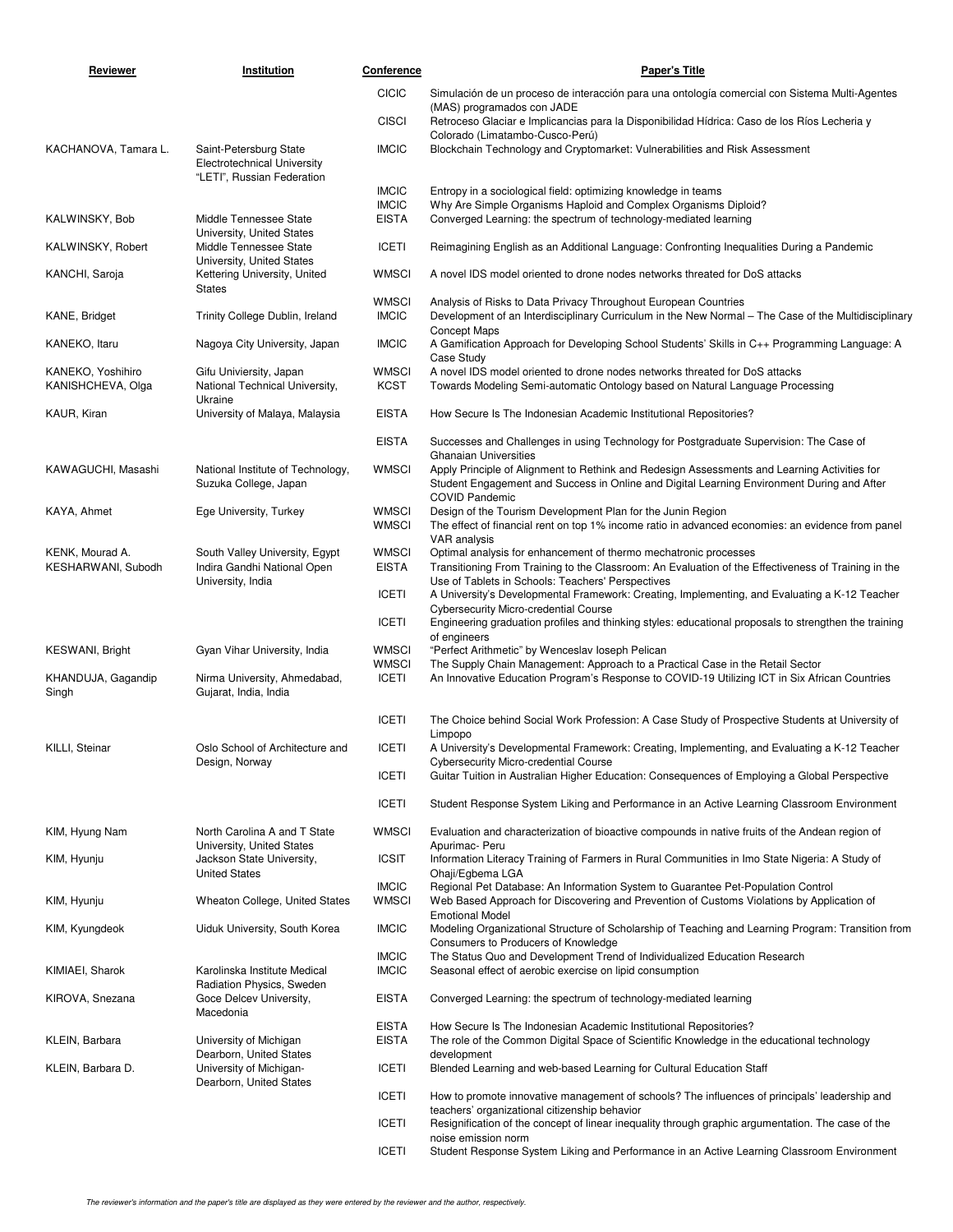| Reviewer                               | Institution                                                                         | Conference                   | <b>Paper's Title</b>                                                                                                                                                                                                         |
|----------------------------------------|-------------------------------------------------------------------------------------|------------------------------|------------------------------------------------------------------------------------------------------------------------------------------------------------------------------------------------------------------------------|
|                                        |                                                                                     | <b>CICIC</b>                 | Simulación de un proceso de interacción para una ontología comercial con Sistema Multi-Agentes                                                                                                                               |
|                                        |                                                                                     | <b>CISCI</b>                 | (MAS) programados con JADE<br>Retroceso Glaciar e Implicancias para la Disponibilidad Hídrica: Caso de los Ríos Lecheria y                                                                                                   |
| KACHANOVA, Tamara L.                   | Saint-Petersburg State<br>Electrotechnical University<br>"LETI", Russian Federation | <b>IMCIC</b>                 | Colorado (Limatambo-Cusco-Perú)<br>Blockchain Technology and Cryptomarket: Vulnerabilities and Risk Assessment                                                                                                               |
|                                        |                                                                                     | <b>IMCIC</b>                 | Entropy in a sociological field: optimizing knowledge in teams                                                                                                                                                               |
| KALWINSKY, Bob                         | Middle Tennessee State<br>University, United States                                 | <b>IMCIC</b><br><b>EISTA</b> | Why Are Simple Organisms Haploid and Complex Organisms Diploid?<br>Converged Learning: the spectrum of technology-mediated learning                                                                                          |
| KALWINSKY, Robert                      | Middle Tennessee State<br>University, United States                                 | <b>ICETI</b>                 | Reimagining English as an Additional Language: Confronting Inequalities During a Pandemic                                                                                                                                    |
| KANCHI, Saroja                         | Kettering University, United<br><b>States</b>                                       | <b>WMSCI</b>                 | A novel IDS model oriented to drone nodes networks threated for DoS attacks                                                                                                                                                  |
|                                        |                                                                                     | <b>WMSCI</b>                 | Analysis of Risks to Data Privacy Throughout European Countries                                                                                                                                                              |
| KANE, Bridget                          | Trinity College Dublin, Ireland                                                     | <b>IMCIC</b>                 | Development of an Interdisciplinary Curriculum in the New Normal - The Case of the Multidisciplinary<br><b>Concept Maps</b>                                                                                                  |
| KANEKO, Itaru                          | Nagoya City University, Japan                                                       | <b>IMCIC</b>                 | A Gamification Approach for Developing School Students' Skills in C++ Programming Language: A<br>Case Study                                                                                                                  |
| KANEKO, Yoshihiro<br>KANISHCHEVA, Olga | Gifu Univiersity, Japan<br>National Technical University,<br>Ukraine                | <b>WMSCI</b><br><b>KCST</b>  | A novel IDS model oriented to drone nodes networks threated for DoS attacks<br>Towards Modeling Semi-automatic Ontology based on Natural Language Processing                                                                 |
| KAUR, Kiran                            | University of Malaya, Malaysia                                                      | <b>EISTA</b>                 | How Secure Is The Indonesian Academic Institutional Repositories?                                                                                                                                                            |
|                                        |                                                                                     | <b>EISTA</b>                 | Successes and Challenges in using Technology for Postgraduate Supervision: The Case of<br><b>Ghanaian Universities</b>                                                                                                       |
| KAWAGUCHI, Masashi                     | National Institute of Technology,<br>Suzuka College, Japan                          | <b>WMSCI</b>                 | Apply Principle of Alignment to Rethink and Redesign Assessments and Learning Activities for<br>Student Engagement and Success in Online and Digital Learning Environment During and After<br><b>COVID Pandemic</b>          |
| KAYA, Ahmet                            | Ege University, Turkey                                                              | <b>WMSCI</b><br><b>WMSCI</b> | Design of the Tourism Development Plan for the Junin Region<br>The effect of financial rent on top 1% income ratio in advanced economies: an evidence from panel<br>VAR analysis                                             |
| KENK, Mourad A.<br>KESHARWANI, Subodh  | South Valley University, Egypt<br>Indira Gandhi National Open<br>University, India  | <b>WMSCI</b><br><b>EISTA</b> | Optimal analysis for enhancement of thermo mechatronic processes<br>Transitioning From Training to the Classroom: An Evaluation of the Effectiveness of Training in the<br>Use of Tablets in Schools: Teachers' Perspectives |
|                                        |                                                                                     | <b>ICETI</b>                 | A University's Developmental Framework: Creating, Implementing, and Evaluating a K-12 Teacher<br><b>Cybersecurity Micro-credential Course</b>                                                                                |
|                                        |                                                                                     | <b>ICETI</b>                 | Engineering graduation profiles and thinking styles: educational proposals to strengthen the training<br>of engineers                                                                                                        |
| KESWANI, Bright                        | Gyan Vihar University, India                                                        | <b>WMSCI</b><br><b>WMSCI</b> | "Perfect Arithmetic" by Wenceslav loseph Pelican<br>The Supply Chain Management: Approach to a Practical Case in the Retail Sector                                                                                           |
| KHANDUJA, Gagandip<br>Singh            | Nirma University, Ahmedabad,<br>Gujarat, India, India                               | <b>ICETI</b>                 | An Innovative Education Program's Response to COVID-19 Utilizing ICT in Six African Countries                                                                                                                                |
|                                        |                                                                                     | <b>ICETI</b>                 | The Choice behind Social Work Profession: A Case Study of Prospective Students at University of<br>Limpopo                                                                                                                   |
| KILLI, Steinar                         | Oslo School of Architecture and<br>Design, Norway                                   | <b>ICETI</b>                 | A University's Developmental Framework: Creating, Implementing, and Evaluating a K-12 Teacher<br>Cybersecurity Micro-credential Course                                                                                       |
|                                        |                                                                                     | <b>ICETI</b>                 | Guitar Tuition in Australian Higher Education: Conseguences of Employing a Global Perspective                                                                                                                                |
|                                        |                                                                                     | <b>ICETI</b>                 | Student Response System Liking and Performance in an Active Learning Classroom Environment                                                                                                                                   |
| KIM, Hyung Nam                         | North Carolina A and T State<br>University, United States                           | <b>WMSCI</b>                 | Evaluation and characterization of bioactive compounds in native fruits of the Andean region of<br>Apurimac- Peru                                                                                                            |
| KIM, Hyunju                            | Jackson State University,<br><b>United States</b>                                   | <b>ICSIT</b>                 | Information Literacy Training of Farmers in Rural Communities in Imo State Nigeria: A Study of<br>Ohaji/Egbema LGA                                                                                                           |
| KIM, Hyunju                            | Wheaton College, United States                                                      | <b>IMCIC</b><br><b>WMSCI</b> | Regional Pet Database: An Information System to Guarantee Pet-Population Control<br>Web Based Approach for Discovering and Prevention of Customs Violations by Application of                                                |
| KIM, Kyungdeok                         | Uiduk University, South Korea                                                       | <b>IMCIC</b>                 | <b>Emotional Model</b><br>Modeling Organizational Structure of Scholarship of Teaching and Learning Program: Transition from                                                                                                 |
|                                        |                                                                                     | <b>IMCIC</b>                 | Consumers to Producers of Knowledge<br>The Status Quo and Development Trend of Individualized Education Research                                                                                                             |
| KIMIAEI, Sharok                        | Karolinska Institute Medical<br>Radiation Physics, Sweden                           | <b>IMCIC</b>                 | Seasonal effect of aerobic exercise on lipid consumption                                                                                                                                                                     |
| KIROVA, Snezana                        | Goce Delcev University,<br>Macedonia                                                | <b>EISTA</b>                 | Converged Learning: the spectrum of technology-mediated learning                                                                                                                                                             |
| KLEIN, Barbara                         | University of Michigan                                                              | <b>EISTA</b><br><b>EISTA</b> | How Secure Is The Indonesian Academic Institutional Repositories?<br>The role of the Common Digital Space of Scientific Knowledge in the educational technology                                                              |
|                                        | Dearborn, United States                                                             |                              | development                                                                                                                                                                                                                  |
| KLEIN, Barbara D.                      | University of Michigan-<br>Dearborn, United States                                  | <b>ICETI</b>                 | Blended Learning and web-based Learning for Cultural Education Staff                                                                                                                                                         |
|                                        |                                                                                     | <b>ICETI</b>                 | How to promote innovative management of schools? The influences of principals' leadership and                                                                                                                                |
|                                        |                                                                                     | <b>ICETI</b>                 | teachers' organizational citizenship behavior<br>Resignification of the concept of linear inequality through graphic argumentation. The case of the                                                                          |
|                                        |                                                                                     | <b>ICETI</b>                 | noise emission norm<br>Student Response System Liking and Performance in an Active Learning Classroom Environment                                                                                                            |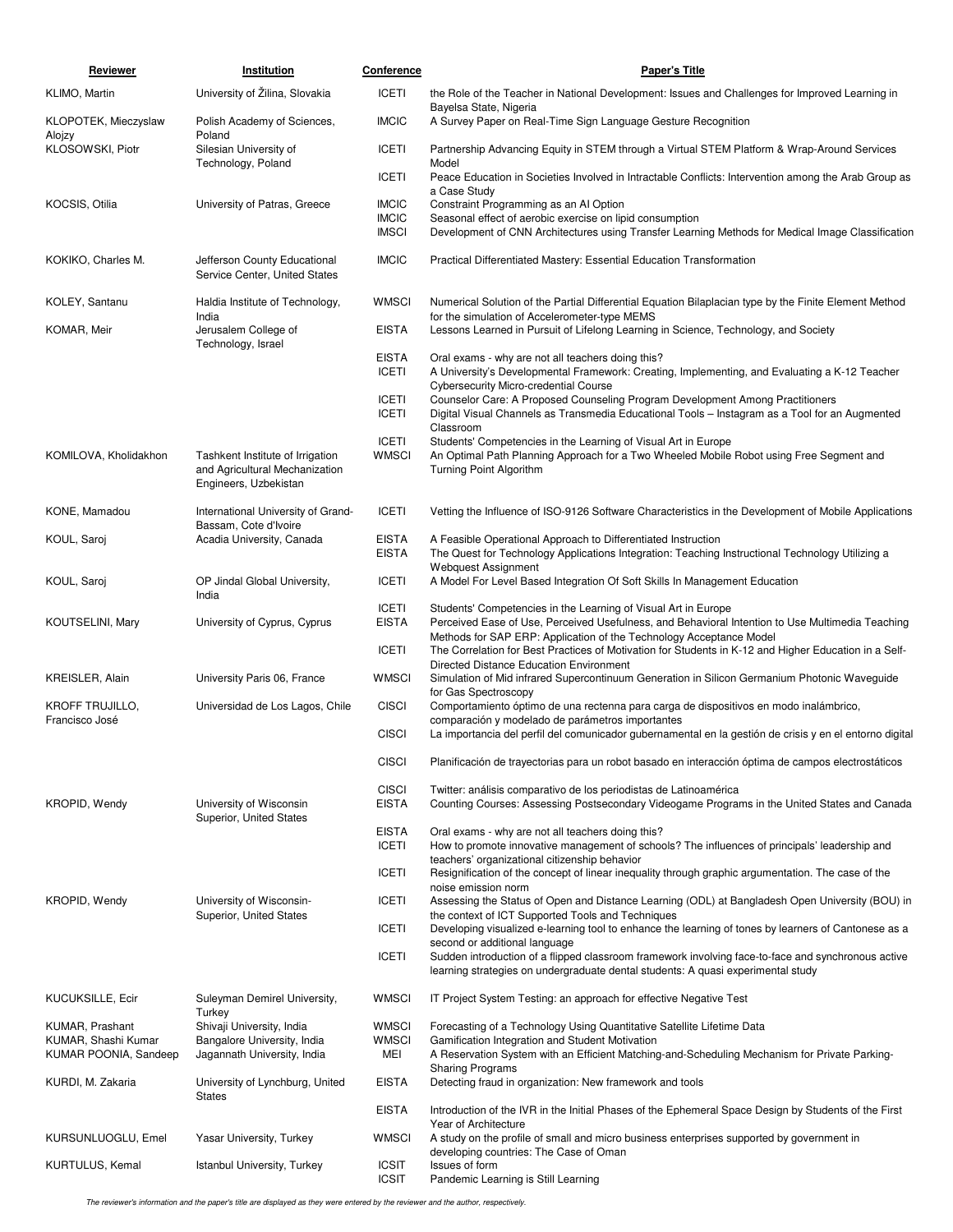| Reviewer                                                        | Institution                                                                                 | <b>Conference</b>                            | Paper's Title                                                                                                                                                                                                                                                                                                                                      |
|-----------------------------------------------------------------|---------------------------------------------------------------------------------------------|----------------------------------------------|----------------------------------------------------------------------------------------------------------------------------------------------------------------------------------------------------------------------------------------------------------------------------------------------------------------------------------------------------|
| KLIMO, Martin                                                   | University of Žilina, Slovakia                                                              | <b>ICETI</b>                                 | the Role of the Teacher in National Development: Issues and Challenges for Improved Learning in                                                                                                                                                                                                                                                    |
| KLOPOTEK, Mieczyslaw<br>Alojzy                                  | Polish Academy of Sciences,<br>Poland                                                       | <b>IMCIC</b>                                 | Bayelsa State, Nigeria<br>A Survey Paper on Real-Time Sign Language Gesture Recognition                                                                                                                                                                                                                                                            |
| KLOSOWSKI, Piotr                                                | Silesian University of                                                                      | <b>ICETI</b>                                 | Partnership Advancing Equity in STEM through a Virtual STEM Platform & Wrap-Around Services                                                                                                                                                                                                                                                        |
|                                                                 | Technology, Poland                                                                          | <b>ICETI</b>                                 | Model<br>Peace Education in Societies Involved in Intractable Conflicts: Intervention among the Arab Group as<br>a Case Study                                                                                                                                                                                                                      |
| KOCSIS, Otilia                                                  | University of Patras, Greece                                                                | <b>IMCIC</b><br><b>IMCIC</b><br><b>IMSCI</b> | Constraint Programming as an AI Option<br>Seasonal effect of aerobic exercise on lipid consumption<br>Development of CNN Architectures using Transfer Learning Methods for Medical Image Classification                                                                                                                                            |
| KOKIKO, Charles M.                                              | Jefferson County Educational<br>Service Center, United States                               | <b>IMCIC</b>                                 | Practical Differentiated Mastery: Essential Education Transformation                                                                                                                                                                                                                                                                               |
| KOLEY, Santanu                                                  | Haldia Institute of Technology,<br>India                                                    | <b>WMSCI</b>                                 | Numerical Solution of the Partial Differential Equation Bilaplacian type by the Finite Element Method<br>for the simulation of Accelerometer-type MEMS                                                                                                                                                                                             |
| KOMAR, Meir                                                     | Jerusalem College of<br>Technology, Israel                                                  | <b>EISTA</b>                                 | Lessons Learned in Pursuit of Lifelong Learning in Science, Technology, and Society                                                                                                                                                                                                                                                                |
|                                                                 |                                                                                             | <b>EISTA</b><br><b>ICETI</b>                 | Oral exams - why are not all teachers doing this?<br>A University's Developmental Framework: Creating, Implementing, and Evaluating a K-12 Teacher<br><b>Cybersecurity Micro-credential Course</b>                                                                                                                                                 |
|                                                                 |                                                                                             | <b>ICETI</b><br><b>ICETI</b>                 | Counselor Care: A Proposed Counseling Program Development Among Practitioners<br>Digital Visual Channels as Transmedia Educational Tools - Instagram as a Tool for an Augmented<br>Classroom                                                                                                                                                       |
| KOMILOVA, Kholidakhon                                           | Tashkent Institute of Irrigation<br>and Agricultural Mechanization<br>Engineers, Uzbekistan | <b>ICETI</b><br><b>WMSCI</b>                 | Students' Competencies in the Learning of Visual Art in Europe<br>An Optimal Path Planning Approach for a Two Wheeled Mobile Robot using Free Segment and<br>Turning Point Algorithm                                                                                                                                                               |
| KONE, Mamadou                                                   | International University of Grand-<br>Bassam, Cote d'Ivoire                                 | <b>ICETI</b>                                 | Vetting the Influence of ISO-9126 Software Characteristics in the Development of Mobile Applications                                                                                                                                                                                                                                               |
| KOUL, Saroj                                                     | Acadia University, Canada                                                                   | <b>EISTA</b><br><b>EISTA</b>                 | A Feasible Operational Approach to Differentiated Instruction<br>The Quest for Technology Applications Integration: Teaching Instructional Technology Utilizing a<br><b>Webquest Assignment</b>                                                                                                                                                    |
| KOUL, Saroj                                                     | OP Jindal Global University,<br>India                                                       | <b>ICETI</b>                                 | A Model For Level Based Integration Of Soft Skills In Management Education                                                                                                                                                                                                                                                                         |
| KOUTSELINI, Mary                                                | University of Cyprus, Cyprus                                                                | <b>ICETI</b><br><b>EISTA</b><br><b>ICETI</b> | Students' Competencies in the Learning of Visual Art in Europe<br>Perceived Ease of Use, Perceived Usefulness, and Behavioral Intention to Use Multimedia Teaching<br>Methods for SAP ERP: Application of the Technology Acceptance Model<br>The Correlation for Best Practices of Motivation for Students in K-12 and Higher Education in a Self- |
| KREISLER, Alain                                                 | University Paris 06, France                                                                 | <b>WMSCI</b>                                 | Directed Distance Education Environment<br>Simulation of Mid infrared Supercontinuum Generation in Silicon Germanium Photonic Waveguide                                                                                                                                                                                                            |
| KROFF TRUJILLO,                                                 | Universidad de Los Lagos, Chile                                                             | <b>CISCI</b>                                 | for Gas Spectroscopy<br>Comportamiento óptimo de una rectenna para carga de dispositivos en modo inalámbrico,                                                                                                                                                                                                                                      |
| Francisco José                                                  |                                                                                             | <b>CISCI</b>                                 | comparación y modelado de parámetros importantes<br>La importancia del perfil del comunicador gubernamental en la gestión de crisis y en el entorno digital                                                                                                                                                                                        |
|                                                                 |                                                                                             | CISCI                                        | Planificación de trayectorias para un robot basado en interacción óptima de campos electrostáticos                                                                                                                                                                                                                                                 |
| KROPID, Wendy                                                   | University of Wisconsin<br>Superior, United States                                          | <b>CISCI</b><br><b>EISTA</b>                 | Twitter: análisis comparativo de los periodistas de Latinoamérica<br>Counting Courses: Assessing Postsecondary Videogame Programs in the United States and Canada                                                                                                                                                                                  |
|                                                                 |                                                                                             | <b>EISTA</b><br><b>ICETI</b>                 | Oral exams - why are not all teachers doing this?<br>How to promote innovative management of schools? The influences of principals' leadership and<br>teachers' organizational citizenship behavior                                                                                                                                                |
|                                                                 |                                                                                             | <b>ICETI</b>                                 | Resignification of the concept of linear inequality through graphic argumentation. The case of the<br>noise emission norm                                                                                                                                                                                                                          |
| KROPID, Wendy                                                   | University of Wisconsin-<br>Superior, United States                                         | <b>ICETI</b>                                 | Assessing the Status of Open and Distance Learning (ODL) at Bangladesh Open University (BOU) in<br>the context of ICT Supported Tools and Techniques                                                                                                                                                                                               |
|                                                                 |                                                                                             | <b>ICETI</b>                                 | Developing visualized e-learning tool to enhance the learning of tones by learners of Cantonese as a<br>second or additional language                                                                                                                                                                                                              |
|                                                                 |                                                                                             | <b>ICETI</b>                                 | Sudden introduction of a flipped classroom framework involving face-to-face and synchronous active<br>learning strategies on undergraduate dental students: A quasi experimental study                                                                                                                                                             |
| KUCUKSILLE, Ecir                                                | Suleyman Demirel University,<br>Turkey                                                      | <b>WMSCI</b>                                 | IT Project System Testing: an approach for effective Negative Test                                                                                                                                                                                                                                                                                 |
| KUMAR, Prashant<br>KUMAR, Shashi Kumar<br>KUMAR POONIA, Sandeep | Shivaji University, India<br>Bangalore University, India<br>Jagannath University, India     | <b>WMSCI</b><br><b>WMSCI</b><br>MEI          | Forecasting of a Technology Using Quantitative Satellite Lifetime Data<br>Gamification Integration and Student Motivation<br>A Reservation System with an Efficient Matching-and-Scheduling Mechanism for Private Parking-                                                                                                                         |
| KURDI, M. Zakaria                                               | University of Lynchburg, United                                                             | <b>EISTA</b>                                 | <b>Sharing Programs</b><br>Detecting fraud in organization: New framework and tools                                                                                                                                                                                                                                                                |
|                                                                 | States                                                                                      | <b>EISTA</b>                                 | Introduction of the IVR in the Initial Phases of the Ephemeral Space Design by Students of the First                                                                                                                                                                                                                                               |
| KURSUNLUOGLU, Emel                                              | Yasar University, Turkey                                                                    | <b>WMSCI</b>                                 | Year of Architecture<br>A study on the profile of small and micro business enterprises supported by government in                                                                                                                                                                                                                                  |
| KURTULUS, Kemal                                                 | Istanbul University, Turkey                                                                 | <b>ICSIT</b><br><b>ICSIT</b>                 | developing countries: The Case of Oman<br>Issues of form<br>Pandemic Learning is Still Learning                                                                                                                                                                                                                                                    |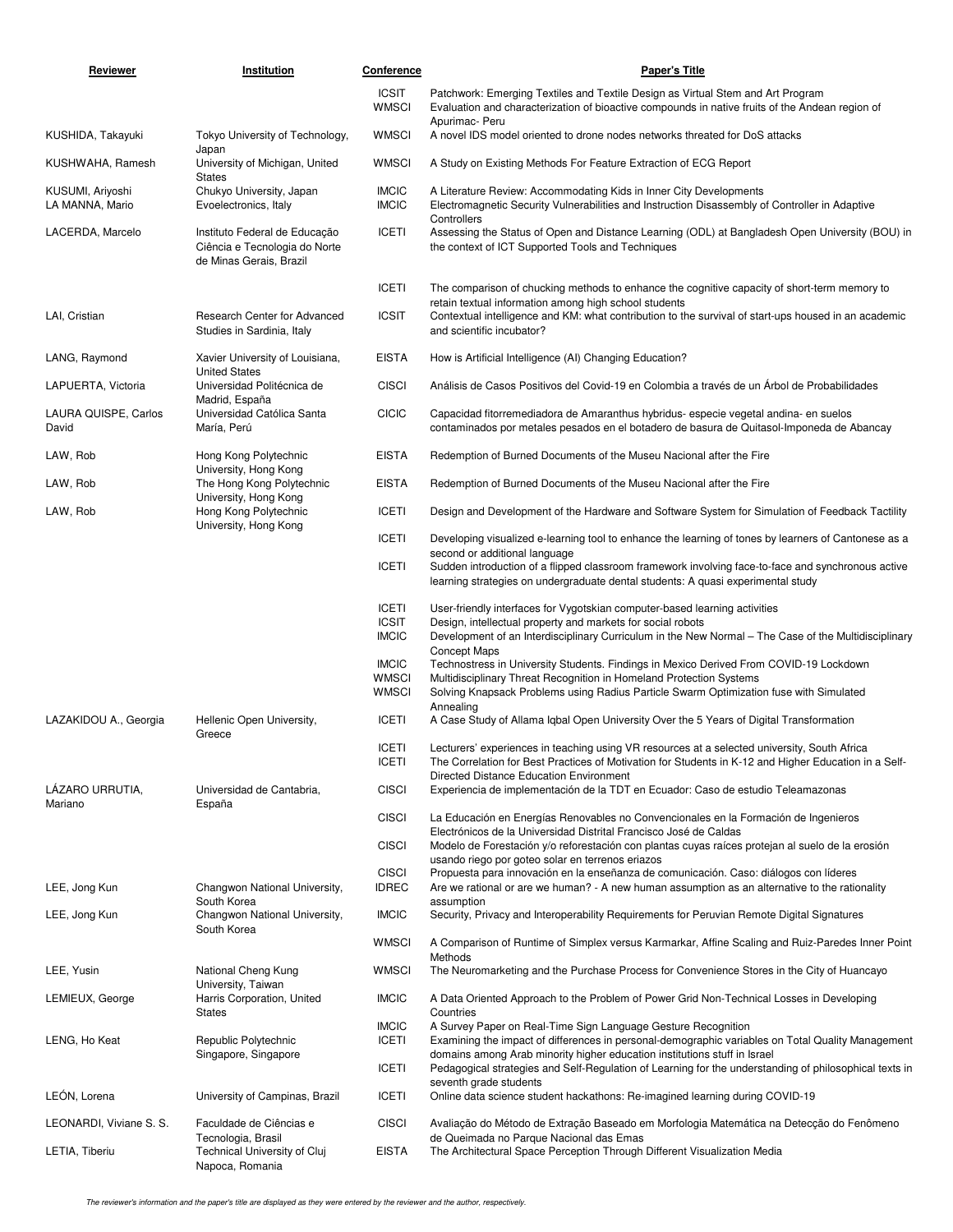| Reviewer                            | Institution                                                                               | Conference                                   | <b>Paper's Title</b>                                                                                                                                                                                                                                                     |
|-------------------------------------|-------------------------------------------------------------------------------------------|----------------------------------------------|--------------------------------------------------------------------------------------------------------------------------------------------------------------------------------------------------------------------------------------------------------------------------|
|                                     |                                                                                           | <b>ICSIT</b><br><b>WMSCI</b>                 | Patchwork: Emerging Textiles and Textile Design as Virtual Stem and Art Program<br>Evaluation and characterization of bioactive compounds in native fruits of the Andean region of<br>Apurimac- Peru                                                                     |
| KUSHIDA, Takayuki                   | Tokyo University of Technology,<br>Japan                                                  | <b>WMSCI</b>                                 | A novel IDS model oriented to drone nodes networks threated for DoS attacks                                                                                                                                                                                              |
| KUSHWAHA, Ramesh                    | University of Michigan, United<br><b>States</b>                                           | <b>WMSCI</b>                                 | A Study on Existing Methods For Feature Extraction of ECG Report                                                                                                                                                                                                         |
| KUSUMI, Ariyoshi<br>LA MANNA, Mario | Chukyo University, Japan<br>Evoelectronics, Italy                                         | <b>IMCIC</b><br><b>IMCIC</b>                 | A Literature Review: Accommodating Kids in Inner City Developments<br>Electromagnetic Security Vulnerabilities and Instruction Disassembly of Controller in Adaptive<br>Controllers                                                                                      |
| LACERDA, Marcelo                    | Instituto Federal de Educação<br>Ciência e Tecnologia do Norte<br>de Minas Gerais, Brazil | <b>ICETI</b>                                 | Assessing the Status of Open and Distance Learning (ODL) at Bangladesh Open University (BOU) in<br>the context of ICT Supported Tools and Techniques                                                                                                                     |
|                                     |                                                                                           | <b>ICETI</b>                                 | The comparison of chucking methods to enhance the cognitive capacity of short-term memory to<br>retain textual information among high school students                                                                                                                    |
| LAI, Cristian                       | Research Center for Advanced<br>Studies in Sardinia, Italy                                | <b>ICSIT</b>                                 | Contextual intelligence and KM: what contribution to the survival of start-ups housed in an academic<br>and scientific incubator?                                                                                                                                        |
| LANG, Raymond                       | Xavier University of Louisiana,<br><b>United States</b>                                   | <b>EISTA</b>                                 | How is Artificial Intelligence (AI) Changing Education?                                                                                                                                                                                                                  |
| LAPUERTA, Victoria                  | Universidad Politécnica de<br>Madrid, España                                              | <b>CISCI</b>                                 | Análisis de Casos Positivos del Covid-19 en Colombia a través de un Arbol de Probabilidades                                                                                                                                                                              |
| LAURA QUISPE, Carlos<br>David       | Universidad Católica Santa<br>María, Perú                                                 | <b>CICIC</b>                                 | Capacidad fitorremediadora de Amaranthus hybridus- especie vegetal andina- en suelos<br>contaminados por metales pesados en el botadero de basura de Quitasol-Imponeda de Abancay                                                                                        |
| LAW, Rob                            | Hong Kong Polytechnic                                                                     | <b>EISTA</b>                                 | Redemption of Burned Documents of the Museu Nacional after the Fire                                                                                                                                                                                                      |
| LAW, Rob                            | University, Hong Kong<br>The Hong Kong Polytechnic                                        | <b>EISTA</b>                                 | Redemption of Burned Documents of the Museu Nacional after the Fire                                                                                                                                                                                                      |
| LAW, Rob                            | University, Hong Kong<br>Hong Kong Polytechnic<br>University, Hong Kong                   | <b>ICETI</b>                                 | Design and Development of the Hardware and Software System for Simulation of Feedback Tactility                                                                                                                                                                          |
|                                     |                                                                                           | <b>ICETI</b>                                 | Developing visualized e-learning tool to enhance the learning of tones by learners of Cantonese as a                                                                                                                                                                     |
|                                     |                                                                                           | <b>ICETI</b>                                 | second or additional language<br>Sudden introduction of a flipped classroom framework involving face-to-face and synchronous active<br>learning strategies on undergraduate dental students: A quasi experimental study                                                  |
|                                     |                                                                                           | <b>ICETI</b><br><b>ICSIT</b><br><b>IMCIC</b> | User-friendly interfaces for Vygotskian computer-based learning activities<br>Design, intellectual property and markets for social robots<br>Development of an Interdisciplinary Curriculum in the New Normal - The Case of the Multidisciplinary<br><b>Concept Maps</b> |
|                                     |                                                                                           | <b>IMCIC</b><br><b>WMSCI</b><br><b>WMSCI</b> | Technostress in University Students. Findings in Mexico Derived From COVID-19 Lockdown<br>Multidisciplinary Threat Recognition in Homeland Protection Systems<br>Solving Knapsack Problems using Radius Particle Swarm Optimization fuse with Simulated                  |
| LAZAKIDOU A., Georgia               | Hellenic Open University,<br>Greece                                                       | <b>ICETI</b>                                 | Annealing<br>A Case Study of Allama Iqbal Open University Over the 5 Years of Digital Transformation                                                                                                                                                                     |
|                                     |                                                                                           | <b>ICETI</b><br><b>ICETI</b>                 | Lecturers' experiences in teaching using VR resources at a selected university, South Africa<br>The Correlation for Best Practices of Motivation for Students in K-12 and Higher Education in a Self-<br>Directed Distance Education Environment                         |
| LÁZARO URRUTIA,<br>Mariano          | Universidad de Cantabria,<br>España                                                       | <b>CISCI</b>                                 | Experiencia de implementación de la TDT en Ecuador: Caso de estudio Teleamazonas                                                                                                                                                                                         |
|                                     |                                                                                           | <b>CISCI</b>                                 | La Educación en Energías Renovables no Convencionales en la Formación de Ingenieros<br>Electrónicos de la Universidad Distrital Francisco José de Caldas                                                                                                                 |
|                                     |                                                                                           | <b>CISCI</b>                                 | Modelo de Forestación y/o reforestación con plantas cuyas raíces protejan al suelo de la erosión<br>usando riego por goteo solar en terrenos eriazos                                                                                                                     |
| LEE, Jong Kun                       | Changwon National University,                                                             | <b>CISCI</b><br><b>IDREC</b>                 | Propuesta para innovación en la enseñanza de comunicación. Caso: diálogos con líderes<br>Are we rational or are we human? - A new human assumption as an alternative to the rationality                                                                                  |
| LEE, Jong Kun                       | South Korea<br>Changwon National University,                                              | <b>IMCIC</b>                                 | assumption<br>Security, Privacy and Interoperability Requirements for Peruvian Remote Digital Signatures                                                                                                                                                                 |
|                                     | South Korea                                                                               | <b>WMSCI</b>                                 | A Comparison of Runtime of Simplex versus Karmarkar, Affine Scaling and Ruiz-Paredes Inner Point<br>Methods                                                                                                                                                              |
| LEE, Yusin                          | National Cheng Kung                                                                       | <b>WMSCI</b>                                 | The Neuromarketing and the Purchase Process for Convenience Stores in the City of Huancayo                                                                                                                                                                               |
| LEMIEUX, George                     | University, Taiwan<br>Harris Corporation, United<br>States                                | <b>IMCIC</b>                                 | A Data Oriented Approach to the Problem of Power Grid Non-Technical Losses in Developing<br>Countries                                                                                                                                                                    |
| LENG, Ho Keat                       | Republic Polytechnic                                                                      | <b>IMCIC</b><br><b>ICETI</b>                 | A Survey Paper on Real-Time Sign Language Gesture Recognition<br>Examining the impact of differences in personal-demographic variables on Total Quality Management                                                                                                       |
|                                     | Singapore, Singapore                                                                      | <b>ICETI</b>                                 | domains among Arab minority higher education institutions stuff in Israel<br>Pedagogical strategies and Self-Regulation of Learning for the understanding of philosophical texts in                                                                                      |
| LEON, Lorena                        | University of Campinas, Brazil                                                            | <b>ICETI</b>                                 | seventh grade students<br>Online data science student hackathons: Re-imagined learning during COVID-19                                                                                                                                                                   |
| LEONARDI, Viviane S. S.             | Faculdade de Ciências e<br>Tecnologia, Brasil                                             | <b>CISCI</b>                                 | Avaliação do Método de Extração Baseado em Morfologia Matemática na Detecção do Fenômeno<br>de Queimada no Parque Nacional das Emas                                                                                                                                      |
| LETIA, Tiberiu                      | Technical University of Cluj<br>Napoca, Romania                                           | <b>EISTA</b>                                 | The Architectural Space Perception Through Different Visualization Media                                                                                                                                                                                                 |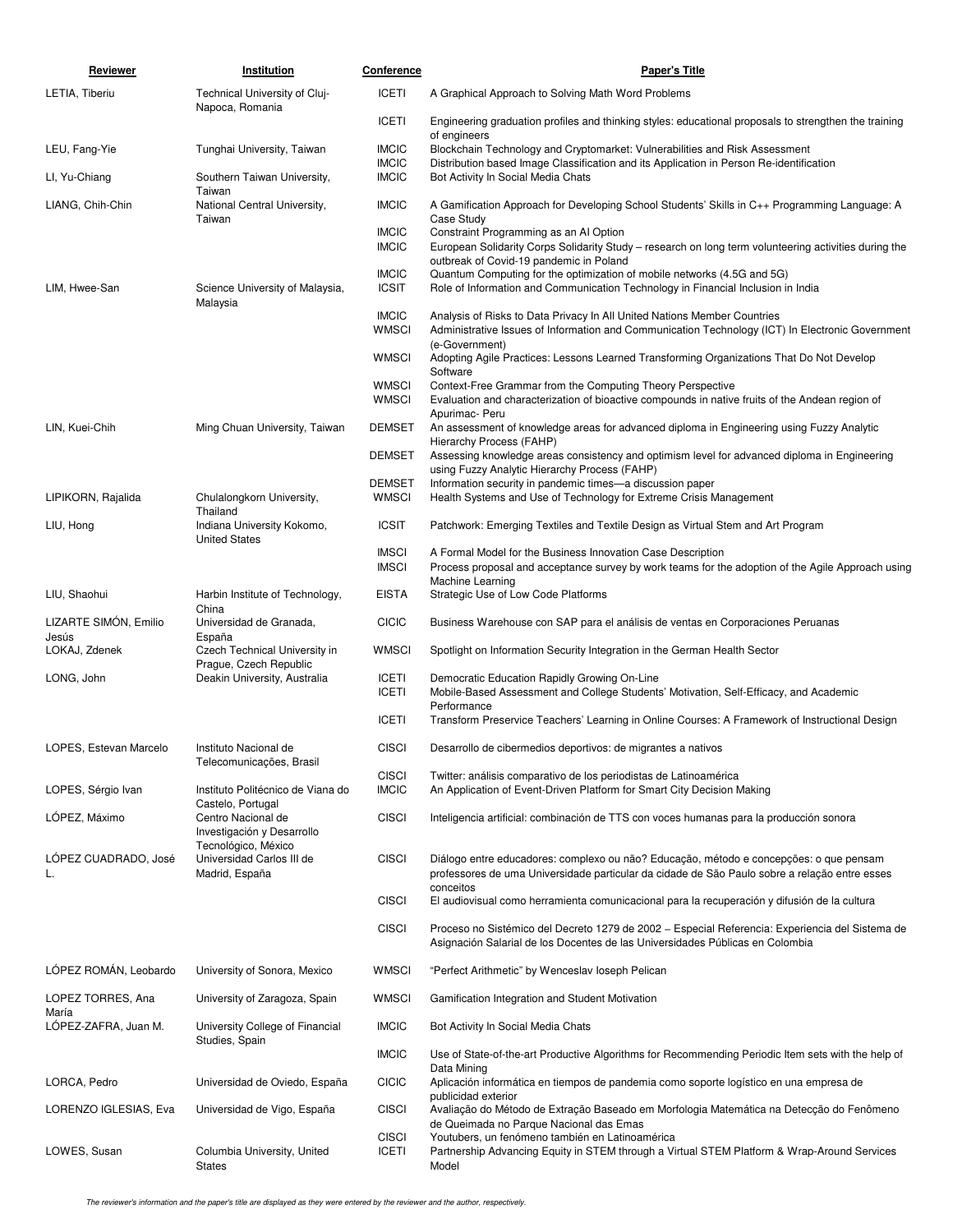| Reviewer                       | Institution                                                                                  | Conference                     | <b>Paper's Title</b>                                                                                                                                                                                       |
|--------------------------------|----------------------------------------------------------------------------------------------|--------------------------------|------------------------------------------------------------------------------------------------------------------------------------------------------------------------------------------------------------|
| LETIA, Tiberiu                 | Technical University of Cluj-<br>Napoca, Romania                                             | <b>ICETI</b>                   | A Graphical Approach to Solving Math Word Problems                                                                                                                                                         |
|                                |                                                                                              | <b>ICETI</b>                   | Engineering graduation profiles and thinking styles: educational proposals to strengthen the training<br>of engineers                                                                                      |
| LEU, Fang-Yie                  | Tunghai University, Taiwan                                                                   | <b>IMCIC</b>                   | Blockchain Technology and Cryptomarket: Vulnerabilities and Risk Assessment                                                                                                                                |
| LI, Yu-Chiang                  | Southern Taiwan University,<br>Taiwan                                                        | <b>IMCIC</b><br><b>IMCIC</b>   | Distribution based Image Classification and its Application in Person Re-identification<br>Bot Activity In Social Media Chats                                                                              |
| LIANG, Chih-Chin               | National Central University,<br>Taiwan                                                       | <b>IMCIC</b>                   | A Gamification Approach for Developing School Students' Skills in C++ Programming Language: A<br>Case Study                                                                                                |
|                                |                                                                                              | <b>IMCIC</b><br><b>IMCIC</b>   | Constraint Programming as an Al Option<br>European Solidarity Corps Solidarity Study - research on long term volunteering activities during the<br>outbreak of Covid-19 pandemic in Poland                 |
| LIM, Hwee-San                  | Science University of Malaysia,<br>Malaysia                                                  | <b>IMCIC</b><br><b>ICSIT</b>   | Quantum Computing for the optimization of mobile networks (4.5G and 5G)<br>Role of Information and Communication Technology in Financial Inclusion in India                                                |
|                                |                                                                                              | <b>IMCIC</b><br><b>WMSCI</b>   | Analysis of Risks to Data Privacy In All United Nations Member Countries<br>Administrative Issues of Information and Communication Technology (ICT) In Electronic Government<br>(e-Government)             |
|                                |                                                                                              | <b>WMSCI</b>                   | Adopting Agile Practices: Lessons Learned Transforming Organizations That Do Not Develop<br>Software                                                                                                       |
|                                |                                                                                              | <b>WMSCI</b><br><b>WMSCI</b>   | Context-Free Grammar from the Computing Theory Perspective<br>Evaluation and characterization of bioactive compounds in native fruits of the Andean region of<br>Apurimac- Peru                            |
| LIN, Kuei-Chih                 | Ming Chuan University, Taiwan                                                                | <b>DEMSET</b>                  | An assessment of knowledge areas for advanced diploma in Engineering using Fuzzy Analytic<br>Hierarchy Process (FAHP)                                                                                      |
|                                |                                                                                              | <b>DEMSET</b><br><b>DEMSET</b> | Assessing knowledge areas consistency and optimism level for advanced diploma in Engineering<br>using Fuzzy Analytic Hierarchy Process (FAHP)<br>Information security in pandemic times—a discussion paper |
| LIPIKORN, Rajalida             | Chulalongkorn University,<br>Thailand                                                        | <b>WMSCI</b>                   | Health Systems and Use of Technology for Extreme Crisis Management                                                                                                                                         |
| LIU, Hong                      | Indiana University Kokomo,<br><b>United States</b>                                           | <b>ICSIT</b>                   | Patchwork: Emerging Textiles and Textile Design as Virtual Stem and Art Program                                                                                                                            |
|                                |                                                                                              | <b>IMSCI</b><br><b>IMSCI</b>   | A Formal Model for the Business Innovation Case Description<br>Process proposal and acceptance survey by work teams for the adoption of the Agile Approach using<br>Machine Learning                       |
| LIU, Shaohui                   | Harbin Institute of Technology,<br>China                                                     | <b>EISTA</b>                   | Strategic Use of Low Code Platforms                                                                                                                                                                        |
| LIZARTE SIMON, Emilio<br>Jesús | Universidad de Granada,<br>España                                                            | <b>CICIC</b>                   | Business Warehouse con SAP para el análisis de ventas en Corporaciones Peruanas                                                                                                                            |
| LOKAJ, Zdenek                  | Czech Technical University in<br>Prague, Czech Republic                                      | <b>WMSCI</b>                   | Spotlight on Information Security Integration in the German Health Sector                                                                                                                                  |
| LONG, John                     | Deakin University, Australia                                                                 | <b>ICETI</b><br><b>ICETI</b>   | Democratic Education Rapidly Growing On-Line<br>Mobile-Based Assessment and College Students' Motivation, Self-Efficacy, and Academic                                                                      |
|                                |                                                                                              | <b>ICETI</b>                   | Performance<br>Transform Preservice Teachers' Learning in Online Courses: A Framework of Instructional Design                                                                                              |
| LOPES, Estevan Marcelo         | Instituto Nacional de<br>I elecomunicações, Brasil                                           | <b>CISCI</b>                   | Desarrollo de cibermedios deportivos: de migrantes a nativos                                                                                                                                               |
| LOPES, Sérgio Ivan             | Instituto Politécnico de Viana do                                                            | <b>CISCI</b><br><b>IMCIC</b>   | Twitter: análisis comparativo de los periodistas de Latinoamérica<br>An Application of Event-Driven Platform for Smart City Decision Making                                                                |
| LOPEZ, Máximo                  | Castelo, Portugal<br>Centro Nacional de<br>Investigación y Desarrollo<br>Tecnológico, México | <b>CISCI</b>                   | Inteligencia artificial: combinación de TTS con voces humanas para la producción sonora                                                                                                                    |
| LÓPEZ CUADRADO, José<br>L.     | Universidad Carlos III de<br>Madrid, España                                                  | <b>CISCI</b>                   | Diálogo entre educadores: complexo ou não? Educação, método e concepções: o que pensam<br>professores de uma Universidade particular da cidade de São Paulo sobre a relação entre esses<br>conceitos       |
|                                |                                                                                              | <b>CISCI</b>                   | El audiovisual como herramienta comunicacional para la recuperación y difusión de la cultura                                                                                                               |
|                                |                                                                                              | <b>CISCI</b>                   | Proceso no Sistémico del Decreto 1279 de 2002 - Especial Referencia: Experiencia del Sistema de<br>Asignación Salarial de los Docentes de las Universidades Públicas en Colombia                           |
| LÓPEZ ROMÁN, Leobardo          | University of Sonora, Mexico                                                                 | <b>WMSCI</b>                   | "Perfect Arithmetic" by Wenceslav loseph Pelican                                                                                                                                                           |
| LOPEZ TORRES, Ana<br>María     | University of Zaragoza, Spain                                                                | <b>WMSCI</b>                   | Gamification Integration and Student Motivation                                                                                                                                                            |
| LOPEZ-ZAFRA, Juan M.           | University College of Financial<br>Studies, Spain                                            | <b>IMCIC</b>                   | Bot Activity In Social Media Chats                                                                                                                                                                         |
|                                |                                                                                              | <b>IMCIC</b>                   | Use of State-of-the-art Productive Algorithms for Recommending Periodic Item sets with the help of<br>Data Mining                                                                                          |
| LORCA, Pedro                   | Universidad de Oviedo, España                                                                | <b>CICIC</b>                   | Aplicación informática en tiempos de pandemia como soporte logístico en una empresa de<br>publicidad exterior                                                                                              |
| LORENZO IGLESIAS, Eva          | Universidad de Vigo, España                                                                  | <b>CISCI</b>                   | Avaliação do Método de Extração Baseado em Morfologia Matemática na Detecção do Fenômeno<br>de Queimada no Parque Nacional das Emas                                                                        |
| LOWES, Susan                   | Columbia University, United<br><b>States</b>                                                 | <b>CISCI</b><br><b>ICETI</b>   | Youtubers, un fenómeno también en Latinoamérica<br>Partnership Advancing Equity in STEM through a Virtual STEM Platform & Wrap-Around Services<br>Model                                                    |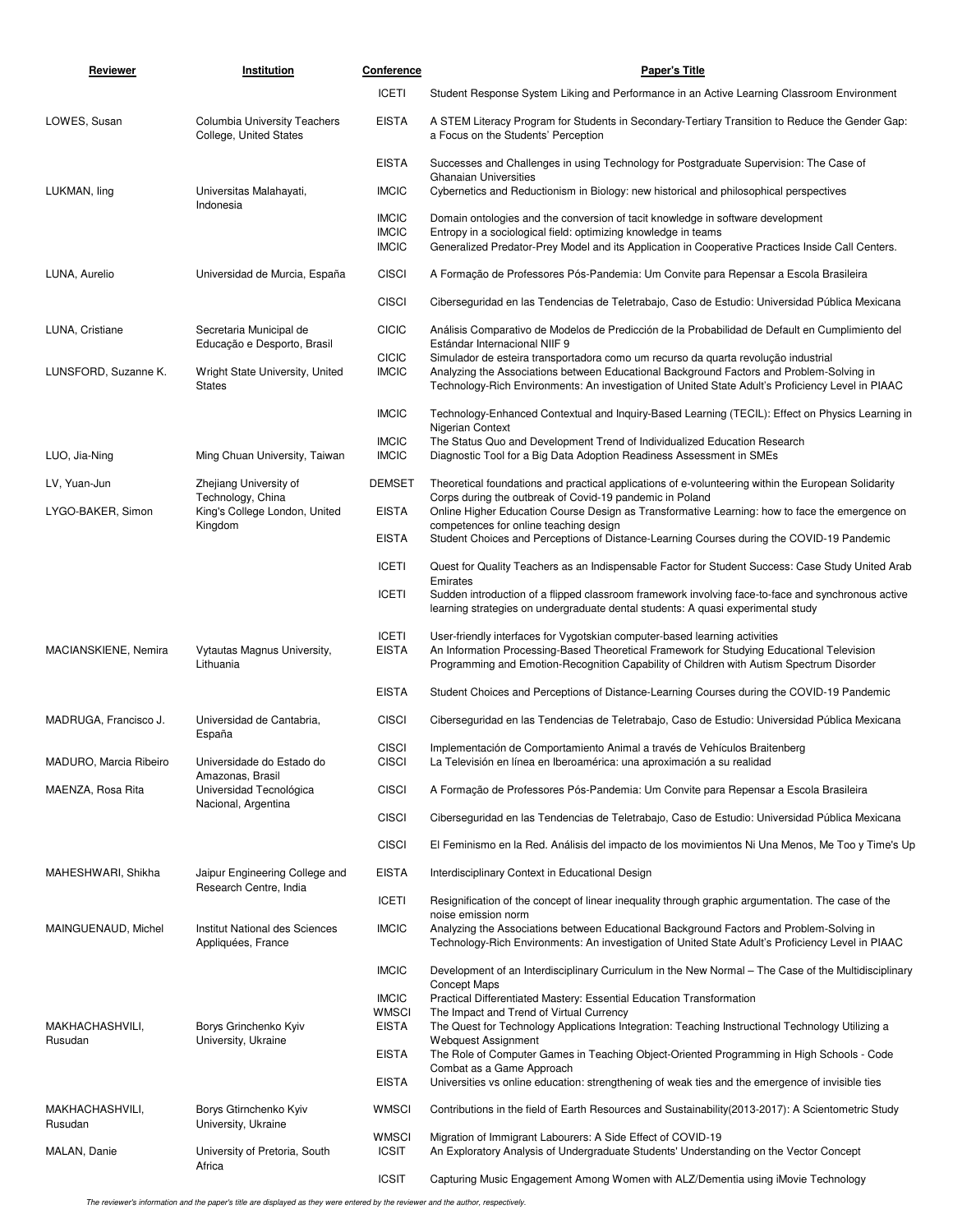| Reviewer                   | Institution                                                   | Conference                                   | <b>Paper's Title</b>                                                                                                                                                                                                                                                                |
|----------------------------|---------------------------------------------------------------|----------------------------------------------|-------------------------------------------------------------------------------------------------------------------------------------------------------------------------------------------------------------------------------------------------------------------------------------|
|                            |                                                               | <b>ICETI</b>                                 | Student Response System Liking and Performance in an Active Learning Classroom Environment                                                                                                                                                                                          |
| LOWES, Susan               | <b>Columbia University Teachers</b><br>College, United States | <b>EISTA</b>                                 | A STEM Literacy Program for Students in Secondary-Tertiary Transition to Reduce the Gender Gap:<br>a Focus on the Students' Perception                                                                                                                                              |
|                            |                                                               | <b>EISTA</b>                                 | Successes and Challenges in using Technology for Postgraduate Supervision: The Case of                                                                                                                                                                                              |
| LUKMAN, ling               | Universitas Malahayati,                                       | <b>IMCIC</b>                                 | <b>Ghanaian Universities</b><br>Cybernetics and Reductionism in Biology: new historical and philosophical perspectives                                                                                                                                                              |
|                            | Indonesia                                                     | <b>IMCIC</b><br><b>IMCIC</b><br><b>IMCIC</b> | Domain ontologies and the conversion of tacit knowledge in software development<br>Entropy in a sociological field: optimizing knowledge in teams<br>Generalized Predator-Prey Model and its Application in Cooperative Practices Inside Call Centers.                              |
| LUNA, Aurelio              | Universidad de Murcia, España                                 | <b>CISCI</b>                                 | A Formação de Professores Pós-Pandemia: Um Convite para Repensar a Escola Brasileira                                                                                                                                                                                                |
|                            |                                                               | <b>CISCI</b>                                 | Ciberseguridad en las Tendencias de Teletrabajo, Caso de Estudio: Universidad Pública Mexicana                                                                                                                                                                                      |
| LUNA, Cristiane            | Secretaria Municipal de<br>Educação e Desporto, Brasil        | <b>CICIC</b>                                 | Análisis Comparativo de Modelos de Predicción de la Probabilidad de Default en Cumplimiento del<br>Estándar Internacional NIIF 9                                                                                                                                                    |
| LUNSFORD, Suzanne K.       | Wright State University, United<br><b>States</b>              | <b>CICIC</b><br><b>IMCIC</b>                 | Simulador de esteira transportadora como um recurso da quarta revolução industrial<br>Analyzing the Associations between Educational Background Factors and Problem-Solving in<br>Technology-Rich Environments: An investigation of United State Adult's Proficiency Level in PIAAC |
|                            |                                                               | <b>IMCIC</b><br><b>IMCIC</b>                 | Technology-Enhanced Contextual and Inquiry-Based Learning (TECIL): Effect on Physics Learning in<br>Nigerian Context<br>The Status Quo and Development Trend of Individualized Education Research                                                                                   |
| LUO, Jia-Ning              | Ming Chuan University, Taiwan                                 | <b>IMCIC</b>                                 | Diagnostic Tool for a Big Data Adoption Readiness Assessment in SMEs                                                                                                                                                                                                                |
| LV, Yuan-Jun               | Zhejiang University of<br>Technology, China                   | <b>DEMSET</b>                                | Theoretical foundations and practical applications of e-volunteering within the European Solidarity<br>Corps during the outbreak of Covid-19 pandemic in Poland                                                                                                                     |
| LYGO-BAKER, Simon          | King's College London, United<br>Kingdom                      | <b>EISTA</b>                                 | Online Higher Education Course Design as Transformative Learning: how to face the emergence on<br>competences for online teaching design                                                                                                                                            |
|                            |                                                               | <b>EISTA</b>                                 | Student Choices and Perceptions of Distance-Learning Courses during the COVID-19 Pandemic                                                                                                                                                                                           |
|                            |                                                               | <b>ICETI</b>                                 | Quest for Quality Teachers as an Indispensable Factor for Student Success: Case Study United Arab<br>Emirates                                                                                                                                                                       |
|                            |                                                               | <b>ICETI</b>                                 | Sudden introduction of a flipped classroom framework involving face-to-face and synchronous active<br>learning strategies on undergraduate dental students: A quasi experimental study                                                                                              |
| MACIANSKIENE, Nemira       | Vytautas Magnus University,<br>Lithuania                      | <b>ICETI</b><br><b>EISTA</b>                 | User-friendly interfaces for Vygotskian computer-based learning activities<br>An Information Processing-Based Theoretical Framework for Studying Educational Television<br>Programming and Emotion-Recognition Capability of Children with Autism Spectrum Disorder                 |
|                            |                                                               | <b>EISTA</b>                                 | Student Choices and Perceptions of Distance-Learning Courses during the COVID-19 Pandemic                                                                                                                                                                                           |
| MADRUGA, Francisco J.      | Universidad de Cantabria,<br>España                           | <b>CISCI</b>                                 | Ciberseguridad en las Tendencias de Teletrabajo, Caso de Estudio: Universidad Pública Mexicana                                                                                                                                                                                      |
| MADURO, Marcia Ribeiro     | Universidade do Estado do<br>Amazonas, Brasil                 | <b>CISCI</b><br>CISCI                        | Implementación de Comportamiento Animal a través de Vehículos Braitenberg<br>La Televisión en linea en Iberoamérica: una aproximación a su realidad                                                                                                                                 |
| MAENZA, Rosa Rita          | Universidad Tecnológica<br>Nacional, Argentina                | <b>CISCI</b>                                 | A Formação de Professores Pós-Pandemia: Um Convite para Repensar a Escola Brasileira                                                                                                                                                                                                |
|                            |                                                               | <b>CISCI</b>                                 | Ciberseguridad en las Tendencias de Teletrabajo, Caso de Estudio: Universidad Pública Mexicana                                                                                                                                                                                      |
|                            |                                                               | <b>CISCI</b>                                 | El Feminismo en la Red. Análisis del impacto de los movimientos Ni Una Menos, Me Too y Time's Up                                                                                                                                                                                    |
| MAHESHWARI, Shikha         | Jaipur Engineering College and<br>Research Centre, India      | <b>EISTA</b>                                 | Interdisciplinary Context in Educational Design                                                                                                                                                                                                                                     |
|                            |                                                               | <b>ICETI</b>                                 | Resignification of the concept of linear inequality through graphic argumentation. The case of the<br>noise emission norm                                                                                                                                                           |
| MAINGUENAUD, Michel        | Institut National des Sciences<br>Appliquées, France          | <b>IMCIC</b>                                 | Analyzing the Associations between Educational Background Factors and Problem-Solving in<br>Technology-Rich Environments: An investigation of United State Adult's Proficiency Level in PIAAC                                                                                       |
|                            |                                                               | <b>IMCIC</b>                                 | Development of an Interdisciplinary Curriculum in the New Normal - The Case of the Multidisciplinary<br>Concept Maps                                                                                                                                                                |
|                            |                                                               | <b>IMCIC</b><br><b>WMSCI</b>                 | Practical Differentiated Mastery: Essential Education Transformation<br>The Impact and Trend of Virtual Currency                                                                                                                                                                    |
| MAKHACHASHVILI,<br>Rusudan | Borys Grinchenko Kyiv<br>University, Ukraine                  | <b>EISTA</b>                                 | The Quest for Technology Applications Integration: Teaching Instructional Technology Utilizing a<br><b>Webquest Assignment</b>                                                                                                                                                      |
|                            |                                                               | <b>EISTA</b>                                 | The Role of Computer Games in Teaching Object-Oriented Programming in High Schools - Code<br>Combat as a Game Approach                                                                                                                                                              |
| MAKHACHASHVILI,            |                                                               | <b>EISTA</b><br><b>WMSCI</b>                 | Universities vs online education: strengthening of weak ties and the emergence of invisible ties                                                                                                                                                                                    |
| Rusudan                    | Borys Gtirnchenko Kyiv<br>University, Ukraine                 | <b>WMSCI</b>                                 | Contributions in the field of Earth Resources and Sustainability (2013-2017): A Scientometric Study<br>Migration of Immigrant Labourers: A Side Effect of COVID-19                                                                                                                  |
| MALAN, Danie               | University of Pretoria, South<br>Africa                       | <b>ICSIT</b>                                 | An Exploratory Analysis of Undergraduate Students' Understanding on the Vector Concept                                                                                                                                                                                              |
|                            |                                                               | <b>ICSIT</b>                                 | Capturing Music Engagement Among Women with ALZ/Dementia using iMovie Technology                                                                                                                                                                                                    |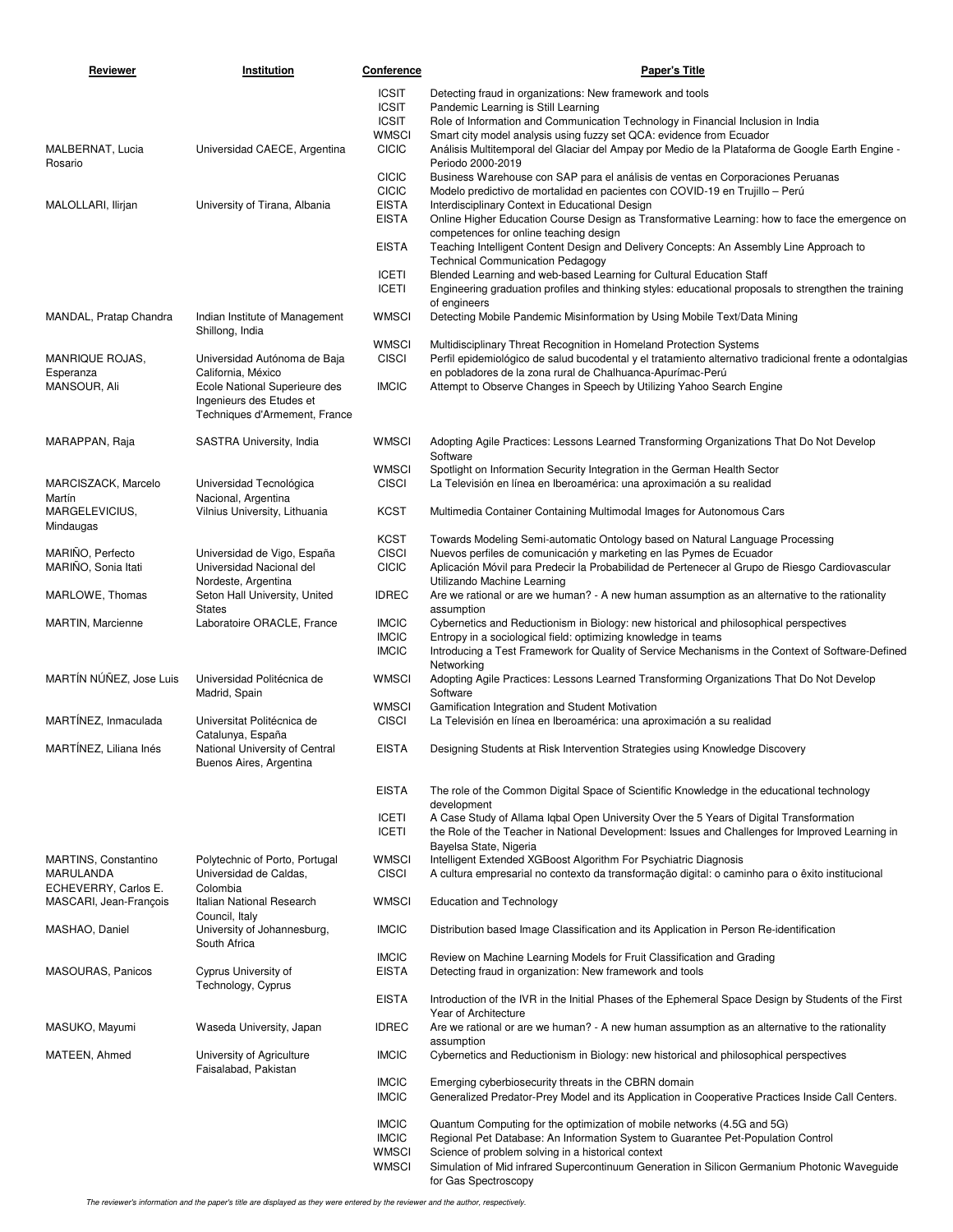| Reviewer                                       | Institution                                               | Conference                   | <b>Paper's Title</b>                                                                                                                                                                          |
|------------------------------------------------|-----------------------------------------------------------|------------------------------|-----------------------------------------------------------------------------------------------------------------------------------------------------------------------------------------------|
|                                                |                                                           | <b>ICSIT</b>                 | Detecting fraud in organizations: New framework and tools                                                                                                                                     |
|                                                |                                                           | <b>ICSIT</b>                 | Pandemic Learning is Still Learning                                                                                                                                                           |
|                                                |                                                           | <b>ICSIT</b>                 | Role of Information and Communication Technology in Financial Inclusion in India                                                                                                              |
| MALBERNAT, Lucia<br>Rosario                    | Universidad CAECE, Argentina                              | <b>WMSCI</b><br><b>CICIC</b> | Smart city model analysis using fuzzy set QCA: evidence from Ecuador<br>Análisis Multitemporal del Glaciar del Ampay por Medio de la Plataforma de Google Earth Engine -<br>Periodo 2000-2019 |
|                                                |                                                           | <b>CICIC</b>                 | Business Warehouse con SAP para el análisis de ventas en Corporaciones Peruanas                                                                                                               |
|                                                |                                                           | <b>CICIC</b>                 | Modelo predictivo de mortalidad en pacientes con COVID-19 en Trujillo - Perú                                                                                                                  |
| MALOLLARI, Ilirjan                             | University of Tirana, Albania                             | <b>EISTA</b>                 | Interdisciplinary Context in Educational Design                                                                                                                                               |
|                                                |                                                           | <b>EISTA</b>                 | Online Higher Education Course Design as Transformative Learning: how to face the emergence on<br>competences for online teaching design                                                      |
|                                                |                                                           | <b>EISTA</b>                 | Teaching Intelligent Content Design and Delivery Concepts: An Assembly Line Approach to<br><b>Technical Communication Pedagogy</b>                                                            |
|                                                |                                                           | <b>ICETI</b>                 | Blended Learning and web-based Learning for Cultural Education Staff                                                                                                                          |
|                                                |                                                           | <b>ICETI</b>                 | Engineering graduation profiles and thinking styles: educational proposals to strengthen the training                                                                                         |
| MANDAL, Pratap Chandra                         | Indian Institute of Management<br>Shillong, India         | <b>WMSCI</b>                 | of engineers<br>Detecting Mobile Pandemic Misinformation by Using Mobile Text/Data Mining                                                                                                     |
|                                                |                                                           | <b>WMSCI</b>                 | Multidisciplinary Threat Recognition in Homeland Protection Systems                                                                                                                           |
| MANRIQUE ROJAS,                                | Universidad Autónoma de Baja                              | <b>CISCI</b>                 | Perfil epidemiológico de salud bucodental y el tratamiento alternativo tradicional frente a odontalgias                                                                                       |
| Esperanza                                      | California, México                                        |                              | en pobladores de la zona rural de Chalhuanca-Apurímac-Perú                                                                                                                                    |
| MANSOUR, Ali                                   | Ecole National Superieure des                             | <b>IMCIC</b>                 | Attempt to Observe Changes in Speech by Utilizing Yahoo Search Engine                                                                                                                         |
|                                                | Ingenieurs des Etudes et<br>Techniques d'Armement, France |                              |                                                                                                                                                                                               |
|                                                |                                                           |                              |                                                                                                                                                                                               |
| MARAPPAN, Raja                                 | SASTRA University, India                                  | <b>WMSCI</b>                 | Adopting Agile Practices: Lessons Learned Transforming Organizations That Do Not Develop<br>Software                                                                                          |
|                                                | Universidad Tecnológica                                   | <b>WMSCI</b><br><b>CISCI</b> | Spotlight on Information Security Integration in the German Health Sector<br>La Televisión en línea en Iberoamérica: una aproximación a su realidad                                           |
| MARCISZACK, Marcelo<br>Martín                  | Nacional, Argentina                                       |                              |                                                                                                                                                                                               |
| MARGELEVICIUS,<br>Mindaugas                    | Vilnius University, Lithuania                             | <b>KCST</b>                  | Multimedia Container Containing Multimodal Images for Autonomous Cars                                                                                                                         |
|                                                |                                                           | <b>KCST</b>                  | Towards Modeling Semi-automatic Ontology based on Natural Language Processing                                                                                                                 |
| MARIÑO, Perfecto                               | Universidad de Vigo, España<br>Universidad Nacional del   | <b>CISCI</b><br><b>CICIC</b> | Nuevos perfiles de comunicación y marketing en las Pymes de Ecuador                                                                                                                           |
| MARINO, Sonia Itati                            | Nordeste, Argentina                                       |                              | Aplicación Móvil para Predecir la Probabilidad de Pertenecer al Grupo de Riesgo Cardiovascular<br>Utilizando Machine Learning                                                                 |
| MARLOWE, Thomas                                | Seton Hall University, United                             | <b>IDREC</b>                 | Are we rational or are we human? - A new human assumption as an alternative to the rationality                                                                                                |
|                                                | <b>States</b>                                             |                              | assumption                                                                                                                                                                                    |
| <b>MARTIN, Marcienne</b>                       | Laboratoire ORACLE, France                                | <b>IMCIC</b><br><b>IMCIC</b> | Cybernetics and Reductionism in Biology: new historical and philosophical perspectives                                                                                                        |
|                                                |                                                           | <b>IMCIC</b>                 | Entropy in a sociological field: optimizing knowledge in teams<br>Introducing a Test Framework for Quality of Service Mechanisms in the Context of Software-Defined<br>Networking             |
| MARTÍN NÚÑEZ, Jose Luis                        | Universidad Politécnica de<br>Madrid, Spain               | <b>WMSCI</b>                 | Adopting Agile Practices: Lessons Learned Transforming Organizations That Do Not Develop<br>Software                                                                                          |
|                                                |                                                           | <b>WMSCI</b>                 | Gamification Integration and Student Motivation                                                                                                                                               |
| MARTÍNEZ, Inmaculada                           | Universitat Politécnica de<br>Catalunya, España           | <b>CISCI</b>                 | La Televisión en línea en Iberoamérica: una aproximación a su realidad                                                                                                                        |
| MARTÍNEZ, Liliana Inés                         | National University of Central<br>Buenos Aires, Argentina | <b>EISTA</b>                 | Designing Students at Risk Intervention Strategies using Knowledge Discovery                                                                                                                  |
|                                                |                                                           | <b>EISTA</b>                 | The role of the Common Digital Space of Scientific Knowledge in the educational technology<br>development                                                                                     |
|                                                |                                                           | <b>ICETI</b>                 | A Case Study of Allama Igbal Open University Over the 5 Years of Digital Transformation                                                                                                       |
|                                                |                                                           | <b>ICETI</b>                 | the Role of the Teacher in National Development: Issues and Challenges for Improved Learning in                                                                                               |
| MARTINS, Constantino                           | Polytechnic of Porto, Portugal                            | <b>WMSCI</b>                 | Bayelsa State, Nigeria<br>Intelligent Extended XGBoost Algorithm For Psychiatric Diagnosis                                                                                                    |
| MARULANDA                                      | Universidad de Caldas,                                    | <b>CISCI</b>                 | A cultura empresarial no contexto da transformação digital: o caminho para o êxito institucional                                                                                              |
| ECHEVERRY, Carlos E.<br>MASCARI, Jean-François | Colombia<br>Italian National Research                     | <b>WMSCI</b>                 | <b>Education and Technology</b>                                                                                                                                                               |
| MASHAO, Daniel                                 | Council, Italy<br>University of Johannesburg,             | <b>IMCIC</b>                 | Distribution based Image Classification and its Application in Person Re-identification                                                                                                       |
|                                                | South Africa                                              | <b>IMCIC</b>                 | Review on Machine Learning Models for Fruit Classification and Grading                                                                                                                        |
| MASOURAS, Panicos                              | Cyprus University of<br>Technology, Cyprus                | <b>EISTA</b>                 | Detecting fraud in organization: New framework and tools                                                                                                                                      |
|                                                |                                                           | <b>EISTA</b>                 | Introduction of the IVR in the Initial Phases of the Ephemeral Space Design by Students of the First<br>Year of Architecture                                                                  |
| MASUKO, Mayumi                                 | Waseda University, Japan                                  | <b>IDREC</b>                 | Are we rational or are we human? - A new human assumption as an alternative to the rationality<br>assumption                                                                                  |
| MATEEN, Ahmed                                  | University of Agriculture<br>Faisalabad, Pakistan         | <b>IMCIC</b>                 | Cybernetics and Reductionism in Biology: new historical and philosophical perspectives                                                                                                        |
|                                                |                                                           | <b>IMCIC</b><br><b>IMCIC</b> | Emerging cyberbiosecurity threats in the CBRN domain<br>Generalized Predator-Prey Model and its Application in Cooperative Practices Inside Call Centers.                                     |
|                                                |                                                           | <b>IMCIC</b>                 | Quantum Computing for the optimization of mobile networks (4.5G and 5G)                                                                                                                       |
|                                                |                                                           | <b>IMCIC</b>                 | Regional Pet Database: An Information System to Guarantee Pet-Population Control                                                                                                              |
|                                                |                                                           | <b>WMSCI</b><br><b>WMSCI</b> | Science of problem solving in a historical context<br>Simulation of Mid infrared Supercontinuum Generation in Silicon Germanium Photonic Waveguide                                            |
|                                                |                                                           |                              | for Gas Spectroscopy                                                                                                                                                                          |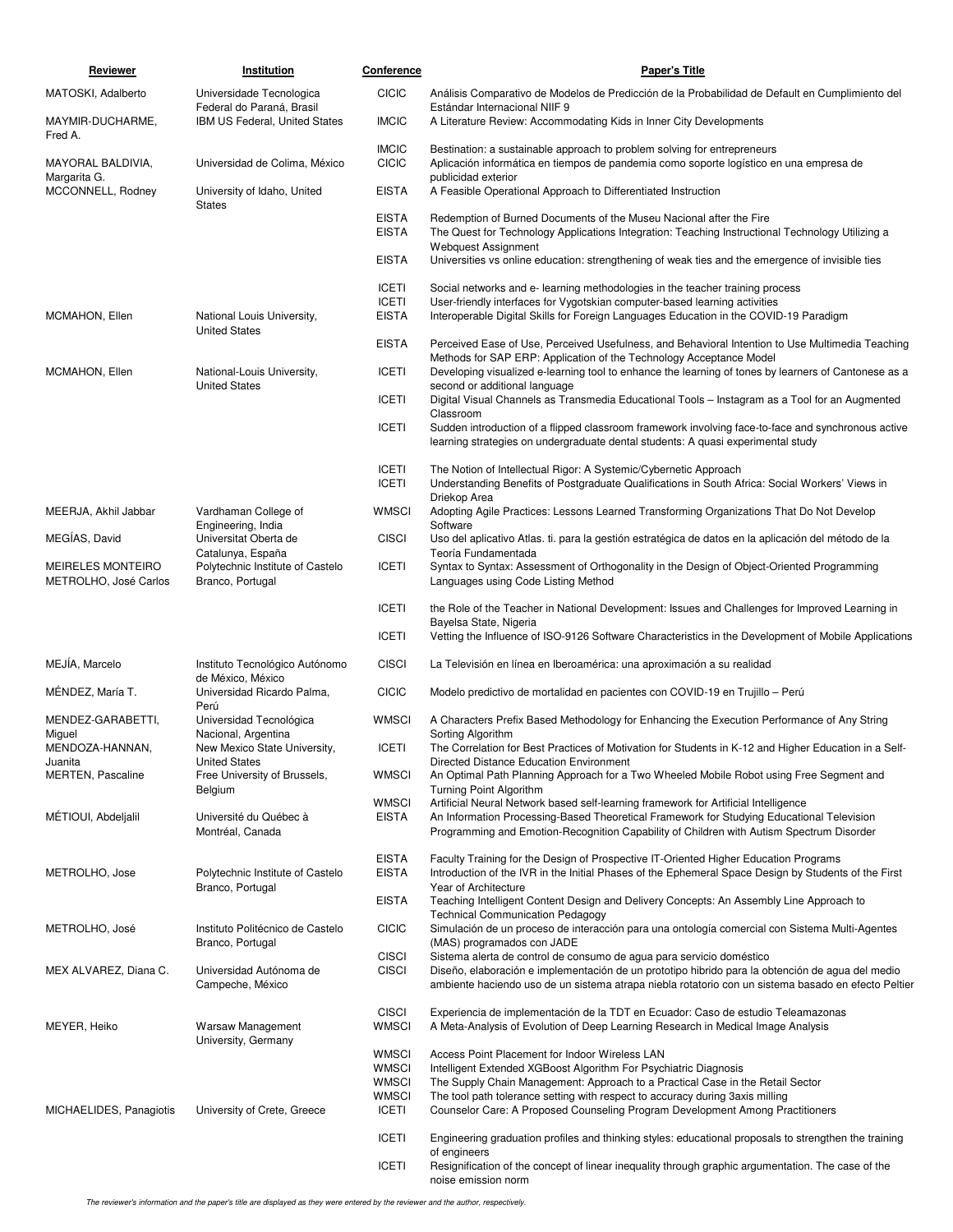| Reviewer                                          | Institution                                                | Conference                   | <b>Paper's Title</b>                                                                                                                                                                                    |
|---------------------------------------------------|------------------------------------------------------------|------------------------------|---------------------------------------------------------------------------------------------------------------------------------------------------------------------------------------------------------|
| MATOSKI, Adalberto                                | Universidade Tecnologica                                   | <b>CICIC</b>                 | Análisis Comparativo de Modelos de Predicción de la Probabilidad de Default en Cumplimiento del                                                                                                         |
| MAYMIR-DUCHARME,                                  | Federal do Paraná, Brasil<br>IBM US Federal, United States | <b>IMCIC</b>                 | Estándar Internacional NIIF 9<br>A Literature Review: Accommodating Kids in Inner City Developments                                                                                                     |
| Fred A.                                           |                                                            | <b>IMCIC</b>                 | Bestination: a sustainable approach to problem solving for entrepreneurs                                                                                                                                |
| MAYORAL BALDIVIA,<br>Margarita G.                 | Universidad de Colima, México                              | <b>CICIC</b>                 | Aplicación informática en tiempos de pandemia como soporte logístico en una empresa de<br>publicidad exterior                                                                                           |
| MCCONNELL, Rodney                                 | University of Idaho, United<br><b>States</b>               | <b>EISTA</b>                 | A Feasible Operational Approach to Differentiated Instruction                                                                                                                                           |
|                                                   |                                                            | <b>EISTA</b><br><b>EISTA</b> | Redemption of Burned Documents of the Museu Nacional after the Fire<br>The Quest for Technology Applications Integration: Teaching Instructional Technology Utilizing a<br><b>Webquest Assignment</b>   |
|                                                   |                                                            | <b>EISTA</b>                 | Universities vs online education: strengthening of weak ties and the emergence of invisible ties                                                                                                        |
|                                                   |                                                            | <b>ICETI</b>                 | Social networks and e- learning methodologies in the teacher training process                                                                                                                           |
| MCMAHON, Ellen                                    | National Louis University,                                 | <b>ICETI</b><br><b>EISTA</b> | User-friendly interfaces for Vygotskian computer-based learning activities<br>Interoperable Digital Skills for Foreign Languages Education in the COVID-19 Paradigm                                     |
|                                                   | <b>United States</b>                                       | <b>EISTA</b>                 | Perceived Ease of Use, Perceived Usefulness, and Behavioral Intention to Use Multimedia Teaching                                                                                                        |
| MCMAHON, Ellen                                    | National-Louis University,                                 | <b>ICETI</b>                 | Methods for SAP ERP: Application of the Technology Acceptance Model<br>Developing visualized e-learning tool to enhance the learning of tones by learners of Cantonese as a                             |
|                                                   | <b>United States</b>                                       |                              | second or additional language                                                                                                                                                                           |
|                                                   |                                                            | <b>ICETI</b>                 | Digital Visual Channels as Transmedia Educational Tools - Instagram as a Tool for an Augmented<br>Classroom                                                                                             |
|                                                   |                                                            | <b>ICETI</b>                 | Sudden introduction of a flipped classroom framework involving face-to-face and synchronous active<br>learning strategies on undergraduate dental students: A quasi experimental study                  |
|                                                   |                                                            | <b>ICETI</b><br><b>ICETI</b> | The Notion of Intellectual Rigor: A Systemic/Cybernetic Approach<br>Understanding Benefits of Postgraduate Qualifications in South Africa: Social Workers' Views in<br>Driekop Area                     |
| MEERJA, Akhil Jabbar                              | Vardhaman College of<br>Engineering, India                 | <b>WMSCI</b>                 | Adopting Agile Practices: Lessons Learned Transforming Organizations That Do Not Develop<br>Software                                                                                                    |
| MEGIAS, David                                     | Universitat Oberta de<br>Catalunya, España                 | <b>CISCI</b>                 | Uso del aplicativo Atlas. ti. para la gestión estratégica de datos en la aplicación del método de la<br>Teoría Fundamentada                                                                             |
| <b>MEIRELES MONTEIRO</b><br>METROLHO, José Carlos | Polytechnic Institute of Castelo<br>Branco, Portugal       | <b>ICETI</b>                 | Syntax to Syntax: Assessment of Orthogonality in the Design of Object-Oriented Programming<br>Languages using Code Listing Method                                                                       |
|                                                   |                                                            | <b>ICETI</b>                 | the Role of the Teacher in National Development: Issues and Challenges for Improved Learning in                                                                                                         |
|                                                   |                                                            | <b>ICETI</b>                 | Bayelsa State, Nigeria<br>Vetting the Influence of ISO-9126 Software Characteristics in the Development of Mobile Applications                                                                          |
| MEJÍA, Marcelo                                    | Instituto Tecnológico Autónomo<br>de México, México        | <b>CISCI</b>                 | La Televisión en línea en Iberoamérica: una aproximación a su realidad                                                                                                                                  |
| MENDEZ, María T.                                  | Universidad Ricardo Palma,<br>Perú                         | <b>CICIC</b>                 | Modelo predictivo de mortalidad en pacientes con COVID-19 en Trujillo - Perú                                                                                                                            |
| MENDEZ-GARABETTI,<br>Miguel                       | Universidad Tecnológica<br>Nacional, Argentina             | <b>WMSCI</b>                 | A Characters Prefix Based Methodology for Enhancing the Execution Performance of Any String<br>Sorting Algorithm                                                                                        |
| MENDOZA-HANNAN,                                   | New Mexico State University,<br><b>United States</b>       | <b>ICETI</b>                 | The Correlation for Best Practices of Motivation for Students in K-12 and Higher Education in a Self-<br>Directed Distance Education Environment                                                        |
| Juanita<br>MERTEN, Pascaline                      | Free University of Brussels,<br>Belgium                    | <b>WMSCI</b>                 | An Optimal Path Planning Approach for a Two Wheeled Mobile Robot using Free Segment and<br><b>Turning Point Algorithm</b>                                                                               |
|                                                   |                                                            | <b>WMSCI</b>                 | Artificial Neural Network based self-learning framework for Artificial Intelligence                                                                                                                     |
| METIOUI, Abdeljalil                               | Université du Québec à<br>Montréal, Canada                 | <b>EISTA</b>                 | An Information Processing-Based Theoretical Framework for Studying Educational Television<br>Programming and Emotion-Recognition Capability of Children with Autism Spectrum Disorder                   |
|                                                   |                                                            | <b>EISTA</b>                 | Faculty Training for the Design of Prospective IT-Oriented Higher Education Programs                                                                                                                    |
| METROLHO, Jose                                    | Polytechnic Institute of Castelo<br>Branco, Portugal       | <b>EISTA</b>                 | Introduction of the IVR in the Initial Phases of the Ephemeral Space Design by Students of the First<br>Year of Architecture                                                                            |
|                                                   |                                                            | <b>EISTA</b>                 | Teaching Intelligent Content Design and Delivery Concepts: An Assembly Line Approach to<br><b>Technical Communication Pedagogy</b>                                                                      |
| METROLHO, José                                    | Instituto Politécnico de Castelo<br>Branco, Portugal       | <b>CICIC</b>                 | Simulación de un proceso de interacción para una ontología comercial con Sistema Multi-Agentes<br>(MAS) programados con JADE                                                                            |
|                                                   |                                                            | <b>CISCI</b>                 | Sistema alerta de control de consumo de agua para servicio doméstico                                                                                                                                    |
| MEX ALVAREZ, Diana C.                             | Universidad Autónoma de<br>Campeche, México                | <b>CISCI</b>                 | Diseño, elaboración e implementación de un prototipo hibrido para la obtención de agua del medio<br>ambiente haciendo uso de un sistema atrapa niebla rotatorio con un sistema basado en efecto Peltier |
|                                                   |                                                            | <b>CISCI</b>                 | Experiencia de implementación de la TDT en Ecuador: Caso de estudio Teleamazonas                                                                                                                        |
| MEYER, Heiko                                      | Warsaw Management<br>University, Germany                   | <b>WMSCI</b>                 | A Meta-Analysis of Evolution of Deep Learning Research in Medical Image Analysis                                                                                                                        |
|                                                   |                                                            | <b>WMSCI</b>                 | Access Point Placement for Indoor Wireless LAN                                                                                                                                                          |
|                                                   |                                                            | <b>WMSCI</b>                 | Intelligent Extended XGBoost Algorithm For Psychiatric Diagnosis                                                                                                                                        |
|                                                   |                                                            | <b>WMSCI</b><br><b>WMSCI</b> | The Supply Chain Management: Approach to a Practical Case in the Retail Sector<br>The tool path tolerance setting with respect to accuracy during 3axis milling                                         |
| MICHAELIDES, Panagiotis                           | University of Crete, Greece                                | <b>ICETI</b>                 | Counselor Care: A Proposed Counseling Program Development Among Practitioners                                                                                                                           |
|                                                   |                                                            | <b>ICETI</b>                 | Engineering graduation profiles and thinking styles: educational proposals to strengthen the training<br>of engineers                                                                                   |
|                                                   |                                                            | <b>ICETI</b>                 | Resignification of the concept of linear inequality through graphic argumentation. The case of the<br>noise emission norm                                                                               |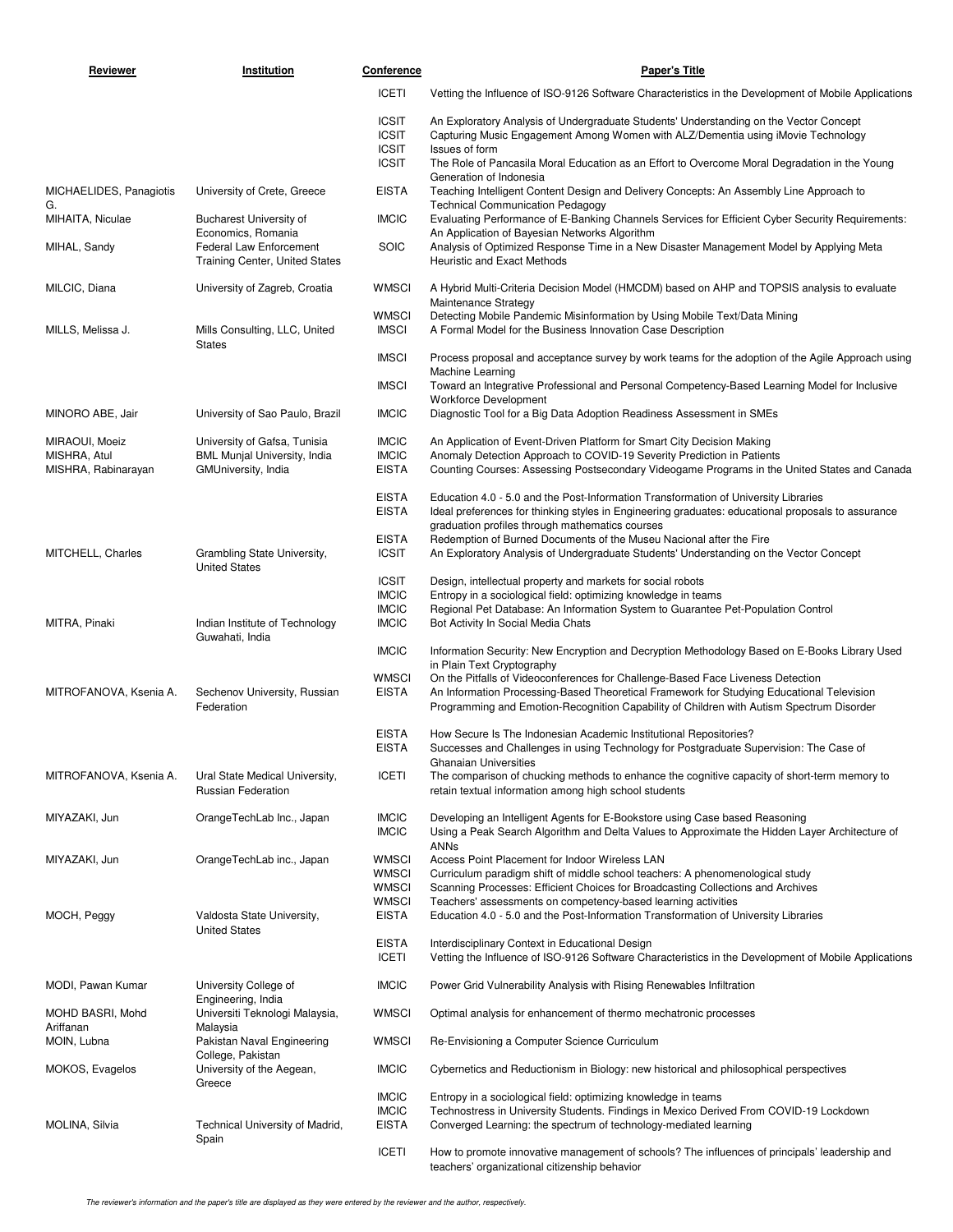| Reviewer                                              | Institution                                                                                   | Conference                                   | <b>Paper's Title</b>                                                                                                                                                                                                                                                     |
|-------------------------------------------------------|-----------------------------------------------------------------------------------------------|----------------------------------------------|--------------------------------------------------------------------------------------------------------------------------------------------------------------------------------------------------------------------------------------------------------------------------|
|                                                       |                                                                                               | ICETI                                        | Vetting the Influence of ISO-9126 Software Characteristics in the Development of Mobile Applications                                                                                                                                                                     |
|                                                       |                                                                                               | <b>ICSIT</b><br><b>ICSIT</b><br><b>ICSIT</b> | An Exploratory Analysis of Undergraduate Students' Understanding on the Vector Concept<br>Capturing Music Engagement Among Women with ALZ/Dementia using iMovie Technology<br>Issues of form                                                                             |
| MICHAELIDES, Panagiotis                               | University of Crete, Greece                                                                   | <b>ICSIT</b><br><b>EISTA</b>                 | The Role of Pancasila Moral Education as an Effort to Overcome Moral Degradation in the Young<br>Generation of Indonesia<br>Teaching Intelligent Content Design and Delivery Concepts: An Assembly Line Approach to                                                      |
| G.<br>MIHAITA, Niculae                                | <b>Bucharest University of</b>                                                                | <b>IMCIC</b>                                 | <b>Technical Communication Pedagogy</b><br>Evaluating Performance of E-Banking Channels Services for Efficient Cyber Security Requirements:                                                                                                                              |
| MIHAL, Sandy                                          | Economics, Romania<br><b>Federal Law Enforcement</b><br><b>Training Center, United States</b> | <b>SOIC</b>                                  | An Application of Bayesian Networks Algorithm<br>Analysis of Optimized Response Time in a New Disaster Management Model by Applying Meta<br><b>Heuristic and Exact Methods</b>                                                                                           |
| MILCIC, Diana                                         | University of Zagreb, Croatia                                                                 | <b>WMSCI</b>                                 | A Hybrid Multi-Criteria Decision Model (HMCDM) based on AHP and TOPSIS analysis to evaluate<br>Maintenance Strategy                                                                                                                                                      |
| MILLS, Melissa J.                                     | Mills Consulting, LLC, United<br><b>States</b>                                                | <b>WMSCI</b><br><b>IMSCI</b>                 | Detecting Mobile Pandemic Misinformation by Using Mobile Text/Data Mining<br>A Formal Model for the Business Innovation Case Description                                                                                                                                 |
|                                                       |                                                                                               | <b>IMSCI</b>                                 | Process proposal and acceptance survey by work teams for the adoption of the Agile Approach using<br>Machine Learning                                                                                                                                                    |
|                                                       |                                                                                               | <b>IMSCI</b>                                 | Toward an Integrative Professional and Personal Competency-Based Learning Model for Inclusive<br><b>Workforce Development</b>                                                                                                                                            |
| MINORO ABE, Jair                                      | University of Sao Paulo, Brazil                                                               | <b>IMCIC</b>                                 | Diagnostic Tool for a Big Data Adoption Readiness Assessment in SMEs                                                                                                                                                                                                     |
| MIRAOUI, Moeiz<br>MISHRA, Atul<br>MISHRA, Rabinarayan | University of Gafsa, Tunisia<br><b>BML Munjal University, India</b><br>GMUniversity, India    | <b>IMCIC</b><br><b>IMCIC</b><br><b>EISTA</b> | An Application of Event-Driven Platform for Smart City Decision Making<br>Anomaly Detection Approach to COVID-19 Severity Prediction in Patients<br>Counting Courses: Assessing Postsecondary Videogame Programs in the United States and Canada                         |
|                                                       |                                                                                               | <b>EISTA</b><br><b>EISTA</b>                 | Education 4.0 - 5.0 and the Post-Information Transformation of University Libraries<br>Ideal preferences for thinking styles in Engineering graduates: educational proposals to assurance                                                                                |
| MITCHELL, Charles                                     | Grambling State University,                                                                   | <b>EISTA</b><br><b>ICSIT</b>                 | graduation profiles through mathematics courses<br>Redemption of Burned Documents of the Museu Nacional after the Fire<br>An Exploratory Analysis of Undergraduate Students' Understanding on the Vector Concept                                                         |
|                                                       | <b>United States</b>                                                                          | <b>ICSIT</b><br><b>IMCIC</b>                 | Design, intellectual property and markets for social robots<br>Entropy in a sociological field: optimizing knowledge in teams                                                                                                                                            |
| MITRA, Pinaki                                         | Indian Institute of Technology                                                                | <b>IMCIC</b><br><b>IMCIC</b>                 | Regional Pet Database: An Information System to Guarantee Pet-Population Control<br>Bot Activity In Social Media Chats                                                                                                                                                   |
|                                                       | Guwahati, India                                                                               | <b>IMCIC</b>                                 | Information Security: New Encryption and Decryption Methodology Based on E-Books Library Used<br>in Plain Text Cryptography                                                                                                                                              |
| MITROFANOVA, Ksenia A.                                | Sechenov University, Russian<br>Federation                                                    | <b>WMSCI</b><br><b>EISTA</b>                 | On the Pitfalls of Videoconferences for Challenge-Based Face Liveness Detection<br>An Information Processing-Based Theoretical Framework for Studying Educational Television<br>Programming and Emotion-Recognition Capability of Children with Autism Spectrum Disorder |
|                                                       |                                                                                               | <b>EISTA</b><br><b>EISTA</b>                 | How Secure Is The Indonesian Academic Institutional Repositories?<br>Successes and Challenges in using Technology for Postgraduate Supervision: The Case of                                                                                                              |
| MITROFANOVA, Ksenia A.                                | Ural State Medical University,<br><b>Russian Federation</b>                                   | <b>ICETI</b>                                 | <b>Ghanaian Universities</b><br>The comparison of chucking methods to enhance the cognitive capacity of short-term memory to<br>retain textual information among high school students                                                                                    |
| MIYAZAKI, Jun                                         | OrangeTechLab Inc., Japan                                                                     | <b>IMCIC</b><br><b>IMCIC</b>                 | Developing an Intelligent Agents for E-Bookstore using Case based Reasoning<br>Using a Peak Search Algorithm and Delta Values to Approximate the Hidden Layer Architecture of<br>ANNs                                                                                    |
| MIYAZAKI, Jun                                         | OrangeTechLab inc., Japan                                                                     | <b>WMSCI</b><br><b>WMSCI</b><br><b>WMSCI</b> | Access Point Placement for Indoor Wireless LAN<br>Curriculum paradigm shift of middle school teachers: A phenomenological study<br>Scanning Processes: Efficient Choices for Broadcasting Collections and Archives                                                       |
| MOCH, Peggy                                           | Valdosta State University,<br><b>United States</b>                                            | <b>WMSCI</b><br><b>EISTA</b>                 | Teachers' assessments on competency-based learning activities<br>Education 4.0 - 5.0 and the Post-Information Transformation of University Libraries                                                                                                                     |
|                                                       |                                                                                               | <b>EISTA</b><br><b>ICETI</b>                 | Interdisciplinary Context in Educational Design<br>Vetting the Influence of ISO-9126 Software Characteristics in the Development of Mobile Applications                                                                                                                  |
| MODI, Pawan Kumar                                     | University College of                                                                         | <b>IMCIC</b>                                 | Power Grid Vulnerability Analysis with Rising Renewables Infiltration                                                                                                                                                                                                    |
| MOHD BASRI, Mohd                                      | Engineering, India<br>Universiti Teknologi Malaysia,                                          | <b>WMSCI</b>                                 | Optimal analysis for enhancement of thermo mechatronic processes                                                                                                                                                                                                         |
| Ariffanan<br>MOIN, Lubna                              | Malaysia<br>Pakistan Naval Engineering                                                        | <b>WMSCI</b>                                 | Re-Envisioning a Computer Science Curriculum                                                                                                                                                                                                                             |
| MOKOS, Evagelos                                       | College, Pakistan<br>University of the Aegean,                                                | <b>IMCIC</b>                                 | Cybernetics and Reductionism in Biology: new historical and philosophical perspectives                                                                                                                                                                                   |
|                                                       | Greece                                                                                        | <b>IMCIC</b>                                 | Entropy in a sociological field: optimizing knowledge in teams                                                                                                                                                                                                           |
| MOLINA, Silvia                                        | Technical University of Madrid,                                                               | <b>IMCIC</b><br><b>EISTA</b>                 | Technostress in University Students. Findings in Mexico Derived From COVID-19 Lockdown<br>Converged Learning: the spectrum of technology-mediated learning                                                                                                               |
|                                                       | Spain                                                                                         | <b>ICETI</b>                                 | How to promote innovative management of schools? The influences of principals' leadership and<br>teachers' organizational citizenship behavior                                                                                                                           |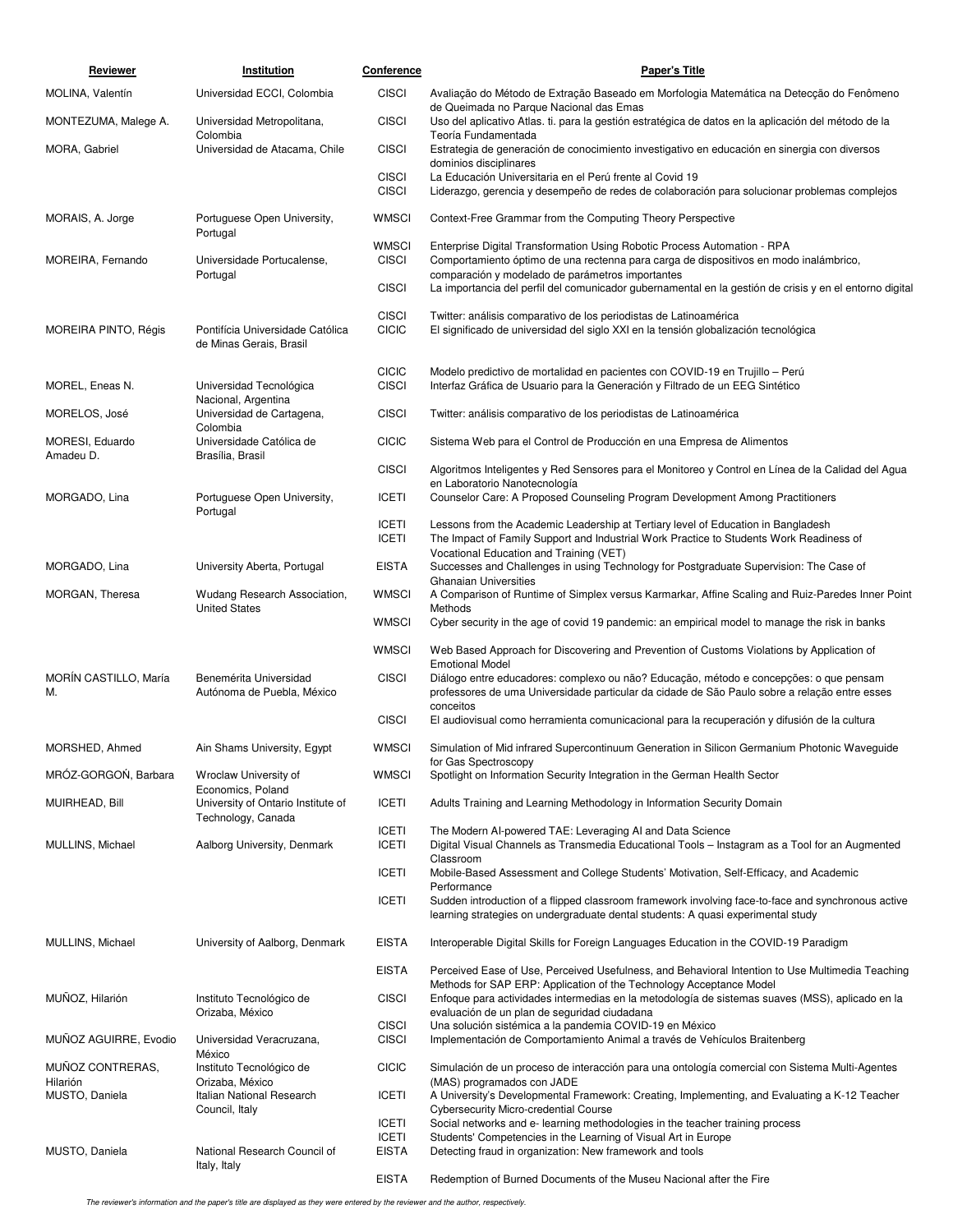| Reviewer                     | Institution                                                  | <b>Conference</b>                            | <b>Paper's Title</b>                                                                                                                                                                                                                                                                                                             |
|------------------------------|--------------------------------------------------------------|----------------------------------------------|----------------------------------------------------------------------------------------------------------------------------------------------------------------------------------------------------------------------------------------------------------------------------------------------------------------------------------|
| MOLINA, Valentín             | Universidad ECCI, Colombia                                   | <b>CISCI</b>                                 | Avaliação do Método de Extração Baseado em Morfologia Matemática na Detecção do Fenômeno                                                                                                                                                                                                                                         |
| MONTEZUMA, Malege A.         | Universidad Metropolitana,                                   | <b>CISCI</b>                                 | de Queimada no Parque Nacional das Emas<br>Uso del aplicativo Atlas. ti. para la gestión estratégica de datos en la aplicación del método de la                                                                                                                                                                                  |
| MORA, Gabriel                | Colombia<br>Universidad de Atacama, Chile                    | <b>CISCI</b>                                 | Teoría Fundamentada<br>Estrategia de generación de conocimiento investigativo en educación en sinergia con diversos<br>dominios disciplinares                                                                                                                                                                                    |
|                              |                                                              | <b>CISCI</b><br><b>CISCI</b>                 | La Educación Universitaria en el Perú frente al Covid 19<br>Liderazgo, gerencia y desempeño de redes de colaboración para solucionar problemas complejos                                                                                                                                                                         |
| MORAIS, A. Jorge             | Portuguese Open University,<br>Portugal                      | <b>WMSCI</b>                                 | Context-Free Grammar from the Computing Theory Perspective                                                                                                                                                                                                                                                                       |
| MOREIRA, Fernando            | Universidade Portucalense,<br>Portugal                       | <b>WMSCI</b><br><b>CISCI</b><br><b>CISCI</b> | Enterprise Digital Transformation Using Robotic Process Automation - RPA<br>Comportamiento óptimo de una rectenna para carga de dispositivos en modo inalámbrico,<br>comparación y modelado de parámetros importantes<br>La importancia del perfil del comunicador gubernamental en la gestión de crisis y en el entorno digital |
| MOREIRA PINTO, Régis         | Pontifícia Universidade Católica<br>de Minas Gerais, Brasil  | <b>CISCI</b><br><b>CICIC</b>                 | Twitter: análisis comparativo de los periodistas de Latinoamérica<br>El significado de universidad del siglo XXI en la tensión globalización tecnológica                                                                                                                                                                         |
| MOREL, Eneas N.              | Universidad Tecnológica                                      | <b>CICIC</b><br><b>CISCI</b>                 | Modelo predictivo de mortalidad en pacientes con COVID-19 en Trujillo - Perú<br>Interfaz Gráfica de Usuario para la Generación y Filtrado de un EEG Sintético                                                                                                                                                                    |
| MORELOS, José                | Nacional, Argentina<br>Universidad de Cartagena,<br>Colombia | <b>CISCI</b>                                 | Twitter: análisis comparativo de los periodistas de Latinoamérica                                                                                                                                                                                                                                                                |
| MORESI, Eduardo<br>Amadeu D. | Universidade Católica de<br>Brasília, Brasil                 | <b>CICIC</b>                                 | Sistema Web para el Control de Producción en una Empresa de Alimentos                                                                                                                                                                                                                                                            |
|                              |                                                              | <b>CISCI</b>                                 | Algoritmos Inteligentes y Red Sensores para el Monitoreo y Control en Línea de la Calidad del Agua<br>en Laboratorio Nanotecnología                                                                                                                                                                                              |
| MORGADO, Lina                | Portuguese Open University,<br>Portugal                      | <b>ICETI</b>                                 | Counselor Care: A Proposed Counseling Program Development Among Practitioners                                                                                                                                                                                                                                                    |
|                              |                                                              | <b>ICETI</b><br><b>ICETI</b>                 | Lessons from the Academic Leadership at Tertiary level of Education in Bangladesh<br>The Impact of Family Support and Industrial Work Practice to Students Work Readiness of                                                                                                                                                     |
| MORGADO, Lina                | University Aberta, Portugal                                  | <b>EISTA</b>                                 | Vocational Education and Training (VET)<br>Successes and Challenges in using Technology for Postgraduate Supervision: The Case of                                                                                                                                                                                                |
| MORGAN, Theresa              | Wudang Research Association,<br><b>United States</b>         | WMSCI                                        | <b>Ghanaian Universities</b><br>A Comparison of Runtime of Simplex versus Karmarkar, Affine Scaling and Ruiz-Paredes Inner Point<br>Methods                                                                                                                                                                                      |
|                              |                                                              | WMSCI                                        | Cyber security in the age of covid 19 pandemic: an empirical model to manage the risk in banks                                                                                                                                                                                                                                   |
|                              |                                                              | <b>WMSCI</b>                                 | Web Based Approach for Discovering and Prevention of Customs Violations by Application of<br><b>Emotional Model</b>                                                                                                                                                                                                              |
| MORÍN CASTILLO, María<br>М.  | Benemérita Universidad<br>Autónoma de Puebla, México         | <b>CISCI</b>                                 | Diálogo entre educadores: complexo ou não? Educação, método e concepções: o que pensam<br>professores de uma Universidade particular da cidade de São Paulo sobre a relação entre esses<br>conceitos                                                                                                                             |
|                              |                                                              | <b>CISCI</b>                                 | El audiovisual como herramienta comunicacional para la recuperación y difusión de la cultura                                                                                                                                                                                                                                     |
| MORSHED, Ahmed               | Ain Shams University, Egypt                                  | <b>WMSCI</b>                                 | Simulation of Mid infrared Supercontinuum Generation in Silicon Germanium Photonic Waveguide<br>for Gas Spectroscopy                                                                                                                                                                                                             |
| MRÓZ-GORGOŃ, Barbara         | Wroclaw University of<br>Economics, Poland                   | <b>WMSCI</b>                                 | Spotlight on Information Security Integration in the German Health Sector                                                                                                                                                                                                                                                        |
| MUIRHEAD, Bill               | University of Ontario Institute of<br>Technology, Canada     | <b>ICETI</b>                                 | Adults Training and Learning Methodology in Information Security Domain                                                                                                                                                                                                                                                          |
| MULLINS, Michael             | Aalborg University, Denmark                                  | <b>ICETI</b><br><b>ICETI</b>                 | The Modern AI-powered TAE: Leveraging AI and Data Science<br>Digital Visual Channels as Transmedia Educational Tools - Instagram as a Tool for an Augmented<br>Classroom                                                                                                                                                         |
|                              |                                                              | <b>ICETI</b>                                 | Mobile-Based Assessment and College Students' Motivation, Self-Efficacy, and Academic<br>Performance                                                                                                                                                                                                                             |
|                              |                                                              | <b>ICETI</b>                                 | Sudden introduction of a flipped classroom framework involving face-to-face and synchronous active<br>learning strategies on undergraduate dental students: A quasi experimental study                                                                                                                                           |
| MULLINS, Michael             | University of Aalborg, Denmark                               | <b>EISTA</b>                                 | Interoperable Digital Skills for Foreign Languages Education in the COVID-19 Paradigm                                                                                                                                                                                                                                            |
|                              |                                                              | <b>EISTA</b>                                 | Perceived Ease of Use, Perceived Usefulness, and Behavioral Intention to Use Multimedia Teaching<br>Methods for SAP ERP: Application of the Technology Acceptance Model                                                                                                                                                          |
| MUNOZ, Hilarión              | Instituto Tecnológico de<br>Orizaba, México                  | <b>CISCI</b>                                 | Enfoque para actividades intermedias en la metodología de sistemas suaves (MSS), aplicado en la<br>evaluación de un plan de seguridad ciudadana                                                                                                                                                                                  |
| MUNOZ AGUIRRE, Evodio        | Universidad Veracruzana,                                     | <b>CISCI</b><br><b>CISCI</b>                 | Una solución sistémica a la pandemia COVID-19 en México<br>Implementación de Comportamiento Animal a través de Vehículos Braitenberg                                                                                                                                                                                             |
| MUNOZ CONTRERAS,<br>Hilarión | México<br>Instituto Tecnológico de<br>Orizaba, México        | <b>CICIC</b>                                 | Simulación de un proceso de interacción para una ontología comercial con Sistema Multi-Agentes<br>(MAS) programados con JADE                                                                                                                                                                                                     |
| MUSTO, Daniela               | Italian National Research<br>Council, Italy                  | <b>ICETI</b>                                 | A University's Developmental Framework: Creating, Implementing, and Evaluating a K-12 Teacher<br>Cybersecurity Micro-credential Course                                                                                                                                                                                           |
|                              |                                                              | <b>ICETI</b><br><b>ICETI</b>                 | Social networks and e-learning methodologies in the teacher training process<br>Students' Competencies in the Learning of Visual Art in Europe                                                                                                                                                                                   |
| MUSTO, Daniela               | National Research Council of<br>Italy, Italy                 | <b>EISTA</b>                                 | Detecting fraud in organization: New framework and tools                                                                                                                                                                                                                                                                         |
|                              |                                                              | <b>EISTA</b>                                 | Redemption of Burned Documents of the Museu Nacional after the Fire                                                                                                                                                                                                                                                              |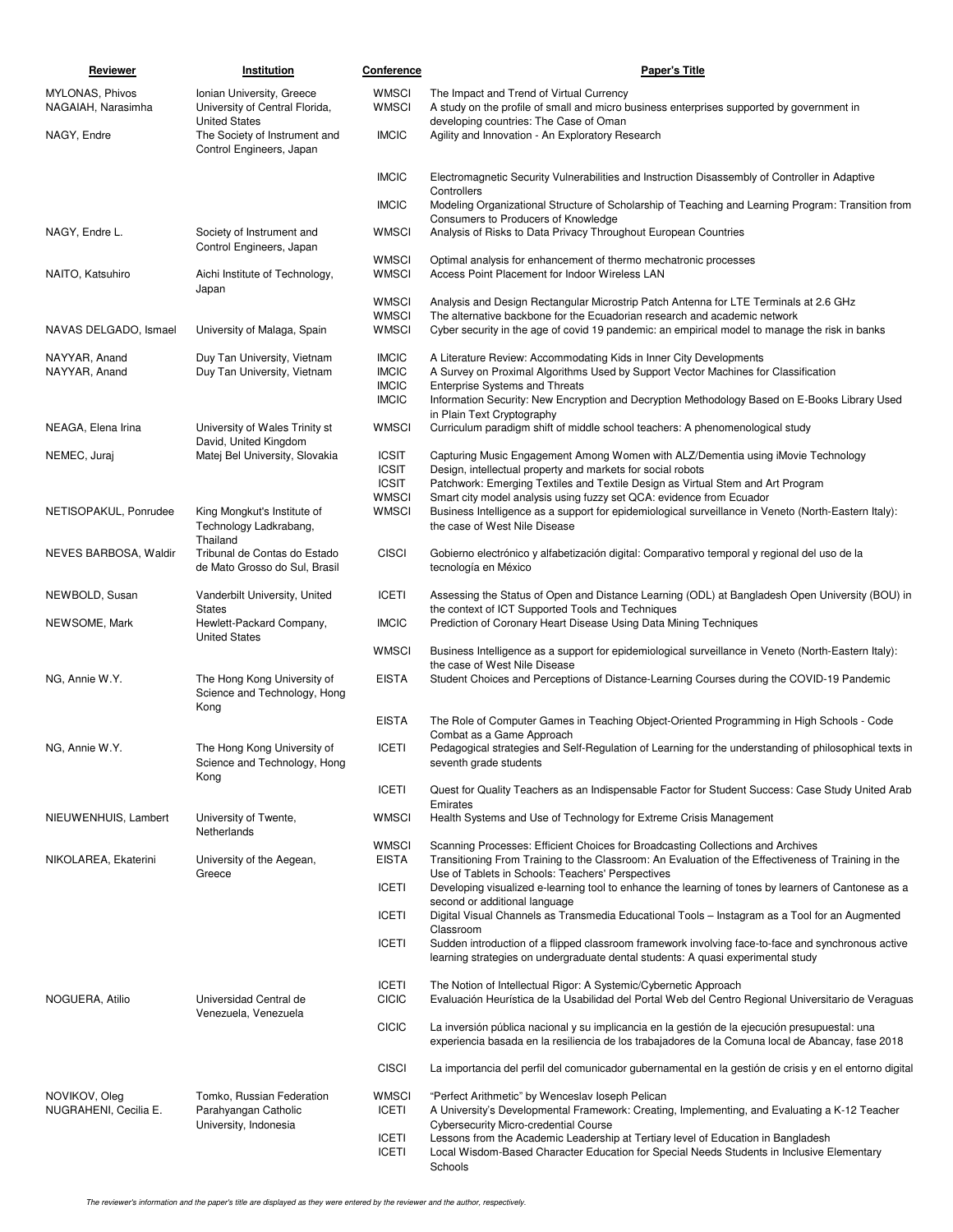| <b>Reviewer</b>                              | Institution                                                                       | Conference                   | <b>Paper's Title</b>                                                                                                                                                                                |
|----------------------------------------------|-----------------------------------------------------------------------------------|------------------------------|-----------------------------------------------------------------------------------------------------------------------------------------------------------------------------------------------------|
| <b>MYLONAS, Phivos</b><br>NAGAIAH, Narasimha | Ionian University, Greece<br>University of Central Florida,                       | <b>WMSCI</b><br><b>WMSCI</b> | The Impact and Trend of Virtual Currency<br>A study on the profile of small and micro business enterprises supported by government in                                                               |
| NAGY, Endre                                  | <b>United States</b><br>The Society of Instrument and<br>Control Engineers, Japan | <b>IMCIC</b>                 | developing countries: The Case of Oman<br>Agility and Innovation - An Exploratory Research                                                                                                          |
|                                              |                                                                                   | <b>IMCIC</b>                 | Electromagnetic Security Vulnerabilities and Instruction Disassembly of Controller in Adaptive<br>Controllers                                                                                       |
|                                              |                                                                                   | <b>IMCIC</b>                 | Modeling Organizational Structure of Scholarship of Teaching and Learning Program: Transition from                                                                                                  |
| NAGY, Endre L.                               | Society of Instrument and<br>Control Engineers, Japan                             | <b>WMSCI</b>                 | Consumers to Producers of Knowledge<br>Analysis of Risks to Data Privacy Throughout European Countries                                                                                              |
| NAITO, Katsuhiro                             | Aichi Institute of Technology,<br>Japan                                           | <b>WMSCI</b><br><b>WMSCI</b> | Optimal analysis for enhancement of thermo mechatronic processes<br>Access Point Placement for Indoor Wireless LAN                                                                                  |
|                                              |                                                                                   | <b>WMSCI</b>                 | Analysis and Design Rectangular Microstrip Patch Antenna for LTE Terminals at 2.6 GHz                                                                                                               |
| NAVAS DELGADO, Ismael                        | University of Malaga, Spain                                                       | <b>WMSCI</b><br><b>WMSCI</b> | The alternative backbone for the Ecuadorian research and academic network<br>Cyber security in the age of covid 19 pandemic: an empirical model to manage the risk in banks                         |
| NAYYAR, Anand<br>NAYYAR, Anand               | Duy Tan University, Vietnam<br>Duy Tan University, Vietnam                        | <b>IMCIC</b><br><b>IMCIC</b> | A Literature Review: Accommodating Kids in Inner City Developments<br>A Survey on Proximal Algorithms Used by Support Vector Machines for Classification                                            |
|                                              |                                                                                   | <b>IMCIC</b>                 | <b>Enterprise Systems and Threats</b>                                                                                                                                                               |
|                                              |                                                                                   | <b>IMCIC</b>                 | Information Security: New Encryption and Decryption Methodology Based on E-Books Library Used<br>in Plain Text Cryptography                                                                         |
| NEAGA, Elena Irina                           | University of Wales Trinity st<br>David, United Kingdom                           | <b>WMSCI</b>                 | Curriculum paradigm shift of middle school teachers: A phenomenological study                                                                                                                       |
| NEMEC, Juraj                                 | Matej Bel University, Slovakia                                                    | <b>ICSIT</b><br><b>ICSIT</b> | Capturing Music Engagement Among Women with ALZ/Dementia using iMovie Technology<br>Design, intellectual property and markets for social robots                                                     |
|                                              |                                                                                   | <b>ICSIT</b>                 | Patchwork: Emerging Textiles and Textile Design as Virtual Stem and Art Program                                                                                                                     |
| NETISOPAKUL, Ponrudee                        | King Mongkut's Institute of                                                       | <b>WMSCI</b><br><b>WMSCI</b> | Smart city model analysis using fuzzy set QCA: evidence from Ecuador<br>Business Intelligence as a support for epidemiological surveillance in Veneto (North-Eastern Italy):                        |
|                                              | Technology Ladkrabang,<br>Thailand                                                |                              | the case of West Nile Disease                                                                                                                                                                       |
| NEVES BARBOSA, Waldir                        | Tribunal de Contas do Estado<br>de Mato Grosso do Sul, Brasil                     | <b>CISCI</b>                 | Gobierno electrónico y alfabetización digital: Comparativo temporal y regional del uso de la<br>tecnología en México                                                                                |
| NEWBOLD, Susan                               | Vanderbilt University, United                                                     | <b>ICETI</b>                 | Assessing the Status of Open and Distance Learning (ODL) at Bangladesh Open University (BOU) in                                                                                                     |
| NEWSOME, Mark                                | <b>States</b><br>Hewlett-Packard Company,<br><b>United States</b>                 | <b>IMCIC</b>                 | the context of ICT Supported Tools and Techniques<br>Prediction of Coronary Heart Disease Using Data Mining Techniques                                                                              |
|                                              |                                                                                   | <b>WMSCI</b>                 | Business Intelligence as a support for epidemiological surveillance in Veneto (North-Eastern Italy):<br>the case of West Nile Disease                                                               |
| NG, Annie W.Y.                               | The Hong Kong University of<br>Science and Technology, Hong                       | <b>EISTA</b>                 | Student Choices and Perceptions of Distance-Learning Courses during the COVID-19 Pandemic                                                                                                           |
|                                              | Kong                                                                              | <b>EISTA</b>                 | The Role of Computer Games in Teaching Object-Oriented Programming in High Schools - Code                                                                                                           |
| NG, Annie W.Y.                               | The Hong Kong University of                                                       | <b>ICETI</b>                 | Combat as a Game Approach<br>Pedagogical strategies and Self-Regulation of Learning for the understanding of philosophical texts in                                                                 |
|                                              | Science and Technology, Hong<br>Kong                                              |                              | seventh grade students                                                                                                                                                                              |
|                                              |                                                                                   | <b>ICETI</b>                 | Quest for Quality Teachers as an Indispensable Factor for Student Success: Case Study United Arab<br>Emirates                                                                                       |
| NIEUWENHUIS, Lambert                         | University of Twente,<br>Netherlands                                              | <b>WMSCI</b>                 | Health Systems and Use of Technology for Extreme Crisis Management                                                                                                                                  |
|                                              |                                                                                   | <b>WMSCI</b>                 | Scanning Processes: Efficient Choices for Broadcasting Collections and Archives                                                                                                                     |
| NIKOLAREA, Ekaterini                         | University of the Aegean,<br>Greece                                               | <b>EISTA</b>                 | Transitioning From Training to the Classroom: An Evaluation of the Effectiveness of Training in the<br>Use of Tablets in Schools: Teachers' Perspectives                                            |
|                                              |                                                                                   | <b>ICETI</b>                 | Developing visualized e-learning tool to enhance the learning of tones by learners of Cantonese as a<br>second or additional language                                                               |
|                                              |                                                                                   | <b>ICETI</b>                 | Digital Visual Channels as Transmedia Educational Tools – Instagram as a Tool for an Augmented<br>Classroom                                                                                         |
|                                              |                                                                                   | <b>ICETI</b>                 | Sudden introduction of a flipped classroom framework involving face-to-face and synchronous active<br>learning strategies on undergraduate dental students: A quasi experimental study              |
|                                              |                                                                                   | <b>ICETI</b>                 | The Notion of Intellectual Rigor: A Systemic/Cybernetic Approach                                                                                                                                    |
| NOGUERA, Atilio                              | Universidad Central de<br>Venezuela, Venezuela                                    | <b>CICIC</b>                 | Evaluación Heurística de la Usabilidad del Portal Web del Centro Regional Universitario de Veraguas                                                                                                 |
|                                              |                                                                                   | <b>CICIC</b>                 | La inversión pública nacional y su implicancia en la gestión de la ejecución presupuestal: una<br>experiencia basada en la resiliencia de los trabajadores de la Comuna local de Abancay, fase 2018 |
|                                              |                                                                                   | <b>CISCI</b>                 | La importancia del perfil del comunicador gubernamental en la gestión de crisis y en el entorno digital                                                                                             |
| NOVIKOV, Oleg                                | Tomko, Russian Federation                                                         | <b>WMSCI</b>                 | "Perfect Arithmetic" by Wenceslav loseph Pelican                                                                                                                                                    |
| NUGRAHENI, Cecilia E.                        | Parahyangan Catholic<br>University, Indonesia                                     | <b>ICETI</b>                 | A University's Developmental Framework: Creating, Implementing, and Evaluating a K-12 Teacher<br><b>Cybersecurity Micro-credential Course</b>                                                       |
|                                              |                                                                                   | <b>ICETI</b><br><b>ICETI</b> | Lessons from the Academic Leadership at Tertiary level of Education in Bangladesh<br>Local Wisdom-Based Character Education for Special Needs Students in Inclusive Elementary<br>Schools           |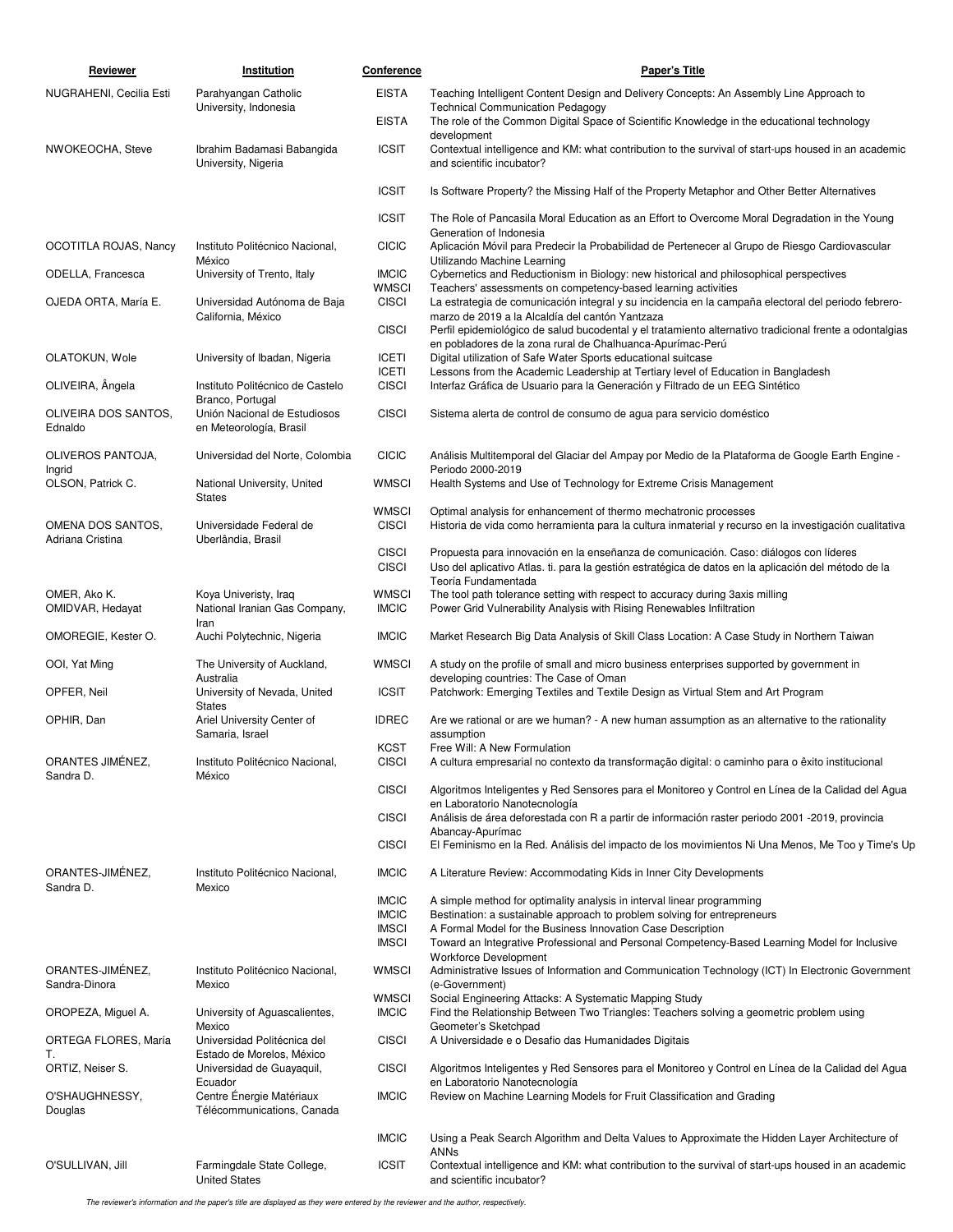| Reviewer                              | Institution                                             | Conference                   | <b>Paper's Title</b>                                                                                                                                                                                                     |
|---------------------------------------|---------------------------------------------------------|------------------------------|--------------------------------------------------------------------------------------------------------------------------------------------------------------------------------------------------------------------------|
| NUGRAHENI, Cecilia Esti               | Parahyangan Catholic                                    | <b>EISTA</b>                 | Teaching Intelligent Content Design and Delivery Concepts: An Assembly Line Approach to                                                                                                                                  |
|                                       | University, Indonesia                                   | <b>EISTA</b>                 | <b>Technical Communication Pedagogy</b><br>The role of the Common Digital Space of Scientific Knowledge in the educational technology                                                                                    |
| NWOKEOCHA, Steve                      | Ibrahim Badamasi Babangida<br>University, Nigeria       | <b>ICSIT</b>                 | development<br>Contextual intelligence and KM: what contribution to the survival of start-ups housed in an academic<br>and scientific incubator?                                                                         |
|                                       |                                                         | <b>ICSIT</b>                 | Is Software Property? the Missing Half of the Property Metaphor and Other Better Alternatives                                                                                                                            |
|                                       |                                                         | <b>ICSIT</b>                 | The Role of Pancasila Moral Education as an Effort to Overcome Moral Degradation in the Young<br>Generation of Indonesia                                                                                                 |
| OCOTITLA ROJAS, Nancy                 | Instituto Politécnico Nacional,<br>México               | <b>CICIC</b>                 | Aplicación Móvil para Predecir la Probabilidad de Pertenecer al Grupo de Riesgo Cardiovascular<br>Utilizando Machine Learning                                                                                            |
| ODELLA, Francesca                     | University of Trento, Italy                             | <b>IMCIC</b><br><b>WMSCI</b> | Cybernetics and Reductionism in Biology: new historical and philosophical perspectives<br>Teachers' assessments on competency-based learning activities                                                                  |
| OJEDA ORTA, María E.                  | Universidad Autónoma de Baja                            | <b>CISCI</b>                 | La estrategia de comunicación integral y su incidencia en la campaña electoral del periodo febrero-                                                                                                                      |
|                                       | California, México                                      | <b>CISCI</b>                 | marzo de 2019 a la Alcaldía del cantón Yantzaza<br>Perfil epidemiológico de salud bucodental y el tratamiento alternativo tradicional frente a odontalgias<br>en pobladores de la zona rural de Chalhuanca-Apurímac-Perú |
| OLATOKUN, Wole                        | University of Ibadan, Nigeria                           | <b>ICETI</b><br><b>ICETI</b> | Digital utilization of Safe Water Sports educational suitcase<br>Lessons from the Academic Leadership at Tertiary level of Education in Bangladesh                                                                       |
| OLIVEIRA, Ângela                      | Instituto Politécnico de Castelo<br>Branco, Portugal    | <b>CISCI</b>                 | Interfaz Gráfica de Usuario para la Generación y Filtrado de un EEG Sintético                                                                                                                                            |
| OLIVEIRA DOS SANTOS,<br>Ednaldo       | Unión Nacional de Estudiosos<br>en Meteorología, Brasil | <b>CISCI</b>                 | Sistema alerta de control de consumo de agua para servicio doméstico                                                                                                                                                     |
| OLIVEROS PANTOJA,<br>Ingrid           | Universidad del Norte, Colombia                         | <b>CICIC</b>                 | Análisis Multitemporal del Glaciar del Ampay por Medio de la Plataforma de Google Earth Engine -<br>Periodo 2000-2019                                                                                                    |
| OLSON, Patrick C.                     | National University, United<br><b>States</b>            | <b>WMSCI</b>                 | Health Systems and Use of Technology for Extreme Crisis Management                                                                                                                                                       |
| OMENA DOS SANTOS,<br>Adriana Cristina | Universidade Federal de<br>Uberlândia, Brasil           | <b>WMSCI</b><br><b>CISCI</b> | Optimal analysis for enhancement of thermo mechatronic processes<br>Historia de vida como herramienta para la cultura inmaterial y recurso en la investigación cualitativa                                               |
|                                       |                                                         | <b>CISCI</b><br><b>CISCI</b> | Propuesta para innovación en la enseñanza de comunicación. Caso: diálogos con líderes<br>Uso del aplicativo Atlas. ti. para la gestión estratégica de datos en la aplicación del método de la                            |
| OMER, Ako K.                          | Koya Univeristy, Iraq                                   | <b>WMSCI</b>                 | Teoría Fundamentada<br>The tool path tolerance setting with respect to accuracy during 3axis milling                                                                                                                     |
| OMIDVAR, Hedayat                      | National Iranian Gas Company,<br>Iran                   | <b>IMCIC</b>                 | Power Grid Vulnerability Analysis with Rising Renewables Infiltration                                                                                                                                                    |
| OMOREGIE, Kester O.                   | Auchi Polytechnic, Nigeria                              | <b>IMCIC</b>                 | Market Research Big Data Analysis of Skill Class Location: A Case Study in Northern Taiwan                                                                                                                               |
| OOI, Yat Ming                         | The University of Auckland,<br>Australia                | <b>WMSCI</b>                 | A study on the profile of small and micro business enterprises supported by government in<br>developing countries: The Case of Oman                                                                                      |
| OPFER, Neil                           | University of Nevada, United<br><b>States</b>           | <b>ICSIT</b>                 | Patchwork: Emerging Textiles and Textile Design as Virtual Stem and Art Program                                                                                                                                          |
| OPHIR, Dan                            | Ariel University Center of<br>Samaria, Israel           | <b>IDREC</b>                 | Are we rational or are we human? - A new human assumption as an alternative to the rationality<br>assumption                                                                                                             |
| ORANTES JIMÉNEZ,<br>Sandra D.         | Instituto Politécnico Nacional,                         | <b>KCST</b><br><b>CISCI</b>  | Free Will: A New Formulation<br>A cultura empresarial no contexto da transformação digital: o caminho para o êxito institucional                                                                                         |
|                                       | México                                                  | <b>CISCI</b>                 | Algoritmos Inteligentes y Red Sensores para el Monitoreo y Control en Línea de la Calidad del Agua<br>en Laboratorio Nanotecnología                                                                                      |
|                                       |                                                         | <b>CISCI</b>                 | Análisis de área deforestada con R a partir de información raster periodo 2001 -2019, provincia<br>Abancay-Apurímac                                                                                                      |
|                                       |                                                         | <b>CISCI</b>                 | El Feminismo en la Red. Análisis del impacto de los movimientos Ni Una Menos, Me Too y Time's Up                                                                                                                         |
| ORANTES-JIMÉNEZ,<br>Sandra D.         | Instituto Politécnico Nacional,<br>Mexico               | <b>IMCIC</b>                 | A Literature Review: Accommodating Kids in Inner City Developments                                                                                                                                                       |
|                                       |                                                         | <b>IMCIC</b><br><b>IMCIC</b> | A simple method for optimality analysis in interval linear programming<br>Bestination: a sustainable approach to problem solving for entrepreneurs                                                                       |
|                                       |                                                         | <b>IMSCI</b>                 | A Formal Model for the Business Innovation Case Description                                                                                                                                                              |
|                                       |                                                         | <b>IMSCI</b>                 | Toward an Integrative Professional and Personal Competency-Based Learning Model for Inclusive<br>Workforce Development                                                                                                   |
| ORANTES-JIMÉNEZ,<br>Sandra-Dinora     | Instituto Politécnico Nacional,<br>Mexico               | <b>WMSCI</b>                 | Administrative Issues of Information and Communication Technology (ICT) In Electronic Government<br>(e-Government)                                                                                                       |
| OROPEZA, Miguel A.                    | University of Aguascalientes,                           | <b>WMSCI</b><br><b>IMCIC</b> | Social Engineering Attacks: A Systematic Mapping Study<br>Find the Relationship Between Two Triangles: Teachers solving a geometric problem using                                                                        |
| ORTEGA FLORES, María                  | Mexico<br>Universidad Politécnica del                   | <b>CISCI</b>                 | Geometer's Sketchpad<br>A Universidade e o Desafio das Humanidades Digitais                                                                                                                                              |
| Т.<br>ORTIZ, Neiser S.                | Estado de Morelos, México<br>Universidad de Guayaquil,  | <b>CISCI</b>                 | Algoritmos Inteligentes y Red Sensores para el Monitoreo y Control en Línea de la Calidad del Agua                                                                                                                       |
|                                       | Ecuador                                                 |                              | en Laboratorio Nanotecnología                                                                                                                                                                                            |
| O'SHAUGHNESSY,<br>Douglas             | Centre Énergie Matériaux<br>Télécommunications, Canada  | <b>IMCIC</b>                 | Review on Machine Learning Models for Fruit Classification and Grading                                                                                                                                                   |
|                                       |                                                         | <b>IMCIC</b>                 | Using a Peak Search Algorithm and Delta Values to Approximate the Hidden Layer Architecture of<br>ANNs                                                                                                                   |
| O'SULLIVAN, Jill                      | Farmingdale State College,<br><b>United States</b>      | <b>ICSIT</b>                 | Contextual intelligence and KM: what contribution to the survival of start-ups housed in an academic<br>and scientific incubator?                                                                                        |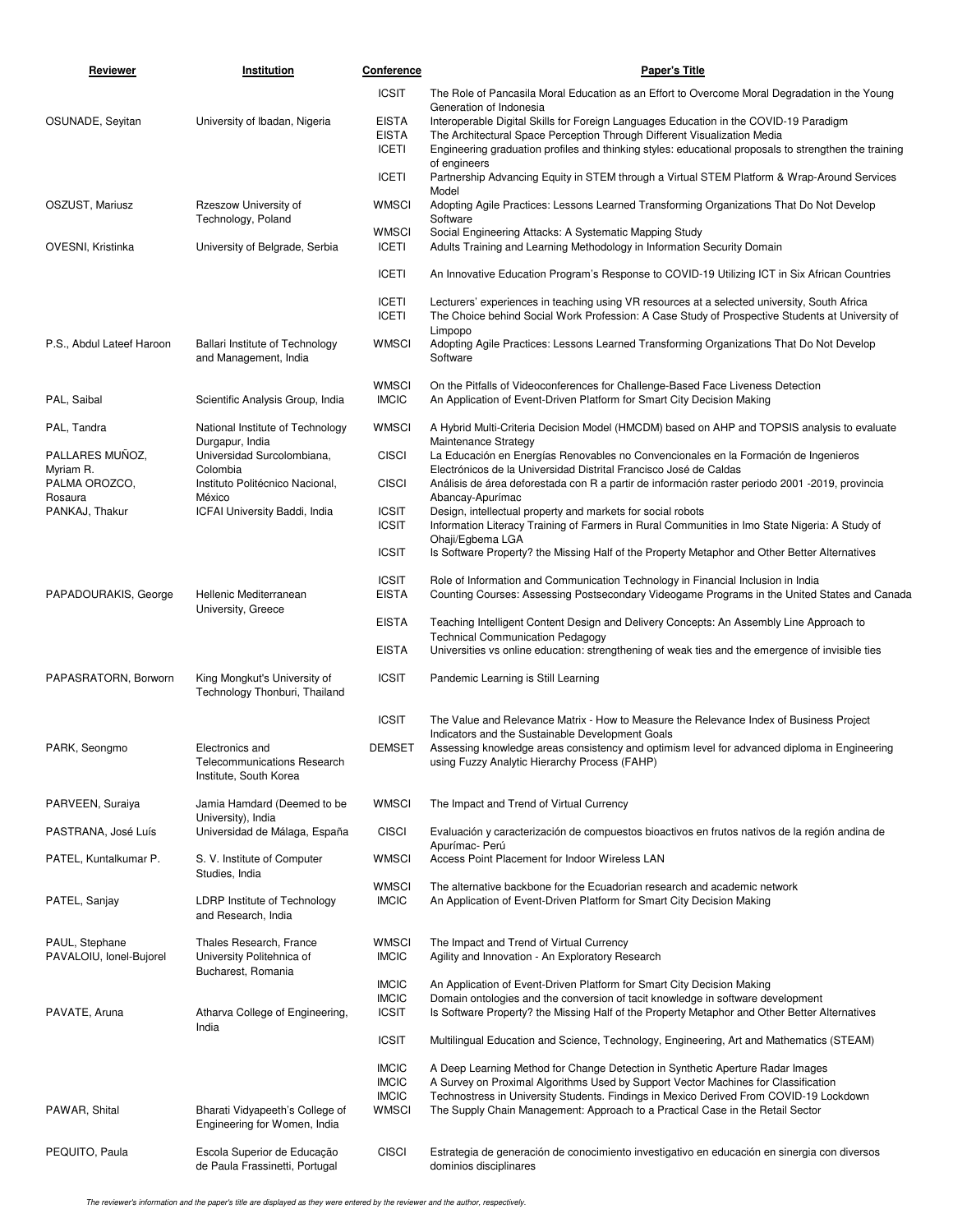| Reviewer                                  | Institution                                                                | <b>Conference</b>                            | <b>Paper's Title</b>                                                                                                                                                                                                                                                                                  |
|-------------------------------------------|----------------------------------------------------------------------------|----------------------------------------------|-------------------------------------------------------------------------------------------------------------------------------------------------------------------------------------------------------------------------------------------------------------------------------------------------------|
|                                           |                                                                            | <b>ICSIT</b>                                 | The Role of Pancasila Moral Education as an Effort to Overcome Moral Degradation in the Young                                                                                                                                                                                                         |
| OSUNADE, Seyitan                          | University of Ibadan, Nigeria                                              | <b>EISTA</b><br><b>EISTA</b><br><b>ICETI</b> | Generation of Indonesia<br>Interoperable Digital Skills for Foreign Languages Education in the COVID-19 Paradigm<br>The Architectural Space Perception Through Different Visualization Media<br>Engineering graduation profiles and thinking styles: educational proposals to strengthen the training |
|                                           |                                                                            | <b>ICETI</b>                                 | of engineers<br>Partnership Advancing Equity in STEM through a Virtual STEM Platform & Wrap-Around Services<br>Model                                                                                                                                                                                  |
| OSZUST, Mariusz                           | Rzeszow University of<br>Technology, Poland                                | <b>WMSCI</b>                                 | Adopting Agile Practices: Lessons Learned Transforming Organizations That Do Not Develop<br>Software                                                                                                                                                                                                  |
| OVESNI, Kristinka                         | University of Belgrade, Serbia                                             | <b>WMSCI</b><br><b>ICETI</b>                 | Social Engineering Attacks: A Systematic Mapping Study<br>Adults Training and Learning Methodology in Information Security Domain                                                                                                                                                                     |
|                                           |                                                                            | <b>ICETI</b>                                 | An Innovative Education Program's Response to COVID-19 Utilizing ICT in Six African Countries                                                                                                                                                                                                         |
|                                           |                                                                            | <b>ICETI</b><br><b>ICETI</b>                 | Lecturers' experiences in teaching using VR resources at a selected university, South Africa<br>The Choice behind Social Work Profession: A Case Study of Prospective Students at University of<br>Limpopo                                                                                            |
| P.S., Abdul Lateef Haroon                 | Ballari Institute of Technology<br>and Management, India                   | <b>WMSCI</b>                                 | Adopting Agile Practices: Lessons Learned Transforming Organizations That Do Not Develop<br>Software                                                                                                                                                                                                  |
| PAL, Saibal                               | Scientific Analysis Group, India                                           | <b>WMSCI</b><br><b>IMCIC</b>                 | On the Pitfalls of Videoconferences for Challenge-Based Face Liveness Detection<br>An Application of Event-Driven Platform for Smart City Decision Making                                                                                                                                             |
| PAL, Tandra                               | National Institute of Technology<br>Durgapur, India                        | <b>WMSCI</b>                                 | A Hybrid Multi-Criteria Decision Model (HMCDM) based on AHP and TOPSIS analysis to evaluate<br>Maintenance Strategy                                                                                                                                                                                   |
| PALLARES MUNOZ,<br>Myriam R.              | Universidad Surcolombiana,<br>Colombia                                     | <b>CISCI</b>                                 | La Educación en Energías Renovables no Convencionales en la Formación de Ingenieros<br>Electrónicos de la Universidad Distrital Francisco José de Caldas                                                                                                                                              |
| PALMA OROZCO,<br>Rosaura                  | Instituto Politécnico Nacional,<br>México                                  | <b>CISCI</b>                                 | Análisis de área deforestada con R a partir de información raster periodo 2001 -2019, provincia<br>Abancay-Apurímac                                                                                                                                                                                   |
| PANKAJ, Thakur                            | ICFAI University Baddi, India                                              | <b>ICSIT</b><br><b>ICSIT</b>                 | Design, intellectual property and markets for social robots<br>Information Literacy Training of Farmers in Rural Communities in Imo State Nigeria: A Study of                                                                                                                                         |
|                                           |                                                                            | <b>ICSIT</b>                                 | Ohaji/Egbema LGA<br>Is Software Property? the Missing Half of the Property Metaphor and Other Better Alternatives                                                                                                                                                                                     |
| PAPADOURAKIS, George                      | Hellenic Mediterranean<br>University, Greece                               | <b>ICSIT</b><br><b>EISTA</b>                 | Role of Information and Communication Technology in Financial Inclusion in India<br>Counting Courses: Assessing Postsecondary Videogame Programs in the United States and Canada                                                                                                                      |
|                                           |                                                                            | <b>EISTA</b>                                 | Teaching Intelligent Content Design and Delivery Concepts: An Assembly Line Approach to<br><b>Technical Communication Pedagogy</b>                                                                                                                                                                    |
|                                           |                                                                            | <b>EISTA</b>                                 | Universities vs online education: strengthening of weak ties and the emergence of invisible ties                                                                                                                                                                                                      |
| PAPASRATORN, Borworn                      | King Mongkut's University of<br>Technology Thonburi, Thailand              | <b>ICSIT</b>                                 | Pandemic Learning is Still Learning                                                                                                                                                                                                                                                                   |
|                                           |                                                                            | <b>ICSIT</b>                                 | The Value and Relevance Matrix - How to Measure the Relevance Index of Business Project                                                                                                                                                                                                               |
| PARK, Seongmo                             | Electronics and<br>Telecommunications Research<br>Institute, South Korea   | <b>DEMSET</b>                                | Indicators and the Sustainable Development Goals<br>Assessing knowledge areas consistency and optimism level for advanced diploma in Engineering<br>using Fuzzy Analytic Hierarchy Process (FAHP)                                                                                                     |
| PARVEEN, Suraiya                          | Jamia Hamdard (Deemed to be<br>University), India                          | <b>WMSCI</b>                                 | The Impact and Trend of Virtual Currency                                                                                                                                                                                                                                                              |
| PASTRANA, José Luís                       | Universidad de Málaga, España                                              | <b>CISCI</b>                                 | Evaluación y caracterización de compuestos bioactivos en frutos nativos de la región andina de<br>Apurímac- Perú                                                                                                                                                                                      |
| PATEL, Kuntalkumar P.                     | S. V. Institute of Computer<br>Studies, India                              | <b>WMSCI</b>                                 | Access Point Placement for Indoor Wireless LAN                                                                                                                                                                                                                                                        |
| PATEL, Sanjay                             | LDRP Institute of Technology<br>and Research, India                        | <b>WMSCI</b><br><b>IMCIC</b>                 | The alternative backbone for the Ecuadorian research and academic network<br>An Application of Event-Driven Platform for Smart City Decision Making                                                                                                                                                   |
| PAUL, Stephane<br>PAVALOIU, Ionel-Bujorel | Thales Research, France<br>University Politehnica of<br>Bucharest, Romania | <b>WMSCI</b><br><b>IMCIC</b>                 | The Impact and Trend of Virtual Currency<br>Agility and Innovation - An Exploratory Research                                                                                                                                                                                                          |
| PAVATE, Aruna                             | Atharva College of Engineering,                                            | <b>IMCIC</b><br><b>IMCIC</b><br><b>ICSIT</b> | An Application of Event-Driven Platform for Smart City Decision Making<br>Domain ontologies and the conversion of tacit knowledge in software development<br>Is Software Property? the Missing Half of the Property Metaphor and Other Better Alternatives                                            |
|                                           | India                                                                      | <b>ICSIT</b>                                 | Multilingual Education and Science, Technology, Engineering, Art and Mathematics (STEAM)                                                                                                                                                                                                              |
|                                           |                                                                            | <b>IMCIC</b><br><b>IMCIC</b><br><b>IMCIC</b> | A Deep Learning Method for Change Detection in Synthetic Aperture Radar Images<br>A Survey on Proximal Algorithms Used by Support Vector Machines for Classification<br>Technostress in University Students. Findings in Mexico Derived From COVID-19 Lockdown                                        |
| PAWAR, Shital                             | Bharati Vidyapeeth's College of<br>Engineering for Women, India            | <b>WMSCI</b>                                 | The Supply Chain Management: Approach to a Practical Case in the Retail Sector                                                                                                                                                                                                                        |
| PEQUITO, Paula                            | Escola Superior de Educação<br>de Paula Frassinetti, Portugal              | <b>CISCI</b>                                 | Estrategia de generación de conocimiento investigativo en educación en sinergia con diversos<br>dominios disciplinares                                                                                                                                                                                |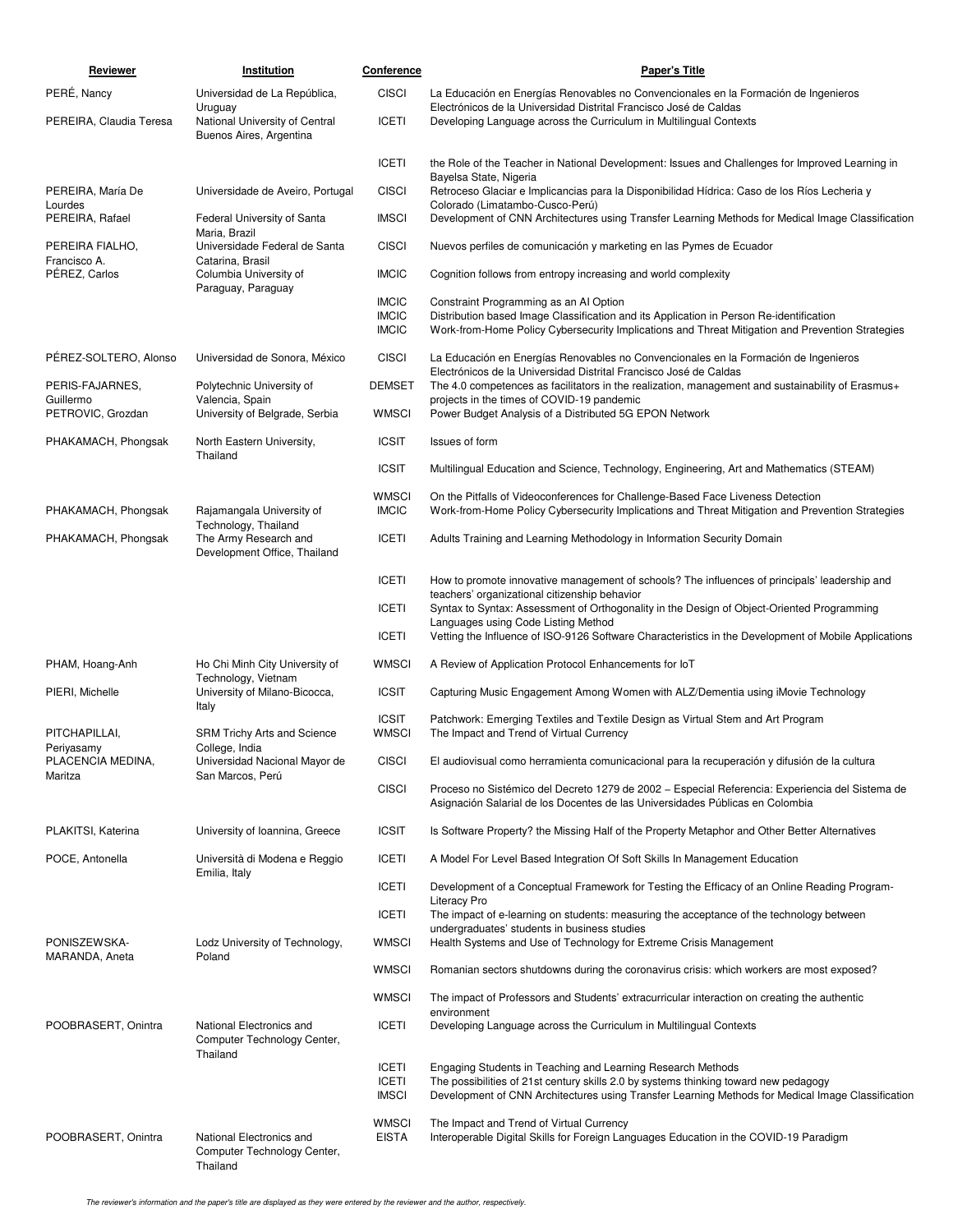| Reviewer                        | <b>Institution</b>                                                   | <b>Conference</b>                            | <b>Paper's Title</b>                                                                                                                                                                                                                                     |
|---------------------------------|----------------------------------------------------------------------|----------------------------------------------|----------------------------------------------------------------------------------------------------------------------------------------------------------------------------------------------------------------------------------------------------------|
| PERÉ, Nancy                     | Universidad de La República,                                         | <b>CISCI</b>                                 | La Educación en Energías Renovables no Convencionales en la Formación de Ingenieros                                                                                                                                                                      |
| PEREIRA, Claudia Teresa         | Uruguay<br>National University of Central<br>Buenos Aires, Argentina | <b>ICETI</b>                                 | Electrónicos de la Universidad Distrital Francisco José de Caldas<br>Developing Language across the Curriculum in Multilingual Contexts                                                                                                                  |
|                                 |                                                                      | <b>ICETI</b>                                 | the Role of the Teacher in National Development: Issues and Challenges for Improved Learning in                                                                                                                                                          |
| PEREIRA, María De<br>Lourdes    | Universidade de Aveiro, Portugal                                     | <b>CISCI</b>                                 | Bayelsa State, Nigeria<br>Retroceso Glaciar e Implicancias para la Disponibilidad Hídrica: Caso de los Ríos Lecheria y<br>Colorado (Limatambo-Cusco-Perú)                                                                                                |
| PEREIRA, Rafael                 | Federal University of Santa<br>Maria, Brazil                         | <b>IMSCI</b>                                 | Development of CNN Architectures using Transfer Learning Methods for Medical Image Classification                                                                                                                                                        |
| PEREIRA FIALHO,<br>Francisco A. | Universidade Federal de Santa<br>Catarina, Brasil                    | <b>CISCI</b>                                 | Nuevos perfiles de comunicación y marketing en las Pymes de Ecuador                                                                                                                                                                                      |
| PÉREZ, Carlos                   | Columbia University of<br>Paraguay, Paraguay                         | <b>IMCIC</b>                                 | Cognition follows from entropy increasing and world complexity                                                                                                                                                                                           |
|                                 |                                                                      | <b>IMCIC</b><br><b>IMCIC</b><br><b>IMCIC</b> | Constraint Programming as an AI Option<br>Distribution based Image Classification and its Application in Person Re-identification<br>Work-from-Home Policy Cybersecurity Implications and Threat Mitigation and Prevention Strategies                    |
| PÉREZ-SOLTERO, Alonso           | Universidad de Sonora, México                                        | <b>CISCI</b>                                 | La Educación en Energías Renovables no Convencionales en la Formación de Ingenieros<br>Electrónicos de la Universidad Distrital Francisco José de Caldas                                                                                                 |
| PERIS-FAJARNES,<br>Guillermo    | Polytechnic University of<br>Valencia, Spain                         | <b>DEMSET</b>                                | The 4.0 competences as facilitators in the realization, management and sustainability of Erasmus+<br>projects in the times of COVID-19 pandemic                                                                                                          |
| PETROVIC, Grozdan               | University of Belgrade, Serbia                                       | <b>WMSCI</b>                                 | Power Budget Analysis of a Distributed 5G EPON Network                                                                                                                                                                                                   |
| PHAKAMACH, Phongsak             | North Eastern University,<br>Thailand                                | <b>ICSIT</b>                                 | Issues of form                                                                                                                                                                                                                                           |
|                                 |                                                                      | <b>ICSIT</b>                                 | Multilingual Education and Science, Technology, Engineering, Art and Mathematics (STEAM)                                                                                                                                                                 |
| PHAKAMACH, Phongsak             | Rajamangala University of<br>Technology, Thailand                    | <b>WMSCI</b><br><b>IMCIC</b>                 | On the Pitfalls of Videoconferences for Challenge-Based Face Liveness Detection<br>Work-from-Home Policy Cybersecurity Implications and Threat Mitigation and Prevention Strategies                                                                      |
| PHAKAMACH, Phongsak             | The Army Research and<br>Development Office, Thailand                | <b>ICETI</b>                                 | Adults Training and Learning Methodology in Information Security Domain                                                                                                                                                                                  |
|                                 |                                                                      | <b>ICETI</b>                                 | How to promote innovative management of schools? The influences of principals' leadership and<br>teachers' organizational citizenship behavior                                                                                                           |
|                                 |                                                                      | <b>ICETI</b>                                 | Syntax to Syntax: Assessment of Orthogonality in the Design of Object-Oriented Programming<br>Languages using Code Listing Method                                                                                                                        |
|                                 |                                                                      | <b>ICETI</b>                                 | Vetting the Influence of ISO-9126 Software Characteristics in the Development of Mobile Applications                                                                                                                                                     |
| PHAM, Hoang-Anh                 | Ho Chi Minh City University of<br>Technology, Vietnam                | <b>WMSCI</b>                                 | A Review of Application Protocol Enhancements for IoT                                                                                                                                                                                                    |
| PIERI, Michelle                 | University of Milano-Bicocca,<br>Italy                               | <b>ICSIT</b>                                 | Capturing Music Engagement Among Women with ALZ/Dementia using iMovie Technology                                                                                                                                                                         |
| PITCHAPILLAI,<br>Periyasamy     | <b>SRM Trichy Arts and Science</b><br>College, India                 | <b>ICSIT</b><br><b>WMSCI</b>                 | Patchwork: Emerging Textiles and Textile Design as Virtual Stem and Art Program<br>The Impact and Trend of Virtual Currency                                                                                                                              |
| PLACENCIA MEDINA,<br>Maritza    | Universidad Nacional Mayor de<br>San Marcos, Perú                    | <b>CISCI</b>                                 | El audiovisual como herramienta comunicacional para la recuperación y difusión de la cultura                                                                                                                                                             |
|                                 |                                                                      | <b>CISCI</b>                                 | Proceso no Sistémico del Decreto 1279 de 2002 – Especial Referencia: Experiencia del Sistema de<br>Asignación Salarial de los Docentes de las Universidades Públicas en Colombia                                                                         |
| PLAKITSI, Katerina              | University of Ioannina, Greece                                       | <b>ICSIT</b>                                 | Is Software Property? the Missing Half of the Property Metaphor and Other Better Alternatives                                                                                                                                                            |
| POCE, Antonella                 | Università di Modena e Reggio<br>Emilia, Italy                       | <b>ICETI</b>                                 | A Model For Level Based Integration Of Soft Skills In Management Education                                                                                                                                                                               |
|                                 |                                                                      | <b>ICETI</b>                                 | Development of a Conceptual Framework for Testing the Efficacy of an Online Reading Program-<br><b>Literacy Pro</b>                                                                                                                                      |
|                                 |                                                                      | <b>ICETI</b>                                 | The impact of e-learning on students: measuring the acceptance of the technology between<br>undergraduates' students in business studies                                                                                                                 |
| PONISZEWSKA-<br>MARANDA, Aneta  | Lodz University of Technology,<br>Poland                             | <b>WMSCI</b>                                 | Health Systems and Use of Technology for Extreme Crisis Management                                                                                                                                                                                       |
|                                 |                                                                      | <b>WMSCI</b>                                 | Romanian sectors shutdowns during the coronavirus crisis: which workers are most exposed?                                                                                                                                                                |
|                                 |                                                                      | <b>WMSCI</b>                                 | The impact of Professors and Students' extracurricular interaction on creating the authentic<br>environment                                                                                                                                              |
| POOBRASERT, Onintra             | National Electronics and<br>Computer Technology Center,<br>Thailand  | <b>ICETI</b>                                 | Developing Language across the Curriculum in Multilingual Contexts                                                                                                                                                                                       |
|                                 |                                                                      | <b>ICETI</b><br><b>ICETI</b><br><b>IMSCI</b> | Engaging Students in Teaching and Learning Research Methods<br>The possibilities of 21st century skills 2.0 by systems thinking toward new pedagogy<br>Development of CNN Architectures using Transfer Learning Methods for Medical Image Classification |
| POOBRASERT, Onintra             | National Electronics and<br>Computer Technology Center,<br>Thailand  | <b>WMSCI</b><br><b>EISTA</b>                 | The Impact and Trend of Virtual Currency<br>Interoperable Digital Skills for Foreign Languages Education in the COVID-19 Paradigm                                                                                                                        |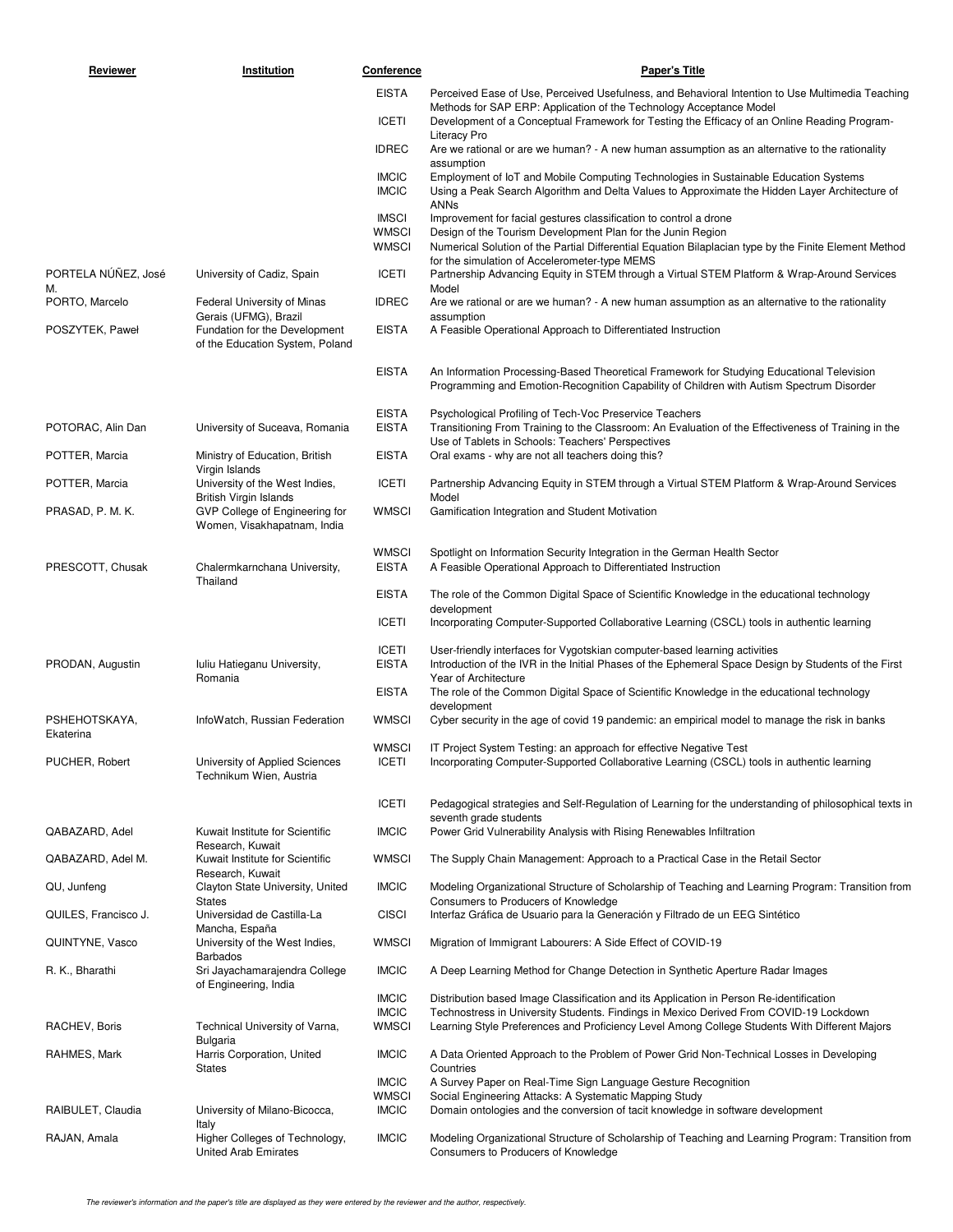| <b>Reviewer</b>            | Institution                                                                             | Conference                            | <b>Paper's Title</b>                                                                                                                                                                                                                                                               |
|----------------------------|-----------------------------------------------------------------------------------------|---------------------------------------|------------------------------------------------------------------------------------------------------------------------------------------------------------------------------------------------------------------------------------------------------------------------------------|
|                            |                                                                                         | <b>EISTA</b>                          | Perceived Ease of Use, Perceived Usefulness, and Behavioral Intention to Use Multimedia Teaching<br>Methods for SAP ERP: Application of the Technology Acceptance Model                                                                                                            |
|                            |                                                                                         | <b>ICETI</b>                          | Development of a Conceptual Framework for Testing the Efficacy of an Online Reading Program-<br>Literacy Pro                                                                                                                                                                       |
|                            |                                                                                         | <b>IDREC</b>                          | Are we rational or are we human? - A new human assumption as an alternative to the rationality<br>assumption                                                                                                                                                                       |
|                            |                                                                                         | <b>IMCIC</b><br><b>IMCIC</b>          | Employment of IoT and Mobile Computing Technologies in Sustainable Education Systems<br>Using a Peak Search Algorithm and Delta Values to Approximate the Hidden Layer Architecture of<br><b>ANNs</b>                                                                              |
|                            |                                                                                         | <b>IMSCI</b><br><b>WMSCI</b>          | Improvement for facial gestures classification to control a drone<br>Design of the Tourism Development Plan for the Junin Region                                                                                                                                                   |
|                            |                                                                                         | <b>WMSCI</b>                          | Numerical Solution of the Partial Differential Equation Bilaplacian type by the Finite Element Method<br>for the simulation of Accelerometer-type MEMS                                                                                                                             |
| PORTELA NÚÑEZ, José<br>M.  | University of Cadiz, Spain                                                              | <b>ICETI</b>                          | Partnership Advancing Equity in STEM through a Virtual STEM Platform & Wrap-Around Services<br>Model                                                                                                                                                                               |
| PORTO, Marcelo             | Federal University of Minas<br>Gerais (UFMG), Brazil                                    | <b>IDREC</b>                          | Are we rational or are we human? - A new human assumption as an alternative to the rationality<br>assumption                                                                                                                                                                       |
| POSZYTEK, Paweł            | Fundation for the Development<br>of the Education System, Poland                        | <b>EISTA</b>                          | A Feasible Operational Approach to Differentiated Instruction                                                                                                                                                                                                                      |
|                            |                                                                                         | <b>EISTA</b>                          | An Information Processing-Based Theoretical Framework for Studying Educational Television<br>Programming and Emotion-Recognition Capability of Children with Autism Spectrum Disorder                                                                                              |
| POTORAC, Alin Dan          | University of Suceava, Romania                                                          | <b>EISTA</b><br><b>EISTA</b>          | Psychological Profiling of Tech-Voc Preservice Teachers<br>Transitioning From Training to the Classroom: An Evaluation of the Effectiveness of Training in the<br>Use of Tablets in Schools: Teachers' Perspectives                                                                |
| POTTER, Marcia             | Ministry of Education, British<br>Virgin Islands                                        | <b>EISTA</b>                          | Oral exams - why are not all teachers doing this?                                                                                                                                                                                                                                  |
| POTTER, Marcia             | University of the West Indies,                                                          | <b>ICETI</b>                          | Partnership Advancing Equity in STEM through a Virtual STEM Platform & Wrap-Around Services                                                                                                                                                                                        |
| PRASAD, P. M. K.           | British Virgin Islands<br>GVP College of Engineering for<br>Women, Visakhapatnam, India | <b>WMSCI</b>                          | Model<br>Gamification Integration and Student Motivation                                                                                                                                                                                                                           |
| PRESCOTT, Chusak           | Chalermkarnchana University,<br>Thailand                                                | <b>WMSCI</b><br><b>EISTA</b>          | Spotlight on Information Security Integration in the German Health Sector<br>A Feasible Operational Approach to Differentiated Instruction                                                                                                                                         |
|                            |                                                                                         | <b>EISTA</b>                          | The role of the Common Digital Space of Scientific Knowledge in the educational technology<br>development                                                                                                                                                                          |
|                            |                                                                                         | <b>ICETI</b>                          | Incorporating Computer-Supported Collaborative Learning (CSCL) tools in authentic learning                                                                                                                                                                                         |
| PRODAN, Augustin           | Iuliu Hatieganu University,<br>Romania                                                  | <b>ICETI</b><br>EISTA                 | User-friendly interfaces for Vygotskian computer-based learning activities<br>Introduction of the IVR in the Initial Phases of the Ephemeral Space Design by Students of the First<br>Year of Architecture                                                                         |
|                            |                                                                                         | <b>EISTA</b>                          | The role of the Common Digital Space of Scientific Knowledge in the educational technology<br>development                                                                                                                                                                          |
| PSHEHOTSKAYA,<br>Ekaterina | InfoWatch, Russian Federation                                                           | <b>WMSCI</b>                          | Cyber security in the age of covid 19 pandemic: an empirical model to manage the risk in banks                                                                                                                                                                                     |
| PUCHER, Robert             | University of Applied Sciences<br>Technikum Wien, Austria                               | <b>WMSCI</b><br>ICETI                 | IT Project System Testing: an approach for effective Negative Test<br>Incorporating Computer-Supported Collaborative Learning (CSCL) tools in authentic learning                                                                                                                   |
|                            |                                                                                         | <b>ICETI</b>                          | Pedagogical strategies and Self-Regulation of Learning for the understanding of philosophical texts in<br>seventh grade students                                                                                                                                                   |
| QABAZARD, Adel             | Kuwait Institute for Scientific<br>Research, Kuwait                                     | <b>IMCIC</b>                          | Power Grid Vulnerability Analysis with Rising Renewables Infiltration                                                                                                                                                                                                              |
| QABAZARD, Adel M.          | Kuwait Institute for Scientific<br>Research, Kuwait                                     | <b>WMSCI</b>                          | The Supply Chain Management: Approach to a Practical Case in the Retail Sector                                                                                                                                                                                                     |
| QU, Junfeng                | Clayton State University, United<br>States                                              | <b>IMCIC</b>                          | Modeling Organizational Structure of Scholarship of Teaching and Learning Program: Transition from<br>Consumers to Producers of Knowledge                                                                                                                                          |
| QUILES, Francisco J.       | Universidad de Castilla-La<br>Mancha, España                                            | <b>CISCI</b>                          | Interfaz Gráfica de Usuario para la Generación y Filtrado de un EEG Sintético                                                                                                                                                                                                      |
| QUINTYNE, Vasco            | University of the West Indies,<br>Barbados                                              | <b>WMSCI</b>                          | Migration of Immigrant Labourers: A Side Effect of COVID-19                                                                                                                                                                                                                        |
| R. K., Bharathi            | Sri Jayachamarajendra College<br>of Engineering, India                                  | <b>IMCIC</b>                          | A Deep Learning Method for Change Detection in Synthetic Aperture Radar Images                                                                                                                                                                                                     |
| RACHEV, Boris              | Technical University of Varna,<br>Bulgaria                                              | <b>IMCIC</b><br><b>IMCIC</b><br>WMSCI | Distribution based Image Classification and its Application in Person Re-identification<br>Technostress in University Students. Findings in Mexico Derived From COVID-19 Lockdown<br>Learning Style Preferences and Proficiency Level Among College Students With Different Majors |
| RAHMES, Mark               | Harris Corporation, United<br>States                                                    | <b>IMCIC</b>                          | A Data Oriented Approach to the Problem of Power Grid Non-Technical Losses in Developing<br>Countries                                                                                                                                                                              |
|                            |                                                                                         | <b>IMCIC</b><br>WMSCI                 | A Survey Paper on Real-Time Sign Language Gesture Recognition<br>Social Engineering Attacks: A Systematic Mapping Study                                                                                                                                                            |
| RAIBULET, Claudia          | University of Milano-Bicocca,<br>Italy                                                  | <b>IMCIC</b>                          | Domain ontologies and the conversion of tacit knowledge in software development                                                                                                                                                                                                    |
| RAJAN, Amala               | Higher Colleges of Technology,<br><b>United Arab Emirates</b>                           | <b>IMCIC</b>                          | Modeling Organizational Structure of Scholarship of Teaching and Learning Program: Transition from<br>Consumers to Producers of Knowledge                                                                                                                                          |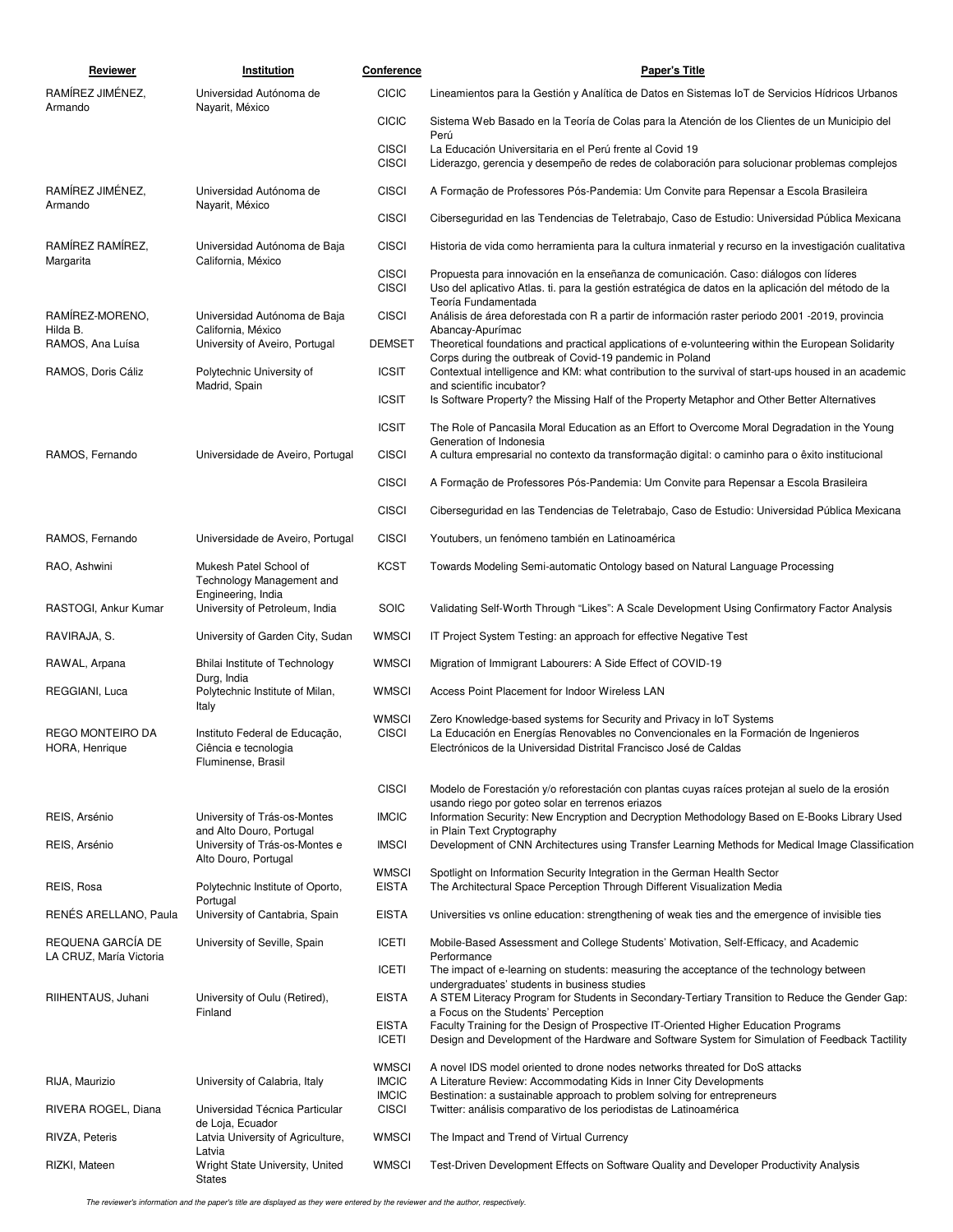| Reviewer                                     | Institution                                                                        | <b>Conference</b>            | <b>Paper's Title</b>                                                                                                                                                                                                             |
|----------------------------------------------|------------------------------------------------------------------------------------|------------------------------|----------------------------------------------------------------------------------------------------------------------------------------------------------------------------------------------------------------------------------|
| RAMÍREZ JIMÉNEZ,<br>Armando                  | Universidad Autónoma de<br>Nayarit, México                                         | <b>CICIC</b>                 | Lineamientos para la Gestión y Analítica de Datos en Sistemas loT de Servicios Hídricos Urbanos                                                                                                                                  |
|                                              |                                                                                    | <b>CICIC</b>                 | Sistema Web Basado en la Teoría de Colas para la Atención de los Clientes de un Municipio del<br>Perú                                                                                                                            |
|                                              |                                                                                    | <b>CISCI</b><br><b>CISCI</b> | La Educación Universitaria en el Perú frente al Covid 19<br>Liderazgo, gerencia y desempeño de redes de colaboración para solucionar problemas complejos                                                                         |
| RAMÍREZ JIMÉNEZ,<br>Armando                  | Universidad Autónoma de<br>Nayarit, México                                         | <b>CISCI</b>                 | A Formação de Professores Pós-Pandemia: Um Convite para Repensar a Escola Brasileira                                                                                                                                             |
|                                              |                                                                                    | <b>CISCI</b>                 | Ciberseguridad en las Tendencias de Teletrabajo, Caso de Estudio: Universidad Pública Mexicana                                                                                                                                   |
| RAMÍREZ RAMÍREZ,<br>Margarita                | Universidad Autónoma de Baja<br>California, México                                 | <b>CISCI</b>                 | Historia de vida como herramienta para la cultura inmaterial y recurso en la investigación cualitativa                                                                                                                           |
|                                              |                                                                                    | <b>CISCI</b><br><b>CISCI</b> | Propuesta para innovación en la enseñanza de comunicación. Caso: diálogos con líderes<br>Uso del aplicativo Atlas. ti. para la gestión estratégica de datos en la aplicación del método de la<br>Teoría Fundamentada             |
| RAMIREZ-MORENO,<br>Hilda B.                  | Universidad Autónoma de Baja<br>California, México                                 | <b>CISCI</b>                 | Análisis de área deforestada con R a partir de información raster periodo 2001 -2019, provincia<br>Abancay-Apurímac                                                                                                              |
| RAMOS, Ana Luísa                             | University of Aveiro, Portugal                                                     | <b>DEMSET</b>                | Theoretical foundations and practical applications of e-volunteering within the European Solidarity<br>Corps during the outbreak of Covid-19 pandemic in Poland                                                                  |
| RAMOS, Doris Cáliz                           | Polytechnic University of                                                          | <b>ICSIT</b>                 | Contextual intelligence and KM: what contribution to the survival of start-ups housed in an academic                                                                                                                             |
|                                              | Madrid, Spain                                                                      | <b>ICSIT</b>                 | and scientific incubator?<br>Is Software Property? the Missing Half of the Property Metaphor and Other Better Alternatives                                                                                                       |
|                                              |                                                                                    | <b>ICSIT</b>                 | The Role of Pancasila Moral Education as an Effort to Overcome Moral Degradation in the Young<br>Generation of Indonesia                                                                                                         |
| RAMOS, Fernando                              | Universidade de Aveiro, Portugal                                                   | <b>CISCI</b>                 | A cultura empresarial no contexto da transformação digital: o caminho para o êxito institucional                                                                                                                                 |
|                                              |                                                                                    | <b>CISCI</b>                 | A Formação de Professores Pós-Pandemia: Um Convite para Repensar a Escola Brasileira                                                                                                                                             |
|                                              |                                                                                    | <b>CISCI</b>                 | Ciberseguridad en las Tendencias de Teletrabajo, Caso de Estudio: Universidad Pública Mexicana                                                                                                                                   |
| RAMOS, Fernando                              | Universidade de Aveiro, Portugal                                                   | <b>CISCI</b>                 | Youtubers, un fenómeno también en Latinoamérica                                                                                                                                                                                  |
| RAO, Ashwini                                 | Mukesh Patel School of<br>Technology Management and<br>Engineering, India          | <b>KCST</b>                  | Towards Modeling Semi-automatic Ontology based on Natural Language Processing                                                                                                                                                    |
| RASTOGI, Ankur Kumar                         | University of Petroleum, India                                                     | <b>SOIC</b>                  | Validating Self-Worth Through "Likes": A Scale Development Using Confirmatory Factor Analysis                                                                                                                                    |
| RAVIRAJA, S.                                 | University of Garden City, Sudan                                                   | <b>WMSCI</b>                 | IT Project System Testing: an approach for effective Negative Test                                                                                                                                                               |
| RAWAL, Arpana                                | Bhilai Institute of Technology<br>Durg, India                                      | <b>WMSCI</b>                 | Migration of Immigrant Labourers: A Side Effect of COVID-19                                                                                                                                                                      |
| REGGIANI, Luca                               | Polytechnic Institute of Milan,<br>Italy                                           | <b>WMSCI</b>                 | Access Point Placement for Indoor Wireless LAN                                                                                                                                                                                   |
| REGO MONTEIRO DA<br>HORA, Henrique           | Instituto Federal de Educação,<br>Ciência e tecnologia<br>Fluminense, Brasil       | <b>WMSCI</b><br><b>CISCI</b> | Zero Knowledge-based systems for Security and Privacy in IoT Systems<br>La Educación en Energías Renovables no Convencionales en la Formación de Ingenieros<br>Electrónicos de la Universidad Distrital Francisco José de Caldas |
|                                              |                                                                                    | <b>CISCI</b>                 | Modelo de Forestación y/o reforestación con plantas cuyas raíces protejan al suelo de la erosión                                                                                                                                 |
| REIS, Arsénio                                | University of Trás-os-Montes                                                       | <b>IMCIC</b>                 | usando riego por goteo solar en terrenos eriazos<br>Information Security: New Encryption and Decryption Methodology Based on E-Books Library Used                                                                                |
| REIS, Arsénio                                | and Alto Douro, Portugal<br>University of Trás-os-Montes e<br>Alto Douro, Portugal | <b>IMSCI</b>                 | in Plain Text Cryptography<br>Development of CNN Architectures using Transfer Learning Methods for Medical Image Classification                                                                                                  |
| REIS, Rosa                                   | Polytechnic Institute of Oporto,                                                   | <b>WMSCI</b><br><b>EISTA</b> | Spotlight on Information Security Integration in the German Health Sector<br>The Architectural Space Perception Through Different Visualization Media                                                                            |
| RENÉS ARELLANO, Paula                        | Portugal<br>University of Cantabria, Spain                                         | <b>EISTA</b>                 | Universities vs online education: strengthening of weak ties and the emergence of invisible ties                                                                                                                                 |
| REQUENA GARCÍA DE<br>LA CRUZ, María Victoria | University of Seville, Spain                                                       | <b>ICETI</b>                 | Mobile-Based Assessment and College Students' Motivation, Self-Efficacy, and Academic<br>Performance                                                                                                                             |
|                                              |                                                                                    | <b>ICETI</b>                 | The impact of e-learning on students: measuring the acceptance of the technology between<br>undergraduates' students in business studies                                                                                         |
| RIIHENTAUS, Juhani                           | University of Oulu (Retired),<br>Finland                                           | <b>EISTA</b>                 | A STEM Literacy Program for Students in Secondary-Tertiary Transition to Reduce the Gender Gap:<br>a Focus on the Students' Perception                                                                                           |
|                                              |                                                                                    | <b>EISTA</b><br><b>ICETI</b> | Faculty Training for the Design of Prospective IT-Oriented Higher Education Programs<br>Design and Development of the Hardware and Software System for Simulation of Feedback Tactility                                          |
|                                              |                                                                                    | <b>WMSCI</b>                 | A novel IDS model oriented to drone nodes networks threated for DoS attacks                                                                                                                                                      |
| RIJA, Maurizio                               | University of Calabria, Italy                                                      | <b>IMCIC</b><br><b>IMCIC</b> | A Literature Review: Accommodating Kids in Inner City Developments<br>Bestination: a sustainable approach to problem solving for entrepreneurs                                                                                   |
| RIVERA ROGEL, Diana                          | Universidad Técnica Particular<br>de Loja, Ecuador                                 | <b>CISCI</b>                 | Twitter: análisis comparativo de los periodistas de Latinoamérica                                                                                                                                                                |
| RIVZA, Peteris                               | Latvia University of Agriculture,<br>Latvia                                        | <b>WMSCI</b>                 | The Impact and Trend of Virtual Currency                                                                                                                                                                                         |
| RIZKI, Mateen                                | Wright State University, United<br><b>States</b>                                   | <b>WMSCI</b>                 | Test-Driven Development Effects on Software Quality and Developer Productivity Analysis                                                                                                                                          |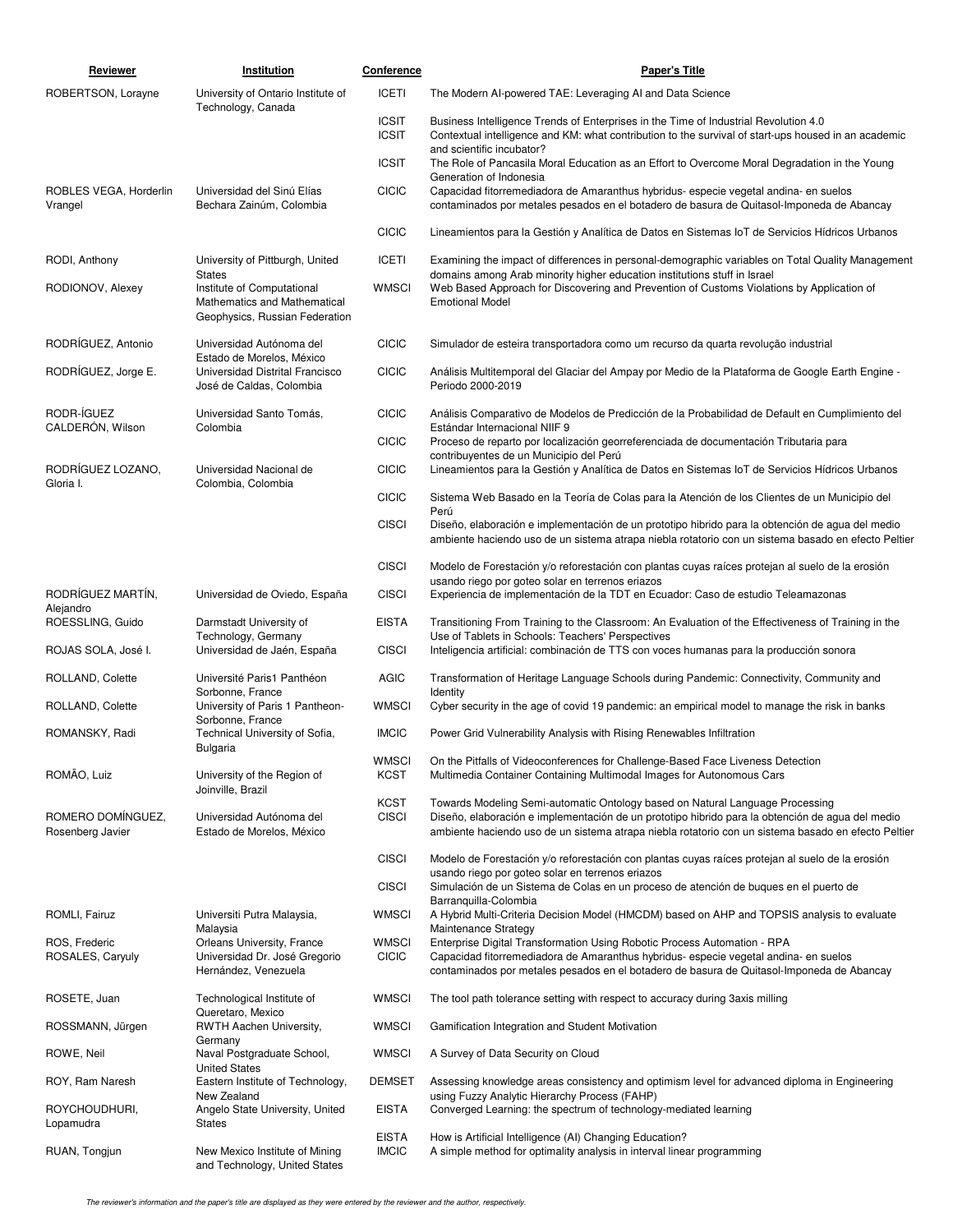| Reviewer                              | Institution                                                                                                   | Conference                   | <b>Paper's Title</b>                                                                                                                                                                                                                                                                     |
|---------------------------------------|---------------------------------------------------------------------------------------------------------------|------------------------------|------------------------------------------------------------------------------------------------------------------------------------------------------------------------------------------------------------------------------------------------------------------------------------------|
| ROBERTSON, Lorayne                    | University of Ontario Institute of                                                                            | ICETI                        | The Modern Al-powered TAE: Leveraging AI and Data Science                                                                                                                                                                                                                                |
|                                       | Technology, Canada                                                                                            | <b>ICSIT</b><br><b>ICSIT</b> | Business Intelligence Trends of Enterprises in the Time of Industrial Revolution 4.0<br>Contextual intelligence and KM: what contribution to the survival of start-ups housed in an academic                                                                                             |
|                                       |                                                                                                               | <b>ICSIT</b>                 | and scientific incubator?<br>The Role of Pancasila Moral Education as an Effort to Overcome Moral Degradation in the Young                                                                                                                                                               |
| ROBLES VEGA, Horderlin<br>Vrangel     | Universidad del Sinú Elías<br>Bechara Zainúm, Colombia                                                        | <b>CICIC</b>                 | Generation of Indonesia<br>Capacidad fitorremediadora de Amaranthus hybridus- especie vegetal andina- en suelos<br>contaminados por metales pesados en el botadero de basura de Quitasol-Imponeda de Abancay                                                                             |
|                                       |                                                                                                               | <b>CICIC</b>                 | Lineamientos para la Gestión y Analítica de Datos en Sistemas loT de Servicios Hídricos Urbanos                                                                                                                                                                                          |
| RODI, Anthony                         | University of Pittburgh, United                                                                               | <b>ICETI</b>                 | Examining the impact of differences in personal-demographic variables on Total Quality Management                                                                                                                                                                                        |
| RODIONOV, Alexey                      | <b>States</b><br>Institute of Computational<br>Mathematics and Mathematical<br>Geophysics, Russian Federation | <b>WMSCI</b>                 | domains among Arab minority higher education institutions stuff in Israel<br>Web Based Approach for Discovering and Prevention of Customs Violations by Application of<br><b>Emotional Model</b>                                                                                         |
| RODRÍGUEZ, Antonio                    | Universidad Autónoma del                                                                                      | <b>CICIC</b>                 | Simulador de esteira transportadora como um recurso da quarta revolução industrial                                                                                                                                                                                                       |
| RODRIGUEZ, Jorge E.                   | Estado de Morelos, México<br>Universidad Distrital Francisco<br>José de Caldas, Colombia                      | <b>CICIC</b>                 | Análisis Multitemporal del Glaciar del Ampay por Medio de la Plataforma de Google Earth Engine -<br>Periodo 2000-2019                                                                                                                                                                    |
| RODR-ÍGUEZ<br>CALDERÓN, Wilson        | Universidad Santo Tomás,<br>Colombia                                                                          | <b>CICIC</b>                 | Análisis Comparativo de Modelos de Predicción de la Probabilidad de Default en Cumplimiento del<br>Estándar Internacional NIIF 9                                                                                                                                                         |
|                                       |                                                                                                               | <b>CICIC</b>                 | Proceso de reparto por localización georreferenciada de documentación Tributaria para<br>contribuyentes de un Municipio del Perú                                                                                                                                                         |
| RODRÍGUEZ LOZANO,<br>Gloria I.        | Universidad Nacional de<br>Colombia, Colombia                                                                 | <b>CICIC</b>                 | Lineamientos para la Gestión y Analítica de Datos en Sistemas loT de Servicios Hídricos Urbanos                                                                                                                                                                                          |
|                                       |                                                                                                               | <b>CICIC</b>                 | Sistema Web Basado en la Teoría de Colas para la Atención de los Clientes de un Municipio del<br>Perú                                                                                                                                                                                    |
|                                       |                                                                                                               | <b>CISCI</b>                 | Diseño, elaboración e implementación de un prototipo hibrido para la obtención de agua del medio<br>ambiente haciendo uso de un sistema atrapa niebla rotatorio con un sistema basado en efecto Peltier                                                                                  |
|                                       |                                                                                                               | <b>CISCI</b>                 | Modelo de Forestación y/o reforestación con plantas cuyas raíces protejan al suelo de la erosión                                                                                                                                                                                         |
| RODRÍGUEZ MARTÍN,<br>Alejandro        | Universidad de Oviedo, España                                                                                 | <b>CISCI</b>                 | usando riego por goteo solar en terrenos eriazos<br>Experiencia de implementación de la TDT en Ecuador: Caso de estudio Teleamazonas                                                                                                                                                     |
| ROESSLING, Guido                      | Darmstadt University of<br>Technology, Germany                                                                | <b>EISTA</b>                 | Transitioning From Training to the Classroom: An Evaluation of the Effectiveness of Training in the<br>Use of Tablets in Schools: Teachers' Perspectives                                                                                                                                 |
| ROJAS SOLA, José I.                   | Universidad de Jaén, España                                                                                   | <b>CISCI</b>                 | Inteligencia artificial: combinación de TTS con voces humanas para la producción sonora                                                                                                                                                                                                  |
| ROLLAND, Colette                      | Université Paris1 Panthéon                                                                                    | <b>AGIC</b>                  | Transformation of Heritage Language Schools during Pandemic: Connectivity, Community and                                                                                                                                                                                                 |
| ROLLAND, Colette                      | Sorbonne, France<br>University of Paris 1 Pantheon-                                                           | <b>WMSCI</b>                 | Identity<br>Cyber security in the age of covid 19 pandemic: an empirical model to manage the risk in banks                                                                                                                                                                               |
| ROMANSKY, Radi                        | Sorbonne, France<br>Technical University of Sofia,<br>Bulgaria                                                | <b>IMCIC</b>                 | Power Grid Vulnerability Analysis with Rising Renewables Infiltration                                                                                                                                                                                                                    |
| ROMÃO, Luiz                           | University of the Region of<br>Joinville, Brazil                                                              | WMSCI<br><b>KCST</b>         | On the Pitfalls of Videoconferences for Challenge-Based Face Liveness Detection<br>Multimedia Container Containing Multimodal Images for Autonomous Cars                                                                                                                                 |
| ROMERO DOMINGUEZ,<br>Rosenberg Javier | Universidad Autónoma del<br>Estado de Morelos, México                                                         | <b>KCST</b><br><b>CISCI</b>  | Towards Modeling Semi-automatic Ontology based on Natural Language Processing<br>Diseño, elaboración e implementación de un prototipo hibrido para la obtención de agua del medio<br>ambiente haciendo uso de un sistema atrapa niebla rotatorio con un sistema basado en efecto Peltier |
|                                       |                                                                                                               | <b>CISCI</b>                 | Modelo de Forestación y/o reforestación con plantas cuyas raíces protejan al suelo de la erosión                                                                                                                                                                                         |
|                                       |                                                                                                               | <b>CISCI</b>                 | usando riego por goteo solar en terrenos eriazos<br>Simulación de un Sistema de Colas en un proceso de atención de buques en el puerto de                                                                                                                                                |
| ROMLI, Fairuz                         | Universiti Putra Malaysia,                                                                                    | <b>WMSCI</b>                 | Barranquilla-Colombia<br>A Hybrid Multi-Criteria Decision Model (HMCDM) based on AHP and TOPSIS analysis to evaluate                                                                                                                                                                     |
| ROS, Frederic                         | Malaysia<br>Orleans University, France                                                                        | <b>WMSCI</b>                 | Maintenance Strategy<br>Enterprise Digital Transformation Using Robotic Process Automation - RPA                                                                                                                                                                                         |
| ROSALES, Caryuly                      | Universidad Dr. José Gregorio<br>Hernández, Venezuela                                                         | <b>CICIC</b>                 | Capacidad fitorremediadora de Amaranthus hybridus- especie vegetal andina- en suelos<br>contaminados por metales pesados en el botadero de basura de Quitasol-Imponeda de Abancay                                                                                                        |
| ROSETE, Juan                          | Technological Institute of<br>Queretaro, Mexico                                                               | <b>WMSCI</b>                 | The tool path tolerance setting with respect to accuracy during 3 axis milling                                                                                                                                                                                                           |
| ROSSMANN, Jürgen                      | RWTH Aachen University,<br>Germany                                                                            | <b>WMSCI</b>                 | Gamification Integration and Student Motivation                                                                                                                                                                                                                                          |
| ROWE, Neil                            | Naval Postgraduate School,<br><b>United States</b>                                                            | <b>WMSCI</b>                 | A Survey of Data Security on Cloud                                                                                                                                                                                                                                                       |
| ROY, Ram Naresh                       | Eastern Institute of Technology,<br>New Zealand                                                               | <b>DEMSET</b>                | Assessing knowledge areas consistency and optimism level for advanced diploma in Engineering<br>using Fuzzy Analytic Hierarchy Process (FAHP)                                                                                                                                            |
| ROYCHOUDHURI,<br>Lopamudra            | Angelo State University, United<br><b>States</b>                                                              | <b>EISTA</b>                 | Converged Learning: the spectrum of technology-mediated learning                                                                                                                                                                                                                         |
| RUAN, Tongjun                         | New Mexico Institute of Mining<br>and Technology, United States                                               | <b>EISTA</b><br><b>IMCIC</b> | How is Artificial Intelligence (AI) Changing Education?<br>A simple method for optimality analysis in interval linear programming                                                                                                                                                        |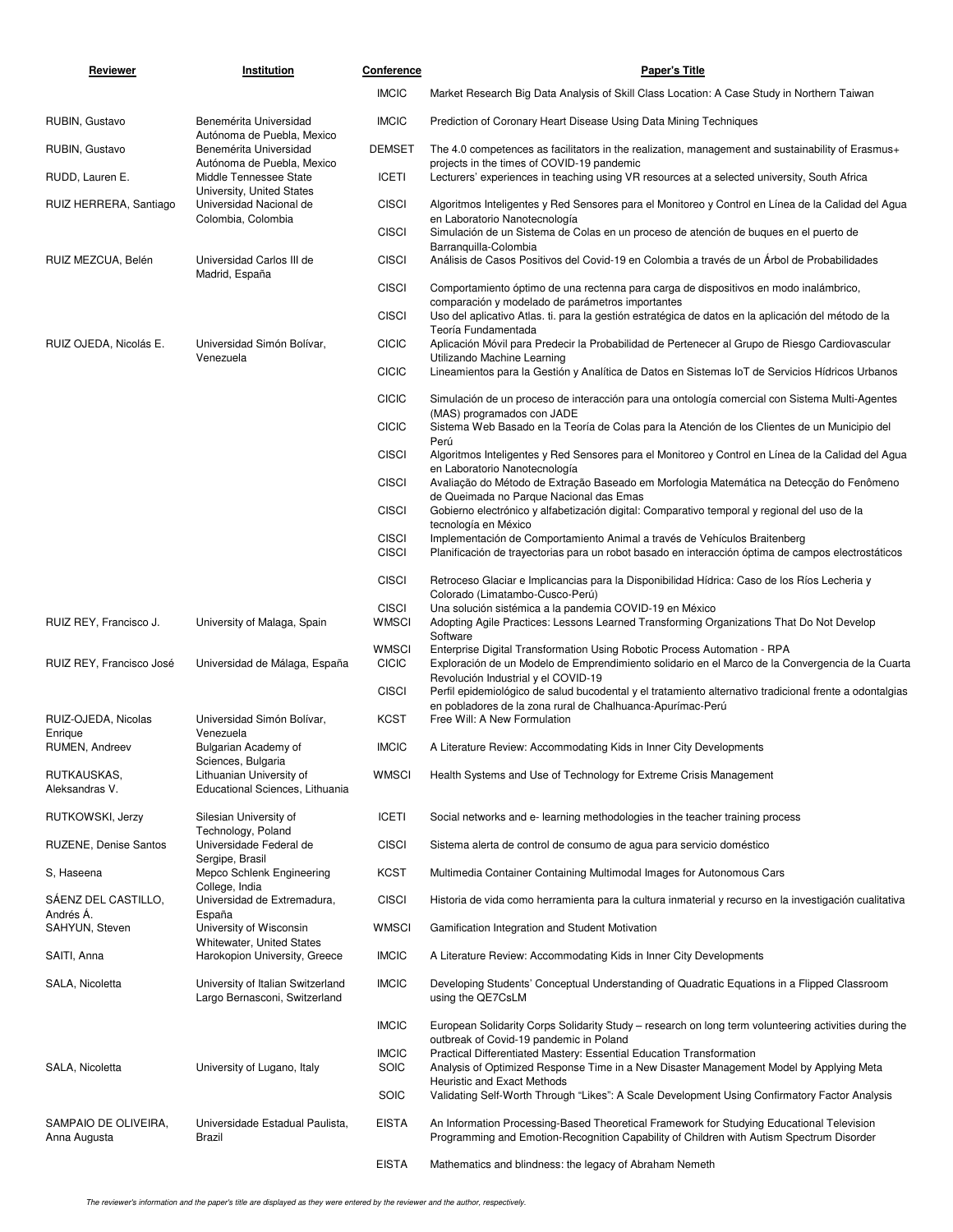| Reviewer                             | Institution                                                                       | <b>Conference</b>            | <b>Paper's Title</b>                                                                                                                                                                                       |
|--------------------------------------|-----------------------------------------------------------------------------------|------------------------------|------------------------------------------------------------------------------------------------------------------------------------------------------------------------------------------------------------|
|                                      |                                                                                   | <b>IMCIC</b>                 | Market Research Big Data Analysis of Skill Class Location: A Case Study in Northern Taiwan                                                                                                                 |
| RUBIN, Gustavo                       | Benemérita Universidad                                                            | <b>IMCIC</b>                 | Prediction of Coronary Heart Disease Using Data Mining Techniques                                                                                                                                          |
| RUBIN, Gustavo                       | Autónoma de Puebla, Mexico<br>Benemérita Universidad                              | <b>DEMSET</b>                | The 4.0 competences as facilitators in the realization, management and sustainability of Erasmus+                                                                                                          |
| RUDD, Lauren E.                      | Autónoma de Puebla, Mexico<br>Middle Tennessee State                              | <b>ICETI</b>                 | projects in the times of COVID-19 pandemic<br>Lecturers' experiences in teaching using VR resources at a selected university, South Africa                                                                 |
| RUIZ HERRERA, Santiago               | University, United States<br>Universidad Nacional de                              | <b>CISCI</b>                 | Algoritmos Inteligentes y Red Sensores para el Monitoreo y Control en Línea de la Calidad del Agua                                                                                                         |
|                                      | Colombia, Colombia                                                                | <b>CISCI</b>                 | en Laboratorio Nanotecnología<br>Simulación de un Sistema de Colas en un proceso de atención de buques en el puerto de                                                                                     |
| RUIZ MEZCUA, Belén                   | Universidad Carlos III de                                                         | <b>CISCI</b>                 | Barranquilla-Colombia<br>Análisis de Casos Positivos del Covid-19 en Colombia a través de un Arbol de Probabilidades                                                                                       |
|                                      | Madrid, España                                                                    | <b>CISCI</b>                 | Comportamiento óptimo de una rectenna para carga de dispositivos en modo inalámbrico,                                                                                                                      |
|                                      |                                                                                   | <b>CISCI</b>                 | comparación y modelado de parámetros importantes<br>Uso del aplicativo Atlas. ti. para la gestión estratégica de datos en la aplicación del método de la                                                   |
| RUIZ OJEDA, Nicolás E.               | Universidad Simón Bolívar,                                                        | <b>CICIC</b>                 | Teoría Fundamentada<br>Aplicación Móvil para Predecir la Probabilidad de Pertenecer al Grupo de Riesgo Cardiovascular                                                                                      |
|                                      | Venezuela                                                                         | <b>CICIC</b>                 | Utilizando Machine Learning<br>Lineamientos para la Gestión y Analítica de Datos en Sistemas loT de Servicios Hídricos Urbanos                                                                             |
|                                      |                                                                                   | <b>CICIC</b>                 | Simulación de un proceso de interacción para una ontología comercial con Sistema Multi-Agentes                                                                                                             |
|                                      |                                                                                   | <b>CICIC</b>                 | (MAS) programados con JADE<br>Sistema Web Basado en la Teoría de Colas para la Atención de los Clientes de un Municipio del<br>Perú                                                                        |
|                                      |                                                                                   | <b>CISCI</b>                 | Algoritmos Inteligentes y Red Sensores para el Monitoreo y Control en Línea de la Calidad del Agua<br>en Laboratorio Nanotecnología                                                                        |
|                                      |                                                                                   | <b>CISCI</b>                 | Avaliação do Método de Extração Baseado em Morfologia Matemática na Detecção do Fenômeno<br>de Queimada no Parque Nacional das Emas                                                                        |
|                                      |                                                                                   | <b>CISCI</b>                 | Gobierno electrónico y alfabetización digital: Comparativo temporal y regional del uso de la<br>tecnología en México                                                                                       |
|                                      |                                                                                   | <b>CISCI</b><br><b>CISCI</b> | Implementación de Comportamiento Animal a través de Vehículos Braitenberg<br>Planificación de trayectorias para un robot basado en interacción óptima de campos electrostáticos                            |
|                                      |                                                                                   | <b>CISCI</b>                 | Retroceso Glaciar e Implicancias para la Disponibilidad Hídrica: Caso de los Ríos Lecheria y<br>Colorado (Limatambo-Cusco-Perú)                                                                            |
| RUIZ REY, Francisco J.               | University of Malaga, Spain                                                       | <b>CISCI</b><br><b>WMSCI</b> | Una solución sistémica a la pandemia COVID-19 en México<br>Adopting Agile Practices: Lessons Learned Transforming Organizations That Do Not Develop                                                        |
| RUIZ REY, Francisco José             | Universidad de Málaga, España                                                     | <b>WMSCI</b><br><b>CICIC</b> | Software<br>Enterprise Digital Transformation Using Robotic Process Automation - RPA<br>Exploración de un Modelo de Emprendimiento solidario en el Marco de la Convergencia de la Cuarta                   |
|                                      |                                                                                   | <b>CISCI</b>                 | Revolución Industrial y el COVID-19<br>Perfil epidemiológico de salud bucodental y el tratamiento alternativo tradicional frente a odontalgias                                                             |
| RUIZ-OJEDA, Nicolas                  | Universidad Simón Bolívar,                                                        | <b>KCST</b>                  | en pobladores de la zona rural de Chalhuanca-Apurímac-Perú<br>Free Will: A New Formulation                                                                                                                 |
| Enrique<br>RUMEN, Andreev            | Venezuela<br>Bulgarian Academy of                                                 | <b>IMCIC</b>                 | A Literature Review: Accommodating Kids in Inner City Developments                                                                                                                                         |
| RUTKAUSKAS,<br>Aleksandras V.        | Sciences, Bulgaria<br>Lithuanian University of<br>Educational Sciences, Lithuania | <b>WMSCI</b>                 | Health Systems and Use of Technology for Extreme Crisis Management                                                                                                                                         |
| RUTKOWSKI, Jerzy                     | Silesian University of                                                            | <b>ICETI</b>                 | Social networks and e-learning methodologies in the teacher training process                                                                                                                               |
| RUZENE, Denise Santos                | Technology, Poland<br>Universidade Federal de                                     | <b>CISCI</b>                 | Sistema alerta de control de consumo de aqua para servicio doméstico                                                                                                                                       |
| S, Haseena                           | Sergipe, Brasil<br>Mepco Schlenk Engineering                                      | <b>KCST</b>                  | Multimedia Container Containing Multimodal Images for Autonomous Cars                                                                                                                                      |
| SÁENZ DEL CASTILLO,                  | College, India<br>Universidad de Extremadura,                                     | <b>CISCI</b>                 | Historia de vida como herramienta para la cultura inmaterial y recurso en la investigación cualitativa                                                                                                     |
| Andrés Á.<br>SAHYUN, Steven          | España<br>University of Wisconsin                                                 | <b>WMSCI</b>                 | Gamification Integration and Student Motivation                                                                                                                                                            |
| SAITI, Anna                          | Whitewater, United States<br>Harokopion University, Greece                        | <b>IMCIC</b>                 | A Literature Review: Accommodating Kids in Inner City Developments                                                                                                                                         |
| SALA, Nicoletta                      | University of Italian Switzerland<br>Largo Bernasconi, Switzerland                | <b>IMCIC</b>                 | Developing Students' Conceptual Understanding of Quadratic Equations in a Flipped Classroom<br>using the QE7CsLM                                                                                           |
|                                      |                                                                                   | <b>IMCIC</b>                 | European Solidarity Corps Solidarity Study – research on long term volunteering activities during the                                                                                                      |
| SALA, Nicoletta                      | University of Lugano, Italy                                                       | <b>IMCIC</b><br><b>SOIC</b>  | outbreak of Covid-19 pandemic in Poland<br>Practical Differentiated Mastery: Essential Education Transformation<br>Analysis of Optimized Response Time in a New Disaster Management Model by Applying Meta |
|                                      |                                                                                   | <b>SOIC</b>                  | Heuristic and Exact Methods<br>Validating Self-Worth Through "Likes": A Scale Development Using Confirmatory Factor Analysis                                                                               |
| SAMPAIO DE OLIVEIRA,<br>Anna Augusta | Universidade Estadual Paulista,<br>Brazil                                         | <b>EISTA</b>                 | An Information Processing-Based Theoretical Framework for Studying Educational Television<br>Programming and Emotion-Recognition Capability of Children with Autism Spectrum Disorder                      |
|                                      |                                                                                   | <b>EISTA</b>                 | Mathematics and blindness: the legacy of Abraham Nemeth                                                                                                                                                    |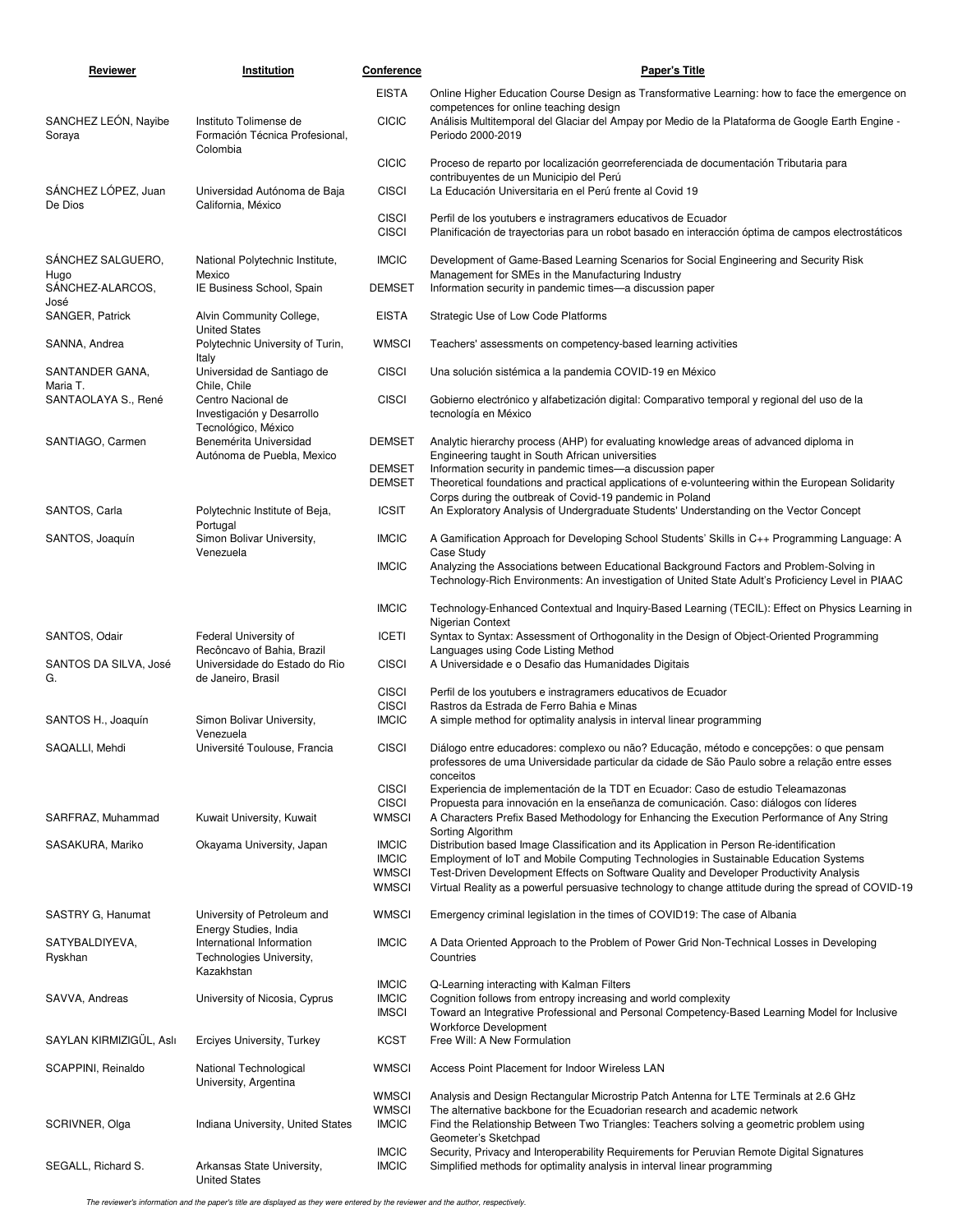| Reviewer                         | Institution                                                                       | Conference                                   | <b>Paper's Title</b>                                                                                                                                                                                                                                                                    |
|----------------------------------|-----------------------------------------------------------------------------------|----------------------------------------------|-----------------------------------------------------------------------------------------------------------------------------------------------------------------------------------------------------------------------------------------------------------------------------------------|
|                                  |                                                                                   | <b>EISTA</b>                                 | Online Higher Education Course Design as Transformative Learning: how to face the emergence on                                                                                                                                                                                          |
| SANCHEZ LEÓN, Nayibe<br>Soraya   | Instituto Tolimense de<br>Formación Técnica Profesional,                          | <b>CICIC</b>                                 | competences for online teaching design<br>- Análisis Multitemporal del Glaciar del Ampay por Medio de la Plataforma de Google Earth Engine<br>Periodo 2000-2019                                                                                                                         |
|                                  | Colombia                                                                          | <b>CICIC</b>                                 | Proceso de reparto por localización georreferenciada de documentación Tributaria para                                                                                                                                                                                                   |
| SÁNCHEZ LÓPEZ, Juan<br>De Dios   | Universidad Autónoma de Baja<br>California, México                                | <b>CISCI</b>                                 | contribuyentes de un Municipio del Perú<br>La Educación Universitaria en el Perú frente al Covid 19                                                                                                                                                                                     |
|                                  |                                                                                   | <b>CISCI</b><br><b>CISCI</b>                 | Perfil de los youtubers e instragramers educativos de Ecuador<br>Planificación de trayectorias para un robot basado en interacción óptima de campos electrostáticos                                                                                                                     |
| SÁNCHEZ SALGUERO,                | National Polytechnic Institute,                                                   | <b>IMCIC</b>                                 | Development of Game-Based Learning Scenarios for Social Engineering and Security Risk                                                                                                                                                                                                   |
| Hugo<br>SÁNCHEZ-ALARCOS,<br>José | Mexico<br>IE Business School, Spain                                               | <b>DEMSET</b>                                | Management for SMEs in the Manufacturing Industry<br>Information security in pandemic times-a discussion paper                                                                                                                                                                          |
| SANGER, Patrick                  | Alvin Community College,<br><b>United States</b>                                  | <b>EISTA</b>                                 | Strategic Use of Low Code Platforms                                                                                                                                                                                                                                                     |
| SANNA, Andrea                    | Polytechnic University of Turin,<br>Italy                                         | <b>WMSCI</b>                                 | Teachers' assessments on competency-based learning activities                                                                                                                                                                                                                           |
| SANTANDER GANA,<br>Maria T.      | Universidad de Santiago de<br>Chile, Chile                                        | <b>CISCI</b>                                 | Una solución sistémica a la pandemia COVID-19 en México                                                                                                                                                                                                                                 |
| SANTAOLAYA S., René              | Centro Nacional de<br>Investigación y Desarrollo<br>Tecnológico, México           | <b>CISCI</b>                                 | Gobierno electrónico y alfabetización digital: Comparativo temporal y regional del uso de la<br>tecnología en México                                                                                                                                                                    |
| SANTIAGO, Carmen                 | Benemérita Universidad<br>Autónoma de Puebla, Mexico                              | <b>DEMSET</b>                                | Analytic hierarchy process (AHP) for evaluating knowledge areas of advanced diploma in<br>Engineering taught in South African universities                                                                                                                                              |
|                                  |                                                                                   | <b>DEMSET</b><br><b>DEMSET</b>               | Information security in pandemic times-a discussion paper<br>Theoretical foundations and practical applications of e-volunteering within the European Solidarity<br>Corps during the outbreak of Covid-19 pandemic in Poland                                                            |
| SANTOS, Carla                    | Polytechnic Institute of Beja,                                                    | <b>ICSIT</b>                                 | An Exploratory Analysis of Undergraduate Students' Understanding on the Vector Concept                                                                                                                                                                                                  |
| SANTOS, Joaquín                  | Portugal<br>Simon Bolivar University,<br>Venezuela                                | <b>IMCIC</b>                                 | A Gamification Approach for Developing School Students' Skills in C++ Programming Language: A<br>Case Study                                                                                                                                                                             |
|                                  |                                                                                   | <b>IMCIC</b>                                 | Analyzing the Associations between Educational Background Factors and Problem-Solving in<br>Technology-Rich Environments: An investigation of United State Adult's Proficiency Level in PIAAC                                                                                           |
|                                  |                                                                                   | <b>IMCIC</b>                                 | Technology-Enhanced Contextual and Inquiry-Based Learning (TECIL): Effect on Physics Learning in<br>Nigerian Context                                                                                                                                                                    |
| SANTOS, Odair                    | Federal University of                                                             | <b>ICETI</b>                                 | Syntax to Syntax: Assessment of Orthogonality in the Design of Object-Oriented Programming                                                                                                                                                                                              |
| SANTOS DA SILVA, José<br>G.      | Recôncavo of Bahia, Brazil<br>Universidade do Estado do Rio<br>de Janeiro, Brasil | <b>CISCI</b>                                 | Languages using Code Listing Method<br>A Universidade e o Desafio das Humanidades Digitais                                                                                                                                                                                              |
|                                  |                                                                                   | <b>CISCI</b><br><b>CISCI</b>                 | Perfil de los youtubers e instragramers educativos de Ecuador<br>Rastros da Estrada de Ferro Bahia e Minas                                                                                                                                                                              |
| SANTOS H., Joaquín               | Simon Bolivar University,<br>Venezuela                                            | <b>IMCIC</b>                                 | A simple method for optimality analysis in interval linear programming                                                                                                                                                                                                                  |
| SAQALLI, Mehdi                   | Université Toulouse, Francia                                                      | <b>CISCI</b>                                 | Diálogo entre educadores: complexo ou não? Educação, método e concepções: o que pensam<br>professores de uma Universidade particular da cidade de São Paulo sobre a relação entre esses<br>conceitos                                                                                    |
|                                  |                                                                                   | <b>CISCI</b>                                 | Experiencia de implementación de la TDT en Ecuador: Caso de estudio Teleamazonas                                                                                                                                                                                                        |
| SARFRAZ, Muhammad                | Kuwait University, Kuwait                                                         | <b>CISCI</b><br><b>WMSCI</b>                 | Propuesta para innovación en la enseñanza de comunicación. Caso: diálogos con líderes<br>A Characters Prefix Based Methodology for Enhancing the Execution Performance of Any String                                                                                                    |
| SASAKURA, Mariko                 | Okayama University, Japan                                                         | <b>IMCIC</b>                                 | Sorting Algorithm<br>Distribution based Image Classification and its Application in Person Re-identification                                                                                                                                                                            |
|                                  |                                                                                   | <b>IMCIC</b><br><b>WMSCI</b><br><b>WMSCI</b> | Employment of IoT and Mobile Computing Technologies in Sustainable Education Systems<br>Test-Driven Development Effects on Software Quality and Developer Productivity Analysis<br>Virtual Reality as a powerful persuasive technology to change attitude during the spread of COVID-19 |
| SASTRY G, Hanumat                | University of Petroleum and                                                       | <b>WMSCI</b>                                 | Emergency criminal legislation in the times of COVID19: The case of Albania                                                                                                                                                                                                             |
| SATYBALDIYEVA,<br>Ryskhan        | Energy Studies, India<br>International Information<br>Technologies University,    | <b>IMCIC</b>                                 | A Data Oriented Approach to the Problem of Power Grid Non-Technical Losses in Developing<br>Countries                                                                                                                                                                                   |
|                                  | Kazakhstan                                                                        | <b>IMCIC</b>                                 |                                                                                                                                                                                                                                                                                         |
| SAVVA, Andreas                   | University of Nicosia, Cyprus                                                     | <b>IMCIC</b><br><b>IMSCI</b>                 | Q-Learning interacting with Kalman Filters<br>Cognition follows from entropy increasing and world complexity<br>Toward an Integrative Professional and Personal Competency-Based Learning Model for Inclusive                                                                           |
| SAYLAN KIRMIZIGÜL, Aslı          | Erciyes University, Turkey                                                        | <b>KCST</b>                                  | <b>Workforce Development</b><br>Free Will: A New Formulation                                                                                                                                                                                                                            |
| SCAPPINI, Reinaldo               | National Technological<br>University, Argentina                                   | <b>WMSCI</b>                                 | Access Point Placement for Indoor Wireless LAN                                                                                                                                                                                                                                          |
|                                  |                                                                                   | <b>WMSCI</b>                                 | Analysis and Design Rectangular Microstrip Patch Antenna for LTE Terminals at 2.6 GHz                                                                                                                                                                                                   |
| SCRIVNER, Olga                   | Indiana University, United States                                                 | <b>WMSCI</b><br><b>IMCIC</b>                 | The alternative backbone for the Ecuadorian research and academic network<br>Find the Relationship Between Two Triangles: Teachers solving a geometric problem using<br>Geometer's Sketchpad                                                                                            |
| SEGALL, Richard S.               | Arkansas State University,<br><b>United States</b>                                | <b>IMCIC</b><br><b>IMCIC</b>                 | Security, Privacy and Interoperability Requirements for Peruvian Remote Digital Signatures<br>Simplified methods for optimality analysis in interval linear programming                                                                                                                 |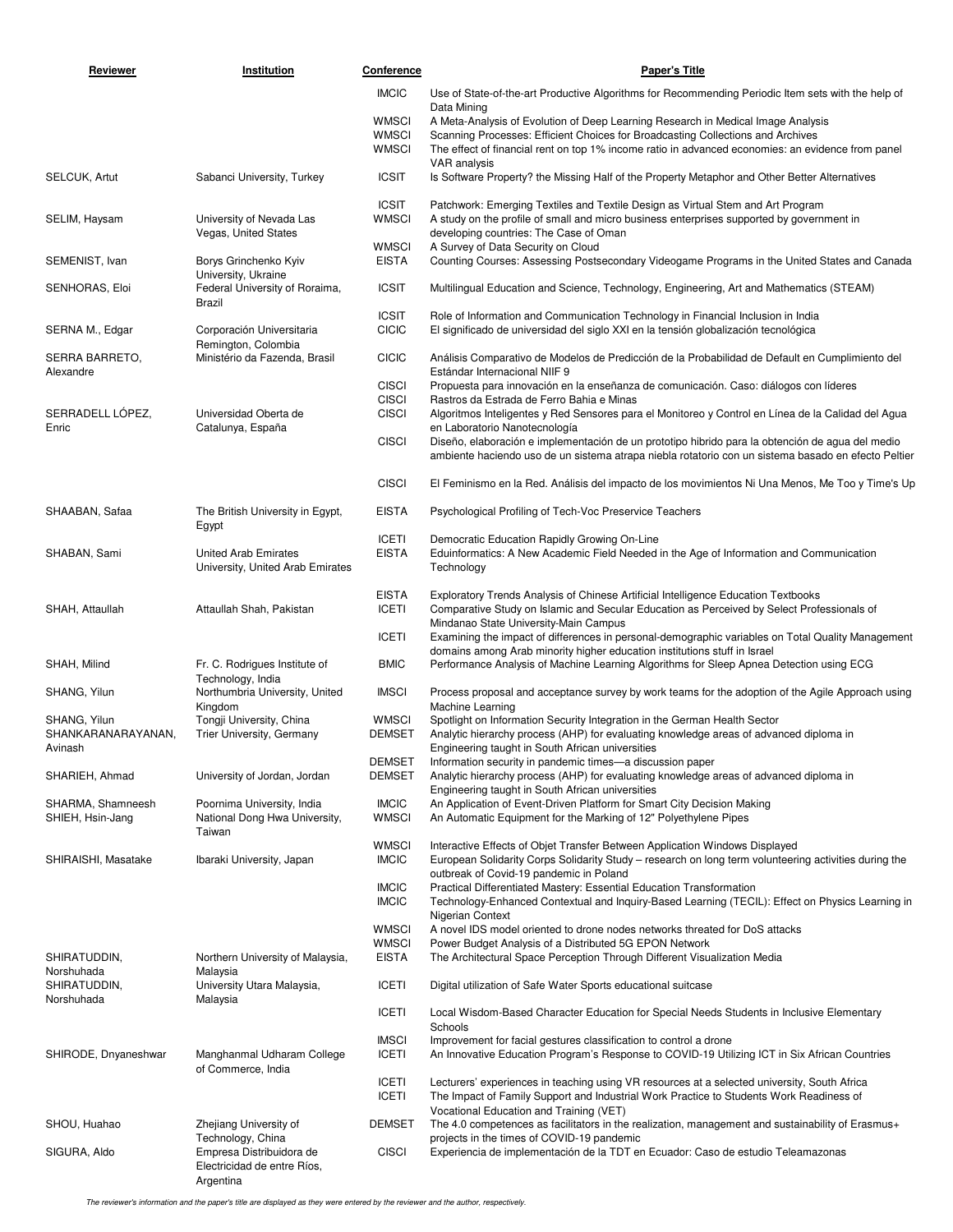| Reviewer                              | Institution                                                                          | Conference                                   | <b>Paper's Title</b>                                                                                                                                                                                                                                                     |
|---------------------------------------|--------------------------------------------------------------------------------------|----------------------------------------------|--------------------------------------------------------------------------------------------------------------------------------------------------------------------------------------------------------------------------------------------------------------------------|
|                                       |                                                                                      | <b>IMCIC</b>                                 | Use of State-of-the-art Productive Algorithms for Recommending Periodic Item sets with the help of<br>Data Mining                                                                                                                                                        |
|                                       |                                                                                      | <b>WMSCI</b><br><b>WMSCI</b><br><b>WMSCI</b> | A Meta-Analysis of Evolution of Deep Learning Research in Medical Image Analysis<br>Scanning Processes: Efficient Choices for Broadcasting Collections and Archives<br>The effect of financial rent on top 1% income ratio in advanced economies: an evidence from panel |
| SELCUK, Artut                         | Sabanci University, Turkey                                                           | <b>ICSIT</b>                                 | <b>VAR</b> analysis<br>Is Software Property? the Missing Half of the Property Metaphor and Other Better Alternatives                                                                                                                                                     |
| SELIM, Haysam                         | University of Nevada Las<br>Vegas, United States                                     | <b>ICSIT</b><br>WMSCI                        | Patchwork: Emerging Textiles and Textile Design as Virtual Stem and Art Program<br>A study on the profile of small and micro business enterprises supported by government in<br>developing countries: The Case of Oman                                                   |
| SEMENIST, Ivan                        | Borys Grinchenko Kyiv                                                                | <b>WMSCI</b><br><b>EISTA</b>                 | A Survey of Data Security on Cloud<br>Counting Courses: Assessing Postsecondary Videogame Programs in the United States and Canada                                                                                                                                       |
| SENHORAS, Eloi                        | University, Ukraine<br>Federal University of Roraima,<br>Brazil                      | <b>ICSIT</b>                                 | Multilingual Education and Science, Technology, Engineering, Art and Mathematics (STEAM)                                                                                                                                                                                 |
| SERNA M., Edgar                       | Corporación Universitaria                                                            | <b>ICSIT</b><br><b>CICIC</b>                 | Role of Information and Communication Technology in Financial Inclusion in India<br>El significado de universidad del siglo XXI en la tensión globalización tecnológica                                                                                                  |
| SERRA BARRETO,                        | Remington, Colombia<br>Ministério da Fazenda, Brasil                                 | <b>CICIC</b>                                 | Análisis Comparativo de Modelos de Predicción de la Probabilidad de Default en Cumplimiento del                                                                                                                                                                          |
| Alexandre                             |                                                                                      | <b>CISCI</b><br><b>CISCI</b>                 | Estándar Internacional NIIF 9<br>Propuesta para innovación en la enseñanza de comunicación. Caso: diálogos con líderes<br>Rastros da Estrada de Ferro Bahia e Minas                                                                                                      |
| SERRADELL LÓPEZ,<br>Enric             | Universidad Oberta de<br>Catalunya, España                                           | <b>CISCI</b>                                 | Algoritmos Inteligentes y Red Sensores para el Monitoreo y Control en Línea de la Calidad del Agua<br>en Laboratorio Nanotecnología                                                                                                                                      |
|                                       |                                                                                      | <b>CISCI</b>                                 | Diseño, elaboración e implementación de un prototipo hibrido para la obtención de agua del medio<br>ambiente haciendo uso de un sistema atrapa niebla rotatorio con un sistema basado en efecto Peltier                                                                  |
|                                       |                                                                                      | <b>CISCI</b>                                 | El Feminismo en la Red. Análisis del impacto de los movimientos Ni Una Menos, Me Too y Time's Up                                                                                                                                                                         |
| SHAABAN, Safaa                        | The British University in Egypt,<br>Egypt                                            | <b>EISTA</b>                                 | Psychological Profiling of Tech-Voc Preservice Teachers                                                                                                                                                                                                                  |
| SHABAN, Sami                          | United Arab Emirates<br>University, United Arab Emirates                             | <b>ICETI</b><br><b>EISTA</b>                 | Democratic Education Rapidly Growing On-Line<br>Eduinformatics: A New Academic Field Needed in the Age of Information and Communication<br>Technology                                                                                                                    |
| SHAH, Attaullah                       | Attaullah Shah, Pakistan                                                             | <b>EISTA</b><br><b>ICETI</b>                 | Exploratory Trends Analysis of Chinese Artificial Intelligence Education Textbooks<br>Comparative Study on Islamic and Secular Education as Perceived by Select Professionals of<br>Mindanao State University-Main Campus                                                |
|                                       |                                                                                      | <b>ICETI</b>                                 | Examining the impact of differences in personal-demographic variables on Total Quality Management<br>domains among Arab minority higher education institutions stuff in Israel                                                                                           |
| SHAH, Milind<br>SHANG, Yilun          | Fr. C. Rodrigues Institute of<br>Technology, India<br>Northumbria University, United | <b>BMIC</b><br><b>IMSCI</b>                  | Performance Analysis of Machine Learning Algorithms for Sleep Apnea Detection using ECG<br>Process proposal and acceptance survey by work teams for the adoption of the Agile Approach using                                                                             |
| SHANG, Yilun                          | Kingdom<br>Tongji University, China                                                  | <b>WMSCI</b>                                 | Machine Learning<br>Spotlight on Information Security Integration in the German Health Sector                                                                                                                                                                            |
| SHANKARANARAYANAN,<br>Avinash         | Trier University, Germany                                                            | <b>DEMSET</b>                                | Analytic hierarchy process (AHP) for evaluating knowledge areas of advanced diploma in<br>Engineering taught in South African universities                                                                                                                               |
| SHARIEH, Ahmad                        | University of Jordan, Jordan                                                         | <b>DEMSET</b><br><b>DEMSET</b>               | Information security in pandemic times—a discussion paper<br>Analytic hierarchy process (AHP) for evaluating knowledge areas of advanced diploma in                                                                                                                      |
| SHARMA, Shamneesh<br>SHIEH, Hsin-Jang | Poornima University, India<br>National Dong Hwa University,                          | <b>IMCIC</b><br><b>WMSCI</b>                 | Engineering taught in South African universities<br>An Application of Event-Driven Platform for Smart City Decision Making<br>An Automatic Equipment for the Marking of 12" Polyethylene Pipes                                                                           |
|                                       | Taiwan                                                                               | <b>WMSCI</b>                                 | Interactive Effects of Objet Transfer Between Application Windows Displayed                                                                                                                                                                                              |
| SHIRAISHI, Masatake                   | Ibaraki University, Japan                                                            | <b>IMCIC</b>                                 | European Solidarity Corps Solidarity Study – research on long term volunteering activities during the<br>outbreak of Covid-19 pandemic in Poland                                                                                                                         |
|                                       |                                                                                      | <b>IMCIC</b><br><b>IMCIC</b>                 | Practical Differentiated Mastery: Essential Education Transformation<br>Technology-Enhanced Contextual and Inquiry-Based Learning (TECIL): Effect on Physics Learning in<br>Nigerian Context                                                                             |
|                                       |                                                                                      | <b>WMSCI</b><br><b>WMSCI</b>                 | A novel IDS model oriented to drone nodes networks threated for DoS attacks<br>Power Budget Analysis of a Distributed 5G EPON Network                                                                                                                                    |
| SHIRATUDDIN,<br>Norshuhada            | Northern University of Malaysia,<br>Malaysia                                         | <b>EISTA</b>                                 | The Architectural Space Perception Through Different Visualization Media                                                                                                                                                                                                 |
| SHIRATUDDIN,<br>Norshuhada            | University Utara Malaysia,<br>Malaysia                                               | <b>ICETI</b>                                 | Digital utilization of Safe Water Sports educational suitcase                                                                                                                                                                                                            |
|                                       |                                                                                      | <b>ICETI</b>                                 | Local Wisdom-Based Character Education for Special Needs Students in Inclusive Elementary<br>Schools                                                                                                                                                                     |
| SHIRODE, Dnyaneshwar                  | Manghanmal Udharam College                                                           | <b>IMSCI</b><br><b>ICETI</b>                 | Improvement for facial gestures classification to control a drone<br>An Innovative Education Program's Response to COVID-19 Utilizing ICT in Six African Countries                                                                                                       |
|                                       | of Commerce, India                                                                   | <b>ICETI</b><br><b>ICETI</b>                 | Lecturers' experiences in teaching using VR resources at a selected university, South Africa<br>The Impact of Family Support and Industrial Work Practice to Students Work Readiness of<br>Vocational Education and Training (VET)                                       |
| SHOU, Huahao                          | Zhejiang University of<br>Technology, China                                          | <b>DEMSET</b>                                | The 4.0 competences as facilitators in the realization, management and sustainability of Erasmus+<br>projects in the times of COVID-19 pandemic                                                                                                                          |
| SIGURA, Aldo                          | Empresa Distribuidora de<br>Electricidad de entre Ríos,<br>Argentina                 | <b>CISCI</b>                                 | Experiencia de implementación de la TDT en Ecuador: Caso de estudio Teleamazonas                                                                                                                                                                                         |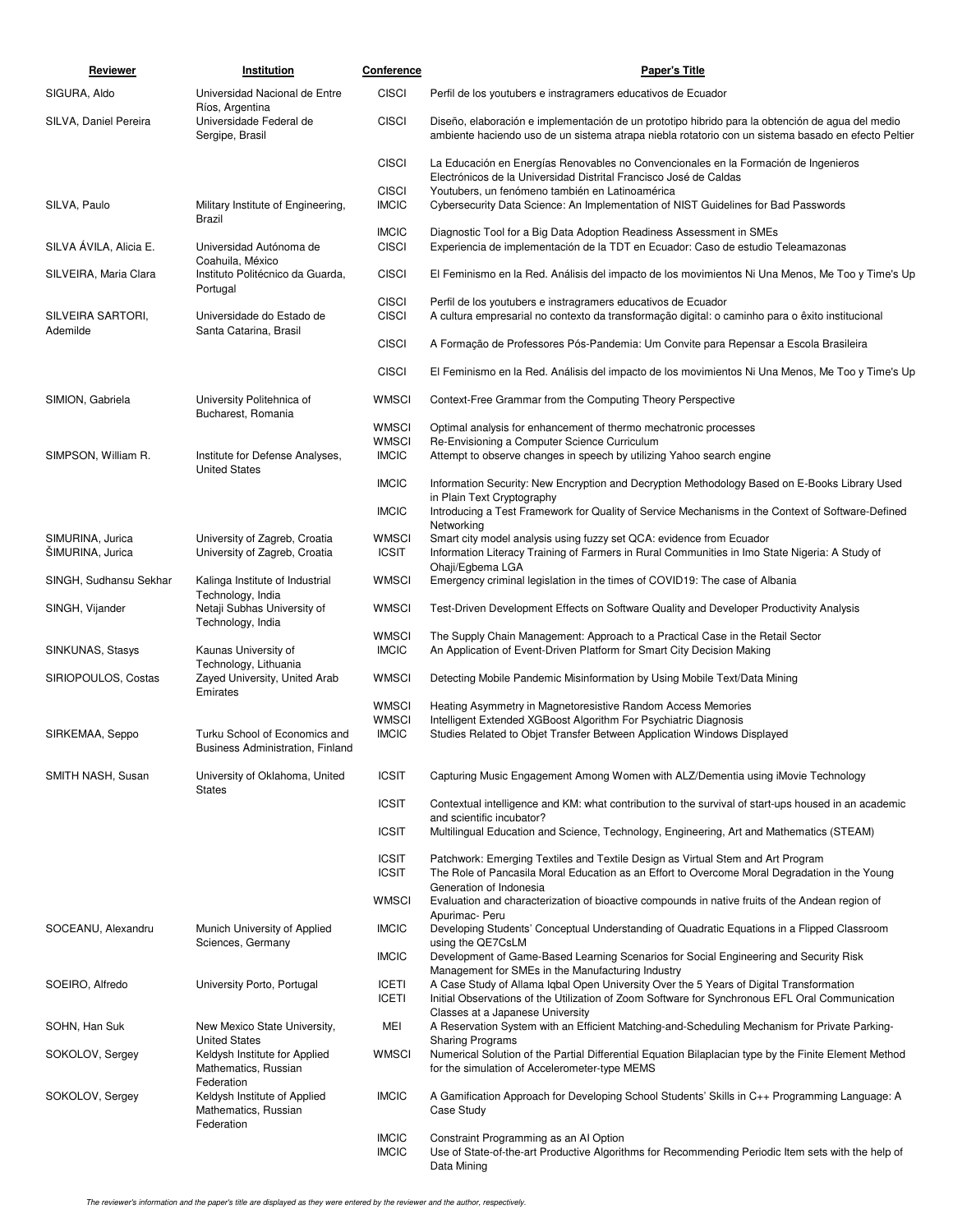| Reviewer                             | <b>Institution</b>                                                               | <b>Conference</b>            | <b>Paper's Title</b>                                                                                                                                                                                                           |
|--------------------------------------|----------------------------------------------------------------------------------|------------------------------|--------------------------------------------------------------------------------------------------------------------------------------------------------------------------------------------------------------------------------|
| SIGURA, Aldo                         | Universidad Nacional de Entre<br>Ríos, Argentina                                 | <b>CISCI</b>                 | Perfil de los youtubers e instragramers educativos de Ecuador                                                                                                                                                                  |
| SILVA, Daniel Pereira                | Universidade Federal de<br>Sergipe, Brasil                                       | <b>CISCI</b>                 | Diseño, elaboración e implementación de un prototipo hibrido para la obtención de agua del medio<br>ambiente haciendo uso de un sistema atrapa niebla rotatorio con un sistema basado en efecto Peltier                        |
|                                      |                                                                                  | <b>CISCI</b>                 | La Educación en Energías Renovables no Convencionales en la Formación de Ingenieros<br>Electrónicos de la Universidad Distrital Francisco José de Caldas                                                                       |
| SILVA, Paulo                         | Military Institute of Engineering,                                               | <b>CISCI</b><br><b>IMCIC</b> | Youtubers, un fenómeno también en Latinoamérica<br>Cybersecurity Data Science: An Implementation of NIST Guidelines for Bad Passwords                                                                                          |
| SILVA ÁVILA, Alicia E.               | <b>Brazil</b><br>Universidad Autónoma de                                         | <b>IMCIC</b><br><b>CISCI</b> | Diagnostic Tool for a Big Data Adoption Readiness Assessment in SMEs<br>Experiencia de implementación de la TDT en Ecuador: Caso de estudio Teleamazonas                                                                       |
| SILVEIRA, Maria Clara                | Coahuila, México<br>Instituto Politécnico da Guarda,                             | <b>CISCI</b>                 | El Feminismo en la Red. Análisis del impacto de los movimientos Ni Una Menos, Me Too y Time's Up                                                                                                                               |
| SILVEIRA SARTORI,                    | Portugal<br>Universidade do Estado de                                            | <b>CISCI</b><br><b>CISCI</b> | Perfil de los youtubers e instragramers educativos de Ecuador<br>A cultura empresarial no contexto da transformação digital: o caminho para o êxito institucional                                                              |
| Ademilde                             | Santa Catarina, Brasil                                                           | <b>CISCI</b>                 | A Formação de Professores Pós-Pandemia: Um Convite para Repensar a Escola Brasileira                                                                                                                                           |
|                                      |                                                                                  | <b>CISCI</b>                 | El Feminismo en la Red. Análisis del impacto de los movimientos Ni Una Menos, Me Too y Time's Up                                                                                                                               |
| SIMION, Gabriela                     | University Politehnica of<br>Bucharest, Romania                                  | <b>WMSCI</b>                 | Context-Free Grammar from the Computing Theory Perspective                                                                                                                                                                     |
|                                      |                                                                                  | <b>WMSCI</b>                 | Optimal analysis for enhancement of thermo mechatronic processes                                                                                                                                                               |
| SIMPSON, William R.                  | Institute for Defense Analyses,                                                  | <b>WMSCI</b><br><b>IMCIC</b> | Re-Envisioning a Computer Science Curriculum<br>Attempt to observe changes in speech by utilizing Yahoo search engine                                                                                                          |
|                                      | <b>United States</b>                                                             | <b>IMCIC</b>                 | Information Security: New Encryption and Decryption Methodology Based on E-Books Library Used<br>in Plain Text Cryptography                                                                                                    |
|                                      |                                                                                  | <b>IMCIC</b>                 | Introducing a Test Framework for Quality of Service Mechanisms in the Context of Software-Defined<br>Networking                                                                                                                |
| SIMURINA, Jurica<br>ŠIMURINA, Jurica | University of Zagreb, Croatia<br>University of Zagreb, Croatia                   | <b>WMSCI</b><br><b>ICSIT</b> | Smart city model analysis using fuzzy set QCA: evidence from Ecuador<br>Information Literacy Training of Farmers in Rural Communities in Imo State Nigeria: A Study of<br>Ohaji/Egbema LGA                                     |
| SINGH, Sudhansu Sekhar               | Kalinga Institute of Industrial                                                  | <b>WMSCI</b>                 | Emergency criminal legislation in the times of COVID19: The case of Albania                                                                                                                                                    |
| SINGH, Vijander                      | Technology, India<br>Netaji Subhas University of<br>Technology, India            | <b>WMSCI</b>                 | Test-Driven Development Effects on Software Quality and Developer Productivity Analysis                                                                                                                                        |
| SINKUNAS, Stasys                     | Kaunas University of                                                             | <b>WMSCI</b><br><b>IMCIC</b> | The Supply Chain Management: Approach to a Practical Case in the Retail Sector<br>An Application of Event-Driven Platform for Smart City Decision Making                                                                       |
| SIRIOPOULOS, Costas                  | Technology, Lithuania<br>Zayed University, United Arab<br>Emirates               | <b>WMSCI</b>                 | Detecting Mobile Pandemic Misinformation by Using Mobile Text/Data Mining                                                                                                                                                      |
|                                      |                                                                                  | <b>WMSCI</b>                 | Heating Asymmetry in Magnetoresistive Random Access Memories                                                                                                                                                                   |
| SIRKEMAA, Seppo                      | Turku School of Economics and<br><b>Business Administration, Finland</b>         | <b>WMSCI</b><br><b>IMCIC</b> | Intelligent Extended XGBoost Algorithm For Psychiatric Diagnosis<br>Studies Related to Objet Transfer Between Application Windows Displayed                                                                                    |
| SMITH NASH, Susan                    | University of Oklahoma, United<br><b>States</b>                                  | <b>ICSIT</b>                 | Capturing Music Engagement Among Women with ALZ/Dementia using iMovie Technology                                                                                                                                               |
|                                      |                                                                                  | <b>ICSIT</b>                 | Contextual intelligence and KM: what contribution to the survival of start-ups housed in an academic<br>and scientific incubator?                                                                                              |
|                                      |                                                                                  | <b>ICSIT</b>                 | Multilingual Education and Science, Technology, Engineering, Art and Mathematics (STEAM)                                                                                                                                       |
|                                      |                                                                                  | <b>ICSIT</b><br><b>ICSIT</b> | Patchwork: Emerging Textiles and Textile Design as Virtual Stem and Art Program<br>The Role of Pancasila Moral Education as an Effort to Overcome Moral Degradation in the Young                                               |
|                                      |                                                                                  | <b>WMSCI</b>                 | Generation of Indonesia<br>Evaluation and characterization of bioactive compounds in native fruits of the Andean region of<br>Apurimac- Peru                                                                                   |
| SOCEANU, Alexandru                   | Munich University of Applied<br>Sciences, Germany                                | <b>IMCIC</b>                 | Developing Students' Conceptual Understanding of Quadratic Equations in a Flipped Classroom<br>using the QE7CsLM                                                                                                               |
|                                      |                                                                                  | <b>IMCIC</b>                 | Development of Game-Based Learning Scenarios for Social Engineering and Security Risk<br>Management for SMEs in the Manufacturing Industry                                                                                     |
| SOEIRO, Alfredo                      | University Porto, Portugal                                                       | <b>ICETI</b><br><b>ICETI</b> | A Case Study of Allama Iqbal Open University Over the 5 Years of Digital Transformation<br>Initial Observations of the Utilization of Zoom Software for Synchronous EFL Oral Communication<br>Classes at a Japanese University |
| SOHN, Han Suk                        | New Mexico State University,<br><b>United States</b>                             | MEI                          | A Reservation System with an Efficient Matching-and-Scheduling Mechanism for Private Parking-<br><b>Sharing Programs</b>                                                                                                       |
| SOKOLOV, Sergey                      | Keldysh Institute for Applied<br>Mathematics, Russian                            | <b>WMSCI</b>                 | Numerical Solution of the Partial Differential Equation Bilaplacian type by the Finite Element Method<br>for the simulation of Accelerometer-type MEMS                                                                         |
| SOKOLOV, Sergey                      | Federation<br>Keldysh Institute of Applied<br>Mathematics, Russian<br>Federation | <b>IMCIC</b>                 | A Gamification Approach for Developing School Students' Skills in C++ Programming Language: A<br>Case Study                                                                                                                    |
|                                      |                                                                                  | <b>IMCIC</b><br><b>IMCIC</b> | Constraint Programming as an AI Option<br>Use of State-of-the-art Productive Algorithms for Recommending Periodic Item sets with the help of<br>Data Mining                                                                    |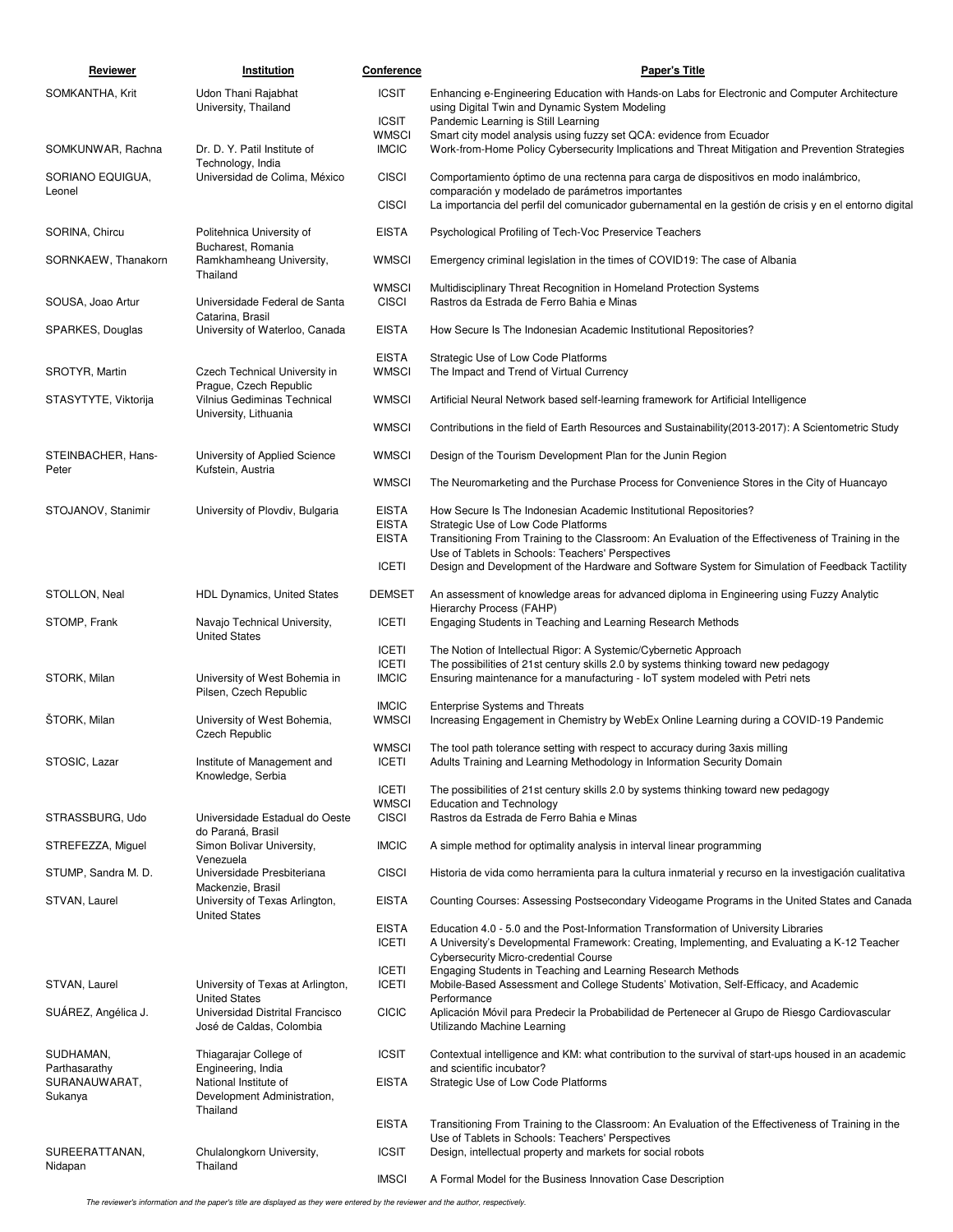| Reviewer                                  | Institution                                                                         | <b>Conference</b>                            | <b>Paper's Title</b>                                                                                                                                                                                                                                 |
|-------------------------------------------|-------------------------------------------------------------------------------------|----------------------------------------------|------------------------------------------------------------------------------------------------------------------------------------------------------------------------------------------------------------------------------------------------------|
| SOMKANTHA, Krit                           | Udon Thani Rajabhat<br>University, Thailand                                         | <b>ICSIT</b>                                 | Enhancing e-Engineering Education with Hands-on Labs for Electronic and Computer Architecture<br>using Digital Twin and Dynamic System Modeling                                                                                                      |
| SOMKUNWAR, Rachna                         | Dr. D. Y. Patil Institute of                                                        | <b>ICSIT</b><br><b>WMSCI</b><br><b>IMCIC</b> | Pandemic Learning is Still Learning<br>Smart city model analysis using fuzzy set QCA: evidence from Ecuador<br>Work-from-Home Policy Cybersecurity Implications and Threat Mitigation and Prevention Strategies                                      |
| SORIANO EQUIGUA,<br>Leonel                | Technology, India<br>Universidad de Colima, México                                  | <b>CISCI</b><br><b>CISCI</b>                 | Comportamiento óptimo de una rectenna para carga de dispositivos en modo inalámbrico,<br>comparación y modelado de parámetros importantes<br>La importancia del perfil del comunicador gubernamental en la gestión de crisis y en el entorno digital |
| SORINA, Chircu                            | Politehnica University of                                                           | <b>EISTA</b>                                 | Psychological Profiling of Tech-Voc Preservice Teachers                                                                                                                                                                                              |
| SORNKAEW, Thanakorn                       | Bucharest, Romania<br>Ramkhamheang University,                                      | <b>WMSCI</b>                                 | Emergency criminal legislation in the times of COVID19: The case of Albania                                                                                                                                                                          |
|                                           | Thailand                                                                            | <b>WMSCI</b>                                 | Multidisciplinary Threat Recognition in Homeland Protection Systems                                                                                                                                                                                  |
| SOUSA, Joao Artur                         | Universidade Federal de Santa<br>Catarina, Brasil                                   | <b>CISCI</b>                                 | Rastros da Estrada de Ferro Bahia e Minas                                                                                                                                                                                                            |
| SPARKES, Douglas                          | University of Waterloo, Canada                                                      | <b>EISTA</b>                                 | How Secure Is The Indonesian Academic Institutional Repositories?                                                                                                                                                                                    |
| SROTYR, Martin                            | Czech Technical University in                                                       | <b>EISTA</b><br><b>WMSCI</b>                 | Strategic Use of Low Code Platforms<br>The Impact and Trend of Virtual Currency                                                                                                                                                                      |
| STASYTYTE, Viktorija                      | Prague, Czech Republic<br>Vilnius Gediminas Technical<br>University, Lithuania      | <b>WMSCI</b>                                 | Artificial Neural Network based self-learning framework for Artificial Intelligence                                                                                                                                                                  |
|                                           |                                                                                     | <b>WMSCI</b>                                 | Contributions in the field of Earth Resources and Sustainability (2013-2017): A Scientometric Study                                                                                                                                                  |
| STEINBACHER, Hans-<br>Peter               | University of Applied Science<br>Kufstein, Austria                                  | <b>WMSCI</b>                                 | Design of the Tourism Development Plan for the Junin Region                                                                                                                                                                                          |
|                                           |                                                                                     | <b>WMSCI</b>                                 | The Neuromarketing and the Purchase Process for Convenience Stores in the City of Huancayo                                                                                                                                                           |
| STOJANOV, Stanimir                        | University of Plovdiv, Bulgaria                                                     | <b>EISTA</b><br><b>EISTA</b>                 | How Secure Is The Indonesian Academic Institutional Repositories?<br>Strategic Use of Low Code Platforms                                                                                                                                             |
|                                           |                                                                                     | <b>EISTA</b><br><b>ICETI</b>                 | Transitioning From Training to the Classroom: An Evaluation of the Effectiveness of Training in the<br>Use of Tablets in Schools: Teachers' Perspectives                                                                                             |
| STOLLON, Neal                             |                                                                                     | <b>DEMSET</b>                                | Design and Development of the Hardware and Software System for Simulation of Feedback Tactility<br>An assessment of knowledge areas for advanced diploma in Engineering using Fuzzy Analytic                                                         |
| STOMP, Frank                              | <b>HDL Dynamics, United States</b><br>Navajo Technical University,                  | <b>ICETI</b>                                 | Hierarchy Process (FAHP)<br>Engaging Students in Teaching and Learning Research Methods                                                                                                                                                              |
|                                           | <b>United States</b>                                                                | <b>ICETI</b>                                 | The Notion of Intellectual Rigor: A Systemic/Cybernetic Approach                                                                                                                                                                                     |
| STORK, Milan                              | University of West Bohemia in                                                       | <b>ICETI</b><br><b>IMCIC</b>                 | The possibilities of 21st century skills 2.0 by systems thinking toward new pedagogy<br>Ensuring maintenance for a manufacturing - IoT system modeled with Petri nets                                                                                |
|                                           | Pilsen, Czech Republic                                                              | <b>IMCIC</b>                                 | <b>Enterprise Systems and Threats</b>                                                                                                                                                                                                                |
| ŠTORK, Milan                              | University of West Bohemia,<br>Czech Republic                                       | <b>WMSCI</b>                                 | Increasing Engagement in Chemistry by WebEx Online Learning during a COVID-19 Pandemic                                                                                                                                                               |
| STOSIC, Lazar                             | Institute of Management and<br>Knowledge, Serbia                                    | <b>WMSCI</b><br><b>ICETI</b>                 | The tool path tolerance setting with respect to accuracy during 3axis milling<br>Adults Training and Learning Methodology in Information Security Domain                                                                                             |
|                                           |                                                                                     | <b>ICETI</b><br><b>WMSCI</b>                 | The possibilities of 21st century skills 2.0 by systems thinking toward new pedagogy<br><b>Education and Technology</b>                                                                                                                              |
| STRASSBURG, Udo                           | Universidade Estadual do Oeste<br>do Paraná, Brasil                                 | <b>CISCI</b>                                 | Rastros da Estrada de Ferro Bahia e Minas                                                                                                                                                                                                            |
| STREFEZZA, Miguel                         | Simon Bolivar University,<br>Venezuela                                              | <b>IMCIC</b>                                 | A simple method for optimality analysis in interval linear programming                                                                                                                                                                               |
| STUMP, Sandra M. D.                       | Universidade Presbiteriana<br>Mackenzie, Brasil                                     | <b>CISCI</b>                                 | Historia de vida como herramienta para la cultura inmaterial y recurso en la investigación cualitativa                                                                                                                                               |
| STVAN, Laurel                             | University of Texas Arlington,<br><b>United States</b>                              | <b>EISTA</b>                                 | Counting Courses: Assessing Postsecondary Videogame Programs in the United States and Canada                                                                                                                                                         |
|                                           |                                                                                     | <b>EISTA</b><br><b>ICETI</b>                 | Education 4.0 - 5.0 and the Post-Information Transformation of University Libraries<br>A University's Developmental Framework: Creating, Implementing, and Evaluating a K-12 Teacher<br><b>Cybersecurity Micro-credential Course</b>                 |
| STVAN, Laurel                             | University of Texas at Arlington,                                                   | <b>ICETI</b><br><b>ICETI</b>                 | Engaging Students in Teaching and Learning Research Methods<br>Mobile-Based Assessment and College Students' Motivation, Self-Efficacy, and Academic                                                                                                 |
| SUAREZ, Angélica J.                       | <b>United States</b><br>Universidad Distrital Francisco<br>José de Caldas, Colombia | CICIC                                        | Performance<br>Aplicación Móvil para Predecir la Probabilidad de Pertenecer al Grupo de Riesgo Cardiovascular<br>Utilizando Machine Learning                                                                                                         |
| SUDHAMAN,                                 | Thiagarajar College of                                                              | <b>ICSIT</b>                                 | Contextual intelligence and KM: what contribution to the survival of start-ups housed in an academic                                                                                                                                                 |
| Parthasarathy<br>SURANAUWARAT,<br>Sukanya | Engineering, India<br>National Institute of<br>Development Administration,          | <b>EISTA</b>                                 | and scientific incubator?<br>Strategic Use of Low Code Platforms                                                                                                                                                                                     |
|                                           | Thailand                                                                            | <b>EISTA</b>                                 | Transitioning From Training to the Classroom: An Evaluation of the Effectiveness of Training in the                                                                                                                                                  |
| SUREERATTANAN,<br>Nidapan                 | Chulalongkorn University,<br>Thailand                                               | <b>ICSIT</b>                                 | Use of Tablets in Schools: Teachers' Perspectives<br>Design, intellectual property and markets for social robots                                                                                                                                     |
|                                           |                                                                                     | <b>IMSCI</b>                                 | A Formal Model for the Business Innovation Case Description                                                                                                                                                                                          |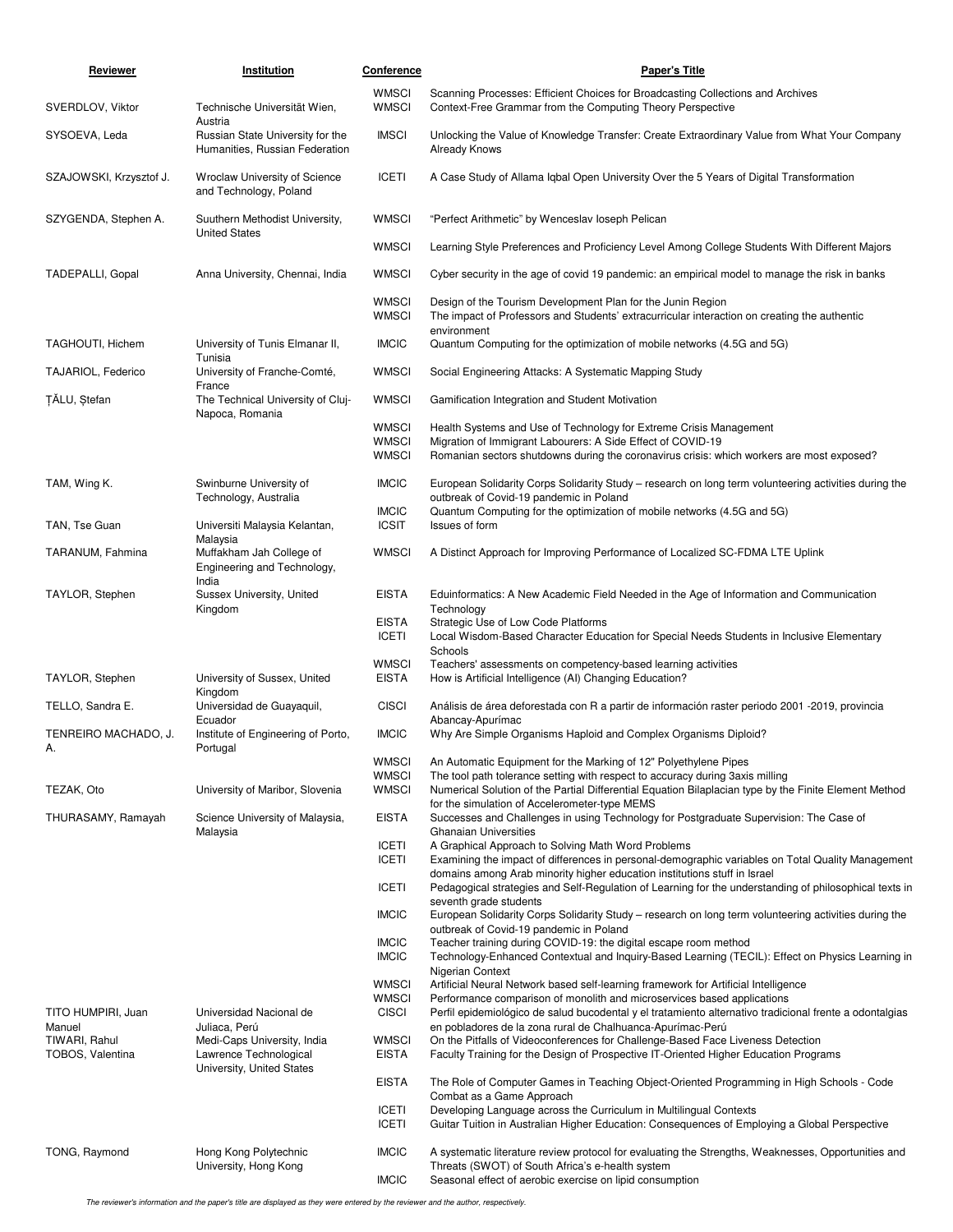| Reviewer                          | Institution                                                         | Conference                   | <b>Paper's Title</b>                                                                                                                                                                                                                 |
|-----------------------------------|---------------------------------------------------------------------|------------------------------|--------------------------------------------------------------------------------------------------------------------------------------------------------------------------------------------------------------------------------------|
| SVERDLOV, Viktor                  | Technische Universität Wien,<br>Austria                             | <b>WMSCI</b><br><b>WMSCI</b> | Scanning Processes: Efficient Choices for Broadcasting Collections and Archives<br>Context-Free Grammar from the Computing Theory Perspective                                                                                        |
| SYSOEVA, Leda                     | Russian State University for the<br>Humanities, Russian Federation  | <b>IMSCI</b>                 | Unlocking the Value of Knowledge Transfer: Create Extraordinary Value from What Your Company<br>Already Knows                                                                                                                        |
| SZAJOWSKI, Krzysztof J.           | Wroclaw University of Science<br>and Technology, Poland             | <b>ICETI</b>                 | A Case Study of Allama Iqbal Open University Over the 5 Years of Digital Transformation                                                                                                                                              |
| SZYGENDA, Stephen A.              | Suuthern Methodist University,<br><b>United States</b>              | <b>WMSCI</b>                 | "Perfect Arithmetic" by Wenceslav loseph Pelican                                                                                                                                                                                     |
|                                   |                                                                     | <b>WMSCI</b>                 | Learning Style Preferences and Proficiency Level Among College Students With Different Majors                                                                                                                                        |
| <b>TADEPALLI, Gopal</b>           | Anna University, Chennai, India                                     | <b>WMSCI</b>                 | Cyber security in the age of covid 19 pandemic: an empirical model to manage the risk in banks                                                                                                                                       |
|                                   |                                                                     | <b>WMSCI</b><br><b>WMSCI</b> | Design of the Tourism Development Plan for the Junin Region<br>The impact of Professors and Students' extracurricular interaction on creating the authentic<br>environment                                                           |
| TAGHOUTI, Hichem                  | University of Tunis Elmanar II,                                     | <b>IMCIC</b>                 | Quantum Computing for the optimization of mobile networks (4.5G and 5G)                                                                                                                                                              |
| TAJARIOL, Federico                | Tunisia<br>University of Franche-Comté,<br>France                   | <b>WMSCI</b>                 | Social Engineering Attacks: A Systematic Mapping Study                                                                                                                                                                               |
| TÅLU, Stefan                      | The Technical University of Cluj-<br>Napoca, Romania                | <b>WMSCI</b>                 | Gamification Integration and Student Motivation                                                                                                                                                                                      |
|                                   |                                                                     | <b>WMSCI</b>                 | Health Systems and Use of Technology for Extreme Crisis Management                                                                                                                                                                   |
|                                   |                                                                     | <b>WMSCI</b><br><b>WMSCI</b> | Migration of Immigrant Labourers: A Side Effect of COVID-19<br>Romanian sectors shutdowns during the coronavirus crisis: which workers are most exposed?                                                                             |
| TAM, Wing K.                      | Swinburne University of<br>Technology, Australia                    | <b>IMCIC</b>                 | European Solidarity Corps Solidarity Study – research on long term volunteering activities during the<br>outbreak of Covid-19 pandemic in Poland                                                                                     |
| TAN, Tse Guan                     | Universiti Malaysia Kelantan,                                       | <b>IMCIC</b><br><b>ICSIT</b> | Quantum Computing for the optimization of mobile networks (4.5G and 5G)<br>Issues of form                                                                                                                                            |
| TARANUM, Fahmina                  | Malaysia<br>Muffakham Jah College of<br>Engineering and Technology, | <b>WMSCI</b>                 | A Distinct Approach for Improving Performance of Localized SC-FDMA LTE Uplink                                                                                                                                                        |
| <b>TAYLOR, Stephen</b>            | India<br>Sussex University, United                                  | <b>EISTA</b>                 | Eduinformatics: A New Academic Field Needed in the Age of Information and Communication                                                                                                                                              |
|                                   | Kingdom                                                             | <b>EISTA</b><br><b>ICETI</b> | Technology<br>Strategic Use of Low Code Platforms<br>Local Wisdom-Based Character Education for Special Needs Students in Inclusive Elementary<br>Schools                                                                            |
| TAYLOR, Stephen                   | University of Sussex, United                                        | <b>WMSCI</b><br><b>EISTA</b> | Teachers' assessments on competency-based learning activities<br>How is Artificial Intelligence (AI) Changing Education?                                                                                                             |
| TELLO, Sandra E.                  | Kingdom<br>Universidad de Guayaquil,                                | <b>CISCI</b>                 | Análisis de área deforestada con R a partir de información raster periodo 2001 -2019, provincia                                                                                                                                      |
| TENREIRO MACHADO, J.              | Ecuador<br>Institute of Engineering of Porto,                       | <b>IMCIC</b>                 | Abancay-Apurímac<br>Why Are Simple Organisms Haploid and Complex Organisms Diploid?                                                                                                                                                  |
| Α.                                | Portugal                                                            | <b>WMSCI</b>                 | An Automatic Equipment for the Marking of 12" Polyethylene Pipes                                                                                                                                                                     |
| TEZAK, Oto                        | University of Maribor, Slovenia                                     | <b>WMSCI</b><br><b>WMSCI</b> | The tool path tolerance setting with respect to accuracy during 3 axis milling<br>Numerical Solution of the Partial Differential Equation Bilaplacian type by the Finite Element Method                                              |
|                                   |                                                                     |                              | for the simulation of Accelerometer-type MEMS                                                                                                                                                                                        |
| THURASAMY, Ramayah                | Science University of Malaysia,<br>Malaysia                         | <b>EISTA</b>                 | Successes and Challenges in using Technology for Postgraduate Supervision: The Case of<br><b>Ghanaian Universities</b>                                                                                                               |
|                                   |                                                                     | <b>ICETI</b><br><b>ICETI</b> | A Graphical Approach to Solving Math Word Problems<br>Examining the impact of differences in personal-demographic variables on Total Quality Management<br>domains among Arab minority higher education institutions stuff in Israel |
|                                   |                                                                     | <b>ICETI</b>                 | Pedagogical strategies and Self-Regulation of Learning for the understanding of philosophical texts in                                                                                                                               |
|                                   |                                                                     | <b>IMCIC</b>                 | seventh grade students<br>European Solidarity Corps Solidarity Study – research on long term volunteering activities during the<br>outbreak of Covid-19 pandemic in Poland                                                           |
|                                   |                                                                     | <b>IMCIC</b><br><b>IMCIC</b> | Teacher training during COVID-19: the digital escape room method<br>Technology-Enhanced Contextual and Inquiry-Based Learning (TECIL): Effect on Physics Learning in                                                                 |
|                                   |                                                                     | <b>WMSCI</b>                 | Nigerian Context<br>Artificial Neural Network based self-learning framework for Artificial Intelligence                                                                                                                              |
| TITO HUMPIRI, Juan                | Universidad Nacional de                                             | <b>WMSCI</b><br><b>CISCI</b> | Performance comparison of monolith and microservices based applications<br>Perfil epidemiológico de salud bucodental y el tratamiento alternativo tradicional frente a odontalgias                                                   |
| Manuel                            | Juliaca, Perú                                                       |                              | en pobladores de la zona rural de Chalhuanca-Apurímac-Perú                                                                                                                                                                           |
| TIWARI, Rahul<br>TOBOS, Valentina | Medi-Caps University, India<br>Lawrence Technological               | <b>WMSCI</b><br><b>EISTA</b> | On the Pitfalls of Videoconferences for Challenge-Based Face Liveness Detection<br>Faculty Training for the Design of Prospective IT-Oriented Higher Education Programs                                                              |
|                                   | University, United States                                           | <b>EISTA</b>                 | The Role of Computer Games in Teaching Object-Oriented Programming in High Schools - Code                                                                                                                                            |
|                                   |                                                                     | <b>ICETI</b><br><b>ICETI</b> | Combat as a Game Approach<br>Developing Language across the Curriculum in Multilingual Contexts<br>Guitar Tuition in Australian Higher Education: Consequences of Employing a Global Perspective                                     |
| TONG, Raymond                     | Hong Kong Polytechnic                                               | <b>IMCIC</b>                 | A systematic literature review protocol for evaluating the Strengths, Weaknesses, Opportunities and                                                                                                                                  |
|                                   | University, Hong Kong                                               | <b>IMCIC</b>                 | Threats (SWOT) of South Africa's e-health system<br>Seasonal effect of aerobic exercise on lipid consumption                                                                                                                         |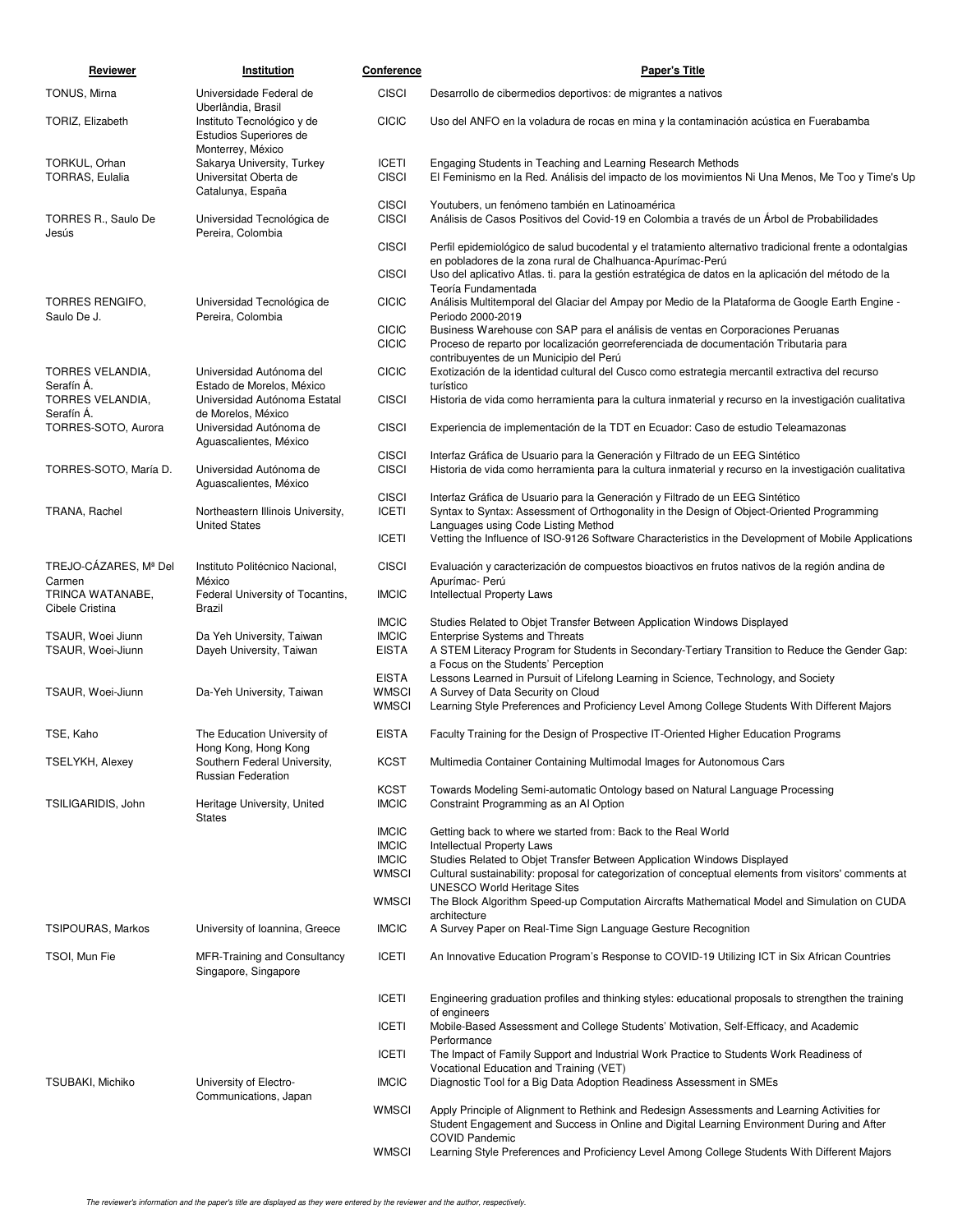| Reviewer                               | Institution                                                               | Conference                   | <b>Paper's Title</b>                                                                                                                                                                                                |
|----------------------------------------|---------------------------------------------------------------------------|------------------------------|---------------------------------------------------------------------------------------------------------------------------------------------------------------------------------------------------------------------|
| TONUS, Mirna                           | Universidade Federal de<br>Uberlândia, Brasil                             | <b>CISCI</b>                 | Desarrollo de cibermedios deportivos: de migrantes a nativos                                                                                                                                                        |
| TORIZ, Elizabeth                       | Instituto Tecnológico y de<br>Estudios Superiores de<br>Monterrey, México | <b>CICIC</b>                 | Uso del ANFO en la voladura de rocas en mina y la contaminación acústica en Fuerabamba                                                                                                                              |
| TORKUL, Orhan<br>TORRAS, Eulalia       | Sakarya University, Turkey<br>Universitat Oberta de<br>Catalunya, España  | <b>ICETI</b><br><b>CISCI</b> | Engaging Students in Teaching and Learning Research Methods<br>El Feminismo en la Red. Análisis del impacto de los movimientos Ni Una Menos, Me Too y Time's Up                                                     |
| TORRES R., Saulo De<br>Jesús           | Universidad Tecnológica de<br>Pereira, Colombia                           | <b>CISCI</b><br><b>CISCI</b> | Youtubers, un fenómeno también en Latinoamérica<br>Análisis de Casos Positivos del Covid-19 en Colombia a través de un Árbol de Probabilidades                                                                      |
|                                        |                                                                           | <b>CISCI</b>                 | Perfil epidemiológico de salud bucodental y el tratamiento alternativo tradicional frente a odontalgias<br>en pobladores de la zona rural de Chalhuanca-Apurímac-Perú                                               |
|                                        |                                                                           | <b>CISCI</b>                 | Uso del aplicativo Atlas. ti. para la gestión estratégica de datos en la aplicación del método de la<br>Teoría Fundamentada                                                                                         |
| <b>TORRES RENGIFO,</b><br>Saulo De J.  | Universidad Tecnológica de<br>Pereira, Colombia                           | <b>CICIC</b>                 | Análisis Multitemporal del Glaciar del Ampay por Medio de la Plataforma de Google Earth Engine -<br>Periodo 2000-2019                                                                                               |
|                                        |                                                                           | <b>CICIC</b><br><b>CICIC</b> | Business Warehouse con SAP para el análisis de ventas en Corporaciones Peruanas<br>Proceso de reparto por localización georreferenciada de documentación Tributaria para<br>contribuyentes de un Municipio del Perú |
| TORRES VELANDIA,                       | Universidad Autónoma del                                                  | <b>CICIC</b>                 | Exotización de la identidad cultural del Cusco como estrategia mercantil extractiva del recurso                                                                                                                     |
| Serafín A.<br>TORRES VELANDIA,         | Estado de Morelos, México<br>Universidad Autónoma Estatal                 | <b>CISCI</b>                 | turístico<br>Historia de vida como herramienta para la cultura inmaterial y recurso en la investigación cualitativa                                                                                                 |
| Serafín A.<br>TORRES-SOTO, Aurora      | de Morelos, México<br>Universidad Autónoma de                             | <b>CISCI</b>                 | Experiencia de implementación de la TDT en Ecuador: Caso de estudio Teleamazonas                                                                                                                                    |
|                                        | Aguascalientes, México                                                    |                              |                                                                                                                                                                                                                     |
| TORRES-SOTO, María D.                  | Universidad Autónoma de<br>Aguascalientes, México                         | <b>CISCI</b><br><b>CISCI</b> | Interfaz Gráfica de Usuario para la Generación y Filtrado de un EEG Sintético<br>Historia de vida como herramienta para la cultura inmaterial y recurso en la investigación cualitativa                             |
|                                        |                                                                           | <b>CISCI</b>                 | Interfaz Gráfica de Usuario para la Generación y Filtrado de un EEG Sintético                                                                                                                                       |
| TRANA, Rachel                          | Northeastern Illinois University,<br><b>United States</b>                 | <b>ICETI</b>                 | Syntax to Syntax: Assessment of Orthogonality in the Design of Object-Oriented Programming<br>Languages using Code Listing Method                                                                                   |
|                                        |                                                                           | <b>ICETI</b>                 | Vetting the Influence of ISO-9126 Software Characteristics in the Development of Mobile Applications                                                                                                                |
| TREJO-CÁZARES, Mª Del<br>Carmen        | Instituto Politécnico Nacional,<br>México                                 | <b>CISCI</b>                 | Evaluación y caracterización de compuestos bioactivos en frutos nativos de la región andina de<br>Apurímac- Perú                                                                                                    |
| TRINCA WATANABE,<br>Cibele Cristina    | Federal University of Tocantins,<br>Brazil                                | <b>IMCIC</b>                 | Intellectual Property Laws                                                                                                                                                                                          |
|                                        |                                                                           | <b>IMCIC</b>                 | Studies Related to Objet Transfer Between Application Windows Displayed                                                                                                                                             |
| TSAUR, Woei Jiunn<br>TSAUR, Woei-Jiunn | Da Yeh University, Taiwan<br>Dayeh University, Taiwan                     | <b>IMCIC</b><br><b>EISTA</b> | <b>Enterprise Systems and Threats</b><br>A STEM Literacy Program for Students in Secondary-Tertiary Transition to Reduce the Gender Gap:<br>a Focus on the Students' Perception                                     |
|                                        |                                                                           | <b>EISTA</b>                 | Lessons Learned in Pursuit of Lifelong Learning in Science, Technology, and Society                                                                                                                                 |
| TSAUR, Woei-Jiunn                      | Da-Yeh University, Taiwan                                                 | <b>WMSCI</b><br><b>WMSCI</b> | A Survey of Data Security on Cloud<br>Learning Style Preferences and Proficiency Level Among College Students With Different Majors                                                                                 |
| TSE, Kaho                              | The Education University of<br>Hong Kong, Hong Kong                       | <b>EISTA</b>                 | Faculty Training for the Design of Prospective IT-Oriented Higher Education Programs                                                                                                                                |
| TSELYKH, Alexey                        | Southern Federal University,<br>Russian Federation                        | <b>KCST</b>                  | Multimedia Container Containing Multimodal Images for Autonomous Cars                                                                                                                                               |
| TSILIGARIDIS, John                     | Heritage University, United                                               | <b>KCST</b><br><b>IMCIC</b>  | Towards Modeling Semi-automatic Ontology based on Natural Language Processing<br>Constraint Programming as an AI Option                                                                                             |
|                                        | <b>States</b>                                                             | <b>IMCIC</b>                 | Getting back to where we started from: Back to the Real World                                                                                                                                                       |
|                                        |                                                                           | <b>IMCIC</b><br><b>IMCIC</b> | <b>Intellectual Property Laws</b><br>Studies Related to Objet Transfer Between Application Windows Displayed                                                                                                        |
|                                        |                                                                           | <b>WMSCI</b>                 | Cultural sustainability: proposal for categorization of conceptual elements from visitors' comments at<br><b>UNESCO World Heritage Sites</b>                                                                        |
|                                        |                                                                           | <b>WMSCI</b>                 | The Block Algorithm Speed-up Computation Aircrafts Mathematical Model and Simulation on CUDA<br>architecture                                                                                                        |
| <b>TSIPOURAS, Markos</b>               | University of Ioannina, Greece                                            | <b>IMCIC</b>                 | A Survey Paper on Real-Time Sign Language Gesture Recognition                                                                                                                                                       |
| TSOI, Mun Fie                          | MFR-Training and Consultancy<br>Singapore, Singapore                      | <b>ICETI</b>                 | An Innovative Education Program's Response to COVID-19 Utilizing ICT in Six African Countries                                                                                                                       |
|                                        |                                                                           | <b>ICETI</b>                 | Engineering graduation profiles and thinking styles: educational proposals to strengthen the training<br>of engineers                                                                                               |
|                                        |                                                                           | <b>ICETI</b>                 | Mobile-Based Assessment and College Students' Motivation, Self-Efficacy, and Academic<br>Performance                                                                                                                |
|                                        |                                                                           | <b>ICETI</b>                 | The Impact of Family Support and Industrial Work Practice to Students Work Readiness of<br>Vocational Education and Training (VET)                                                                                  |
| TSUBAKI, Michiko                       | University of Electro-<br>Communications, Japan                           | <b>IMCIC</b>                 | Diagnostic Tool for a Big Data Adoption Readiness Assessment in SMEs                                                                                                                                                |
|                                        |                                                                           | <b>WMSCI</b>                 | Apply Principle of Alignment to Rethink and Redesign Assessments and Learning Activities for<br>Student Engagement and Success in Online and Digital Learning Environment During and After<br><b>COVID Pandemic</b> |
|                                        |                                                                           | <b>WMSCI</b>                 | Learning Style Preferences and Proficiency Level Among College Students With Different Majors                                                                                                                       |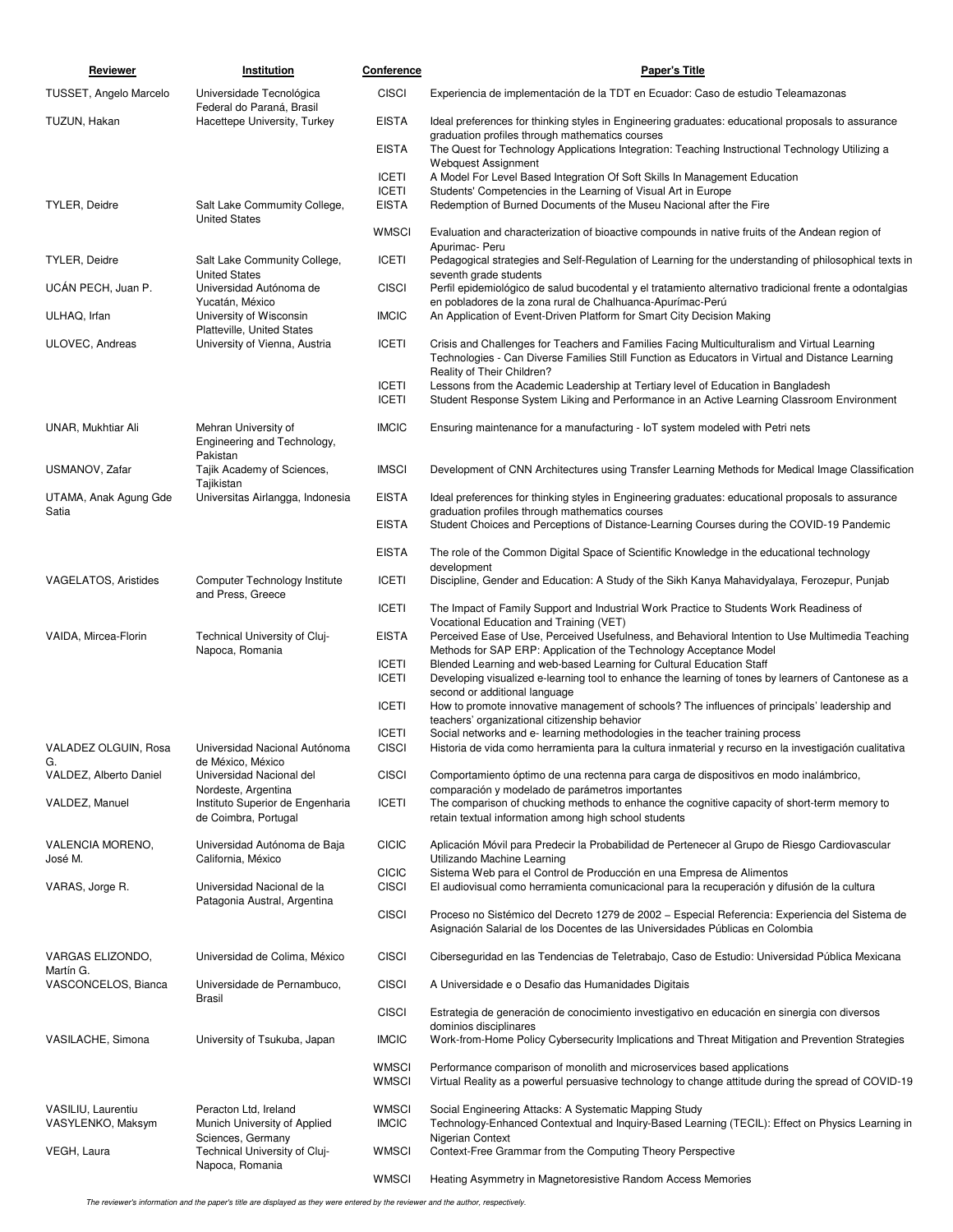| <b>Reviewer</b>                         | Institution                                                                | <b>Conference</b>            | <b>Paper's Title</b>                                                                                                                                                                                          |
|-----------------------------------------|----------------------------------------------------------------------------|------------------------------|---------------------------------------------------------------------------------------------------------------------------------------------------------------------------------------------------------------|
| TUSSET, Angelo Marcelo                  | Universidade Tecnológica<br>Federal do Paraná, Brasil                      | <b>CISCI</b>                 | Experiencia de implementación de la TDT en Ecuador: Caso de estudio Teleamazonas                                                                                                                              |
| TUZUN, Hakan                            | Hacettepe University, Turkey                                               | <b>EISTA</b>                 | Ideal preferences for thinking styles in Engineering graduates: educational proposals to assurance                                                                                                            |
|                                         |                                                                            | <b>EISTA</b>                 | graduation profiles through mathematics courses<br>The Quest for Technology Applications Integration: Teaching Instructional Technology Utilizing a<br><b>Webquest Assignment</b>                             |
|                                         |                                                                            | <b>ICETI</b>                 | A Model For Level Based Integration Of Soft Skills In Management Education                                                                                                                                    |
| TYLER, Deidre                           | Salt Lake Commumity College,                                               | <b>ICETI</b><br><b>EISTA</b> | Students' Competencies in the Learning of Visual Art in Europe<br>Redemption of Burned Documents of the Museu Nacional after the Fire                                                                         |
|                                         | <b>United States</b>                                                       | <b>WMSCI</b>                 | Evaluation and characterization of bioactive compounds in native fruits of the Andean region of                                                                                                               |
| TYLER, Deidre                           | Salt Lake Community College,                                               | <b>ICETI</b>                 | Apurimac- Peru<br>Pedagogical strategies and Self-Regulation of Learning for the understanding of philosophical texts in                                                                                      |
| UCAN PECH, Juan P.                      | <b>United States</b><br>Universidad Autónoma de                            | <b>CISCI</b>                 | seventh grade students<br>Perfil epidemiológico de salud bucodental y el tratamiento alternativo tradicional frente a odontalgias                                                                             |
| ULHAQ, Irfan                            | Yucatán, México<br>University of Wisconsin                                 | <b>IMCIC</b>                 | en pobladores de la zona rural de Chalhuanca-Apurímac-Perú<br>An Application of Event-Driven Platform for Smart City Decision Making                                                                          |
| ULOVEC, Andreas                         | Platteville, United States<br>University of Vienna, Austria                | <b>ICETI</b>                 | Crisis and Challenges for Teachers and Families Facing Multiculturalism and Virtual Learning<br>Technologies - Can Diverse Families Still Function as Educators in Virtual and Distance Learning              |
|                                         |                                                                            | <b>ICETI</b><br><b>ICETI</b> | Reality of Their Children?<br>Lessons from the Academic Leadership at Tertiary level of Education in Bangladesh<br>Student Response System Liking and Performance in an Active Learning Classroom Environment |
| <b>UNAR, Mukhtiar Ali</b>               | Mehran University of<br>Engineering and Technology,                        | <b>IMCIC</b>                 | Ensuring maintenance for a manufacturing - IoT system modeled with Petri nets                                                                                                                                 |
| USMANOV, Zafar                          | Pakistan<br>Tajik Academy of Sciences,<br>Taiikistan                       | <b>IMSCI</b>                 | Development of CNN Architectures using Transfer Learning Methods for Medical Image Classification                                                                                                             |
| UTAMA, Anak Agung Gde<br>Satia          | Universitas Airlangga, Indonesia                                           | <b>EISTA</b>                 | Ideal preferences for thinking styles in Engineering graduates: educational proposals to assurance<br>graduation profiles through mathematics courses                                                         |
|                                         |                                                                            | <b>EISTA</b>                 | Student Choices and Perceptions of Distance-Learning Courses during the COVID-19 Pandemic                                                                                                                     |
|                                         |                                                                            | <b>EISTA</b>                 | The role of the Common Digital Space of Scientific Knowledge in the educational technology<br>development                                                                                                     |
| VAGELATOS, Aristides                    | Computer Technology Institute<br>and Press, Greece                         | <b>ICETI</b>                 | Discipline, Gender and Education: A Study of the Sikh Kanya Mahavidyalaya, Ferozepur, Punjab                                                                                                                  |
|                                         |                                                                            | <b>ICETI</b>                 | The Impact of Family Support and Industrial Work Practice to Students Work Readiness of<br>Vocational Education and Training (VET)                                                                            |
| VAIDA, Mircea-Florin                    | Technical University of Cluj-<br>Napoca, Romania                           | <b>EISTA</b>                 | Perceived Ease of Use, Perceived Usefulness, and Behavioral Intention to Use Multimedia Teaching<br>Methods for SAP ERP: Application of the Technology Acceptance Model                                       |
|                                         |                                                                            | <b>ICETI</b><br><b>ICETI</b> | Blended Learning and web-based Learning for Cultural Education Staff<br>Developing visualized e-learning tool to enhance the learning of tones by learners of Cantonese as a                                  |
|                                         |                                                                            | <b>ICETI</b>                 | second or additional language<br>How to promote innovative management of schools? The influences of principals' leadership and<br>teachers' organizational citizenship behavior                               |
|                                         |                                                                            | <b>ICETI</b>                 | Social networks and e-learning methodologies in the teacher training process                                                                                                                                  |
| VALADEZ OLGUIN, Rosa<br>G.              | Universidad Nacional Autónoma<br>de México, México                         | <b>CISCI</b>                 | Historia de vida como herramienta para la cultura inmaterial y recurso en la investigación cualitativa                                                                                                        |
| VALDEZ, Alberto Daniel                  | Universidad Nacional del<br>Nordeste, Argentina                            | <b>CISCI</b>                 | Comportamiento óptimo de una rectenna para carga de dispositivos en modo inalámbrico,<br>comparación y modelado de parámetros importantes                                                                     |
| VALDEZ, Manuel                          | Instituto Superior de Engenharia                                           | <b>ICETI</b>                 | The comparison of chucking methods to enhance the cognitive capacity of short-term memory to                                                                                                                  |
|                                         | de Coimbra, Portugal                                                       |                              | retain textual information among high school students                                                                                                                                                         |
| VALENCIA MORENO,<br>José M.             | Universidad Autónoma de Baja<br>California, México                         | <b>CICIC</b>                 | Aplicación Móvil para Predecir la Probabilidad de Pertenecer al Grupo de Riesgo Cardiovascular<br>Utilizando Machine Learning                                                                                 |
| VARAS, Jorge R.                         | Universidad Nacional de la                                                 | <b>CICIC</b><br><b>CISCI</b> | Sistema Web para el Control de Producción en una Empresa de Alimentos<br>El audiovisual como herramienta comunicacional para la recuperación y difusión de la cultura                                         |
|                                         | Patagonia Austral, Argentina                                               | <b>CISCI</b>                 | Proceso no Sistémico del Decreto 1279 de 2002 – Especial Referencia: Experiencia del Sistema de<br>Asignación Salarial de los Docentes de las Universidades Públicas en Colombia                              |
| VARGAS ELIZONDO,                        | Universidad de Colima, México                                              | <b>CISCI</b>                 | Ciberseguridad en las Tendencias de Teletrabajo, Caso de Estudio: Universidad Pública Mexicana                                                                                                                |
| Martín G.<br>VASCONCELOS, Bianca        | Universidade de Pernambuco,<br><b>Brasil</b>                               | <b>CISCI</b>                 | A Universidade e o Desafio das Humanidades Digitais                                                                                                                                                           |
|                                         |                                                                            | <b>CISCI</b>                 | Estrategia de generación de conocimiento investigativo en educación en sinergia con diversos<br>dominios disciplinares                                                                                        |
| VASILACHE, Simona                       | University of Tsukuba, Japan                                               | <b>IMCIC</b>                 | Work-from-Home Policy Cybersecurity Implications and Threat Mitigation and Prevention Strategies                                                                                                              |
|                                         |                                                                            | <b>WMSCI</b><br><b>WMSCI</b> | Performance comparison of monolith and microservices based applications<br>Virtual Reality as a powerful persuasive technology to change attitude during the spread of COVID-19                               |
| VASILIU, Laurentiu<br>VASYLENKO, Maksym | Peracton Ltd, Ireland<br>Munich University of Applied<br>Sciences, Germany | WMSCI<br><b>IMCIC</b>        | Social Engineering Attacks: A Systematic Mapping Study<br>Technology-Enhanced Contextual and Inquiry-Based Learning (TECIL): Effect on Physics Learning in<br>Nigerian Context                                |
| VEGH, Laura                             | Technical University of Cluj-<br>Napoca, Romania                           | WMSCI                        | Context-Free Grammar from the Computing Theory Perspective                                                                                                                                                    |
|                                         |                                                                            | <b>WMSCI</b>                 | Heating Asymmetry in Magnetoresistive Random Access Memories                                                                                                                                                  |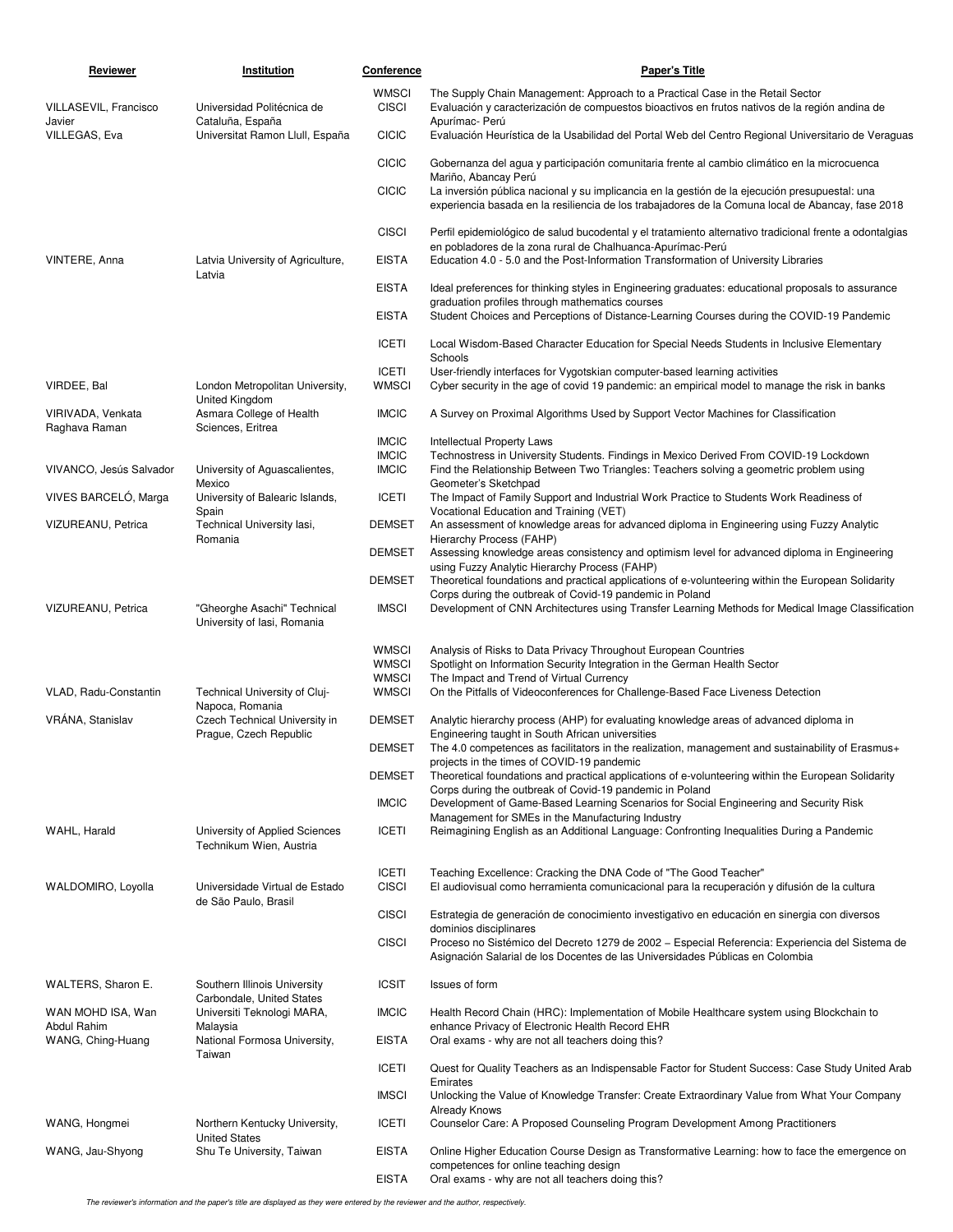| Reviewer                         | Institution                                                | Conference                   | <b>Paper's Title</b>                                                                                                                                                                                                        |
|----------------------------------|------------------------------------------------------------|------------------------------|-----------------------------------------------------------------------------------------------------------------------------------------------------------------------------------------------------------------------------|
| VILLASEVIL, Francisco<br>Javier  | Universidad Politécnica de<br>Cataluña, España             | <b>WMSCI</b><br><b>CISCI</b> | The Supply Chain Management: Approach to a Practical Case in the Retail Sector<br>Evaluación y caracterización de compuestos bioactivos en frutos nativos de la región andina de<br>Apurímac- Perú                          |
| VILLEGAS, Eva                    | Universitat Ramon Llull, España                            | <b>CICIC</b>                 | Evaluación Heurística de la Usabilidad del Portal Web del Centro Regional Universitario de Veraguas                                                                                                                         |
|                                  |                                                            | <b>CICIC</b>                 | Gobernanza del agua y participación comunitaria frente al cambio climático en la microcuenca                                                                                                                                |
|                                  |                                                            | <b>CICIC</b>                 | Mariño, Abancay Perú<br>La inversión pública nacional y su implicancia en la gestión de la ejecución presupuestal: una<br>experiencia basada en la resiliencia de los trabajadores de la Comuna local de Abancay, fase 2018 |
|                                  |                                                            | <b>CISCI</b>                 | Perfil epidemiológico de salud bucodental y el tratamiento alternativo tradicional frente a odontalgias<br>en pobladores de la zona rural de Chalhuanca-Apurímac-Perú                                                       |
| VINTERE, Anna                    | Latvia University of Agriculture,<br>Latvia                | <b>EISTA</b>                 | Education 4.0 - 5.0 and the Post-Information Transformation of University Libraries                                                                                                                                         |
|                                  |                                                            | <b>EISTA</b>                 | Ideal preferences for thinking styles in Engineering graduates: educational proposals to assurance<br>graduation profiles through mathematics courses                                                                       |
|                                  |                                                            | <b>EISTA</b>                 | Student Choices and Perceptions of Distance-Learning Courses during the COVID-19 Pandemic                                                                                                                                   |
|                                  |                                                            | <b>ICETI</b>                 | Local Wisdom-Based Character Education for Special Needs Students in Inclusive Elementary<br>Schools                                                                                                                        |
| VIRDEE, Bal                      | London Metropolitan University,                            | <b>ICETI</b><br><b>WMSCI</b> | User-friendly interfaces for Vygotskian computer-based learning activities<br>Cyber security in the age of covid 19 pandemic: an empirical model to manage the risk in banks                                                |
| VIRIVADA, Venkata                | United Kingdom<br>Asmara College of Health                 | <b>IMCIC</b>                 | A Survey on Proximal Algorithms Used by Support Vector Machines for Classification                                                                                                                                          |
| Raghava Raman                    | Sciences, Eritrea                                          | <b>IMCIC</b>                 | <b>Intellectual Property Laws</b>                                                                                                                                                                                           |
|                                  |                                                            | <b>IMCIC</b>                 | Technostress in University Students. Findings in Mexico Derived From COVID-19 Lockdown                                                                                                                                      |
| VIVANCO, Jesús Salvador          | University of Aguascalientes,<br>Mexico                    | <b>IMCIC</b>                 | Find the Relationship Between Two Triangles: Teachers solving a geometric problem using<br>Geometer's Sketchpad                                                                                                             |
| VIVES BARCELO, Marga             | University of Balearic Islands,                            | <b>ICETI</b>                 | The Impact of Family Support and Industrial Work Practice to Students Work Readiness of                                                                                                                                     |
| VIZUREANU, Petrica               | Spain<br>Technical University lasi,                        | <b>DEMSET</b>                | Vocational Education and Training (VET)<br>An assessment of knowledge areas for advanced diploma in Engineering using Fuzzy Analytic                                                                                        |
|                                  | Romania                                                    | <b>DEMSET</b>                | Hierarchy Process (FAHP)<br>Assessing knowledge areas consistency and optimism level for advanced diploma in Engineering                                                                                                    |
|                                  |                                                            |                              | using Fuzzy Analytic Hierarchy Process (FAHP)                                                                                                                                                                               |
|                                  |                                                            | <b>DEMSET</b>                | Theoretical foundations and practical applications of e-volunteering within the European Solidarity<br>Corps during the outbreak of Covid-19 pandemic in Poland                                                             |
| VIZUREANU, Petrica               | "Gheorghe Asachi" Technical<br>University of Iasi, Romania | <b>IMSCI</b>                 | Development of CNN Architectures using Transfer Learning Methods for Medical Image Classification                                                                                                                           |
|                                  |                                                            | <b>WMSCI</b>                 | Analysis of Risks to Data Privacy Throughout European Countries                                                                                                                                                             |
|                                  |                                                            | <b>WMSCI</b><br><b>WMSCI</b> | Spotlight on Information Security Integration in the German Health Sector<br>The Impact and Trend of Virtual Currency                                                                                                       |
| VLAD, Radu-Constantin            | Technical University of Cluj-<br>Napoca, Romania           | <b>WMSCI</b>                 | On the Pitfalls of Videoconferences for Challenge-Based Face Liveness Detection                                                                                                                                             |
| VRÁNA, Stanislav                 | Czech Technical University in                              | <b>DEMSET</b>                | Analytic hierarchy process (AHP) for evaluating knowledge areas of advanced diploma in                                                                                                                                      |
|                                  | Prague, Czech Republic                                     | <b>DEMSET</b>                | Engineering taught in South African universities<br>The 4.0 competences as facilitators in the realization, management and sustainability of Erasmus+                                                                       |
|                                  |                                                            | <b>DEMSET</b>                | projects in the times of COVID-19 pandemic<br>Theoretical foundations and practical applications of e-volunteering within the European Solidarity                                                                           |
|                                  |                                                            |                              | Corps during the outbreak of Covid-19 pandemic in Poland                                                                                                                                                                    |
|                                  |                                                            | <b>IMCIC</b>                 | Development of Game-Based Learning Scenarios for Social Engineering and Security Risk<br>Management for SMEs in the Manufacturing Industry                                                                                  |
| WAHL, Harald                     | University of Applied Sciences<br>Technikum Wien, Austria  | ICETI                        | Reimagining English as an Additional Language: Confronting Inequalities During a Pandemic                                                                                                                                   |
| WALDOMIRO, Loyolla               | Universidade Virtual de Estado                             | <b>ICETI</b><br><b>CISCI</b> | Teaching Excellence: Cracking the DNA Code of "The Good Teacher"<br>El audiovisual como herramienta comunicacional para la recuperación y difusión de la cultura                                                            |
|                                  | de São Paulo, Brasil                                       | <b>CISCI</b>                 | Estrategia de generación de conocimiento investigativo en educación en sinergia con diversos                                                                                                                                |
|                                  |                                                            |                              | dominios disciplinares                                                                                                                                                                                                      |
|                                  |                                                            | <b>CISCI</b>                 | Proceso no Sistémico del Decreto 1279 de 2002 – Especial Referencia: Experiencia del Sistema de<br>Asignación Salarial de los Docentes de las Universidades Públicas en Colombia                                            |
| WALTERS, Sharon E.               | Southern Illinois University                               | <b>ICSIT</b>                 | Issues of form                                                                                                                                                                                                              |
| WAN MOHD ISA, Wan<br>Abdul Rahim | Carbondale, United States<br>Universiti Teknologi MARA,    | <b>IMCIC</b>                 | Health Record Chain (HRC): Implementation of Mobile Healthcare system using Blockchain to                                                                                                                                   |
| WANG, Ching-Huang                | Malaysia<br>National Formosa University,<br>Taiwan         | <b>EISTA</b>                 | enhance Privacy of Electronic Health Record EHR<br>Oral exams - why are not all teachers doing this?                                                                                                                        |
|                                  |                                                            | <b>ICETI</b>                 | Quest for Quality Teachers as an Indispensable Factor for Student Success: Case Study United Arab<br>Emirates                                                                                                               |
|                                  |                                                            | <b>IMSCI</b>                 | Unlocking the Value of Knowledge Transfer: Create Extraordinary Value from What Your Company<br>Already Knows                                                                                                               |
| WANG, Hongmei                    | Northern Kentucky University,                              | <b>ICETI</b>                 | Counselor Care: A Proposed Counseling Program Development Among Practitioners                                                                                                                                               |
| WANG, Jau-Shyong                 | <b>United States</b><br>Shu Te University, Taiwan          | <b>EISTA</b>                 | Online Higher Education Course Design as Transformative Learning: how to face the emergence on                                                                                                                              |
|                                  |                                                            | <b>EISTA</b>                 | competences for online teaching design<br>Oral exams - why are not all teachers doing this?                                                                                                                                 |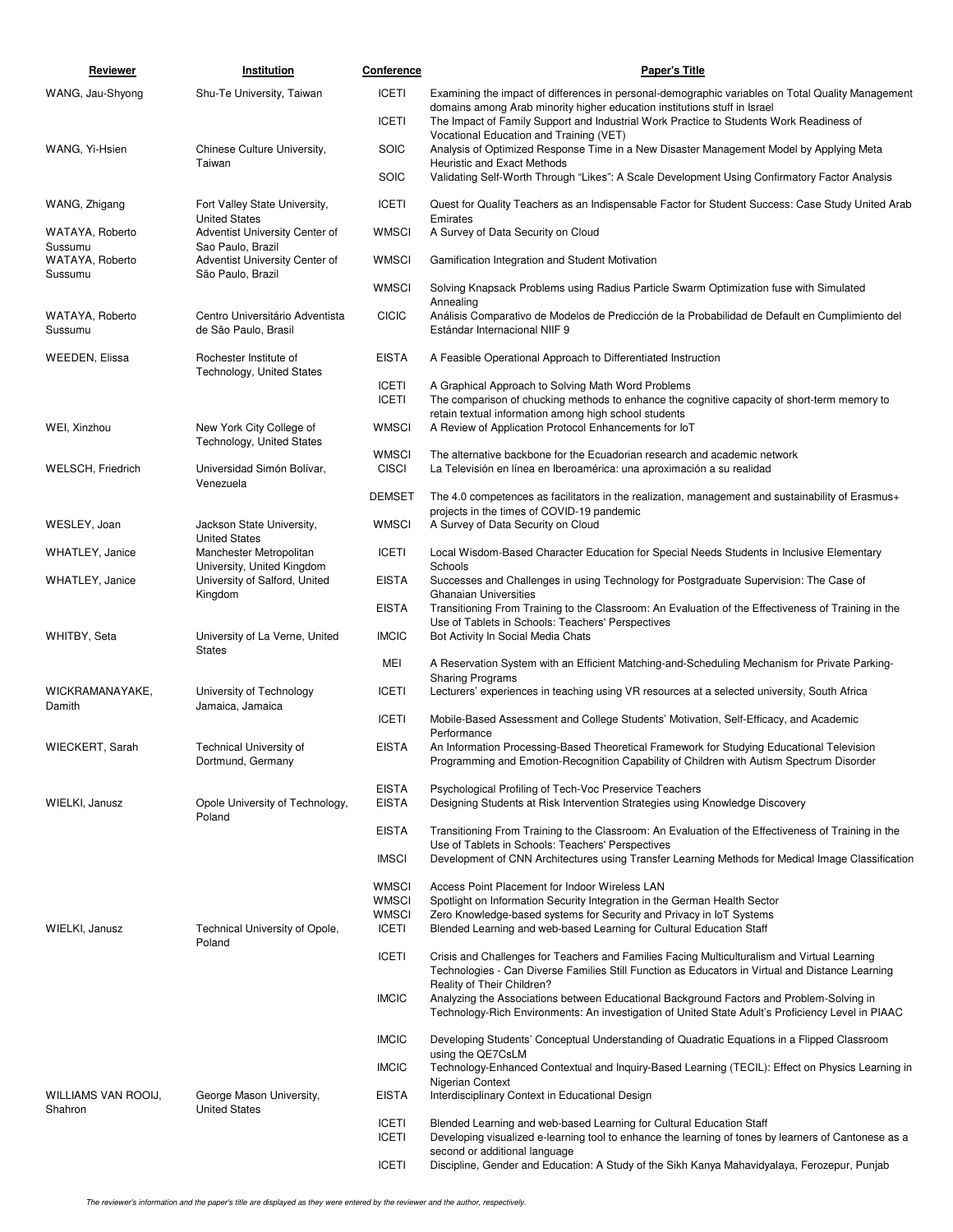| WANG, Jau-Shyong<br>Shu-Te University, Taiwan<br><b>ICETI</b><br>domains among Arab minority higher education institutions stuff in Israel<br><b>ICETI</b><br>The Impact of Family Support and Industrial Work Practice to Students Work Readiness of<br>Vocational Education and Training (VET)<br><b>SOIC</b><br>WANG, Yi-Hsien<br>Analysis of Optimized Response Time in a New Disaster Management Model by Applying Meta<br>Chinese Culture University,<br>Taiwan<br>Heuristic and Exact Methods<br>SOIC<br>Validating Self-Worth Through "Likes": A Scale Development Using Confirmatory Factor Analysis<br><b>ICETI</b><br>Quest for Quality Teachers as an Indispensable Factor for Student Success: Case Study United Arab<br>WANG, Zhigang<br>Fort Valley State University,<br><b>United States</b><br>Emirates<br><b>WMSCI</b><br>Adventist University Center of<br>A Survey of Data Security on Cloud<br>WATAYA, Roberto<br>Sao Paulo, Brazil<br>Sussumu<br>WATAYA, Roberto<br><b>WMSCI</b><br>Adventist University Center of<br>Gamification Integration and Student Motivation<br>São Paulo, Brazil<br>Sussumu<br><b>WMSCI</b><br>Solving Knapsack Problems using Radius Particle Swarm Optimization fuse with Simulated<br>Annealing<br><b>CICIC</b><br>Análisis Comparativo de Modelos de Predicción de la Probabilidad de Default en Cumplimiento del<br>WATAYA, Roberto<br>Centro Universitário Adventista<br>Sussumu<br>de São Paulo, Brasil<br>Estándar Internacional NIIF 9<br><b>WEEDEN, Elissa</b><br><b>EISTA</b><br>Rochester Institute of<br>A Feasible Operational Approach to Differentiated Instruction<br>Technology, United States<br><b>ICETI</b><br>A Graphical Approach to Solving Math Word Problems<br><b>ICETI</b><br>The comparison of chucking methods to enhance the cognitive capacity of short-term memory to<br>retain textual information among high school students<br>WEI, Xinzhou<br>New York City College of<br><b>WMSCI</b><br>A Review of Application Protocol Enhancements for IoT<br><b>Technology, United States</b><br><b>WMSCI</b><br>The alternative backbone for the Ecuadorian research and academic network<br><b>CISCI</b><br><b>WELSCH, Friedrich</b><br>Universidad Simón Bolívar,<br>La Televisión en línea en Iberoamérica: una aproximación a su realidad<br>Venezuela<br><b>DEMSET</b><br>The 4.0 competences as facilitators in the realization, management and sustainability of Erasmus+<br>projects in the times of COVID-19 pandemic<br><b>WMSCI</b><br>WESLEY, Joan<br>Jackson State University,<br>A Survey of Data Security on Cloud<br><b>United States</b><br><b>ICETI</b><br><b>WHATLEY, Janice</b><br>Manchester Metropolitan<br>Local Wisdom-Based Character Education for Special Needs Students in Inclusive Elementary<br>University, United Kingdom<br>Schools<br><b>WHATLEY, Janice</b><br>University of Salford, United<br><b>EISTA</b><br>Successes and Challenges in using Technology for Postgraduate Supervision: The Case of<br><b>Ghanaian Universities</b><br>Kingdom<br><b>EISTA</b><br>Transitioning From Training to the Classroom: An Evaluation of the Effectiveness of Training in the<br>Use of Tablets in Schools: Teachers' Perspectives<br>WHITBY, Seta<br><b>IMCIC</b><br>University of La Verne, United<br>Bot Activity In Social Media Chats<br><b>States</b><br>MEI<br>A Reservation System with an Efficient Matching-and-Scheduling Mechanism for Private Parking- | <b>Reviewer</b> | Institution | Conference | <b>Paper's Title</b>                                                                              |
|-------------------------------------------------------------------------------------------------------------------------------------------------------------------------------------------------------------------------------------------------------------------------------------------------------------------------------------------------------------------------------------------------------------------------------------------------------------------------------------------------------------------------------------------------------------------------------------------------------------------------------------------------------------------------------------------------------------------------------------------------------------------------------------------------------------------------------------------------------------------------------------------------------------------------------------------------------------------------------------------------------------------------------------------------------------------------------------------------------------------------------------------------------------------------------------------------------------------------------------------------------------------------------------------------------------------------------------------------------------------------------------------------------------------------------------------------------------------------------------------------------------------------------------------------------------------------------------------------------------------------------------------------------------------------------------------------------------------------------------------------------------------------------------------------------------------------------------------------------------------------------------------------------------------------------------------------------------------------------------------------------------------------------------------------------------------------------------------------------------------------------------------------------------------------------------------------------------------------------------------------------------------------------------------------------------------------------------------------------------------------------------------------------------------------------------------------------------------------------------------------------------------------------------------------------------------------------------------------------------------------------------------------------------------------------------------------------------------------------------------------------------------------------------------------------------------------------------------------------------------------------------------------------------------------------------------------------------------------------------------------------------------------------------------------------------------------------------------------------------------------------------------------------------------------------------------------------------------------------------------------------------------------------------------------------------------------------------------------------------------------------------------------------------------------------------------------------------------------------|-----------------|-------------|------------|---------------------------------------------------------------------------------------------------|
|                                                                                                                                                                                                                                                                                                                                                                                                                                                                                                                                                                                                                                                                                                                                                                                                                                                                                                                                                                                                                                                                                                                                                                                                                                                                                                                                                                                                                                                                                                                                                                                                                                                                                                                                                                                                                                                                                                                                                                                                                                                                                                                                                                                                                                                                                                                                                                                                                                                                                                                                                                                                                                                                                                                                                                                                                                                                                                                                                                                                                                                                                                                                                                                                                                                                                                                                                                                                                                                                               |                 |             |            | Examining the impact of differences in personal-demographic variables on Total Quality Management |
|                                                                                                                                                                                                                                                                                                                                                                                                                                                                                                                                                                                                                                                                                                                                                                                                                                                                                                                                                                                                                                                                                                                                                                                                                                                                                                                                                                                                                                                                                                                                                                                                                                                                                                                                                                                                                                                                                                                                                                                                                                                                                                                                                                                                                                                                                                                                                                                                                                                                                                                                                                                                                                                                                                                                                                                                                                                                                                                                                                                                                                                                                                                                                                                                                                                                                                                                                                                                                                                                               |                 |             |            |                                                                                                   |
|                                                                                                                                                                                                                                                                                                                                                                                                                                                                                                                                                                                                                                                                                                                                                                                                                                                                                                                                                                                                                                                                                                                                                                                                                                                                                                                                                                                                                                                                                                                                                                                                                                                                                                                                                                                                                                                                                                                                                                                                                                                                                                                                                                                                                                                                                                                                                                                                                                                                                                                                                                                                                                                                                                                                                                                                                                                                                                                                                                                                                                                                                                                                                                                                                                                                                                                                                                                                                                                                               |                 |             |            |                                                                                                   |
|                                                                                                                                                                                                                                                                                                                                                                                                                                                                                                                                                                                                                                                                                                                                                                                                                                                                                                                                                                                                                                                                                                                                                                                                                                                                                                                                                                                                                                                                                                                                                                                                                                                                                                                                                                                                                                                                                                                                                                                                                                                                                                                                                                                                                                                                                                                                                                                                                                                                                                                                                                                                                                                                                                                                                                                                                                                                                                                                                                                                                                                                                                                                                                                                                                                                                                                                                                                                                                                                               |                 |             |            |                                                                                                   |
|                                                                                                                                                                                                                                                                                                                                                                                                                                                                                                                                                                                                                                                                                                                                                                                                                                                                                                                                                                                                                                                                                                                                                                                                                                                                                                                                                                                                                                                                                                                                                                                                                                                                                                                                                                                                                                                                                                                                                                                                                                                                                                                                                                                                                                                                                                                                                                                                                                                                                                                                                                                                                                                                                                                                                                                                                                                                                                                                                                                                                                                                                                                                                                                                                                                                                                                                                                                                                                                                               |                 |             |            |                                                                                                   |
|                                                                                                                                                                                                                                                                                                                                                                                                                                                                                                                                                                                                                                                                                                                                                                                                                                                                                                                                                                                                                                                                                                                                                                                                                                                                                                                                                                                                                                                                                                                                                                                                                                                                                                                                                                                                                                                                                                                                                                                                                                                                                                                                                                                                                                                                                                                                                                                                                                                                                                                                                                                                                                                                                                                                                                                                                                                                                                                                                                                                                                                                                                                                                                                                                                                                                                                                                                                                                                                                               |                 |             |            |                                                                                                   |
|                                                                                                                                                                                                                                                                                                                                                                                                                                                                                                                                                                                                                                                                                                                                                                                                                                                                                                                                                                                                                                                                                                                                                                                                                                                                                                                                                                                                                                                                                                                                                                                                                                                                                                                                                                                                                                                                                                                                                                                                                                                                                                                                                                                                                                                                                                                                                                                                                                                                                                                                                                                                                                                                                                                                                                                                                                                                                                                                                                                                                                                                                                                                                                                                                                                                                                                                                                                                                                                                               |                 |             |            |                                                                                                   |
|                                                                                                                                                                                                                                                                                                                                                                                                                                                                                                                                                                                                                                                                                                                                                                                                                                                                                                                                                                                                                                                                                                                                                                                                                                                                                                                                                                                                                                                                                                                                                                                                                                                                                                                                                                                                                                                                                                                                                                                                                                                                                                                                                                                                                                                                                                                                                                                                                                                                                                                                                                                                                                                                                                                                                                                                                                                                                                                                                                                                                                                                                                                                                                                                                                                                                                                                                                                                                                                                               |                 |             |            |                                                                                                   |
|                                                                                                                                                                                                                                                                                                                                                                                                                                                                                                                                                                                                                                                                                                                                                                                                                                                                                                                                                                                                                                                                                                                                                                                                                                                                                                                                                                                                                                                                                                                                                                                                                                                                                                                                                                                                                                                                                                                                                                                                                                                                                                                                                                                                                                                                                                                                                                                                                                                                                                                                                                                                                                                                                                                                                                                                                                                                                                                                                                                                                                                                                                                                                                                                                                                                                                                                                                                                                                                                               |                 |             |            |                                                                                                   |
|                                                                                                                                                                                                                                                                                                                                                                                                                                                                                                                                                                                                                                                                                                                                                                                                                                                                                                                                                                                                                                                                                                                                                                                                                                                                                                                                                                                                                                                                                                                                                                                                                                                                                                                                                                                                                                                                                                                                                                                                                                                                                                                                                                                                                                                                                                                                                                                                                                                                                                                                                                                                                                                                                                                                                                                                                                                                                                                                                                                                                                                                                                                                                                                                                                                                                                                                                                                                                                                                               |                 |             |            |                                                                                                   |
|                                                                                                                                                                                                                                                                                                                                                                                                                                                                                                                                                                                                                                                                                                                                                                                                                                                                                                                                                                                                                                                                                                                                                                                                                                                                                                                                                                                                                                                                                                                                                                                                                                                                                                                                                                                                                                                                                                                                                                                                                                                                                                                                                                                                                                                                                                                                                                                                                                                                                                                                                                                                                                                                                                                                                                                                                                                                                                                                                                                                                                                                                                                                                                                                                                                                                                                                                                                                                                                                               |                 |             |            |                                                                                                   |
|                                                                                                                                                                                                                                                                                                                                                                                                                                                                                                                                                                                                                                                                                                                                                                                                                                                                                                                                                                                                                                                                                                                                                                                                                                                                                                                                                                                                                                                                                                                                                                                                                                                                                                                                                                                                                                                                                                                                                                                                                                                                                                                                                                                                                                                                                                                                                                                                                                                                                                                                                                                                                                                                                                                                                                                                                                                                                                                                                                                                                                                                                                                                                                                                                                                                                                                                                                                                                                                                               |                 |             |            |                                                                                                   |
|                                                                                                                                                                                                                                                                                                                                                                                                                                                                                                                                                                                                                                                                                                                                                                                                                                                                                                                                                                                                                                                                                                                                                                                                                                                                                                                                                                                                                                                                                                                                                                                                                                                                                                                                                                                                                                                                                                                                                                                                                                                                                                                                                                                                                                                                                                                                                                                                                                                                                                                                                                                                                                                                                                                                                                                                                                                                                                                                                                                                                                                                                                                                                                                                                                                                                                                                                                                                                                                                               |                 |             |            |                                                                                                   |
|                                                                                                                                                                                                                                                                                                                                                                                                                                                                                                                                                                                                                                                                                                                                                                                                                                                                                                                                                                                                                                                                                                                                                                                                                                                                                                                                                                                                                                                                                                                                                                                                                                                                                                                                                                                                                                                                                                                                                                                                                                                                                                                                                                                                                                                                                                                                                                                                                                                                                                                                                                                                                                                                                                                                                                                                                                                                                                                                                                                                                                                                                                                                                                                                                                                                                                                                                                                                                                                                               |                 |             |            |                                                                                                   |
|                                                                                                                                                                                                                                                                                                                                                                                                                                                                                                                                                                                                                                                                                                                                                                                                                                                                                                                                                                                                                                                                                                                                                                                                                                                                                                                                                                                                                                                                                                                                                                                                                                                                                                                                                                                                                                                                                                                                                                                                                                                                                                                                                                                                                                                                                                                                                                                                                                                                                                                                                                                                                                                                                                                                                                                                                                                                                                                                                                                                                                                                                                                                                                                                                                                                                                                                                                                                                                                                               |                 |             |            |                                                                                                   |
|                                                                                                                                                                                                                                                                                                                                                                                                                                                                                                                                                                                                                                                                                                                                                                                                                                                                                                                                                                                                                                                                                                                                                                                                                                                                                                                                                                                                                                                                                                                                                                                                                                                                                                                                                                                                                                                                                                                                                                                                                                                                                                                                                                                                                                                                                                                                                                                                                                                                                                                                                                                                                                                                                                                                                                                                                                                                                                                                                                                                                                                                                                                                                                                                                                                                                                                                                                                                                                                                               |                 |             |            |                                                                                                   |
|                                                                                                                                                                                                                                                                                                                                                                                                                                                                                                                                                                                                                                                                                                                                                                                                                                                                                                                                                                                                                                                                                                                                                                                                                                                                                                                                                                                                                                                                                                                                                                                                                                                                                                                                                                                                                                                                                                                                                                                                                                                                                                                                                                                                                                                                                                                                                                                                                                                                                                                                                                                                                                                                                                                                                                                                                                                                                                                                                                                                                                                                                                                                                                                                                                                                                                                                                                                                                                                                               |                 |             |            |                                                                                                   |
|                                                                                                                                                                                                                                                                                                                                                                                                                                                                                                                                                                                                                                                                                                                                                                                                                                                                                                                                                                                                                                                                                                                                                                                                                                                                                                                                                                                                                                                                                                                                                                                                                                                                                                                                                                                                                                                                                                                                                                                                                                                                                                                                                                                                                                                                                                                                                                                                                                                                                                                                                                                                                                                                                                                                                                                                                                                                                                                                                                                                                                                                                                                                                                                                                                                                                                                                                                                                                                                                               |                 |             |            |                                                                                                   |
|                                                                                                                                                                                                                                                                                                                                                                                                                                                                                                                                                                                                                                                                                                                                                                                                                                                                                                                                                                                                                                                                                                                                                                                                                                                                                                                                                                                                                                                                                                                                                                                                                                                                                                                                                                                                                                                                                                                                                                                                                                                                                                                                                                                                                                                                                                                                                                                                                                                                                                                                                                                                                                                                                                                                                                                                                                                                                                                                                                                                                                                                                                                                                                                                                                                                                                                                                                                                                                                                               |                 |             |            |                                                                                                   |
|                                                                                                                                                                                                                                                                                                                                                                                                                                                                                                                                                                                                                                                                                                                                                                                                                                                                                                                                                                                                                                                                                                                                                                                                                                                                                                                                                                                                                                                                                                                                                                                                                                                                                                                                                                                                                                                                                                                                                                                                                                                                                                                                                                                                                                                                                                                                                                                                                                                                                                                                                                                                                                                                                                                                                                                                                                                                                                                                                                                                                                                                                                                                                                                                                                                                                                                                                                                                                                                                               |                 |             |            |                                                                                                   |
|                                                                                                                                                                                                                                                                                                                                                                                                                                                                                                                                                                                                                                                                                                                                                                                                                                                                                                                                                                                                                                                                                                                                                                                                                                                                                                                                                                                                                                                                                                                                                                                                                                                                                                                                                                                                                                                                                                                                                                                                                                                                                                                                                                                                                                                                                                                                                                                                                                                                                                                                                                                                                                                                                                                                                                                                                                                                                                                                                                                                                                                                                                                                                                                                                                                                                                                                                                                                                                                                               |                 |             |            | <b>Sharing Programs</b>                                                                           |
| <b>ICETI</b><br>WICKRAMANAYAKE,<br>Lecturers' experiences in teaching using VR resources at a selected university, South Africa<br>University of Technology                                                                                                                                                                                                                                                                                                                                                                                                                                                                                                                                                                                                                                                                                                                                                                                                                                                                                                                                                                                                                                                                                                                                                                                                                                                                                                                                                                                                                                                                                                                                                                                                                                                                                                                                                                                                                                                                                                                                                                                                                                                                                                                                                                                                                                                                                                                                                                                                                                                                                                                                                                                                                                                                                                                                                                                                                                                                                                                                                                                                                                                                                                                                                                                                                                                                                                                   |                 |             |            |                                                                                                   |
| Damith<br>Jamaica, Jamaica<br><b>ICETI</b><br>Mobile-Based Assessment and College Students' Motivation, Self-Efficacy, and Academic<br>Performance                                                                                                                                                                                                                                                                                                                                                                                                                                                                                                                                                                                                                                                                                                                                                                                                                                                                                                                                                                                                                                                                                                                                                                                                                                                                                                                                                                                                                                                                                                                                                                                                                                                                                                                                                                                                                                                                                                                                                                                                                                                                                                                                                                                                                                                                                                                                                                                                                                                                                                                                                                                                                                                                                                                                                                                                                                                                                                                                                                                                                                                                                                                                                                                                                                                                                                                            |                 |             |            |                                                                                                   |
| <b>EISTA</b><br>WIECKERT, Sarah<br>An Information Processing-Based Theoretical Framework for Studying Educational Television<br>Technical University of<br>Programming and Emotion-Recognition Capability of Children with Autism Spectrum Disorder<br>Dortmund, Germany                                                                                                                                                                                                                                                                                                                                                                                                                                                                                                                                                                                                                                                                                                                                                                                                                                                                                                                                                                                                                                                                                                                                                                                                                                                                                                                                                                                                                                                                                                                                                                                                                                                                                                                                                                                                                                                                                                                                                                                                                                                                                                                                                                                                                                                                                                                                                                                                                                                                                                                                                                                                                                                                                                                                                                                                                                                                                                                                                                                                                                                                                                                                                                                                      |                 |             |            |                                                                                                   |
| <b>EISTA</b><br>Psychological Profiling of Tech-Voc Preservice Teachers                                                                                                                                                                                                                                                                                                                                                                                                                                                                                                                                                                                                                                                                                                                                                                                                                                                                                                                                                                                                                                                                                                                                                                                                                                                                                                                                                                                                                                                                                                                                                                                                                                                                                                                                                                                                                                                                                                                                                                                                                                                                                                                                                                                                                                                                                                                                                                                                                                                                                                                                                                                                                                                                                                                                                                                                                                                                                                                                                                                                                                                                                                                                                                                                                                                                                                                                                                                                       |                 |             |            |                                                                                                   |
| WIELKI, Janusz<br>Opole University of Technology,<br><b>EISTA</b><br>Designing Students at Risk Intervention Strategies using Knowledge Discovery<br>Poland                                                                                                                                                                                                                                                                                                                                                                                                                                                                                                                                                                                                                                                                                                                                                                                                                                                                                                                                                                                                                                                                                                                                                                                                                                                                                                                                                                                                                                                                                                                                                                                                                                                                                                                                                                                                                                                                                                                                                                                                                                                                                                                                                                                                                                                                                                                                                                                                                                                                                                                                                                                                                                                                                                                                                                                                                                                                                                                                                                                                                                                                                                                                                                                                                                                                                                                   |                 |             |            |                                                                                                   |
| <b>EISTA</b><br>Transitioning From Training to the Classroom: An Evaluation of the Effectiveness of Training in the<br>Use of Tablets in Schools: Teachers' Perspectives                                                                                                                                                                                                                                                                                                                                                                                                                                                                                                                                                                                                                                                                                                                                                                                                                                                                                                                                                                                                                                                                                                                                                                                                                                                                                                                                                                                                                                                                                                                                                                                                                                                                                                                                                                                                                                                                                                                                                                                                                                                                                                                                                                                                                                                                                                                                                                                                                                                                                                                                                                                                                                                                                                                                                                                                                                                                                                                                                                                                                                                                                                                                                                                                                                                                                                      |                 |             |            |                                                                                                   |
| <b>IMSCI</b>                                                                                                                                                                                                                                                                                                                                                                                                                                                                                                                                                                                                                                                                                                                                                                                                                                                                                                                                                                                                                                                                                                                                                                                                                                                                                                                                                                                                                                                                                                                                                                                                                                                                                                                                                                                                                                                                                                                                                                                                                                                                                                                                                                                                                                                                                                                                                                                                                                                                                                                                                                                                                                                                                                                                                                                                                                                                                                                                                                                                                                                                                                                                                                                                                                                                                                                                                                                                                                                                  |                 |             |            | Development of CNN Architectures using Transfer Learning Methods for Medical Image Classification |
| <b>WMSCI</b><br>Access Point Placement for Indoor Wireless LAN                                                                                                                                                                                                                                                                                                                                                                                                                                                                                                                                                                                                                                                                                                                                                                                                                                                                                                                                                                                                                                                                                                                                                                                                                                                                                                                                                                                                                                                                                                                                                                                                                                                                                                                                                                                                                                                                                                                                                                                                                                                                                                                                                                                                                                                                                                                                                                                                                                                                                                                                                                                                                                                                                                                                                                                                                                                                                                                                                                                                                                                                                                                                                                                                                                                                                                                                                                                                                |                 |             |            |                                                                                                   |
| <b>WMSCI</b><br>Spotlight on Information Security Integration in the German Health Sector<br><b>WMSCI</b><br>Zero Knowledge-based systems for Security and Privacy in IoT Systems                                                                                                                                                                                                                                                                                                                                                                                                                                                                                                                                                                                                                                                                                                                                                                                                                                                                                                                                                                                                                                                                                                                                                                                                                                                                                                                                                                                                                                                                                                                                                                                                                                                                                                                                                                                                                                                                                                                                                                                                                                                                                                                                                                                                                                                                                                                                                                                                                                                                                                                                                                                                                                                                                                                                                                                                                                                                                                                                                                                                                                                                                                                                                                                                                                                                                             |                 |             |            |                                                                                                   |
| <b>ICETI</b><br>WIELKI, Janusz<br>Blended Learning and web-based Learning for Cultural Education Staff<br>Technical University of Opole,                                                                                                                                                                                                                                                                                                                                                                                                                                                                                                                                                                                                                                                                                                                                                                                                                                                                                                                                                                                                                                                                                                                                                                                                                                                                                                                                                                                                                                                                                                                                                                                                                                                                                                                                                                                                                                                                                                                                                                                                                                                                                                                                                                                                                                                                                                                                                                                                                                                                                                                                                                                                                                                                                                                                                                                                                                                                                                                                                                                                                                                                                                                                                                                                                                                                                                                                      |                 |             |            |                                                                                                   |
| Poland<br><b>ICETI</b><br>Crisis and Challenges for Teachers and Families Facing Multiculturalism and Virtual Learning<br>Technologies - Can Diverse Families Still Function as Educators in Virtual and Distance Learning                                                                                                                                                                                                                                                                                                                                                                                                                                                                                                                                                                                                                                                                                                                                                                                                                                                                                                                                                                                                                                                                                                                                                                                                                                                                                                                                                                                                                                                                                                                                                                                                                                                                                                                                                                                                                                                                                                                                                                                                                                                                                                                                                                                                                                                                                                                                                                                                                                                                                                                                                                                                                                                                                                                                                                                                                                                                                                                                                                                                                                                                                                                                                                                                                                                    |                 |             |            |                                                                                                   |
| Reality of Their Children?                                                                                                                                                                                                                                                                                                                                                                                                                                                                                                                                                                                                                                                                                                                                                                                                                                                                                                                                                                                                                                                                                                                                                                                                                                                                                                                                                                                                                                                                                                                                                                                                                                                                                                                                                                                                                                                                                                                                                                                                                                                                                                                                                                                                                                                                                                                                                                                                                                                                                                                                                                                                                                                                                                                                                                                                                                                                                                                                                                                                                                                                                                                                                                                                                                                                                                                                                                                                                                                    |                 |             |            |                                                                                                   |
| <b>IMCIC</b><br>Analyzing the Associations between Educational Background Factors and Problem-Solving in<br>Technology-Rich Environments: An investigation of United State Adult's Proficiency Level in PIAAC                                                                                                                                                                                                                                                                                                                                                                                                                                                                                                                                                                                                                                                                                                                                                                                                                                                                                                                                                                                                                                                                                                                                                                                                                                                                                                                                                                                                                                                                                                                                                                                                                                                                                                                                                                                                                                                                                                                                                                                                                                                                                                                                                                                                                                                                                                                                                                                                                                                                                                                                                                                                                                                                                                                                                                                                                                                                                                                                                                                                                                                                                                                                                                                                                                                                 |                 |             |            |                                                                                                   |
| <b>IMCIC</b><br>Developing Students' Conceptual Understanding of Quadratic Equations in a Flipped Classroom<br>using the QE7CsLM                                                                                                                                                                                                                                                                                                                                                                                                                                                                                                                                                                                                                                                                                                                                                                                                                                                                                                                                                                                                                                                                                                                                                                                                                                                                                                                                                                                                                                                                                                                                                                                                                                                                                                                                                                                                                                                                                                                                                                                                                                                                                                                                                                                                                                                                                                                                                                                                                                                                                                                                                                                                                                                                                                                                                                                                                                                                                                                                                                                                                                                                                                                                                                                                                                                                                                                                              |                 |             |            |                                                                                                   |
| <b>IMCIC</b><br>Technology-Enhanced Contextual and Inquiry-Based Learning (TECIL): Effect on Physics Learning in                                                                                                                                                                                                                                                                                                                                                                                                                                                                                                                                                                                                                                                                                                                                                                                                                                                                                                                                                                                                                                                                                                                                                                                                                                                                                                                                                                                                                                                                                                                                                                                                                                                                                                                                                                                                                                                                                                                                                                                                                                                                                                                                                                                                                                                                                                                                                                                                                                                                                                                                                                                                                                                                                                                                                                                                                                                                                                                                                                                                                                                                                                                                                                                                                                                                                                                                                              |                 |             |            |                                                                                                   |
| Nigerian Context<br>WILLIAMS VAN ROOIJ,<br>George Mason University,<br><b>EISTA</b><br>Interdisciplinary Context in Educational Design<br><b>United States</b>                                                                                                                                                                                                                                                                                                                                                                                                                                                                                                                                                                                                                                                                                                                                                                                                                                                                                                                                                                                                                                                                                                                                                                                                                                                                                                                                                                                                                                                                                                                                                                                                                                                                                                                                                                                                                                                                                                                                                                                                                                                                                                                                                                                                                                                                                                                                                                                                                                                                                                                                                                                                                                                                                                                                                                                                                                                                                                                                                                                                                                                                                                                                                                                                                                                                                                                |                 |             |            |                                                                                                   |
| Shahron<br><b>ICETI</b><br>Blended Learning and web-based Learning for Cultural Education Staff<br><b>ICETI</b><br>Developing visualized e-learning tool to enhance the learning of tones by learners of Cantonese as a                                                                                                                                                                                                                                                                                                                                                                                                                                                                                                                                                                                                                                                                                                                                                                                                                                                                                                                                                                                                                                                                                                                                                                                                                                                                                                                                                                                                                                                                                                                                                                                                                                                                                                                                                                                                                                                                                                                                                                                                                                                                                                                                                                                                                                                                                                                                                                                                                                                                                                                                                                                                                                                                                                                                                                                                                                                                                                                                                                                                                                                                                                                                                                                                                                                       |                 |             |            |                                                                                                   |
| second or additional language<br><b>ICETI</b><br>Discipline, Gender and Education: A Study of the Sikh Kanya Mahavidyalaya, Ferozepur, Punjab                                                                                                                                                                                                                                                                                                                                                                                                                                                                                                                                                                                                                                                                                                                                                                                                                                                                                                                                                                                                                                                                                                                                                                                                                                                                                                                                                                                                                                                                                                                                                                                                                                                                                                                                                                                                                                                                                                                                                                                                                                                                                                                                                                                                                                                                                                                                                                                                                                                                                                                                                                                                                                                                                                                                                                                                                                                                                                                                                                                                                                                                                                                                                                                                                                                                                                                                 |                 |             |            |                                                                                                   |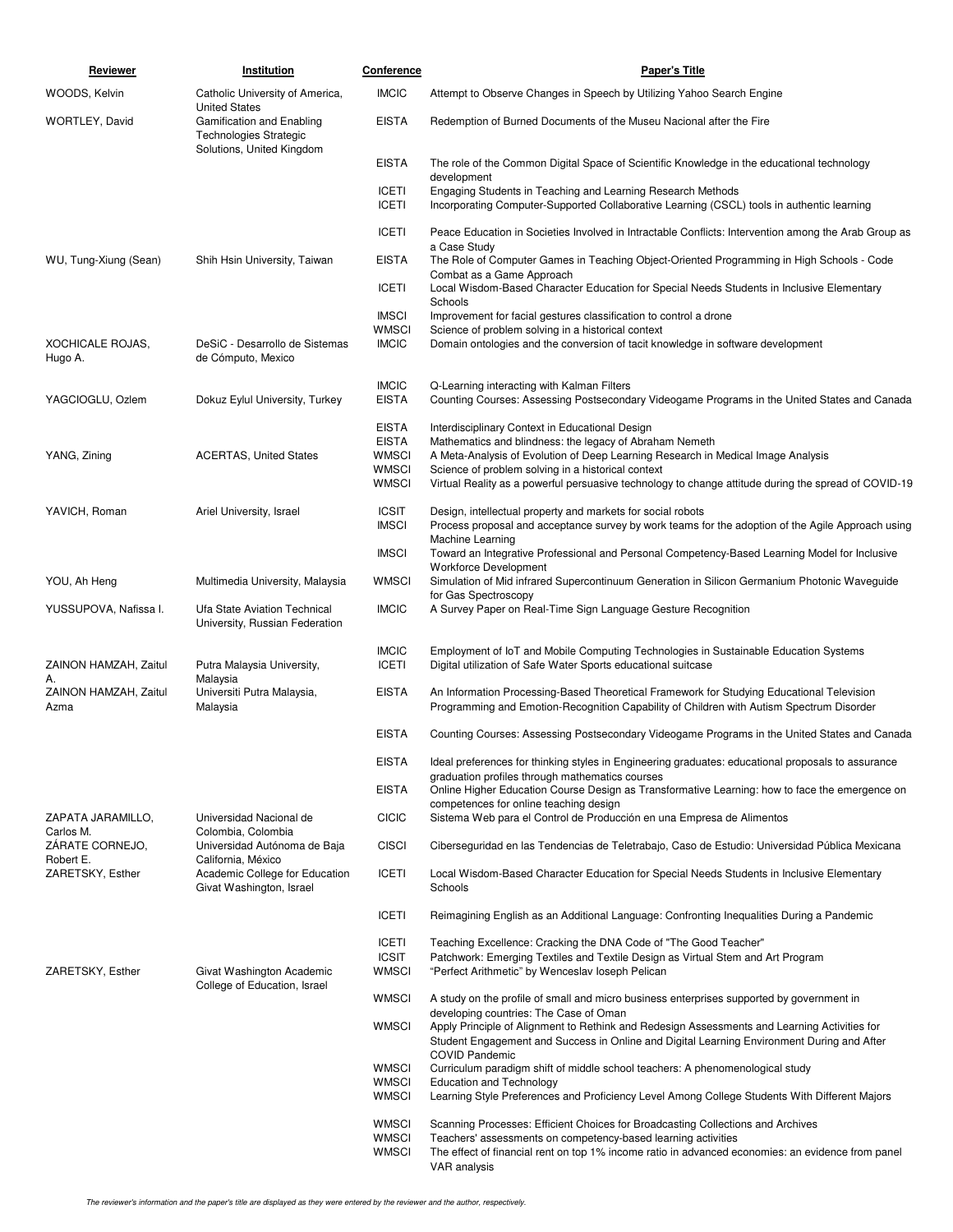| Reviewer                                                      | Institution                                                                                                                                                       | Conference                                   | Paper's Title                                                                                                                                                                                                                        |
|---------------------------------------------------------------|-------------------------------------------------------------------------------------------------------------------------------------------------------------------|----------------------------------------------|--------------------------------------------------------------------------------------------------------------------------------------------------------------------------------------------------------------------------------------|
| WOODS, Kelvin                                                 | Catholic University of America,                                                                                                                                   | <b>IMCIC</b>                                 | Attempt to Observe Changes in Speech by Utilizing Yahoo Search Engine                                                                                                                                                                |
| <b>WORTLEY, David</b>                                         | <b>United States</b><br>Gamification and Enabling<br><b>Technologies Strategic</b>                                                                                | <b>EISTA</b>                                 | Redemption of Burned Documents of the Museu Nacional after the Fire                                                                                                                                                                  |
|                                                               | Solutions, United Kingdom                                                                                                                                         | <b>EISTA</b>                                 | The role of the Common Digital Space of Scientific Knowledge in the educational technology                                                                                                                                           |
|                                                               |                                                                                                                                                                   | <b>ICETI</b><br><b>ICETI</b>                 | development<br>Engaging Students in Teaching and Learning Research Methods<br>Incorporating Computer-Supported Collaborative Learning (CSCL) tools in authentic learning                                                             |
|                                                               |                                                                                                                                                                   | <b>ICETI</b>                                 | Peace Education in Societies Involved in Intractable Conflicts: Intervention among the Arab Group as                                                                                                                                 |
| WU, Tung-Xiung (Sean)                                         | Shih Hsin University, Taiwan                                                                                                                                      | <b>EISTA</b>                                 | a Case Study<br>The Role of Computer Games in Teaching Object-Oriented Programming in High Schools - Code                                                                                                                            |
|                                                               |                                                                                                                                                                   | <b>ICETI</b>                                 | Combat as a Game Approach<br>Local Wisdom-Based Character Education for Special Needs Students in Inclusive Elementary<br>Schools                                                                                                    |
|                                                               |                                                                                                                                                                   | <b>IMSCI</b>                                 | Improvement for facial gestures classification to control a drone                                                                                                                                                                    |
| XOCHICALE ROJAS,<br>Hugo A.                                   | DeSiC - Desarrollo de Sistemas<br>de Cómputo, Mexico                                                                                                              | <b>WMSCI</b><br><b>IMCIC</b>                 | Science of problem solving in a historical context<br>Domain ontologies and the conversion of tacit knowledge in software development                                                                                                |
| YAGCIOGLU, Ozlem                                              | Dokuz Eylul University, Turkey                                                                                                                                    | <b>IMCIC</b><br><b>EISTA</b>                 | Q-Learning interacting with Kalman Filters<br>Counting Courses: Assessing Postsecondary Videogame Programs in the United States and Canada                                                                                           |
|                                                               |                                                                                                                                                                   | <b>EISTA</b>                                 | Interdisciplinary Context in Educational Design                                                                                                                                                                                      |
| YANG, Zining                                                  | <b>ACERTAS, United States</b>                                                                                                                                     | <b>EISTA</b><br><b>WMSCI</b>                 | Mathematics and blindness: the legacy of Abraham Nemeth<br>A Meta-Analysis of Evolution of Deep Learning Research in Medical Image Analysis                                                                                          |
|                                                               |                                                                                                                                                                   | <b>WMSCI</b><br><b>WMSCI</b>                 | Science of problem solving in a historical context<br>Virtual Reality as a powerful persuasive technology to change attitude during the spread of COVID-19                                                                           |
| YAVICH, Roman                                                 | Ariel University, Israel                                                                                                                                          | <b>ICSIT</b><br><b>IMSCI</b>                 | Design, intellectual property and markets for social robots<br>Process proposal and acceptance survey by work teams for the adoption of the Agile Approach using                                                                     |
|                                                               |                                                                                                                                                                   | <b>IMSCI</b>                                 | Machine Learning<br>Toward an Integrative Professional and Personal Competency-Based Learning Model for Inclusive                                                                                                                    |
| YOU, Ah Heng                                                  | Multimedia University, Malaysia                                                                                                                                   | <b>WMSCI</b>                                 | <b>Workforce Development</b><br>Simulation of Mid infrared Supercontinuum Generation in Silicon Germanium Photonic Waveguide                                                                                                         |
| YUSSUPOVA, Nafissa I.                                         | Ufa State Aviation Technical<br>University, Russian Federation                                                                                                    | <b>IMCIC</b>                                 | for Gas Spectroscopy<br>A Survey Paper on Real-Time Sign Language Gesture Recognition                                                                                                                                                |
|                                                               |                                                                                                                                                                   | <b>IMCIC</b>                                 | Employment of IoT and Mobile Computing Technologies in Sustainable Education Systems                                                                                                                                                 |
| ZAINON HAMZAH, Zaitul<br>А.                                   | Putra Malaysia University,<br>Malaysia                                                                                                                            | <b>ICETI</b>                                 | Digital utilization of Safe Water Sports educational suitcase                                                                                                                                                                        |
| ZAINON HAMZAH, Zaitul<br>Azma                                 | Universiti Putra Malaysia,<br>Malaysia                                                                                                                            | <b>EISTA</b>                                 | An Information Processing-Based Theoretical Framework for Studying Educational Television<br>Programming and Emotion-Recognition Capability of Children with Autism Spectrum Disorder                                                |
|                                                               |                                                                                                                                                                   | <b>EISTA</b>                                 | Counting Courses: Assessing Postsecondary Videogame Programs in the United States and Canada                                                                                                                                         |
|                                                               |                                                                                                                                                                   | <b>EISTA</b>                                 | Ideal preferences for thinking styles in Engineering graduates: educational proposals to assurance<br>graduation profiles through mathematics courses                                                                                |
|                                                               |                                                                                                                                                                   | <b>EISTA</b>                                 | Online Higher Education Course Design as Transformative Learning: how to face the emergence on                                                                                                                                       |
| ZAPATA JARAMILLO,                                             | Universidad Nacional de<br>Colombia, Colombia<br>Universidad Autónoma de Baja<br>California, México<br>Academic College for Education<br>Givat Washington, Israel | <b>CICIC</b>                                 | competences for online teaching design<br>Sistema Web para el Control de Producción en una Empresa de Alimentos                                                                                                                      |
| Carlos M.<br>ZÁRATE CORNEJO,<br>Robert E.<br>ZARETSKY, Esther |                                                                                                                                                                   | <b>CISCI</b>                                 | Ciberseguridad en las Tendencias de Teletrabajo, Caso de Estudio: Universidad Pública Mexicana                                                                                                                                       |
|                                                               |                                                                                                                                                                   | <b>ICETI</b>                                 | Local Wisdom-Based Character Education for Special Needs Students in Inclusive Elementary<br>Schools                                                                                                                                 |
|                                                               |                                                                                                                                                                   | <b>ICETI</b>                                 | Reimagining English as an Additional Language: Confronting Inequalities During a Pandemic                                                                                                                                            |
| ZARETSKY, Esther                                              | Givat Washington Academic<br>College of Education, Israel                                                                                                         | <b>ICETI</b><br><b>ICSIT</b><br><b>WMSCI</b> | Teaching Excellence: Cracking the DNA Code of "The Good Teacher"<br>Patchwork: Emerging Textiles and Textile Design as Virtual Stem and Art Program<br>"Perfect Arithmetic" by Wenceslav loseph Pelican                              |
|                                                               |                                                                                                                                                                   | <b>WMSCI</b>                                 | A study on the profile of small and micro business enterprises supported by government in                                                                                                                                            |
|                                                               |                                                                                                                                                                   | <b>WMSCI</b>                                 | developing countries: The Case of Oman<br>Apply Principle of Alignment to Rethink and Redesign Assessments and Learning Activities for<br>Student Engagement and Success in Online and Digital Learning Environment During and After |
|                                                               |                                                                                                                                                                   | <b>WMSCI</b>                                 | <b>COVID Pandemic</b><br>Curriculum paradigm shift of middle school teachers: A phenomenological study                                                                                                                               |
|                                                               |                                                                                                                                                                   | <b>WMSCI</b><br><b>WMSCI</b>                 | <b>Education and Technology</b><br>Learning Style Preferences and Proficiency Level Among College Students With Different Majors                                                                                                     |
|                                                               |                                                                                                                                                                   | <b>WMSCI</b>                                 | Scanning Processes: Efficient Choices for Broadcasting Collections and Archives                                                                                                                                                      |
|                                                               |                                                                                                                                                                   | <b>WMSCI</b><br><b>WMSCI</b>                 | Teachers' assessments on competency-based learning activities<br>The effect of financial rent on top 1% income ratio in advanced economies: an evidence from panel<br>VAR analysis                                                   |